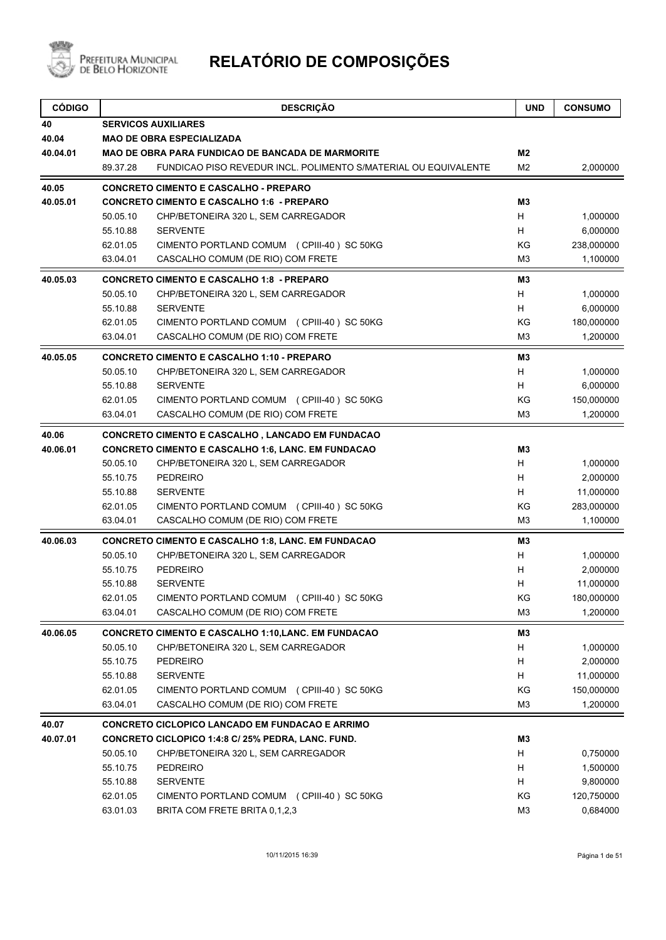

| <b>SERVICOS AUXILIARES</b><br><b>MAO DE OBRA ESPECIALIZADA</b><br>M <sub>2</sub><br><b>MAO DE OBRA PARA FUNDICAO DE BANCADA DE MARMORITE</b><br>89.37.28<br>FUNDICAO PISO REVEDUR INCL. POLIMENTO S/MATERIAL OU EQUIVALENTE<br>M <sub>2</sub><br>2,000000<br><b>CONCRETO CIMENTO E CASCALHO - PREPARO</b><br><b>CONCRETO CIMENTO E CASCALHO 1:6 - PREPARO</b><br>M3<br>H<br>50.05.10<br>CHP/BETONEIRA 320 L, SEM CARREGADOR<br>1,000000<br>H<br>55.10.88<br><b>SERVENTE</b><br>6,000000<br>KG<br>238,000000<br>62.01.05<br>CIMENTO PORTLAND COMUM (CPIII-40) SC 50KG<br>63.04.01<br>CASCALHO COMUM (DE RIO) COM FRETE<br>M <sub>3</sub><br>1,100000<br><b>CONCRETO CIMENTO E CASCALHO 1:8 - PREPARO</b><br>M3<br>50.05.10<br>CHP/BETONEIRA 320 L, SEM CARREGADOR<br>H<br>1,000000<br>6,000000<br>55.10.88<br><b>SERVENTE</b><br>H<br>KG<br>180,000000<br>62.01.05<br>CIMENTO PORTLAND COMUM (CPIII-40) SC 50KG<br>63.04.01<br>CASCALHO COMUM (DE RIO) COM FRETE<br>M <sub>3</sub><br>1,200000<br><b>CONCRETO CIMENTO E CASCALHO 1:10 - PREPARO</b><br>M3<br>50.05.10<br>H<br>1,000000<br>CHP/BETONEIRA 320 L, SEM CARREGADOR<br><b>SERVENTE</b><br>H<br>6,000000<br>55.10.88<br>KG<br>62.01.05<br>CIMENTO PORTLAND COMUM (CPIII-40) SC 50KG<br>150,000000<br>63.04.01<br>CASCALHO COMUM (DE RIO) COM FRETE<br>M <sub>3</sub><br>1,200000<br><b>CONCRETO CIMENTO E CASCALHO, LANCADO EM FUNDACAO</b><br><b>CONCRETO CIMENTO E CASCALHO 1:6, LANC. EM FUNDACAO</b><br>M3<br>50.05.10<br>H<br>CHP/BETONEIRA 320 L, SEM CARREGADOR<br>1,000000<br>H.<br>55.10.75<br><b>PEDREIRO</b><br>2,000000<br>H<br>55.10.88<br><b>SERVENTE</b><br>11,000000<br>KG<br>62.01.05<br>CIMENTO PORTLAND COMUM (CPIII-40) SC 50KG<br>283,000000<br>63.04.01<br>CASCALHO COMUM (DE RIO) COM FRETE<br>M <sub>3</sub><br>1,100000<br><b>CONCRETO CIMENTO E CASCALHO 1:8, LANC. EM FUNDACAO</b><br>M3<br>50.05.10<br>1,000000<br>CHP/BETONEIRA 320 L, SEM CARREGADOR<br>H<br><b>PEDREIRO</b><br>2,000000<br>55.10.75<br>H<br>H<br>55.10.88<br><b>SERVENTE</b><br>11,000000<br>KG<br>62.01.05<br>CIMENTO PORTLAND COMUM (CPIII-40) SC 50KG<br>180,000000<br>CASCALHO COMUM (DE RIO) COM FRETE<br>63.04.01<br>1,200000<br>M3<br><b>CONCRETO CIMENTO E CASCALHO 1:10, LANC. EM FUNDACAO</b><br>M3<br>50.05.10<br>H<br>CHP/BETONEIRA 320 L, SEM CARREGADOR<br>1,000000<br>H<br>55.10.75<br>PEDREIRO<br>2,000000<br>H<br>55.10.88<br><b>SERVENTE</b><br>11,000000<br>62.01.05<br>CIMENTO PORTLAND COMUM (CPIII-40) SC 50KG<br>ΚG<br>150,000000<br>CASCALHO COMUM (DE RIO) COM FRETE<br>63.04.01<br>M3<br>1,200000<br>CONCRETO CICLOPICO LANCADO EM FUNDACAO E ARRIMO<br>CONCRETO CICLOPICO 1:4:8 C/ 25% PEDRA, LANC. FUND.<br>M <sub>3</sub><br>50.05.10<br>CHP/BETONEIRA 320 L, SEM CARREGADOR<br>H<br>0,750000<br>55.10.75<br>H<br><b>PEDREIRO</b><br>1,500000<br>H<br>55.10.88<br><b>SERVENTE</b><br>9,800000<br>KG<br>62.01.05<br>CIMENTO PORTLAND COMUM (CPIII-40) SC 50KG<br>120,750000<br>63.01.03<br>BRITA COM FRETE BRITA 0,1,2,3<br>M <sub>3</sub><br>0,684000 | <b>CÓDIGO</b> | <b>DESCRIÇÃO</b> | <b>UND</b> | <b>CONSUMO</b> |  |  |  |
|-------------------------------------------------------------------------------------------------------------------------------------------------------------------------------------------------------------------------------------------------------------------------------------------------------------------------------------------------------------------------------------------------------------------------------------------------------------------------------------------------------------------------------------------------------------------------------------------------------------------------------------------------------------------------------------------------------------------------------------------------------------------------------------------------------------------------------------------------------------------------------------------------------------------------------------------------------------------------------------------------------------------------------------------------------------------------------------------------------------------------------------------------------------------------------------------------------------------------------------------------------------------------------------------------------------------------------------------------------------------------------------------------------------------------------------------------------------------------------------------------------------------------------------------------------------------------------------------------------------------------------------------------------------------------------------------------------------------------------------------------------------------------------------------------------------------------------------------------------------------------------------------------------------------------------------------------------------------------------------------------------------------------------------------------------------------------------------------------------------------------------------------------------------------------------------------------------------------------------------------------------------------------------------------------------------------------------------------------------------------------------------------------------------------------------------------------------------------------------------------------------------------------------------------------------------------------------------------------------------------------------------------------------------------------------------------------------------------------------------------------------------------------------------------------------------------------------------------------------------------------------------------------------------------------------------------------------------------------------------------------------------------------------------------|---------------|------------------|------------|----------------|--|--|--|
|                                                                                                                                                                                                                                                                                                                                                                                                                                                                                                                                                                                                                                                                                                                                                                                                                                                                                                                                                                                                                                                                                                                                                                                                                                                                                                                                                                                                                                                                                                                                                                                                                                                                                                                                                                                                                                                                                                                                                                                                                                                                                                                                                                                                                                                                                                                                                                                                                                                                                                                                                                                                                                                                                                                                                                                                                                                                                                                                                                                                                                           | 40            |                  |            |                |  |  |  |
|                                                                                                                                                                                                                                                                                                                                                                                                                                                                                                                                                                                                                                                                                                                                                                                                                                                                                                                                                                                                                                                                                                                                                                                                                                                                                                                                                                                                                                                                                                                                                                                                                                                                                                                                                                                                                                                                                                                                                                                                                                                                                                                                                                                                                                                                                                                                                                                                                                                                                                                                                                                                                                                                                                                                                                                                                                                                                                                                                                                                                                           | 40.04         |                  |            |                |  |  |  |
|                                                                                                                                                                                                                                                                                                                                                                                                                                                                                                                                                                                                                                                                                                                                                                                                                                                                                                                                                                                                                                                                                                                                                                                                                                                                                                                                                                                                                                                                                                                                                                                                                                                                                                                                                                                                                                                                                                                                                                                                                                                                                                                                                                                                                                                                                                                                                                                                                                                                                                                                                                                                                                                                                                                                                                                                                                                                                                                                                                                                                                           | 40.04.01      |                  |            |                |  |  |  |
|                                                                                                                                                                                                                                                                                                                                                                                                                                                                                                                                                                                                                                                                                                                                                                                                                                                                                                                                                                                                                                                                                                                                                                                                                                                                                                                                                                                                                                                                                                                                                                                                                                                                                                                                                                                                                                                                                                                                                                                                                                                                                                                                                                                                                                                                                                                                                                                                                                                                                                                                                                                                                                                                                                                                                                                                                                                                                                                                                                                                                                           |               |                  |            |                |  |  |  |
|                                                                                                                                                                                                                                                                                                                                                                                                                                                                                                                                                                                                                                                                                                                                                                                                                                                                                                                                                                                                                                                                                                                                                                                                                                                                                                                                                                                                                                                                                                                                                                                                                                                                                                                                                                                                                                                                                                                                                                                                                                                                                                                                                                                                                                                                                                                                                                                                                                                                                                                                                                                                                                                                                                                                                                                                                                                                                                                                                                                                                                           | 40.05         |                  |            |                |  |  |  |
|                                                                                                                                                                                                                                                                                                                                                                                                                                                                                                                                                                                                                                                                                                                                                                                                                                                                                                                                                                                                                                                                                                                                                                                                                                                                                                                                                                                                                                                                                                                                                                                                                                                                                                                                                                                                                                                                                                                                                                                                                                                                                                                                                                                                                                                                                                                                                                                                                                                                                                                                                                                                                                                                                                                                                                                                                                                                                                                                                                                                                                           | 40.05.01      |                  |            |                |  |  |  |
|                                                                                                                                                                                                                                                                                                                                                                                                                                                                                                                                                                                                                                                                                                                                                                                                                                                                                                                                                                                                                                                                                                                                                                                                                                                                                                                                                                                                                                                                                                                                                                                                                                                                                                                                                                                                                                                                                                                                                                                                                                                                                                                                                                                                                                                                                                                                                                                                                                                                                                                                                                                                                                                                                                                                                                                                                                                                                                                                                                                                                                           |               |                  |            |                |  |  |  |
|                                                                                                                                                                                                                                                                                                                                                                                                                                                                                                                                                                                                                                                                                                                                                                                                                                                                                                                                                                                                                                                                                                                                                                                                                                                                                                                                                                                                                                                                                                                                                                                                                                                                                                                                                                                                                                                                                                                                                                                                                                                                                                                                                                                                                                                                                                                                                                                                                                                                                                                                                                                                                                                                                                                                                                                                                                                                                                                                                                                                                                           |               |                  |            |                |  |  |  |
|                                                                                                                                                                                                                                                                                                                                                                                                                                                                                                                                                                                                                                                                                                                                                                                                                                                                                                                                                                                                                                                                                                                                                                                                                                                                                                                                                                                                                                                                                                                                                                                                                                                                                                                                                                                                                                                                                                                                                                                                                                                                                                                                                                                                                                                                                                                                                                                                                                                                                                                                                                                                                                                                                                                                                                                                                                                                                                                                                                                                                                           |               |                  |            |                |  |  |  |
|                                                                                                                                                                                                                                                                                                                                                                                                                                                                                                                                                                                                                                                                                                                                                                                                                                                                                                                                                                                                                                                                                                                                                                                                                                                                                                                                                                                                                                                                                                                                                                                                                                                                                                                                                                                                                                                                                                                                                                                                                                                                                                                                                                                                                                                                                                                                                                                                                                                                                                                                                                                                                                                                                                                                                                                                                                                                                                                                                                                                                                           |               |                  |            |                |  |  |  |
|                                                                                                                                                                                                                                                                                                                                                                                                                                                                                                                                                                                                                                                                                                                                                                                                                                                                                                                                                                                                                                                                                                                                                                                                                                                                                                                                                                                                                                                                                                                                                                                                                                                                                                                                                                                                                                                                                                                                                                                                                                                                                                                                                                                                                                                                                                                                                                                                                                                                                                                                                                                                                                                                                                                                                                                                                                                                                                                                                                                                                                           | 40.05.03      |                  |            |                |  |  |  |
|                                                                                                                                                                                                                                                                                                                                                                                                                                                                                                                                                                                                                                                                                                                                                                                                                                                                                                                                                                                                                                                                                                                                                                                                                                                                                                                                                                                                                                                                                                                                                                                                                                                                                                                                                                                                                                                                                                                                                                                                                                                                                                                                                                                                                                                                                                                                                                                                                                                                                                                                                                                                                                                                                                                                                                                                                                                                                                                                                                                                                                           |               |                  |            |                |  |  |  |
|                                                                                                                                                                                                                                                                                                                                                                                                                                                                                                                                                                                                                                                                                                                                                                                                                                                                                                                                                                                                                                                                                                                                                                                                                                                                                                                                                                                                                                                                                                                                                                                                                                                                                                                                                                                                                                                                                                                                                                                                                                                                                                                                                                                                                                                                                                                                                                                                                                                                                                                                                                                                                                                                                                                                                                                                                                                                                                                                                                                                                                           |               |                  |            |                |  |  |  |
|                                                                                                                                                                                                                                                                                                                                                                                                                                                                                                                                                                                                                                                                                                                                                                                                                                                                                                                                                                                                                                                                                                                                                                                                                                                                                                                                                                                                                                                                                                                                                                                                                                                                                                                                                                                                                                                                                                                                                                                                                                                                                                                                                                                                                                                                                                                                                                                                                                                                                                                                                                                                                                                                                                                                                                                                                                                                                                                                                                                                                                           |               |                  |            |                |  |  |  |
|                                                                                                                                                                                                                                                                                                                                                                                                                                                                                                                                                                                                                                                                                                                                                                                                                                                                                                                                                                                                                                                                                                                                                                                                                                                                                                                                                                                                                                                                                                                                                                                                                                                                                                                                                                                                                                                                                                                                                                                                                                                                                                                                                                                                                                                                                                                                                                                                                                                                                                                                                                                                                                                                                                                                                                                                                                                                                                                                                                                                                                           |               |                  |            |                |  |  |  |
|                                                                                                                                                                                                                                                                                                                                                                                                                                                                                                                                                                                                                                                                                                                                                                                                                                                                                                                                                                                                                                                                                                                                                                                                                                                                                                                                                                                                                                                                                                                                                                                                                                                                                                                                                                                                                                                                                                                                                                                                                                                                                                                                                                                                                                                                                                                                                                                                                                                                                                                                                                                                                                                                                                                                                                                                                                                                                                                                                                                                                                           | 40.05.05      |                  |            |                |  |  |  |
|                                                                                                                                                                                                                                                                                                                                                                                                                                                                                                                                                                                                                                                                                                                                                                                                                                                                                                                                                                                                                                                                                                                                                                                                                                                                                                                                                                                                                                                                                                                                                                                                                                                                                                                                                                                                                                                                                                                                                                                                                                                                                                                                                                                                                                                                                                                                                                                                                                                                                                                                                                                                                                                                                                                                                                                                                                                                                                                                                                                                                                           |               |                  |            |                |  |  |  |
|                                                                                                                                                                                                                                                                                                                                                                                                                                                                                                                                                                                                                                                                                                                                                                                                                                                                                                                                                                                                                                                                                                                                                                                                                                                                                                                                                                                                                                                                                                                                                                                                                                                                                                                                                                                                                                                                                                                                                                                                                                                                                                                                                                                                                                                                                                                                                                                                                                                                                                                                                                                                                                                                                                                                                                                                                                                                                                                                                                                                                                           |               |                  |            |                |  |  |  |
|                                                                                                                                                                                                                                                                                                                                                                                                                                                                                                                                                                                                                                                                                                                                                                                                                                                                                                                                                                                                                                                                                                                                                                                                                                                                                                                                                                                                                                                                                                                                                                                                                                                                                                                                                                                                                                                                                                                                                                                                                                                                                                                                                                                                                                                                                                                                                                                                                                                                                                                                                                                                                                                                                                                                                                                                                                                                                                                                                                                                                                           |               |                  |            |                |  |  |  |
|                                                                                                                                                                                                                                                                                                                                                                                                                                                                                                                                                                                                                                                                                                                                                                                                                                                                                                                                                                                                                                                                                                                                                                                                                                                                                                                                                                                                                                                                                                                                                                                                                                                                                                                                                                                                                                                                                                                                                                                                                                                                                                                                                                                                                                                                                                                                                                                                                                                                                                                                                                                                                                                                                                                                                                                                                                                                                                                                                                                                                                           |               |                  |            |                |  |  |  |
|                                                                                                                                                                                                                                                                                                                                                                                                                                                                                                                                                                                                                                                                                                                                                                                                                                                                                                                                                                                                                                                                                                                                                                                                                                                                                                                                                                                                                                                                                                                                                                                                                                                                                                                                                                                                                                                                                                                                                                                                                                                                                                                                                                                                                                                                                                                                                                                                                                                                                                                                                                                                                                                                                                                                                                                                                                                                                                                                                                                                                                           | 40.06         |                  |            |                |  |  |  |
|                                                                                                                                                                                                                                                                                                                                                                                                                                                                                                                                                                                                                                                                                                                                                                                                                                                                                                                                                                                                                                                                                                                                                                                                                                                                                                                                                                                                                                                                                                                                                                                                                                                                                                                                                                                                                                                                                                                                                                                                                                                                                                                                                                                                                                                                                                                                                                                                                                                                                                                                                                                                                                                                                                                                                                                                                                                                                                                                                                                                                                           | 40.06.01      |                  |            |                |  |  |  |
|                                                                                                                                                                                                                                                                                                                                                                                                                                                                                                                                                                                                                                                                                                                                                                                                                                                                                                                                                                                                                                                                                                                                                                                                                                                                                                                                                                                                                                                                                                                                                                                                                                                                                                                                                                                                                                                                                                                                                                                                                                                                                                                                                                                                                                                                                                                                                                                                                                                                                                                                                                                                                                                                                                                                                                                                                                                                                                                                                                                                                                           |               |                  |            |                |  |  |  |
|                                                                                                                                                                                                                                                                                                                                                                                                                                                                                                                                                                                                                                                                                                                                                                                                                                                                                                                                                                                                                                                                                                                                                                                                                                                                                                                                                                                                                                                                                                                                                                                                                                                                                                                                                                                                                                                                                                                                                                                                                                                                                                                                                                                                                                                                                                                                                                                                                                                                                                                                                                                                                                                                                                                                                                                                                                                                                                                                                                                                                                           |               |                  |            |                |  |  |  |
|                                                                                                                                                                                                                                                                                                                                                                                                                                                                                                                                                                                                                                                                                                                                                                                                                                                                                                                                                                                                                                                                                                                                                                                                                                                                                                                                                                                                                                                                                                                                                                                                                                                                                                                                                                                                                                                                                                                                                                                                                                                                                                                                                                                                                                                                                                                                                                                                                                                                                                                                                                                                                                                                                                                                                                                                                                                                                                                                                                                                                                           |               |                  |            |                |  |  |  |
|                                                                                                                                                                                                                                                                                                                                                                                                                                                                                                                                                                                                                                                                                                                                                                                                                                                                                                                                                                                                                                                                                                                                                                                                                                                                                                                                                                                                                                                                                                                                                                                                                                                                                                                                                                                                                                                                                                                                                                                                                                                                                                                                                                                                                                                                                                                                                                                                                                                                                                                                                                                                                                                                                                                                                                                                                                                                                                                                                                                                                                           |               |                  |            |                |  |  |  |
|                                                                                                                                                                                                                                                                                                                                                                                                                                                                                                                                                                                                                                                                                                                                                                                                                                                                                                                                                                                                                                                                                                                                                                                                                                                                                                                                                                                                                                                                                                                                                                                                                                                                                                                                                                                                                                                                                                                                                                                                                                                                                                                                                                                                                                                                                                                                                                                                                                                                                                                                                                                                                                                                                                                                                                                                                                                                                                                                                                                                                                           |               |                  |            |                |  |  |  |
|                                                                                                                                                                                                                                                                                                                                                                                                                                                                                                                                                                                                                                                                                                                                                                                                                                                                                                                                                                                                                                                                                                                                                                                                                                                                                                                                                                                                                                                                                                                                                                                                                                                                                                                                                                                                                                                                                                                                                                                                                                                                                                                                                                                                                                                                                                                                                                                                                                                                                                                                                                                                                                                                                                                                                                                                                                                                                                                                                                                                                                           | 40.06.03      |                  |            |                |  |  |  |
|                                                                                                                                                                                                                                                                                                                                                                                                                                                                                                                                                                                                                                                                                                                                                                                                                                                                                                                                                                                                                                                                                                                                                                                                                                                                                                                                                                                                                                                                                                                                                                                                                                                                                                                                                                                                                                                                                                                                                                                                                                                                                                                                                                                                                                                                                                                                                                                                                                                                                                                                                                                                                                                                                                                                                                                                                                                                                                                                                                                                                                           |               |                  |            |                |  |  |  |
|                                                                                                                                                                                                                                                                                                                                                                                                                                                                                                                                                                                                                                                                                                                                                                                                                                                                                                                                                                                                                                                                                                                                                                                                                                                                                                                                                                                                                                                                                                                                                                                                                                                                                                                                                                                                                                                                                                                                                                                                                                                                                                                                                                                                                                                                                                                                                                                                                                                                                                                                                                                                                                                                                                                                                                                                                                                                                                                                                                                                                                           |               |                  |            |                |  |  |  |
|                                                                                                                                                                                                                                                                                                                                                                                                                                                                                                                                                                                                                                                                                                                                                                                                                                                                                                                                                                                                                                                                                                                                                                                                                                                                                                                                                                                                                                                                                                                                                                                                                                                                                                                                                                                                                                                                                                                                                                                                                                                                                                                                                                                                                                                                                                                                                                                                                                                                                                                                                                                                                                                                                                                                                                                                                                                                                                                                                                                                                                           |               |                  |            |                |  |  |  |
|                                                                                                                                                                                                                                                                                                                                                                                                                                                                                                                                                                                                                                                                                                                                                                                                                                                                                                                                                                                                                                                                                                                                                                                                                                                                                                                                                                                                                                                                                                                                                                                                                                                                                                                                                                                                                                                                                                                                                                                                                                                                                                                                                                                                                                                                                                                                                                                                                                                                                                                                                                                                                                                                                                                                                                                                                                                                                                                                                                                                                                           |               |                  |            |                |  |  |  |
|                                                                                                                                                                                                                                                                                                                                                                                                                                                                                                                                                                                                                                                                                                                                                                                                                                                                                                                                                                                                                                                                                                                                                                                                                                                                                                                                                                                                                                                                                                                                                                                                                                                                                                                                                                                                                                                                                                                                                                                                                                                                                                                                                                                                                                                                                                                                                                                                                                                                                                                                                                                                                                                                                                                                                                                                                                                                                                                                                                                                                                           |               |                  |            |                |  |  |  |
|                                                                                                                                                                                                                                                                                                                                                                                                                                                                                                                                                                                                                                                                                                                                                                                                                                                                                                                                                                                                                                                                                                                                                                                                                                                                                                                                                                                                                                                                                                                                                                                                                                                                                                                                                                                                                                                                                                                                                                                                                                                                                                                                                                                                                                                                                                                                                                                                                                                                                                                                                                                                                                                                                                                                                                                                                                                                                                                                                                                                                                           | 40.06.05      |                  |            |                |  |  |  |
|                                                                                                                                                                                                                                                                                                                                                                                                                                                                                                                                                                                                                                                                                                                                                                                                                                                                                                                                                                                                                                                                                                                                                                                                                                                                                                                                                                                                                                                                                                                                                                                                                                                                                                                                                                                                                                                                                                                                                                                                                                                                                                                                                                                                                                                                                                                                                                                                                                                                                                                                                                                                                                                                                                                                                                                                                                                                                                                                                                                                                                           |               |                  |            |                |  |  |  |
|                                                                                                                                                                                                                                                                                                                                                                                                                                                                                                                                                                                                                                                                                                                                                                                                                                                                                                                                                                                                                                                                                                                                                                                                                                                                                                                                                                                                                                                                                                                                                                                                                                                                                                                                                                                                                                                                                                                                                                                                                                                                                                                                                                                                                                                                                                                                                                                                                                                                                                                                                                                                                                                                                                                                                                                                                                                                                                                                                                                                                                           |               |                  |            |                |  |  |  |
|                                                                                                                                                                                                                                                                                                                                                                                                                                                                                                                                                                                                                                                                                                                                                                                                                                                                                                                                                                                                                                                                                                                                                                                                                                                                                                                                                                                                                                                                                                                                                                                                                                                                                                                                                                                                                                                                                                                                                                                                                                                                                                                                                                                                                                                                                                                                                                                                                                                                                                                                                                                                                                                                                                                                                                                                                                                                                                                                                                                                                                           |               |                  |            |                |  |  |  |
|                                                                                                                                                                                                                                                                                                                                                                                                                                                                                                                                                                                                                                                                                                                                                                                                                                                                                                                                                                                                                                                                                                                                                                                                                                                                                                                                                                                                                                                                                                                                                                                                                                                                                                                                                                                                                                                                                                                                                                                                                                                                                                                                                                                                                                                                                                                                                                                                                                                                                                                                                                                                                                                                                                                                                                                                                                                                                                                                                                                                                                           |               |                  |            |                |  |  |  |
|                                                                                                                                                                                                                                                                                                                                                                                                                                                                                                                                                                                                                                                                                                                                                                                                                                                                                                                                                                                                                                                                                                                                                                                                                                                                                                                                                                                                                                                                                                                                                                                                                                                                                                                                                                                                                                                                                                                                                                                                                                                                                                                                                                                                                                                                                                                                                                                                                                                                                                                                                                                                                                                                                                                                                                                                                                                                                                                                                                                                                                           |               |                  |            |                |  |  |  |
|                                                                                                                                                                                                                                                                                                                                                                                                                                                                                                                                                                                                                                                                                                                                                                                                                                                                                                                                                                                                                                                                                                                                                                                                                                                                                                                                                                                                                                                                                                                                                                                                                                                                                                                                                                                                                                                                                                                                                                                                                                                                                                                                                                                                                                                                                                                                                                                                                                                                                                                                                                                                                                                                                                                                                                                                                                                                                                                                                                                                                                           | 40.07         |                  |            |                |  |  |  |
|                                                                                                                                                                                                                                                                                                                                                                                                                                                                                                                                                                                                                                                                                                                                                                                                                                                                                                                                                                                                                                                                                                                                                                                                                                                                                                                                                                                                                                                                                                                                                                                                                                                                                                                                                                                                                                                                                                                                                                                                                                                                                                                                                                                                                                                                                                                                                                                                                                                                                                                                                                                                                                                                                                                                                                                                                                                                                                                                                                                                                                           | 40.07.01      |                  |            |                |  |  |  |
|                                                                                                                                                                                                                                                                                                                                                                                                                                                                                                                                                                                                                                                                                                                                                                                                                                                                                                                                                                                                                                                                                                                                                                                                                                                                                                                                                                                                                                                                                                                                                                                                                                                                                                                                                                                                                                                                                                                                                                                                                                                                                                                                                                                                                                                                                                                                                                                                                                                                                                                                                                                                                                                                                                                                                                                                                                                                                                                                                                                                                                           |               |                  |            |                |  |  |  |
|                                                                                                                                                                                                                                                                                                                                                                                                                                                                                                                                                                                                                                                                                                                                                                                                                                                                                                                                                                                                                                                                                                                                                                                                                                                                                                                                                                                                                                                                                                                                                                                                                                                                                                                                                                                                                                                                                                                                                                                                                                                                                                                                                                                                                                                                                                                                                                                                                                                                                                                                                                                                                                                                                                                                                                                                                                                                                                                                                                                                                                           |               |                  |            |                |  |  |  |
|                                                                                                                                                                                                                                                                                                                                                                                                                                                                                                                                                                                                                                                                                                                                                                                                                                                                                                                                                                                                                                                                                                                                                                                                                                                                                                                                                                                                                                                                                                                                                                                                                                                                                                                                                                                                                                                                                                                                                                                                                                                                                                                                                                                                                                                                                                                                                                                                                                                                                                                                                                                                                                                                                                                                                                                                                                                                                                                                                                                                                                           |               |                  |            |                |  |  |  |
|                                                                                                                                                                                                                                                                                                                                                                                                                                                                                                                                                                                                                                                                                                                                                                                                                                                                                                                                                                                                                                                                                                                                                                                                                                                                                                                                                                                                                                                                                                                                                                                                                                                                                                                                                                                                                                                                                                                                                                                                                                                                                                                                                                                                                                                                                                                                                                                                                                                                                                                                                                                                                                                                                                                                                                                                                                                                                                                                                                                                                                           |               |                  |            |                |  |  |  |
|                                                                                                                                                                                                                                                                                                                                                                                                                                                                                                                                                                                                                                                                                                                                                                                                                                                                                                                                                                                                                                                                                                                                                                                                                                                                                                                                                                                                                                                                                                                                                                                                                                                                                                                                                                                                                                                                                                                                                                                                                                                                                                                                                                                                                                                                                                                                                                                                                                                                                                                                                                                                                                                                                                                                                                                                                                                                                                                                                                                                                                           |               |                  |            |                |  |  |  |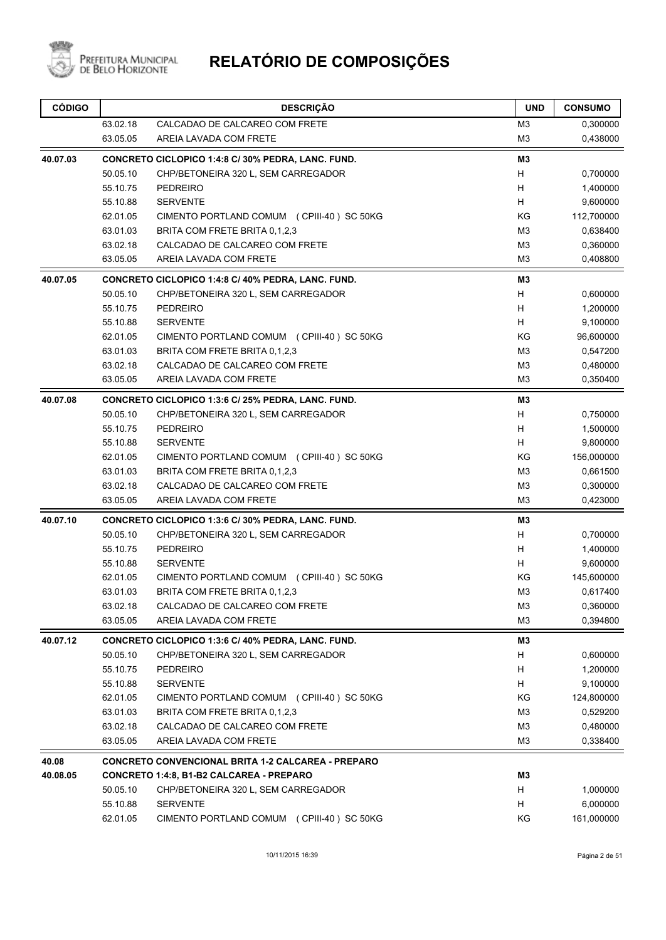

| 63.02.18<br>CALCADAO DE CALCAREO COM FRETE<br>M <sub>3</sub><br>0,300000<br>63.05.05<br>M <sub>3</sub><br>0,438000<br>AREIA LAVADA COM FRETE<br>M3<br>CONCRETO CICLOPICO 1:4:8 C/ 30% PEDRA, LANC. FUND.<br>50.05.10<br>CHP/BETONEIRA 320 L, SEM CARREGADOR<br>H<br>0,700000<br>55.10.75<br>H<br><b>PEDREIRO</b><br>1,400000<br><b>SERVENTE</b><br>H<br>9,600000<br>55.10.88<br>KG<br>62.01.05<br>CIMENTO PORTLAND COMUM (CPIII-40) SC 50KG<br>112,700000<br>63.01.03<br>M3<br>0,638400<br>BRITA COM FRETE BRITA 0.1.2.3<br>63.02.18<br>CALCADAO DE CALCAREO COM FRETE<br>M <sub>3</sub><br>0,360000<br>M <sub>3</sub><br>63.05.05<br>AREIA LAVADA COM FRETE<br>0,408800<br>M <sub>3</sub><br>CONCRETO CICLOPICO 1:4:8 C/ 40% PEDRA, LANC. FUND.<br>50.05.10<br>CHP/BETONEIRA 320 L, SEM CARREGADOR<br>H<br>0,600000<br>55.10.75<br>H<br><b>PEDREIRO</b><br>1,200000<br>9,100000<br>55.10.88<br><b>SERVENTE</b><br>H<br>KG<br>62.01.05<br>CIMENTO PORTLAND COMUM (CPIII-40) SC 50KG<br>96,600000<br>63.01.03<br>BRITA COM FRETE BRITA 0,1,2,3<br>M3<br>0,547200<br>M <sub>3</sub><br>63.02.18<br>CALCADAO DE CALCAREO COM FRETE<br>0,480000<br>63.05.05<br>AREIA LAVADA COM FRETE<br>M <sub>3</sub><br>0,350400<br>M <sub>3</sub><br>CONCRETO CICLOPICO 1:3:6 C/ 25% PEDRA, LANC. FUND.<br>H<br>50.05.10<br>CHP/BETONEIRA 320 L, SEM CARREGADOR<br>0,750000<br>55.10.75<br>H<br><b>PEDREIRO</b><br>1,500000<br>9,800000<br>55.10.88<br><b>SERVENTE</b><br>H<br>KG<br>62.01.05<br>CIMENTO PORTLAND COMUM (CPIII-40) SC 50KG<br>156,000000<br>63.01.03<br>BRITA COM FRETE BRITA 0,1,2,3<br>M <sub>3</sub><br>0,661500<br>M <sub>3</sub><br>63.02.18<br>CALCADAO DE CALCAREO COM FRETE<br>0,300000<br>63.05.05<br>AREIA LAVADA COM FRETE<br>M <sub>3</sub><br>0,423000<br><b>M3</b><br>CONCRETO CICLOPICO 1:3:6 C/ 30% PEDRA, LANC. FUND.<br>H<br>50.05.10<br>0,700000<br>CHP/BETONEIRA 320 L, SEM CARREGADOR<br>55.10.75<br>H<br><b>PEDREIRO</b><br>1,400000<br>55.10.88<br><b>SERVENTE</b><br>H<br>9,600000<br>62.01.05<br>CIMENTO PORTLAND COMUM (CPIII-40) SC 50KG<br>KG<br>145,600000<br>63.01.03<br>BRITA COM FRETE BRITA 0,1,2,3<br>M <sub>3</sub><br>0,617400<br>63.02.18<br>CALCADAO DE CALCAREO COM FRETE<br>M <sub>3</sub><br>0,360000<br>63.05.05<br>AREIA LAVADA COM FRETE<br>M3<br>0,394800<br>CONCRETO CICLOPICO 1:3:6 C/ 40% PEDRA, LANC. FUND.<br>M3<br>50.05.10<br>H<br>0,600000<br>CHP/BETONEIRA 320 L, SEM CARREGADOR<br>55.10.75<br><b>PEDREIRO</b><br>H<br>1,200000<br>55.10.88<br><b>SERVENTE</b><br>H<br>9,100000<br>62.01.05<br>ΚG<br>124,800000<br>CIMENTO PORTLAND COMUM (CPIII-40) SC 50KG<br>63.01.03<br>BRITA COM FRETE BRITA 0,1,2,3<br>M3<br>0,529200<br>63.02.18<br>CALCADAO DE CALCAREO COM FRETE<br>M3<br>0,480000<br>AREIA LAVADA COM FRETE<br>M3<br>63.05.05<br>0,338400<br><b>CONCRETO CONVENCIONAL BRITA 1-2 CALCAREA - PREPARO</b><br>CONCRETO 1:4:8, B1-B2 CALCAREA - PREPARO<br>M3<br>50.05.10<br>CHP/BETONEIRA 320 L, SEM CARREGADOR<br>H<br>1,000000<br><b>SERVENTE</b><br>55.10.88<br>H<br>6,000000<br>62.01.05<br>CIMENTO PORTLAND COMUM (CPIII-40) SC 50KG<br>ΚG<br>161,000000 | <b>CÓDIGO</b> | <b>DESCRIÇÃO</b> | <b>UND</b> | <b>CONSUMO</b> |
|----------------------------------------------------------------------------------------------------------------------------------------------------------------------------------------------------------------------------------------------------------------------------------------------------------------------------------------------------------------------------------------------------------------------------------------------------------------------------------------------------------------------------------------------------------------------------------------------------------------------------------------------------------------------------------------------------------------------------------------------------------------------------------------------------------------------------------------------------------------------------------------------------------------------------------------------------------------------------------------------------------------------------------------------------------------------------------------------------------------------------------------------------------------------------------------------------------------------------------------------------------------------------------------------------------------------------------------------------------------------------------------------------------------------------------------------------------------------------------------------------------------------------------------------------------------------------------------------------------------------------------------------------------------------------------------------------------------------------------------------------------------------------------------------------------------------------------------------------------------------------------------------------------------------------------------------------------------------------------------------------------------------------------------------------------------------------------------------------------------------------------------------------------------------------------------------------------------------------------------------------------------------------------------------------------------------------------------------------------------------------------------------------------------------------------------------------------------------------------------------------------------------------------------------------------------------------------------------------------------------------------------------------------------------------------------------------------------------------------------------------------------------------------------------------------------------------------------------------------------------------------------------------------------------------------------------------------------------------------------------------------------------------------------------------------------------------------------------------------------------------|---------------|------------------|------------|----------------|
|                                                                                                                                                                                                                                                                                                                                                                                                                                                                                                                                                                                                                                                                                                                                                                                                                                                                                                                                                                                                                                                                                                                                                                                                                                                                                                                                                                                                                                                                                                                                                                                                                                                                                                                                                                                                                                                                                                                                                                                                                                                                                                                                                                                                                                                                                                                                                                                                                                                                                                                                                                                                                                                                                                                                                                                                                                                                                                                                                                                                                                                                                                                            |               |                  |            |                |
|                                                                                                                                                                                                                                                                                                                                                                                                                                                                                                                                                                                                                                                                                                                                                                                                                                                                                                                                                                                                                                                                                                                                                                                                                                                                                                                                                                                                                                                                                                                                                                                                                                                                                                                                                                                                                                                                                                                                                                                                                                                                                                                                                                                                                                                                                                                                                                                                                                                                                                                                                                                                                                                                                                                                                                                                                                                                                                                                                                                                                                                                                                                            |               |                  |            |                |
|                                                                                                                                                                                                                                                                                                                                                                                                                                                                                                                                                                                                                                                                                                                                                                                                                                                                                                                                                                                                                                                                                                                                                                                                                                                                                                                                                                                                                                                                                                                                                                                                                                                                                                                                                                                                                                                                                                                                                                                                                                                                                                                                                                                                                                                                                                                                                                                                                                                                                                                                                                                                                                                                                                                                                                                                                                                                                                                                                                                                                                                                                                                            | 40.07.03      |                  |            |                |
|                                                                                                                                                                                                                                                                                                                                                                                                                                                                                                                                                                                                                                                                                                                                                                                                                                                                                                                                                                                                                                                                                                                                                                                                                                                                                                                                                                                                                                                                                                                                                                                                                                                                                                                                                                                                                                                                                                                                                                                                                                                                                                                                                                                                                                                                                                                                                                                                                                                                                                                                                                                                                                                                                                                                                                                                                                                                                                                                                                                                                                                                                                                            |               |                  |            |                |
|                                                                                                                                                                                                                                                                                                                                                                                                                                                                                                                                                                                                                                                                                                                                                                                                                                                                                                                                                                                                                                                                                                                                                                                                                                                                                                                                                                                                                                                                                                                                                                                                                                                                                                                                                                                                                                                                                                                                                                                                                                                                                                                                                                                                                                                                                                                                                                                                                                                                                                                                                                                                                                                                                                                                                                                                                                                                                                                                                                                                                                                                                                                            |               |                  |            |                |
|                                                                                                                                                                                                                                                                                                                                                                                                                                                                                                                                                                                                                                                                                                                                                                                                                                                                                                                                                                                                                                                                                                                                                                                                                                                                                                                                                                                                                                                                                                                                                                                                                                                                                                                                                                                                                                                                                                                                                                                                                                                                                                                                                                                                                                                                                                                                                                                                                                                                                                                                                                                                                                                                                                                                                                                                                                                                                                                                                                                                                                                                                                                            |               |                  |            |                |
|                                                                                                                                                                                                                                                                                                                                                                                                                                                                                                                                                                                                                                                                                                                                                                                                                                                                                                                                                                                                                                                                                                                                                                                                                                                                                                                                                                                                                                                                                                                                                                                                                                                                                                                                                                                                                                                                                                                                                                                                                                                                                                                                                                                                                                                                                                                                                                                                                                                                                                                                                                                                                                                                                                                                                                                                                                                                                                                                                                                                                                                                                                                            |               |                  |            |                |
|                                                                                                                                                                                                                                                                                                                                                                                                                                                                                                                                                                                                                                                                                                                                                                                                                                                                                                                                                                                                                                                                                                                                                                                                                                                                                                                                                                                                                                                                                                                                                                                                                                                                                                                                                                                                                                                                                                                                                                                                                                                                                                                                                                                                                                                                                                                                                                                                                                                                                                                                                                                                                                                                                                                                                                                                                                                                                                                                                                                                                                                                                                                            |               |                  |            |                |
|                                                                                                                                                                                                                                                                                                                                                                                                                                                                                                                                                                                                                                                                                                                                                                                                                                                                                                                                                                                                                                                                                                                                                                                                                                                                                                                                                                                                                                                                                                                                                                                                                                                                                                                                                                                                                                                                                                                                                                                                                                                                                                                                                                                                                                                                                                                                                                                                                                                                                                                                                                                                                                                                                                                                                                                                                                                                                                                                                                                                                                                                                                                            |               |                  |            |                |
|                                                                                                                                                                                                                                                                                                                                                                                                                                                                                                                                                                                                                                                                                                                                                                                                                                                                                                                                                                                                                                                                                                                                                                                                                                                                                                                                                                                                                                                                                                                                                                                                                                                                                                                                                                                                                                                                                                                                                                                                                                                                                                                                                                                                                                                                                                                                                                                                                                                                                                                                                                                                                                                                                                                                                                                                                                                                                                                                                                                                                                                                                                                            |               |                  |            |                |
|                                                                                                                                                                                                                                                                                                                                                                                                                                                                                                                                                                                                                                                                                                                                                                                                                                                                                                                                                                                                                                                                                                                                                                                                                                                                                                                                                                                                                                                                                                                                                                                                                                                                                                                                                                                                                                                                                                                                                                                                                                                                                                                                                                                                                                                                                                                                                                                                                                                                                                                                                                                                                                                                                                                                                                                                                                                                                                                                                                                                                                                                                                                            | 40.07.05      |                  |            |                |
|                                                                                                                                                                                                                                                                                                                                                                                                                                                                                                                                                                                                                                                                                                                                                                                                                                                                                                                                                                                                                                                                                                                                                                                                                                                                                                                                                                                                                                                                                                                                                                                                                                                                                                                                                                                                                                                                                                                                                                                                                                                                                                                                                                                                                                                                                                                                                                                                                                                                                                                                                                                                                                                                                                                                                                                                                                                                                                                                                                                                                                                                                                                            |               |                  |            |                |
|                                                                                                                                                                                                                                                                                                                                                                                                                                                                                                                                                                                                                                                                                                                                                                                                                                                                                                                                                                                                                                                                                                                                                                                                                                                                                                                                                                                                                                                                                                                                                                                                                                                                                                                                                                                                                                                                                                                                                                                                                                                                                                                                                                                                                                                                                                                                                                                                                                                                                                                                                                                                                                                                                                                                                                                                                                                                                                                                                                                                                                                                                                                            |               |                  |            |                |
|                                                                                                                                                                                                                                                                                                                                                                                                                                                                                                                                                                                                                                                                                                                                                                                                                                                                                                                                                                                                                                                                                                                                                                                                                                                                                                                                                                                                                                                                                                                                                                                                                                                                                                                                                                                                                                                                                                                                                                                                                                                                                                                                                                                                                                                                                                                                                                                                                                                                                                                                                                                                                                                                                                                                                                                                                                                                                                                                                                                                                                                                                                                            |               |                  |            |                |
|                                                                                                                                                                                                                                                                                                                                                                                                                                                                                                                                                                                                                                                                                                                                                                                                                                                                                                                                                                                                                                                                                                                                                                                                                                                                                                                                                                                                                                                                                                                                                                                                                                                                                                                                                                                                                                                                                                                                                                                                                                                                                                                                                                                                                                                                                                                                                                                                                                                                                                                                                                                                                                                                                                                                                                                                                                                                                                                                                                                                                                                                                                                            |               |                  |            |                |
|                                                                                                                                                                                                                                                                                                                                                                                                                                                                                                                                                                                                                                                                                                                                                                                                                                                                                                                                                                                                                                                                                                                                                                                                                                                                                                                                                                                                                                                                                                                                                                                                                                                                                                                                                                                                                                                                                                                                                                                                                                                                                                                                                                                                                                                                                                                                                                                                                                                                                                                                                                                                                                                                                                                                                                                                                                                                                                                                                                                                                                                                                                                            |               |                  |            |                |
|                                                                                                                                                                                                                                                                                                                                                                                                                                                                                                                                                                                                                                                                                                                                                                                                                                                                                                                                                                                                                                                                                                                                                                                                                                                                                                                                                                                                                                                                                                                                                                                                                                                                                                                                                                                                                                                                                                                                                                                                                                                                                                                                                                                                                                                                                                                                                                                                                                                                                                                                                                                                                                                                                                                                                                                                                                                                                                                                                                                                                                                                                                                            |               |                  |            |                |
|                                                                                                                                                                                                                                                                                                                                                                                                                                                                                                                                                                                                                                                                                                                                                                                                                                                                                                                                                                                                                                                                                                                                                                                                                                                                                                                                                                                                                                                                                                                                                                                                                                                                                                                                                                                                                                                                                                                                                                                                                                                                                                                                                                                                                                                                                                                                                                                                                                                                                                                                                                                                                                                                                                                                                                                                                                                                                                                                                                                                                                                                                                                            |               |                  |            |                |
|                                                                                                                                                                                                                                                                                                                                                                                                                                                                                                                                                                                                                                                                                                                                                                                                                                                                                                                                                                                                                                                                                                                                                                                                                                                                                                                                                                                                                                                                                                                                                                                                                                                                                                                                                                                                                                                                                                                                                                                                                                                                                                                                                                                                                                                                                                                                                                                                                                                                                                                                                                                                                                                                                                                                                                                                                                                                                                                                                                                                                                                                                                                            | 40.07.08      |                  |            |                |
|                                                                                                                                                                                                                                                                                                                                                                                                                                                                                                                                                                                                                                                                                                                                                                                                                                                                                                                                                                                                                                                                                                                                                                                                                                                                                                                                                                                                                                                                                                                                                                                                                                                                                                                                                                                                                                                                                                                                                                                                                                                                                                                                                                                                                                                                                                                                                                                                                                                                                                                                                                                                                                                                                                                                                                                                                                                                                                                                                                                                                                                                                                                            |               |                  |            |                |
|                                                                                                                                                                                                                                                                                                                                                                                                                                                                                                                                                                                                                                                                                                                                                                                                                                                                                                                                                                                                                                                                                                                                                                                                                                                                                                                                                                                                                                                                                                                                                                                                                                                                                                                                                                                                                                                                                                                                                                                                                                                                                                                                                                                                                                                                                                                                                                                                                                                                                                                                                                                                                                                                                                                                                                                                                                                                                                                                                                                                                                                                                                                            |               |                  |            |                |
|                                                                                                                                                                                                                                                                                                                                                                                                                                                                                                                                                                                                                                                                                                                                                                                                                                                                                                                                                                                                                                                                                                                                                                                                                                                                                                                                                                                                                                                                                                                                                                                                                                                                                                                                                                                                                                                                                                                                                                                                                                                                                                                                                                                                                                                                                                                                                                                                                                                                                                                                                                                                                                                                                                                                                                                                                                                                                                                                                                                                                                                                                                                            |               |                  |            |                |
|                                                                                                                                                                                                                                                                                                                                                                                                                                                                                                                                                                                                                                                                                                                                                                                                                                                                                                                                                                                                                                                                                                                                                                                                                                                                                                                                                                                                                                                                                                                                                                                                                                                                                                                                                                                                                                                                                                                                                                                                                                                                                                                                                                                                                                                                                                                                                                                                                                                                                                                                                                                                                                                                                                                                                                                                                                                                                                                                                                                                                                                                                                                            |               |                  |            |                |
|                                                                                                                                                                                                                                                                                                                                                                                                                                                                                                                                                                                                                                                                                                                                                                                                                                                                                                                                                                                                                                                                                                                                                                                                                                                                                                                                                                                                                                                                                                                                                                                                                                                                                                                                                                                                                                                                                                                                                                                                                                                                                                                                                                                                                                                                                                                                                                                                                                                                                                                                                                                                                                                                                                                                                                                                                                                                                                                                                                                                                                                                                                                            |               |                  |            |                |
|                                                                                                                                                                                                                                                                                                                                                                                                                                                                                                                                                                                                                                                                                                                                                                                                                                                                                                                                                                                                                                                                                                                                                                                                                                                                                                                                                                                                                                                                                                                                                                                                                                                                                                                                                                                                                                                                                                                                                                                                                                                                                                                                                                                                                                                                                                                                                                                                                                                                                                                                                                                                                                                                                                                                                                                                                                                                                                                                                                                                                                                                                                                            |               |                  |            |                |
|                                                                                                                                                                                                                                                                                                                                                                                                                                                                                                                                                                                                                                                                                                                                                                                                                                                                                                                                                                                                                                                                                                                                                                                                                                                                                                                                                                                                                                                                                                                                                                                                                                                                                                                                                                                                                                                                                                                                                                                                                                                                                                                                                                                                                                                                                                                                                                                                                                                                                                                                                                                                                                                                                                                                                                                                                                                                                                                                                                                                                                                                                                                            |               |                  |            |                |
|                                                                                                                                                                                                                                                                                                                                                                                                                                                                                                                                                                                                                                                                                                                                                                                                                                                                                                                                                                                                                                                                                                                                                                                                                                                                                                                                                                                                                                                                                                                                                                                                                                                                                                                                                                                                                                                                                                                                                                                                                                                                                                                                                                                                                                                                                                                                                                                                                                                                                                                                                                                                                                                                                                                                                                                                                                                                                                                                                                                                                                                                                                                            | 40.07.10      |                  |            |                |
|                                                                                                                                                                                                                                                                                                                                                                                                                                                                                                                                                                                                                                                                                                                                                                                                                                                                                                                                                                                                                                                                                                                                                                                                                                                                                                                                                                                                                                                                                                                                                                                                                                                                                                                                                                                                                                                                                                                                                                                                                                                                                                                                                                                                                                                                                                                                                                                                                                                                                                                                                                                                                                                                                                                                                                                                                                                                                                                                                                                                                                                                                                                            |               |                  |            |                |
|                                                                                                                                                                                                                                                                                                                                                                                                                                                                                                                                                                                                                                                                                                                                                                                                                                                                                                                                                                                                                                                                                                                                                                                                                                                                                                                                                                                                                                                                                                                                                                                                                                                                                                                                                                                                                                                                                                                                                                                                                                                                                                                                                                                                                                                                                                                                                                                                                                                                                                                                                                                                                                                                                                                                                                                                                                                                                                                                                                                                                                                                                                                            |               |                  |            |                |
|                                                                                                                                                                                                                                                                                                                                                                                                                                                                                                                                                                                                                                                                                                                                                                                                                                                                                                                                                                                                                                                                                                                                                                                                                                                                                                                                                                                                                                                                                                                                                                                                                                                                                                                                                                                                                                                                                                                                                                                                                                                                                                                                                                                                                                                                                                                                                                                                                                                                                                                                                                                                                                                                                                                                                                                                                                                                                                                                                                                                                                                                                                                            |               |                  |            |                |
|                                                                                                                                                                                                                                                                                                                                                                                                                                                                                                                                                                                                                                                                                                                                                                                                                                                                                                                                                                                                                                                                                                                                                                                                                                                                                                                                                                                                                                                                                                                                                                                                                                                                                                                                                                                                                                                                                                                                                                                                                                                                                                                                                                                                                                                                                                                                                                                                                                                                                                                                                                                                                                                                                                                                                                                                                                                                                                                                                                                                                                                                                                                            |               |                  |            |                |
|                                                                                                                                                                                                                                                                                                                                                                                                                                                                                                                                                                                                                                                                                                                                                                                                                                                                                                                                                                                                                                                                                                                                                                                                                                                                                                                                                                                                                                                                                                                                                                                                                                                                                                                                                                                                                                                                                                                                                                                                                                                                                                                                                                                                                                                                                                                                                                                                                                                                                                                                                                                                                                                                                                                                                                                                                                                                                                                                                                                                                                                                                                                            |               |                  |            |                |
|                                                                                                                                                                                                                                                                                                                                                                                                                                                                                                                                                                                                                                                                                                                                                                                                                                                                                                                                                                                                                                                                                                                                                                                                                                                                                                                                                                                                                                                                                                                                                                                                                                                                                                                                                                                                                                                                                                                                                                                                                                                                                                                                                                                                                                                                                                                                                                                                                                                                                                                                                                                                                                                                                                                                                                                                                                                                                                                                                                                                                                                                                                                            |               |                  |            |                |
|                                                                                                                                                                                                                                                                                                                                                                                                                                                                                                                                                                                                                                                                                                                                                                                                                                                                                                                                                                                                                                                                                                                                                                                                                                                                                                                                                                                                                                                                                                                                                                                                                                                                                                                                                                                                                                                                                                                                                                                                                                                                                                                                                                                                                                                                                                                                                                                                                                                                                                                                                                                                                                                                                                                                                                                                                                                                                                                                                                                                                                                                                                                            |               |                  |            |                |
|                                                                                                                                                                                                                                                                                                                                                                                                                                                                                                                                                                                                                                                                                                                                                                                                                                                                                                                                                                                                                                                                                                                                                                                                                                                                                                                                                                                                                                                                                                                                                                                                                                                                                                                                                                                                                                                                                                                                                                                                                                                                                                                                                                                                                                                                                                                                                                                                                                                                                                                                                                                                                                                                                                                                                                                                                                                                                                                                                                                                                                                                                                                            | 40.07.12      |                  |            |                |
|                                                                                                                                                                                                                                                                                                                                                                                                                                                                                                                                                                                                                                                                                                                                                                                                                                                                                                                                                                                                                                                                                                                                                                                                                                                                                                                                                                                                                                                                                                                                                                                                                                                                                                                                                                                                                                                                                                                                                                                                                                                                                                                                                                                                                                                                                                                                                                                                                                                                                                                                                                                                                                                                                                                                                                                                                                                                                                                                                                                                                                                                                                                            |               |                  |            |                |
|                                                                                                                                                                                                                                                                                                                                                                                                                                                                                                                                                                                                                                                                                                                                                                                                                                                                                                                                                                                                                                                                                                                                                                                                                                                                                                                                                                                                                                                                                                                                                                                                                                                                                                                                                                                                                                                                                                                                                                                                                                                                                                                                                                                                                                                                                                                                                                                                                                                                                                                                                                                                                                                                                                                                                                                                                                                                                                                                                                                                                                                                                                                            |               |                  |            |                |
|                                                                                                                                                                                                                                                                                                                                                                                                                                                                                                                                                                                                                                                                                                                                                                                                                                                                                                                                                                                                                                                                                                                                                                                                                                                                                                                                                                                                                                                                                                                                                                                                                                                                                                                                                                                                                                                                                                                                                                                                                                                                                                                                                                                                                                                                                                                                                                                                                                                                                                                                                                                                                                                                                                                                                                                                                                                                                                                                                                                                                                                                                                                            |               |                  |            |                |
|                                                                                                                                                                                                                                                                                                                                                                                                                                                                                                                                                                                                                                                                                                                                                                                                                                                                                                                                                                                                                                                                                                                                                                                                                                                                                                                                                                                                                                                                                                                                                                                                                                                                                                                                                                                                                                                                                                                                                                                                                                                                                                                                                                                                                                                                                                                                                                                                                                                                                                                                                                                                                                                                                                                                                                                                                                                                                                                                                                                                                                                                                                                            |               |                  |            |                |
|                                                                                                                                                                                                                                                                                                                                                                                                                                                                                                                                                                                                                                                                                                                                                                                                                                                                                                                                                                                                                                                                                                                                                                                                                                                                                                                                                                                                                                                                                                                                                                                                                                                                                                                                                                                                                                                                                                                                                                                                                                                                                                                                                                                                                                                                                                                                                                                                                                                                                                                                                                                                                                                                                                                                                                                                                                                                                                                                                                                                                                                                                                                            |               |                  |            |                |
|                                                                                                                                                                                                                                                                                                                                                                                                                                                                                                                                                                                                                                                                                                                                                                                                                                                                                                                                                                                                                                                                                                                                                                                                                                                                                                                                                                                                                                                                                                                                                                                                                                                                                                                                                                                                                                                                                                                                                                                                                                                                                                                                                                                                                                                                                                                                                                                                                                                                                                                                                                                                                                                                                                                                                                                                                                                                                                                                                                                                                                                                                                                            |               |                  |            |                |
|                                                                                                                                                                                                                                                                                                                                                                                                                                                                                                                                                                                                                                                                                                                                                                                                                                                                                                                                                                                                                                                                                                                                                                                                                                                                                                                                                                                                                                                                                                                                                                                                                                                                                                                                                                                                                                                                                                                                                                                                                                                                                                                                                                                                                                                                                                                                                                                                                                                                                                                                                                                                                                                                                                                                                                                                                                                                                                                                                                                                                                                                                                                            |               |                  |            |                |
|                                                                                                                                                                                                                                                                                                                                                                                                                                                                                                                                                                                                                                                                                                                                                                                                                                                                                                                                                                                                                                                                                                                                                                                                                                                                                                                                                                                                                                                                                                                                                                                                                                                                                                                                                                                                                                                                                                                                                                                                                                                                                                                                                                                                                                                                                                                                                                                                                                                                                                                                                                                                                                                                                                                                                                                                                                                                                                                                                                                                                                                                                                                            | 40.08         |                  |            |                |
|                                                                                                                                                                                                                                                                                                                                                                                                                                                                                                                                                                                                                                                                                                                                                                                                                                                                                                                                                                                                                                                                                                                                                                                                                                                                                                                                                                                                                                                                                                                                                                                                                                                                                                                                                                                                                                                                                                                                                                                                                                                                                                                                                                                                                                                                                                                                                                                                                                                                                                                                                                                                                                                                                                                                                                                                                                                                                                                                                                                                                                                                                                                            | 40.08.05      |                  |            |                |
|                                                                                                                                                                                                                                                                                                                                                                                                                                                                                                                                                                                                                                                                                                                                                                                                                                                                                                                                                                                                                                                                                                                                                                                                                                                                                                                                                                                                                                                                                                                                                                                                                                                                                                                                                                                                                                                                                                                                                                                                                                                                                                                                                                                                                                                                                                                                                                                                                                                                                                                                                                                                                                                                                                                                                                                                                                                                                                                                                                                                                                                                                                                            |               |                  |            |                |
|                                                                                                                                                                                                                                                                                                                                                                                                                                                                                                                                                                                                                                                                                                                                                                                                                                                                                                                                                                                                                                                                                                                                                                                                                                                                                                                                                                                                                                                                                                                                                                                                                                                                                                                                                                                                                                                                                                                                                                                                                                                                                                                                                                                                                                                                                                                                                                                                                                                                                                                                                                                                                                                                                                                                                                                                                                                                                                                                                                                                                                                                                                                            |               |                  |            |                |
|                                                                                                                                                                                                                                                                                                                                                                                                                                                                                                                                                                                                                                                                                                                                                                                                                                                                                                                                                                                                                                                                                                                                                                                                                                                                                                                                                                                                                                                                                                                                                                                                                                                                                                                                                                                                                                                                                                                                                                                                                                                                                                                                                                                                                                                                                                                                                                                                                                                                                                                                                                                                                                                                                                                                                                                                                                                                                                                                                                                                                                                                                                                            |               |                  |            |                |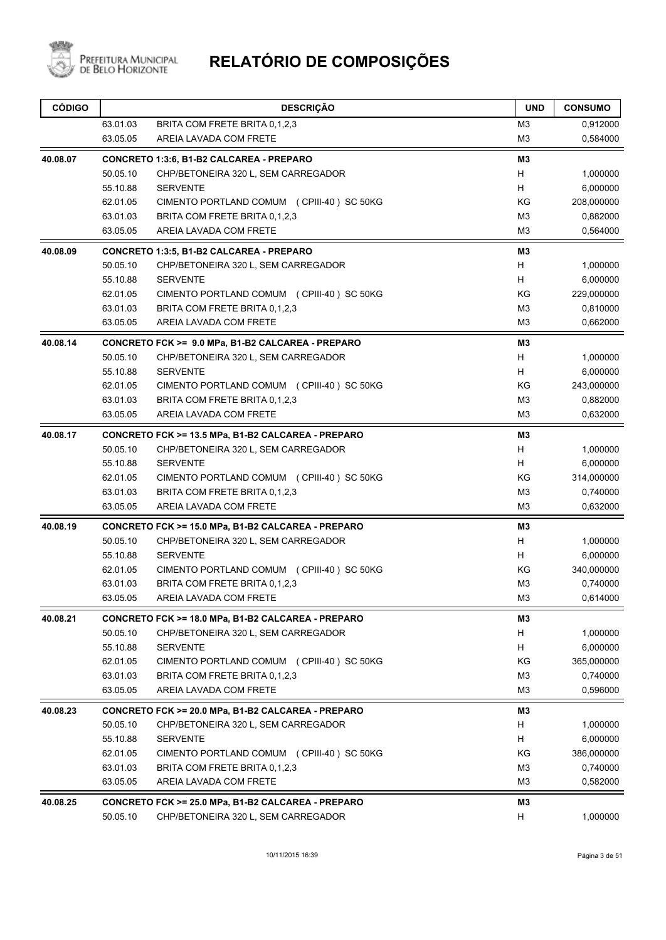

| <b>CÓDIGO</b> |          | <b>DESCRIÇÃO</b>                                   | <b>UND</b>     | <b>CONSUMO</b> |
|---------------|----------|----------------------------------------------------|----------------|----------------|
|               | 63.01.03 | BRITA COM FRETE BRITA 0,1,2,3                      | M <sub>3</sub> | 0,912000       |
|               | 63.05.05 | AREIA LAVADA COM FRETE                             | M <sub>3</sub> | 0,584000       |
| 40.08.07      |          | CONCRETO 1:3:6, B1-B2 CALCAREA - PREPARO           | M3             |                |
|               | 50.05.10 | CHP/BETONEIRA 320 L, SEM CARREGADOR                | H              | 1,000000       |
|               | 55.10.88 | <b>SERVENTE</b>                                    | H              | 6,000000       |
|               | 62.01.05 | CIMENTO PORTLAND COMUM (CPIII-40) SC 50KG          | ΚG             | 208,000000     |
|               | 63.01.03 | BRITA COM FRETE BRITA 0,1,2,3                      | M <sub>3</sub> | 0,882000       |
|               | 63.05.05 | AREIA LAVADA COM FRETE                             | M <sub>3</sub> | 0,564000       |
| 40.08.09      |          | CONCRETO 1:3:5, B1-B2 CALCAREA - PREPARO           | M3             |                |
|               | 50.05.10 | CHP/BETONEIRA 320 L, SEM CARREGADOR                | H              | 1,000000       |
|               | 55.10.88 | <b>SERVENTE</b>                                    | H              | 6,000000       |
|               | 62.01.05 | CIMENTO PORTLAND COMUM (CPIII-40) SC 50KG          | ΚG             | 229,000000     |
|               | 63.01.03 | BRITA COM FRETE BRITA 0,1,2,3                      | M <sub>3</sub> | 0,810000       |
|               | 63.05.05 | AREIA LAVADA COM FRETE                             | M <sub>3</sub> | 0,662000       |
| 40.08.14      |          | CONCRETO FCK >= 9.0 MPa, B1-B2 CALCAREA - PREPARO  | M <sub>3</sub> |                |
|               | 50.05.10 | CHP/BETONEIRA 320 L, SEM CARREGADOR                | H              | 1,000000       |
|               | 55.10.88 | <b>SERVENTE</b>                                    | H              | 6,000000       |
|               | 62.01.05 | CIMENTO PORTLAND COMUM (CPIII-40) SC 50KG          | KG             | 243,000000     |
|               | 63.01.03 | BRITA COM FRETE BRITA 0,1,2,3                      | M <sub>3</sub> | 0,882000       |
|               | 63.05.05 | AREIA LAVADA COM FRETE                             | M <sub>3</sub> | 0,632000       |
| 40.08.17      |          | CONCRETO FCK >= 13.5 MPa, B1-B2 CALCAREA - PREPARO | M3             |                |
|               | 50.05.10 | CHP/BETONEIRA 320 L, SEM CARREGADOR                | H              | 1,000000       |
|               | 55.10.88 | <b>SERVENTE</b>                                    | н              | 6,000000       |
|               | 62.01.05 | CIMENTO PORTLAND COMUM (CPIII-40) SC 50KG          | ΚG             | 314,000000     |
|               | 63.01.03 | BRITA COM FRETE BRITA 0,1,2,3                      | M3             | 0,740000       |
|               | 63.05.05 | AREIA LAVADA COM FRETE                             | M <sub>3</sub> | 0,632000       |
| 40.08.19      |          | CONCRETO FCK >= 15.0 MPa, B1-B2 CALCAREA - PREPARO | M3             |                |
|               | 50.05.10 | CHP/BETONEIRA 320 L, SEM CARREGADOR                | Н              | 1,000000       |
|               | 55.10.88 | <b>SERVENTE</b>                                    | H              | 6,000000       |
|               | 62.01.05 | CIMENTO PORTLAND COMUM (CPIII-40) SC 50KG          | ΚG             | 340,000000     |
|               | 63.01.03 | BRITA COM FRETE BRITA 0.1.2.3                      | M <sub>3</sub> | 0,740000       |
|               | 63.05.05 | AREIA LAVADA COM FRETE                             | M <sub>3</sub> | 0,614000       |
| 40.08.21      |          | CONCRETO FCK >= 18.0 MPa, B1-B2 CALCAREA - PREPARO | M3             |                |
|               | 50.05.10 | CHP/BETONEIRA 320 L, SEM CARREGADOR                | H              | 1,000000       |
|               | 55.10.88 | <b>SERVENTE</b>                                    | H              | 6,000000       |
|               | 62.01.05 | CIMENTO PORTLAND COMUM (CPIII-40) SC 50KG          | ΚG             | 365,000000     |
|               | 63.01.03 | BRITA COM FRETE BRITA 0,1,2,3                      | M3             | 0,740000       |
|               | 63.05.05 | AREIA LAVADA COM FRETE                             | M <sub>3</sub> | 0,596000       |
| 40.08.23      |          | CONCRETO FCK >= 20.0 MPa, B1-B2 CALCAREA - PREPARO | M3             |                |
|               | 50.05.10 | CHP/BETONEIRA 320 L, SEM CARREGADOR                | H              | 1,000000       |
|               | 55.10.88 | <b>SERVENTE</b>                                    | H              | 6,000000       |
|               | 62.01.05 | CIMENTO PORTLAND COMUM (CPIII-40) SC 50KG          | ΚG             | 386,000000     |
|               | 63.01.03 | BRITA COM FRETE BRITA 0,1,2,3                      | M <sub>3</sub> | 0,740000       |
|               | 63.05.05 | AREIA LAVADA COM FRETE                             | M <sub>3</sub> | 0,582000       |
| 40.08.25      |          | CONCRETO FCK >= 25.0 MPa, B1-B2 CALCAREA - PREPARO | M <sub>3</sub> |                |
|               | 50.05.10 | CHP/BETONEIRA 320 L, SEM CARREGADOR                | н              | 1,000000       |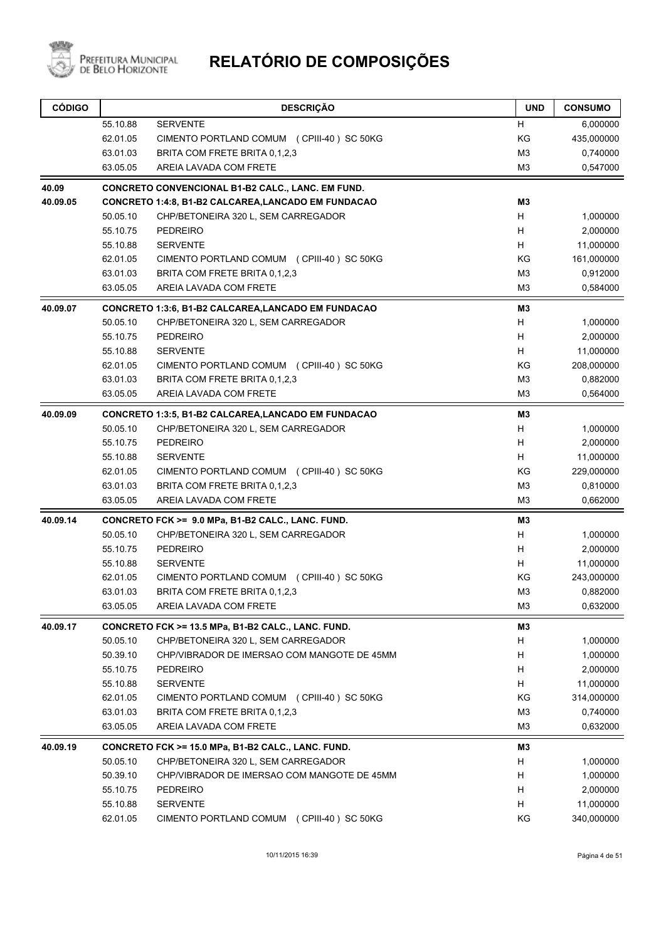

| <b>CÓDIGO</b> |          | <b>DESCRIÇÃO</b>                                           | <b>UND</b>     | <b>CONSUMO</b> |
|---------------|----------|------------------------------------------------------------|----------------|----------------|
|               | 55.10.88 | <b>SERVENTE</b>                                            | H              | 6,000000       |
|               | 62.01.05 | CIMENTO PORTLAND COMUM (CPIII-40) SC 50KG                  | KG             | 435,000000     |
|               | 63.01.03 | BRITA COM FRETE BRITA 0,1,2,3                              | M <sub>3</sub> | 0,740000       |
|               | 63.05.05 | AREIA LAVADA COM FRETE                                     | M3             | 0,547000       |
| 40.09         |          | CONCRETO CONVENCIONAL B1-B2 CALC., LANC. EM FUND.          |                |                |
| 40.09.05      |          | <b>CONCRETO 1:4:8, B1-B2 CALCAREA, LANCADO EM FUNDACAO</b> | M3             |                |
|               | 50.05.10 | CHP/BETONEIRA 320 L, SEM CARREGADOR                        | H              | 1,000000       |
|               | 55.10.75 | <b>PEDREIRO</b>                                            | H              | 2,000000       |
|               | 55.10.88 | <b>SERVENTE</b>                                            | H              | 11,000000      |
|               | 62.01.05 | CIMENTO PORTLAND COMUM (CPIII-40) SC 50KG                  | KG             | 161,000000     |
|               | 63.01.03 | BRITA COM FRETE BRITA 0,1,2,3                              | M <sub>3</sub> | 0,912000       |
|               | 63.05.05 | AREIA LAVADA COM FRETE                                     | M <sub>3</sub> | 0,584000       |
| 40.09.07      |          | <b>CONCRETO 1:3:6, B1-B2 CALCAREA, LANCADO EM FUNDACAO</b> | M <sub>3</sub> |                |
|               | 50.05.10 | CHP/BETONEIRA 320 L, SEM CARREGADOR                        | H              | 1,000000       |
|               | 55.10.75 | <b>PEDREIRO</b>                                            | Н              | 2,000000       |
|               | 55.10.88 | <b>SERVENTE</b>                                            | н              | 11,000000      |
|               | 62.01.05 | CIMENTO PORTLAND COMUM (CPIII-40) SC 50KG                  | KG             | 208,000000     |
|               | 63.01.03 | BRITA COM FRETE BRITA 0.1.2.3                              | M <sub>3</sub> | 0,882000       |
|               | 63.05.05 | AREIA LAVADA COM FRETE                                     | M3             | 0,564000       |
| 40.09.09      |          | <b>CONCRETO 1:3:5, B1-B2 CALCAREA, LANCADO EM FUNDACAO</b> | M3             |                |
|               | 50.05.10 | CHP/BETONEIRA 320 L, SEM CARREGADOR                        | н              | 1,000000       |
|               | 55.10.75 | <b>PEDREIRO</b>                                            | H              | 2,000000       |
|               | 55.10.88 | <b>SERVENTE</b>                                            | н              | 11,000000      |
|               | 62.01.05 | CIMENTO PORTLAND COMUM (CPIII-40) SC 50KG                  | KG             | 229,000000     |
|               | 63.01.03 | BRITA COM FRETE BRITA 0,1,2,3                              | M <sub>3</sub> | 0,810000       |
|               | 63.05.05 | AREIA LAVADA COM FRETE                                     | M <sub>3</sub> | 0,662000       |
| 40.09.14      |          | CONCRETO FCK >= 9.0 MPa, B1-B2 CALC., LANC. FUND.          | M3             |                |
|               | 50.05.10 | CHP/BETONEIRA 320 L, SEM CARREGADOR                        | H              | 1,000000       |
|               | 55.10.75 | <b>PEDREIRO</b>                                            | H              | 2,000000       |
|               | 55.10.88 | <b>SERVENTE</b>                                            | H              | 11,000000      |
|               | 62.01.05 | CIMENTO PORTLAND COMUM (CPIII-40) SC 50KG                  | ΚG             | 243,000000     |
|               | 63.01.03 | BRITA COM FRETE BRITA 0,1,2,3                              | M <sub>3</sub> | 0,882000       |
|               | 63.05.05 | AREIA LAVADA COM FRETE                                     | M <sub>3</sub> | 0,632000       |
| 40.09.17      |          | CONCRETO FCK >= 13.5 MPa, B1-B2 CALC., LANC. FUND.         | M <sub>3</sub> |                |
|               | 50.05.10 | CHP/BETONEIRA 320 L, SEM CARREGADOR                        | H              | 1,000000       |
|               | 50.39.10 | CHP/VIBRADOR DE IMERSAO COM MANGOTE DE 45MM                | Н              | 1,000000       |
|               | 55.10.75 | <b>PEDREIRO</b>                                            | Н              | 2,000000       |
|               | 55.10.88 | <b>SERVENTE</b>                                            | Н              | 11,000000      |
|               | 62.01.05 | CIMENTO PORTLAND COMUM (CPIII-40) SC 50KG                  | KG             | 314,000000     |
|               | 63.01.03 | BRITA COM FRETE BRITA 0,1,2,3                              | M <sub>3</sub> | 0,740000       |
|               | 63.05.05 | AREIA LAVADA COM FRETE                                     | M <sub>3</sub> | 0,632000       |
| 40.09.19      |          | CONCRETO FCK >= 15.0 MPa, B1-B2 CALC., LANC. FUND.         | M3             |                |
|               | 50.05.10 | CHP/BETONEIRA 320 L, SEM CARREGADOR                        | н              | 1,000000       |
|               | 50.39.10 | CHP/VIBRADOR DE IMERSAO COM MANGOTE DE 45MM                | Н              | 1,000000       |
|               | 55.10.75 | <b>PEDREIRO</b>                                            | Н              | 2,000000       |
|               | 55.10.88 | <b>SERVENTE</b>                                            | н              | 11,000000      |
|               | 62.01.05 | CIMENTO PORTLAND COMUM (CPIII-40) SC 50KG                  | KG             | 340,000000     |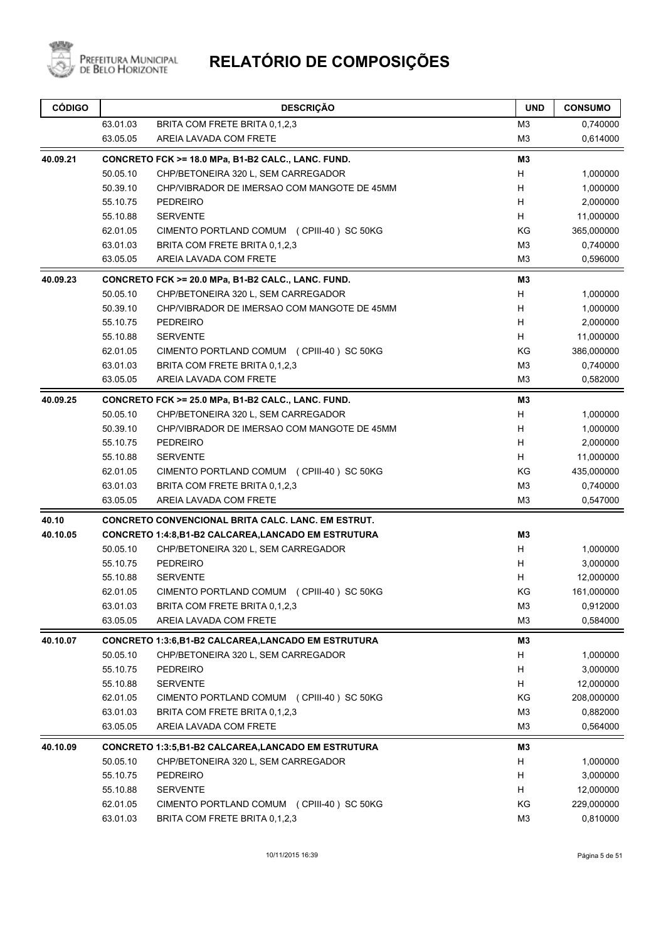

| <b>CÓDIGO</b> |          | <b>DESCRIÇÃO</b>                                          | <b>UND</b>     | <b>CONSUMO</b> |
|---------------|----------|-----------------------------------------------------------|----------------|----------------|
|               | 63.01.03 | BRITA COM FRETE BRITA 0,1,2,3                             | M3             | 0,740000       |
|               | 63.05.05 | AREIA LAVADA COM FRETE                                    | M <sub>3</sub> | 0,614000       |
| 40.09.21      |          | CONCRETO FCK >= 18.0 MPa, B1-B2 CALC., LANC. FUND.        | M3             |                |
|               | 50.05.10 | CHP/BETONEIRA 320 L, SEM CARREGADOR                       | H              | 1,000000       |
|               | 50.39.10 | CHP/VIBRADOR DE IMERSAO COM MANGOTE DE 45MM               | H              | 1,000000       |
|               | 55.10.75 | <b>PEDREIRO</b>                                           | H              | 2,000000       |
|               | 55.10.88 | <b>SERVENTE</b>                                           | H              | 11,000000      |
|               | 62.01.05 | CIMENTO PORTLAND COMUM (CPIII-40) SC 50KG                 | KG             | 365,000000     |
|               | 63.01.03 | BRITA COM FRETE BRITA 0.1.2.3                             | M <sub>3</sub> | 0,740000       |
|               | 63.05.05 | AREIA LAVADA COM FRETE                                    | M <sub>3</sub> | 0,596000       |
| 40.09.23      |          | CONCRETO FCK >= 20.0 MPa, B1-B2 CALC., LANC. FUND.        | M3             |                |
|               | 50.05.10 | CHP/BETONEIRA 320 L, SEM CARREGADOR                       | H              | 1,000000       |
|               | 50.39.10 | CHP/VIBRADOR DE IMERSAO COM MANGOTE DE 45MM               | H              | 1,000000       |
|               | 55.10.75 | <b>PEDREIRO</b>                                           | H              | 2,000000       |
|               | 55.10.88 | <b>SERVENTE</b>                                           | H              | 11,000000      |
|               | 62.01.05 | CIMENTO PORTLAND COMUM (CPIII-40) SC 50KG                 | KG             | 386,000000     |
|               | 63.01.03 | BRITA COM FRETE BRITA 0,1,2,3                             | M <sub>3</sub> | 0,740000       |
|               | 63.05.05 | AREIA LAVADA COM FRETE                                    | M <sub>3</sub> | 0,582000       |
| 40.09.25      |          | CONCRETO FCK >= 25.0 MPa, B1-B2 CALC., LANC. FUND.        | M3             |                |
|               | 50.05.10 | CHP/BETONEIRA 320 L, SEM CARREGADOR                       | H              | 1,000000       |
|               | 50.39.10 | CHP/VIBRADOR DE IMERSAO COM MANGOTE DE 45MM               | H              | 1,000000       |
|               | 55.10.75 | <b>PEDREIRO</b>                                           | H              | 2,000000       |
|               | 55.10.88 | <b>SERVENTE</b>                                           | н              | 11,000000      |
|               | 62.01.05 | CIMENTO PORTLAND COMUM (CPIII-40) SC 50KG                 | KG             | 435,000000     |
|               | 63.01.03 | BRITA COM FRETE BRITA 0,1,2,3                             | M <sub>3</sub> | 0,740000       |
|               | 63.05.05 | AREIA LAVADA COM FRETE                                    | M <sub>3</sub> | 0,547000       |
| 40.10         |          | <b>CONCRETO CONVENCIONAL BRITA CALC. LANC. EM ESTRUT.</b> |                |                |
| 40.10.05      |          | CONCRETO 1:4:8,B1-B2 CALCAREA,LANCADO EM ESTRUTURA        | M3             |                |
|               | 50.05.10 | CHP/BETONEIRA 320 L, SEM CARREGADOR                       | H              | 1,000000       |
|               | 55.10.75 | <b>PEDREIRO</b>                                           | H              | 3,000000       |
|               | 55.10.88 | <b>SERVENTE</b>                                           | н              | 12,000000      |
|               | 62.01.05 | CIMENTO PORTLAND COMUM (CPIII-40) SC 50KG                 | ΚG             | 161,000000     |
|               | 63.01.03 | BRITA COM FRETE BRITA 0,1,2,3                             | M <sub>3</sub> | 0,912000       |
|               | 63.05.05 | AREIA LAVADA COM FRETE                                    | M <sub>3</sub> | 0,584000       |
| 40.10.07      |          | <b>CONCRETO 1:3:6,B1-B2 CALCAREA,LANCADO EM ESTRUTURA</b> | M3             |                |
|               | 50.05.10 | CHP/BETONEIRA 320 L, SEM CARREGADOR                       | н              | 1,000000       |
|               | 55.10.75 | <b>PEDREIRO</b>                                           | н              | 3,000000       |
|               | 55.10.88 | <b>SERVENTE</b>                                           | H              | 12,000000      |
|               | 62.01.05 | CIMENTO PORTLAND COMUM (CPIII-40) SC 50KG                 | ΚG             | 208,000000     |
|               | 63.01.03 | BRITA COM FRETE BRITA 0,1,2,3                             | M <sub>3</sub> | 0,882000       |
|               | 63.05.05 | AREIA LAVADA COM FRETE                                    | M <sub>3</sub> | 0,564000       |
| 40.10.09      |          | <b>CONCRETO 1:3:5,B1-B2 CALCAREA,LANCADO EM ESTRUTURA</b> | M3             |                |
|               | 50.05.10 | CHP/BETONEIRA 320 L, SEM CARREGADOR                       | н              | 1,000000       |
|               | 55.10.75 | <b>PEDREIRO</b>                                           | н              | 3,000000       |
|               | 55.10.88 | <b>SERVENTE</b>                                           | H              | 12,000000      |
|               | 62.01.05 | CIMENTO PORTLAND COMUM (CPIII-40) SC 50KG                 | KG             | 229,000000     |
|               | 63.01.03 | BRITA COM FRETE BRITA 0,1,2,3                             | M <sub>3</sub> | 0,810000       |
|               |          |                                                           |                |                |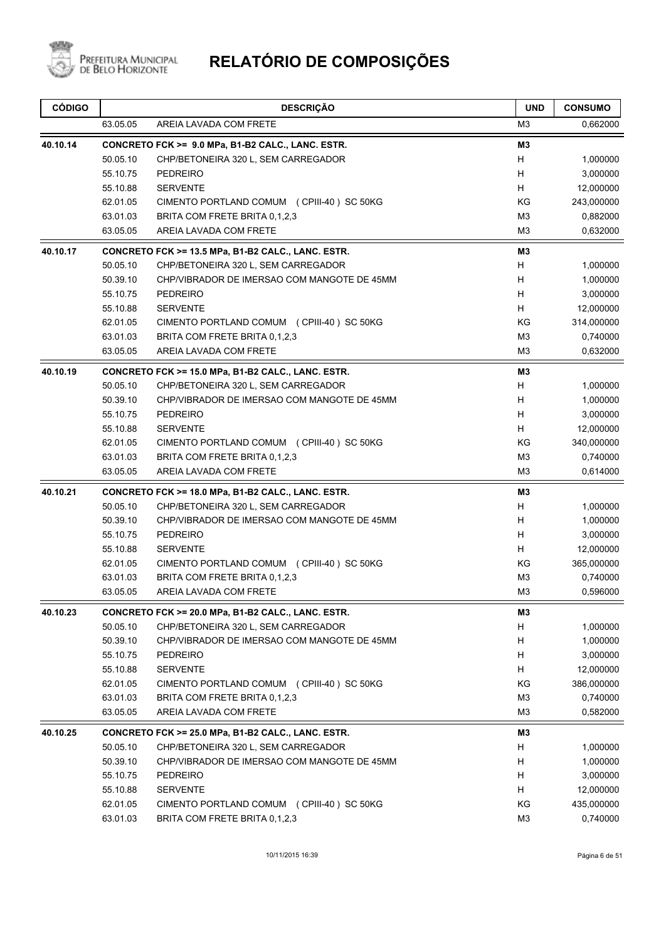

| 63.05.05<br>AREIA LAVADA COM FRETE                             |                |            |
|----------------------------------------------------------------|----------------|------------|
|                                                                | M <sub>3</sub> | 0,662000   |
| 40.10.14<br>CONCRETO FCK >= 9.0 MPa, B1-B2 CALC., LANC. ESTR.  | M3             |            |
| 50.05.10<br>CHP/BETONEIRA 320 L, SEM CARREGADOR                | H              | 1,000000   |
| 55.10.75<br><b>PEDREIRO</b>                                    | H              | 3,000000   |
| 55.10.88<br><b>SERVENTE</b>                                    | H              | 12,000000  |
| 62.01.05<br>CIMENTO PORTLAND COMUM (CPIII-40) SC 50KG          | KG             | 243,000000 |
| 63.01.03<br>BRITA COM FRETE BRITA 0,1,2,3                      | M <sub>3</sub> | 0,882000   |
| 63.05.05<br>AREIA LAVADA COM FRETE                             | M <sub>3</sub> | 0,632000   |
| 40.10.17<br>CONCRETO FCK >= 13.5 MPa, B1-B2 CALC., LANC. ESTR. | MЗ             |            |
| 50.05.10<br>CHP/BETONEIRA 320 L, SEM CARREGADOR                | H              | 1,000000   |
| 50.39.10<br>CHP/VIBRADOR DE IMERSAO COM MANGOTE DE 45MM        | H              | 1,000000   |
| 55.10.75<br><b>PEDREIRO</b>                                    | H              | 3,000000   |
| 55.10.88<br><b>SERVENTE</b>                                    | H              | 12,000000  |
| 62.01.05<br>CIMENTO PORTLAND COMUM (CPIII-40) SC 50KG          | KG             | 314,000000 |
| 63.01.03<br>BRITA COM FRETE BRITA 0,1,2,3                      | M <sub>3</sub> | 0,740000   |
| 63.05.05<br>AREIA LAVADA COM FRETE                             | M <sub>3</sub> | 0,632000   |
| 40.10.19<br>CONCRETO FCK >= 15.0 MPa, B1-B2 CALC., LANC. ESTR. | MЗ             |            |
| 50.05.10<br>CHP/BETONEIRA 320 L, SEM CARREGADOR                | H              | 1,000000   |
| 50.39.10<br>CHP/VIBRADOR DE IMERSAO COM MANGOTE DE 45MM        | H              | 1,000000   |
| 55.10.75<br><b>PEDREIRO</b>                                    | H              | 3,000000   |
| 55.10.88<br><b>SERVENTE</b>                                    | H              | 12,000000  |
| 62.01.05<br>CIMENTO PORTLAND COMUM (CPIII-40) SC 50KG          | KG             | 340,000000 |
| 63.01.03<br>BRITA COM FRETE BRITA 0,1,2,3                      | M <sub>3</sub> | 0,740000   |
| 63.05.05<br>AREIA LAVADA COM FRETE                             | M <sub>3</sub> | 0,614000   |
| 40.10.21<br>CONCRETO FCK >= 18.0 MPa, B1-B2 CALC., LANC. ESTR. | MЗ             |            |
| 50.05.10<br>CHP/BETONEIRA 320 L, SEM CARREGADOR                | H              | 1,000000   |
| 50.39.10<br>CHP/VIBRADOR DE IMERSAO COM MANGOTE DE 45MM        | H              | 1,000000   |
| 55.10.75<br><b>PEDREIRO</b>                                    | H              | 3,000000   |
| 55.10.88<br><b>SERVENTE</b>                                    | H              | 12,000000  |
| 62.01.05<br>CIMENTO PORTLAND COMUM (CPIII-40) SC 50KG          | KG             | 365,000000 |
| 63.01.03<br>BRITA COM FRETE BRITA 0,1,2,3                      | M <sub>3</sub> | 0,740000   |
| 63.05.05<br>AREIA LAVADA COM FRETE                             | M <sub>3</sub> | 0,596000   |
| CONCRETO FCK >= 20.0 MPa, B1-B2 CALC., LANC. ESTR.<br>40.10.23 | M3             |            |
| 50.05.10<br>CHP/BETONEIRA 320 L, SEM CARREGADOR                | H              | 1,000000   |
| 50.39.10<br>CHP/VIBRADOR DE IMERSAO COM MANGOTE DE 45MM        | H              | 1,000000   |
| 55.10.75<br><b>PEDREIRO</b>                                    | H              | 3,000000   |
| 55.10.88<br><b>SERVENTE</b>                                    | H              | 12,000000  |
| 62.01.05<br>CIMENTO PORTLAND COMUM (CPIII-40) SC 50KG          | KG             | 386,000000 |
| 63.01.03<br>BRITA COM FRETE BRITA 0,1,2,3                      | M <sub>3</sub> | 0,740000   |
| 63.05.05<br>AREIA LAVADA COM FRETE                             | M3             | 0,582000   |
| 40.10.25<br>CONCRETO FCK >= 25.0 MPa, B1-B2 CALC., LANC. ESTR. | M3             |            |
| 50.05.10<br>CHP/BETONEIRA 320 L, SEM CARREGADOR                | H              | 1,000000   |
| 50.39.10<br>CHP/VIBRADOR DE IMERSAO COM MANGOTE DE 45MM        | H              | 1,000000   |
| 55.10.75<br><b>PEDREIRO</b>                                    | H              | 3,000000   |
| 55.10.88<br><b>SERVENTE</b>                                    | Н              | 12,000000  |
| 62.01.05<br>CIMENTO PORTLAND COMUM (CPIII-40) SC 50KG          | ΚG             | 435,000000 |
| 63.01.03<br>BRITA COM FRETE BRITA 0,1,2,3                      | M <sub>3</sub> | 0,740000   |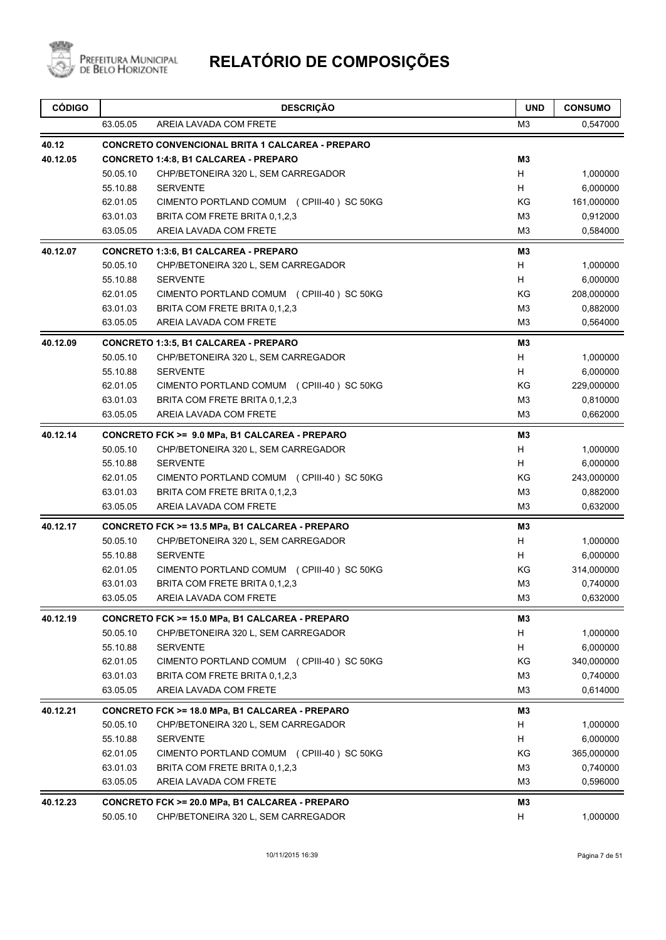

| <b>CÓDIGO</b> |          | <b>DESCRIÇÃO</b>                                        | <b>UND</b>     | <b>CONSUMO</b> |
|---------------|----------|---------------------------------------------------------|----------------|----------------|
|               | 63.05.05 | AREIA LAVADA COM FRETE                                  | M <sub>3</sub> | 0,547000       |
| 40.12         |          | <b>CONCRETO CONVENCIONAL BRITA 1 CALCAREA - PREPARO</b> |                |                |
| 40.12.05      |          | CONCRETO 1:4:8, B1 CALCAREA - PREPARO                   | M <sub>3</sub> |                |
|               | 50.05.10 | CHP/BETONEIRA 320 L, SEM CARREGADOR                     | H              | 1,000000       |
|               | 55.10.88 | <b>SERVENTE</b>                                         | H              | 6,000000       |
|               | 62.01.05 | CIMENTO PORTLAND COMUM (CPIII-40) SC 50KG               | ΚG             | 161,000000     |
|               | 63.01.03 | BRITA COM FRETE BRITA 0,1,2,3                           | M <sub>3</sub> | 0,912000       |
|               | 63.05.05 | AREIA LAVADA COM FRETE                                  | M <sub>3</sub> | 0,584000       |
| 40.12.07      |          | <b>CONCRETO 1:3:6, B1 CALCAREA - PREPARO</b>            | M <sub>3</sub> |                |
|               | 50.05.10 | CHP/BETONEIRA 320 L, SEM CARREGADOR                     | H              | 1,000000       |
|               | 55.10.88 | <b>SERVENTE</b>                                         | H              | 6,000000       |
|               | 62.01.05 | CIMENTO PORTLAND COMUM (CPIII-40) SC 50KG               | ΚG             | 208,000000     |
|               | 63.01.03 | BRITA COM FRETE BRITA 0,1,2,3                           | M3             | 0,882000       |
|               | 63.05.05 | AREIA LAVADA COM FRETE                                  | M <sub>3</sub> | 0,564000       |
| 40.12.09      |          | CONCRETO 1:3:5, B1 CALCAREA - PREPARO                   | M <sub>3</sub> |                |
|               | 50.05.10 | CHP/BETONEIRA 320 L, SEM CARREGADOR                     | H              | 1,000000       |
|               | 55.10.88 | <b>SERVENTE</b>                                         | H              | 6,000000       |
|               | 62.01.05 | CIMENTO PORTLAND COMUM (CPIII-40) SC 50KG               | ΚG             | 229,000000     |
|               | 63.01.03 | BRITA COM FRETE BRITA 0,1,2,3                           | M <sub>3</sub> | 0,810000       |
|               | 63.05.05 | AREIA LAVADA COM FRETE                                  | M <sub>3</sub> | 0,662000       |
| 40.12.14      |          | CONCRETO FCK >= 9.0 MPa, B1 CALCAREA - PREPARO          | M3             |                |
|               | 50.05.10 | CHP/BETONEIRA 320 L, SEM CARREGADOR                     | Н              | 1,000000       |
|               | 55.10.88 | <b>SERVENTE</b>                                         | H              | 6,000000       |
|               | 62.01.05 | CIMENTO PORTLAND COMUM (CPIII-40) SC 50KG               | ΚG             | 243,000000     |
|               | 63.01.03 | BRITA COM FRETE BRITA 0,1,2,3                           | M <sub>3</sub> | 0,882000       |
|               | 63.05.05 | AREIA LAVADA COM FRETE                                  | M <sub>3</sub> | 0,632000       |
| 40.12.17      |          | CONCRETO FCK >= 13.5 MPa, B1 CALCAREA - PREPARO         | M <sub>3</sub> |                |
|               | 50.05.10 | CHP/BETONEIRA 320 L, SEM CARREGADOR                     | H              | 1,000000       |
|               | 55.10.88 | <b>SERVENTE</b>                                         | H              | 6,000000       |
|               | 62.01.05 | CIMENTO PORTLAND COMUM (CPIII-40) SC 50KG               | ΚG             | 314,000000     |
|               | 63.01.03 | BRITA COM FRETE BRITA 0,1,2,3                           | M <sub>3</sub> | 0,740000       |
|               | 63.05.05 | AREIA LAVADA COM FRETE                                  | M3             | 0,632000       |
| 40.12.19      |          | CONCRETO FCK >= 15.0 MPa, B1 CALCAREA - PREPARO         | M3             |                |
|               | 50.05.10 | CHP/BETONEIRA 320 L, SEM CARREGADOR                     | H              | 1,000000       |
|               | 55.10.88 | <b>SERVENTE</b>                                         | Н              | 6,000000       |
|               | 62.01.05 | CIMENTO PORTLAND COMUM (CPIII-40) SC 50KG               | ΚG             | 340,000000     |
|               | 63.01.03 | BRITA COM FRETE BRITA 0,1,2,3                           | M <sub>3</sub> | 0,740000       |
|               | 63.05.05 | AREIA LAVADA COM FRETE                                  | M <sub>3</sub> | 0,614000       |
| 40.12.21      |          | CONCRETO FCK >= 18.0 MPa, B1 CALCAREA - PREPARO         | M3             |                |
|               | 50.05.10 | CHP/BETONEIRA 320 L, SEM CARREGADOR                     | H              | 1,000000       |
|               | 55.10.88 | <b>SERVENTE</b>                                         | Н              | 6,000000       |
|               | 62.01.05 | CIMENTO PORTLAND COMUM (CPIII-40) SC 50KG               | ΚG             | 365,000000     |
|               | 63.01.03 | BRITA COM FRETE BRITA 0,1,2,3                           | M <sub>3</sub> | 0,740000       |
|               | 63.05.05 | AREIA LAVADA COM FRETE                                  | M <sub>3</sub> | 0,596000       |
| 40.12.23      |          | CONCRETO FCK >= 20.0 MPa, B1 CALCAREA - PREPARO         | M3             |                |
|               | 50.05.10 | CHP/BETONEIRA 320 L, SEM CARREGADOR                     | н              | 1,000000       |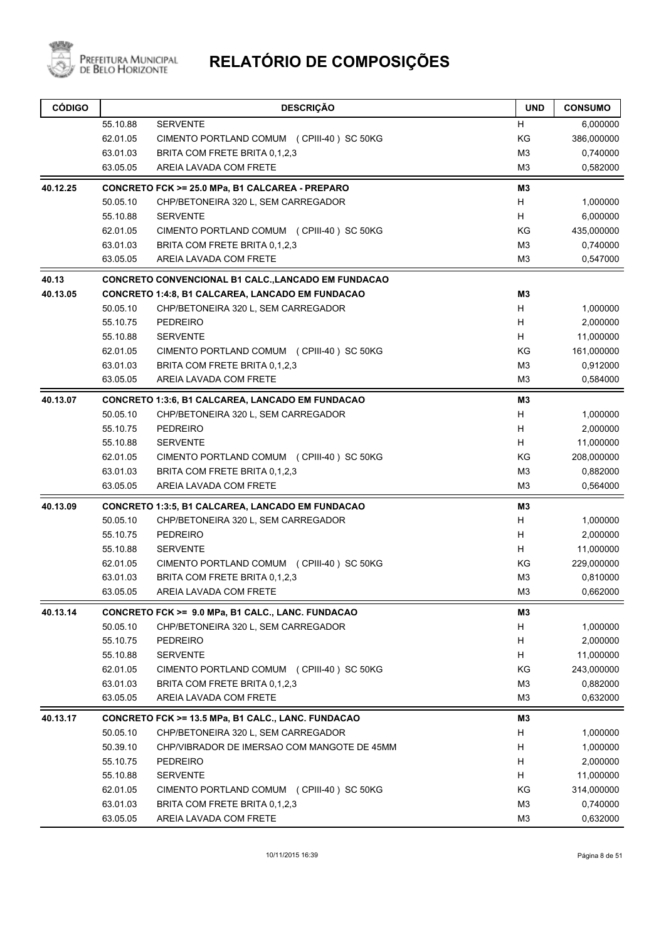

| <b>CÓDIGO</b> |          | <b>DESCRIÇÃO</b>                                        | <b>UND</b>     | <b>CONSUMO</b> |
|---------------|----------|---------------------------------------------------------|----------------|----------------|
|               | 55.10.88 | <b>SERVENTE</b>                                         | Н              | 6,000000       |
|               | 62.01.05 | CIMENTO PORTLAND COMUM (CPIII-40) SC 50KG               | KG             | 386,000000     |
|               | 63.01.03 | BRITA COM FRETE BRITA 0,1,2,3                           | M <sub>3</sub> | 0,740000       |
|               | 63.05.05 | AREIA LAVADA COM FRETE                                  | M3             | 0,582000       |
| 40.12.25      |          | CONCRETO FCK >= 25.0 MPa, B1 CALCAREA - PREPARO         | M3             |                |
|               | 50.05.10 | CHP/BETONEIRA 320 L, SEM CARREGADOR                     | Н              | 1,000000       |
|               | 55.10.88 | <b>SERVENTE</b>                                         | H              | 6,000000       |
|               | 62.01.05 | CIMENTO PORTLAND COMUM (CPIII-40) SC 50KG               | KG             | 435,000000     |
|               | 63.01.03 | BRITA COM FRETE BRITA 0,1,2,3                           | M <sub>3</sub> | 0,740000       |
|               | 63.05.05 | AREIA LAVADA COM FRETE                                  | M <sub>3</sub> | 0,547000       |
| 40.13         |          | CONCRETO CONVENCIONAL B1 CALC.,LANCADO EM FUNDACAO      |                |                |
| 40.13.05      |          | CONCRETO 1:4:8, B1 CALCAREA, LANCADO EM FUNDACAO        | M3             |                |
|               | 50.05.10 | CHP/BETONEIRA 320 L, SEM CARREGADOR                     | H              | 1,000000       |
|               | 55.10.75 | <b>PEDREIRO</b>                                         | н              | 2,000000       |
|               | 55.10.88 | <b>SERVENTE</b>                                         | H              | 11,000000      |
|               | 62.01.05 | CIMENTO PORTLAND COMUM (CPIII-40) SC 50KG               | KG             | 161,000000     |
|               | 63.01.03 | BRITA COM FRETE BRITA 0.1.2.3                           | M <sub>3</sub> | 0,912000       |
|               | 63.05.05 | AREIA LAVADA COM FRETE                                  | M <sub>3</sub> | 0,584000       |
| 40.13.07      |          | <b>CONCRETO 1:3:6, B1 CALCAREA, LANCADO EM FUNDACAO</b> | MЗ             |                |
|               | 50.05.10 | CHP/BETONEIRA 320 L, SEM CARREGADOR                     | H              | 1,000000       |
|               | 55.10.75 | <b>PEDREIRO</b>                                         | H              | 2,000000       |
|               | 55.10.88 | <b>SERVENTE</b>                                         | H.             | 11,000000      |
|               | 62.01.05 | CIMENTO PORTLAND COMUM (CPIII-40) SC 50KG               | ΚG             | 208,000000     |
|               | 63.01.03 | BRITA COM FRETE BRITA 0,1,2,3                           | M3             | 0,882000       |
|               | 63.05.05 | AREIA LAVADA COM FRETE                                  | M <sub>3</sub> | 0,564000       |
| 40.13.09      |          | <b>CONCRETO 1:3:5, B1 CALCAREA, LANCADO EM FUNDACAO</b> | M3             |                |
|               | 50.05.10 | CHP/BETONEIRA 320 L, SEM CARREGADOR                     | H              | 1,000000       |
|               | 55.10.75 | <b>PEDREIRO</b>                                         | H              | 2,000000       |
|               | 55.10.88 | <b>SERVENTE</b>                                         | H              | 11,000000      |
|               | 62.01.05 | CIMENTO PORTLAND COMUM (CPIII-40) SC 50KG               | ΚG             | 229,000000     |
|               | 63.01.03 | BRITA COM FRETE BRITA 0,1,2,3                           | M <sub>3</sub> | 0,810000       |
|               | 63.05.05 | AREIA LAVADA COM FRETE                                  | M3             | 0,662000       |
| 40.13.14      |          | CONCRETO FCK >= 9.0 MPa, B1 CALC., LANC. FUNDACAO       | M3             |                |
|               | 50.05.10 | CHP/BETONEIRA 320 L, SEM CARREGADOR                     | н              | 1,000000       |
|               | 55.10.75 | PEDREIRO                                                | н              | 2,000000       |
|               | 55.10.88 | <b>SERVENTE</b>                                         | H              | 11,000000      |
|               | 62.01.05 | CIMENTO PORTLAND COMUM (CPIII-40) SC 50KG               | ΚG             | 243,000000     |
|               | 63.01.03 | BRITA COM FRETE BRITA 0,1,2,3                           | M <sub>3</sub> | 0,882000       |
|               | 63.05.05 | AREIA LAVADA COM FRETE                                  | M <sub>3</sub> | 0,632000       |
| 40.13.17      |          | CONCRETO FCK >= 13.5 MPa, B1 CALC., LANC. FUNDACAO      | M3             |                |
|               | 50.05.10 | CHP/BETONEIRA 320 L, SEM CARREGADOR                     | н              | 1,000000       |
|               | 50.39.10 | CHP/VIBRADOR DE IMERSAO COM MANGOTE DE 45MM             | н              | 1,000000       |
|               | 55.10.75 | <b>PEDREIRO</b>                                         | н              | 2,000000       |
|               | 55.10.88 | <b>SERVENTE</b>                                         | н              | 11,000000      |
|               | 62.01.05 | CIMENTO PORTLAND COMUM (CPIII-40) SC 50KG               | ΚG             | 314,000000     |
|               | 63.01.03 | BRITA COM FRETE BRITA 0,1,2,3                           | M <sub>3</sub> | 0,740000       |
|               | 63.05.05 | AREIA LAVADA COM FRETE                                  | M <sub>3</sub> | 0,632000       |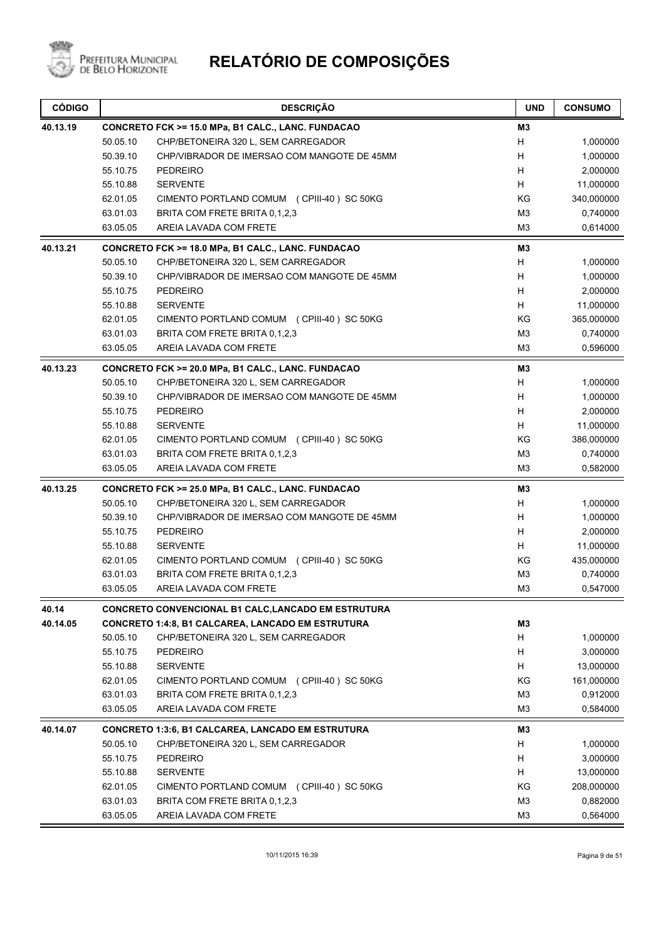

| <b>CÓDIGO</b>     |          | <b>DESCRIÇÃO</b>                                                                                                | <b>UND</b>     | <b>CONSUMO</b> |
|-------------------|----------|-----------------------------------------------------------------------------------------------------------------|----------------|----------------|
| 40.13.19          |          | CONCRETO FCK >= 15.0 MPa, B1 CALC., LANC. FUNDACAO                                                              | M <sub>3</sub> |                |
|                   | 50.05.10 | CHP/BETONEIRA 320 L, SEM CARREGADOR                                                                             | H              | 1,000000       |
|                   | 50.39.10 | CHP/VIBRADOR DE IMERSAO COM MANGOTE DE 45MM                                                                     | H              | 1,000000       |
|                   | 55.10.75 | <b>PEDREIRO</b>                                                                                                 | H              | 2,000000       |
|                   | 55.10.88 | <b>SERVENTE</b>                                                                                                 | H              | 11,000000      |
|                   | 62.01.05 | CIMENTO PORTLAND COMUM (CPIII-40) SC 50KG                                                                       | ΚG             | 340,000000     |
|                   | 63.01.03 | BRITA COM FRETE BRITA 0,1,2,3                                                                                   | M <sub>3</sub> | 0,740000       |
|                   | 63.05.05 | AREIA LAVADA COM FRETE                                                                                          | M <sub>3</sub> | 0,614000       |
| 40.13.21          |          | CONCRETO FCK >= 18.0 MPa, B1 CALC., LANC. FUNDACAO                                                              | M <sub>3</sub> |                |
|                   | 50.05.10 | CHP/BETONEIRA 320 L, SEM CARREGADOR                                                                             | H              | 1,000000       |
|                   | 50.39.10 | CHP/VIBRADOR DE IMERSAO COM MANGOTE DE 45MM                                                                     | H              | 1,000000       |
|                   | 55.10.75 | <b>PEDREIRO</b>                                                                                                 | H              | 2,000000       |
|                   | 55.10.88 | <b>SERVENTE</b>                                                                                                 | H              | 11,000000      |
|                   | 62.01.05 | CIMENTO PORTLAND COMUM (CPIII-40) SC 50KG                                                                       | KG             | 365,000000     |
|                   | 63.01.03 | BRITA COM FRETE BRITA 0,1,2,3                                                                                   | M3             | 0,740000       |
|                   | 63.05.05 | AREIA LAVADA COM FRETE                                                                                          | M <sub>3</sub> | 0,596000       |
| 40.13.23          |          | CONCRETO FCK >= 20.0 MPa, B1 CALC., LANC. FUNDACAO                                                              | M3             |                |
|                   | 50.05.10 | CHP/BETONEIRA 320 L, SEM CARREGADOR                                                                             | H              | 1,000000       |
|                   | 50.39.10 | CHP/VIBRADOR DE IMERSAO COM MANGOTE DE 45MM                                                                     | H              | 1,000000       |
|                   | 55.10.75 | <b>PEDREIRO</b>                                                                                                 | H              | 2,000000       |
|                   | 55.10.88 | <b>SERVENTE</b>                                                                                                 | H              | 11,000000      |
|                   | 62.01.05 | CIMENTO PORTLAND COMUM (CPIII-40) SC 50KG                                                                       | KG             | 386,000000     |
|                   | 63.01.03 | BRITA COM FRETE BRITA 0,1,2,3                                                                                   | M <sub>3</sub> | 0,740000       |
|                   | 63.05.05 | AREIA LAVADA COM FRETE                                                                                          | M <sub>3</sub> | 0,582000       |
| 40.13.25          |          | CONCRETO FCK >= 25.0 MPa, B1 CALC., LANC. FUNDACAO                                                              | MЗ             |                |
|                   | 50.05.10 | CHP/BETONEIRA 320 L, SEM CARREGADOR                                                                             | H              | 1,000000       |
|                   | 50.39.10 | CHP/VIBRADOR DE IMERSAO COM MANGOTE DE 45MM                                                                     | H              | 1,000000       |
|                   | 55.10.75 | <b>PEDREIRO</b>                                                                                                 | H              | 2,000000       |
|                   | 55.10.88 | <b>SERVENTE</b>                                                                                                 | H              | 11,000000      |
|                   | 62.01.05 | CIMENTO PORTLAND COMUM (CPIII-40) SC 50KG                                                                       | KG             | 435,000000     |
|                   | 63.01.03 | BRITA COM FRETE BRITA 0,1,2,3                                                                                   | M <sub>3</sub> | 0,740000       |
|                   | 63.05.05 | AREIA LAVADA COM FRETE                                                                                          | M3             | 0,547000       |
|                   |          |                                                                                                                 |                |                |
| 40.14<br>40.14.05 |          | CONCRETO CONVENCIONAL B1 CALC, LANCADO EM ESTRUTURA<br><b>CONCRETO 1:4:8, B1 CALCAREA, LANCADO EM ESTRUTURA</b> | M3             |                |
|                   |          |                                                                                                                 | H              |                |
|                   | 50.05.10 | CHP/BETONEIRA 320 L, SEM CARREGADOR                                                                             |                | 1,000000       |
|                   | 55.10.75 | <b>PEDREIRO</b>                                                                                                 | H              | 3,000000       |
|                   | 55.10.88 | <b>SERVENTE</b>                                                                                                 | H              | 13,000000      |
|                   | 62.01.05 | CIMENTO PORTLAND COMUM (CPIII-40) SC 50KG                                                                       | KG             | 161,000000     |
|                   | 63.01.03 | BRITA COM FRETE BRITA 0,1,2,3                                                                                   | M <sub>3</sub> | 0,912000       |
|                   | 63.05.05 | AREIA LAVADA COM FRETE                                                                                          | M <sub>3</sub> | 0,584000       |
| 40.14.07          |          | <b>CONCRETO 1:3:6, B1 CALCAREA, LANCADO EM ESTRUTURA</b>                                                        | M3             |                |
|                   | 50.05.10 | CHP/BETONEIRA 320 L, SEM CARREGADOR                                                                             | H              | 1,000000       |
|                   | 55.10.75 | <b>PEDREIRO</b>                                                                                                 | H              | 3,000000       |
|                   | 55.10.88 | <b>SERVENTE</b>                                                                                                 | H              | 13,000000      |
|                   | 62.01.05 | CIMENTO PORTLAND COMUM (CPIII-40) SC 50KG                                                                       | KG             | 208,000000     |
|                   | 63.01.03 | BRITA COM FRETE BRITA 0,1,2,3                                                                                   | M <sub>3</sub> | 0,882000       |
|                   | 63.05.05 | AREIA LAVADA COM FRETE                                                                                          | M <sub>3</sub> | 0,564000       |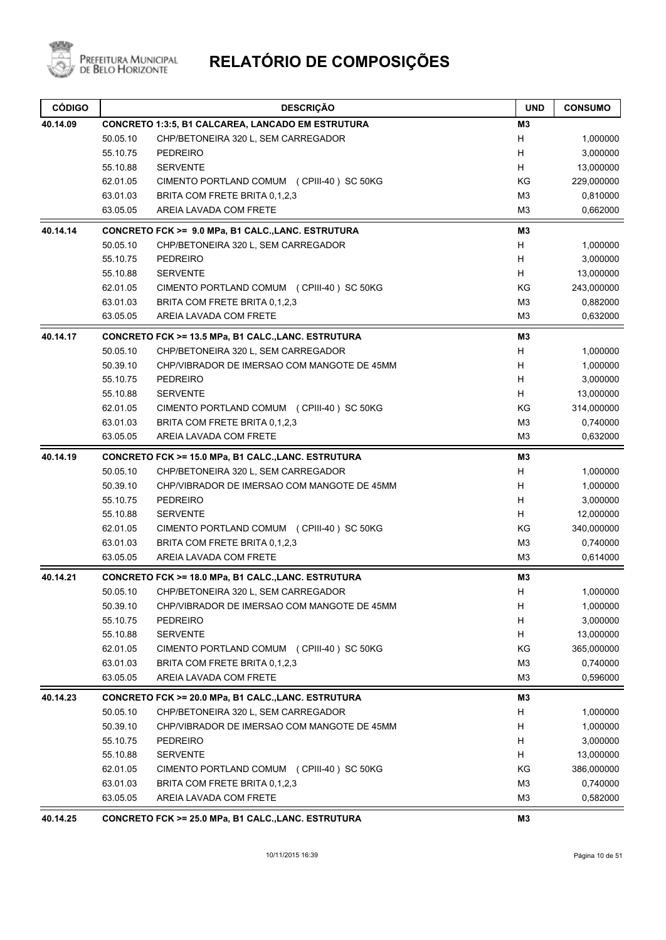

| 40.14.09<br><b>CONCRETO 1:3:5, B1 CALCAREA, LANCADO EM ESTRUTURA</b><br>M3<br>50.05.10<br>CHP/BETONEIRA 320 L, SEM CARREGADOR<br>H<br>1,000000<br>55.10.75<br><b>PEDREIRO</b><br>3,000000<br>н<br><b>SERVENTE</b><br>H<br>13,000000<br>55.10.88<br>62.01.05<br>ΚG<br>229,000000<br>CIMENTO PORTLAND COMUM (CPIII-40) SC 50KG<br>63.01.03<br>BRITA COM FRETE BRITA 0,1,2,3<br>M3<br>0,810000<br>AREIA LAVADA COM FRETE<br>M <sub>3</sub><br>63.05.05<br>0,662000<br>40.14.14<br>CONCRETO FCK >= 9.0 MPa, B1 CALC., LANC. ESTRUTURA<br>M3<br>50.05.10<br>CHP/BETONEIRA 320 L, SEM CARREGADOR<br>H<br>1,000000<br>55.10.75<br><b>PEDREIRO</b><br>H<br>3,000000<br><b>SERVENTE</b><br>55.10.88<br>H<br>13,000000<br>KG<br>243,000000<br>62.01.05<br>CIMENTO PORTLAND COMUM (CPIII-40) SC 50KG<br>M <sub>3</sub><br>63.01.03<br>BRITA COM FRETE BRITA 0,1,2,3<br>0,882000<br>63.05.05<br>AREIA LAVADA COM FRETE<br>M3<br>0,632000<br>M <sub>3</sub><br>40.14.17<br>CONCRETO FCK >= 13.5 MPa, B1 CALC., LANC. ESTRUTURA<br>CHP/BETONEIRA 320 L, SEM CARREGADOR<br>H<br>1,000000<br>50.05.10<br>Н<br>50.39.10<br>CHP/VIBRADOR DE IMERSAO COM MANGOTE DE 45MM<br>1,000000<br>H<br>55.10.75<br><b>PEDREIRO</b><br>3,000000<br>55.10.88<br><b>SERVENTE</b><br>H<br>13,000000<br>314,000000<br>62.01.05<br>CIMENTO PORTLAND COMUM (CPIII-40) SC 50KG<br>ΚG<br>BRITA COM FRETE BRITA 0,1,2,3<br>M <sub>3</sub><br>63.01.03<br>0,740000<br>63.05.05<br>AREIA LAVADA COM FRETE<br>M <sub>3</sub><br>0,632000<br>M <sub>3</sub><br>40.14.19<br>CONCRETO FCK >= 15.0 MPa, B1 CALC., LANC. ESTRUTURA<br>50.05.10<br>CHP/BETONEIRA 320 L, SEM CARREGADOR<br>н<br>1,000000<br>Н<br>50.39.10<br>CHP/VIBRADOR DE IMERSAO COM MANGOTE DE 45MM<br>1,000000<br>H<br>55.10.75<br><b>PEDREIRO</b><br>3,000000<br>55.10.88<br><b>SERVENTE</b><br>H.<br>12,000000<br>62.01.05<br>CIMENTO PORTLAND COMUM (CPIII-40) SC 50KG<br>ΚG<br>340,000000<br>BRITA COM FRETE BRITA 0,1,2,3<br>M <sub>3</sub><br>0,740000<br>63.01.03<br>AREIA LAVADA COM FRETE<br>M <sub>3</sub><br>63.05.05<br>0,614000<br>40.14.21<br>CONCRETO FCK >= 18.0 MPa, B1 CALC., LANC. ESTRUTURA<br>M3<br>H<br>50.05.10<br>CHP/BETONEIRA 320 L, SEM CARREGADOR<br>1,000000<br>50.39.10<br>CHP/VIBRADOR DE IMERSAO COM MANGOTE DE 45MM<br>H<br>1,000000<br>55.10.75<br>Н<br>3,000000<br><b>PEDREIRO</b><br>55.10.88<br><b>SERVENTE</b><br>H<br>13,000000<br>KG<br>62.01.05<br>CIMENTO PORTLAND COMUM (CPIII-40) SC 50KG<br>365,000000<br>63.01.03<br>BRITA COM FRETE BRITA 0,1,2,3<br>M <sub>3</sub><br>0,740000<br>M <sub>3</sub><br>63.05.05<br>AREIA LAVADA COM FRETE<br>0,596000<br>40.14.23<br>CONCRETO FCK >= 20.0 MPa, B1 CALC., LANC. ESTRUTURA<br>M3<br>50.05.10<br>CHP/BETONEIRA 320 L, SEM CARREGADOR<br>H<br>1,000000<br>50.39.10<br>CHP/VIBRADOR DE IMERSAO COM MANGOTE DE 45MM<br>H<br>1,000000<br>Н<br>55.10.75<br><b>PEDREIRO</b><br>3,000000<br>H<br>55.10.88<br><b>SERVENTE</b><br>13,000000<br>62.01.05<br>CIMENTO PORTLAND COMUM (CPIII-40) SC 50KG<br>KG<br>386,000000<br>63.01.03<br>BRITA COM FRETE BRITA 0,1,2,3<br>M <sub>3</sub><br>0,740000<br>63.05.05<br>AREIA LAVADA COM FRETE<br>M <sub>3</sub><br>0,582000<br>40.14.25<br>CONCRETO FCK >= 25.0 MPa, B1 CALC., LANC. ESTRUTURA<br>MЗ | <b>CÓDIGO</b> | <b>DESCRIÇÃO</b> | <b>UND</b> | <b>CONSUMO</b> |
|--------------------------------------------------------------------------------------------------------------------------------------------------------------------------------------------------------------------------------------------------------------------------------------------------------------------------------------------------------------------------------------------------------------------------------------------------------------------------------------------------------------------------------------------------------------------------------------------------------------------------------------------------------------------------------------------------------------------------------------------------------------------------------------------------------------------------------------------------------------------------------------------------------------------------------------------------------------------------------------------------------------------------------------------------------------------------------------------------------------------------------------------------------------------------------------------------------------------------------------------------------------------------------------------------------------------------------------------------------------------------------------------------------------------------------------------------------------------------------------------------------------------------------------------------------------------------------------------------------------------------------------------------------------------------------------------------------------------------------------------------------------------------------------------------------------------------------------------------------------------------------------------------------------------------------------------------------------------------------------------------------------------------------------------------------------------------------------------------------------------------------------------------------------------------------------------------------------------------------------------------------------------------------------------------------------------------------------------------------------------------------------------------------------------------------------------------------------------------------------------------------------------------------------------------------------------------------------------------------------------------------------------------------------------------------------------------------------------------------------------------------------------------------------------------------------------------------------------------------------------------------------------------------------------------------------------------------------------------------------------------------------------------------------------------------------------------------------------------------------------------------------------------------------------------------------------------------------------------------------------------------|---------------|------------------|------------|----------------|
|                                                                                                                                                                                                                                                                                                                                                                                                                                                                                                                                                                                                                                                                                                                                                                                                                                                                                                                                                                                                                                                                                                                                                                                                                                                                                                                                                                                                                                                                                                                                                                                                                                                                                                                                                                                                                                                                                                                                                                                                                                                                                                                                                                                                                                                                                                                                                                                                                                                                                                                                                                                                                                                                                                                                                                                                                                                                                                                                                                                                                                                                                                                                                                                                                                                        |               |                  |            |                |
|                                                                                                                                                                                                                                                                                                                                                                                                                                                                                                                                                                                                                                                                                                                                                                                                                                                                                                                                                                                                                                                                                                                                                                                                                                                                                                                                                                                                                                                                                                                                                                                                                                                                                                                                                                                                                                                                                                                                                                                                                                                                                                                                                                                                                                                                                                                                                                                                                                                                                                                                                                                                                                                                                                                                                                                                                                                                                                                                                                                                                                                                                                                                                                                                                                                        |               |                  |            |                |
|                                                                                                                                                                                                                                                                                                                                                                                                                                                                                                                                                                                                                                                                                                                                                                                                                                                                                                                                                                                                                                                                                                                                                                                                                                                                                                                                                                                                                                                                                                                                                                                                                                                                                                                                                                                                                                                                                                                                                                                                                                                                                                                                                                                                                                                                                                                                                                                                                                                                                                                                                                                                                                                                                                                                                                                                                                                                                                                                                                                                                                                                                                                                                                                                                                                        |               |                  |            |                |
|                                                                                                                                                                                                                                                                                                                                                                                                                                                                                                                                                                                                                                                                                                                                                                                                                                                                                                                                                                                                                                                                                                                                                                                                                                                                                                                                                                                                                                                                                                                                                                                                                                                                                                                                                                                                                                                                                                                                                                                                                                                                                                                                                                                                                                                                                                                                                                                                                                                                                                                                                                                                                                                                                                                                                                                                                                                                                                                                                                                                                                                                                                                                                                                                                                                        |               |                  |            |                |
|                                                                                                                                                                                                                                                                                                                                                                                                                                                                                                                                                                                                                                                                                                                                                                                                                                                                                                                                                                                                                                                                                                                                                                                                                                                                                                                                                                                                                                                                                                                                                                                                                                                                                                                                                                                                                                                                                                                                                                                                                                                                                                                                                                                                                                                                                                                                                                                                                                                                                                                                                                                                                                                                                                                                                                                                                                                                                                                                                                                                                                                                                                                                                                                                                                                        |               |                  |            |                |
|                                                                                                                                                                                                                                                                                                                                                                                                                                                                                                                                                                                                                                                                                                                                                                                                                                                                                                                                                                                                                                                                                                                                                                                                                                                                                                                                                                                                                                                                                                                                                                                                                                                                                                                                                                                                                                                                                                                                                                                                                                                                                                                                                                                                                                                                                                                                                                                                                                                                                                                                                                                                                                                                                                                                                                                                                                                                                                                                                                                                                                                                                                                                                                                                                                                        |               |                  |            |                |
|                                                                                                                                                                                                                                                                                                                                                                                                                                                                                                                                                                                                                                                                                                                                                                                                                                                                                                                                                                                                                                                                                                                                                                                                                                                                                                                                                                                                                                                                                                                                                                                                                                                                                                                                                                                                                                                                                                                                                                                                                                                                                                                                                                                                                                                                                                                                                                                                                                                                                                                                                                                                                                                                                                                                                                                                                                                                                                                                                                                                                                                                                                                                                                                                                                                        |               |                  |            |                |
|                                                                                                                                                                                                                                                                                                                                                                                                                                                                                                                                                                                                                                                                                                                                                                                                                                                                                                                                                                                                                                                                                                                                                                                                                                                                                                                                                                                                                                                                                                                                                                                                                                                                                                                                                                                                                                                                                                                                                                                                                                                                                                                                                                                                                                                                                                                                                                                                                                                                                                                                                                                                                                                                                                                                                                                                                                                                                                                                                                                                                                                                                                                                                                                                                                                        |               |                  |            |                |
|                                                                                                                                                                                                                                                                                                                                                                                                                                                                                                                                                                                                                                                                                                                                                                                                                                                                                                                                                                                                                                                                                                                                                                                                                                                                                                                                                                                                                                                                                                                                                                                                                                                                                                                                                                                                                                                                                                                                                                                                                                                                                                                                                                                                                                                                                                                                                                                                                                                                                                                                                                                                                                                                                                                                                                                                                                                                                                                                                                                                                                                                                                                                                                                                                                                        |               |                  |            |                |
|                                                                                                                                                                                                                                                                                                                                                                                                                                                                                                                                                                                                                                                                                                                                                                                                                                                                                                                                                                                                                                                                                                                                                                                                                                                                                                                                                                                                                                                                                                                                                                                                                                                                                                                                                                                                                                                                                                                                                                                                                                                                                                                                                                                                                                                                                                                                                                                                                                                                                                                                                                                                                                                                                                                                                                                                                                                                                                                                                                                                                                                                                                                                                                                                                                                        |               |                  |            |                |
|                                                                                                                                                                                                                                                                                                                                                                                                                                                                                                                                                                                                                                                                                                                                                                                                                                                                                                                                                                                                                                                                                                                                                                                                                                                                                                                                                                                                                                                                                                                                                                                                                                                                                                                                                                                                                                                                                                                                                                                                                                                                                                                                                                                                                                                                                                                                                                                                                                                                                                                                                                                                                                                                                                                                                                                                                                                                                                                                                                                                                                                                                                                                                                                                                                                        |               |                  |            |                |
|                                                                                                                                                                                                                                                                                                                                                                                                                                                                                                                                                                                                                                                                                                                                                                                                                                                                                                                                                                                                                                                                                                                                                                                                                                                                                                                                                                                                                                                                                                                                                                                                                                                                                                                                                                                                                                                                                                                                                                                                                                                                                                                                                                                                                                                                                                                                                                                                                                                                                                                                                                                                                                                                                                                                                                                                                                                                                                                                                                                                                                                                                                                                                                                                                                                        |               |                  |            |                |
|                                                                                                                                                                                                                                                                                                                                                                                                                                                                                                                                                                                                                                                                                                                                                                                                                                                                                                                                                                                                                                                                                                                                                                                                                                                                                                                                                                                                                                                                                                                                                                                                                                                                                                                                                                                                                                                                                                                                                                                                                                                                                                                                                                                                                                                                                                                                                                                                                                                                                                                                                                                                                                                                                                                                                                                                                                                                                                                                                                                                                                                                                                                                                                                                                                                        |               |                  |            |                |
|                                                                                                                                                                                                                                                                                                                                                                                                                                                                                                                                                                                                                                                                                                                                                                                                                                                                                                                                                                                                                                                                                                                                                                                                                                                                                                                                                                                                                                                                                                                                                                                                                                                                                                                                                                                                                                                                                                                                                                                                                                                                                                                                                                                                                                                                                                                                                                                                                                                                                                                                                                                                                                                                                                                                                                                                                                                                                                                                                                                                                                                                                                                                                                                                                                                        |               |                  |            |                |
|                                                                                                                                                                                                                                                                                                                                                                                                                                                                                                                                                                                                                                                                                                                                                                                                                                                                                                                                                                                                                                                                                                                                                                                                                                                                                                                                                                                                                                                                                                                                                                                                                                                                                                                                                                                                                                                                                                                                                                                                                                                                                                                                                                                                                                                                                                                                                                                                                                                                                                                                                                                                                                                                                                                                                                                                                                                                                                                                                                                                                                                                                                                                                                                                                                                        |               |                  |            |                |
|                                                                                                                                                                                                                                                                                                                                                                                                                                                                                                                                                                                                                                                                                                                                                                                                                                                                                                                                                                                                                                                                                                                                                                                                                                                                                                                                                                                                                                                                                                                                                                                                                                                                                                                                                                                                                                                                                                                                                                                                                                                                                                                                                                                                                                                                                                                                                                                                                                                                                                                                                                                                                                                                                                                                                                                                                                                                                                                                                                                                                                                                                                                                                                                                                                                        |               |                  |            |                |
|                                                                                                                                                                                                                                                                                                                                                                                                                                                                                                                                                                                                                                                                                                                                                                                                                                                                                                                                                                                                                                                                                                                                                                                                                                                                                                                                                                                                                                                                                                                                                                                                                                                                                                                                                                                                                                                                                                                                                                                                                                                                                                                                                                                                                                                                                                                                                                                                                                                                                                                                                                                                                                                                                                                                                                                                                                                                                                                                                                                                                                                                                                                                                                                                                                                        |               |                  |            |                |
|                                                                                                                                                                                                                                                                                                                                                                                                                                                                                                                                                                                                                                                                                                                                                                                                                                                                                                                                                                                                                                                                                                                                                                                                                                                                                                                                                                                                                                                                                                                                                                                                                                                                                                                                                                                                                                                                                                                                                                                                                                                                                                                                                                                                                                                                                                                                                                                                                                                                                                                                                                                                                                                                                                                                                                                                                                                                                                                                                                                                                                                                                                                                                                                                                                                        |               |                  |            |                |
|                                                                                                                                                                                                                                                                                                                                                                                                                                                                                                                                                                                                                                                                                                                                                                                                                                                                                                                                                                                                                                                                                                                                                                                                                                                                                                                                                                                                                                                                                                                                                                                                                                                                                                                                                                                                                                                                                                                                                                                                                                                                                                                                                                                                                                                                                                                                                                                                                                                                                                                                                                                                                                                                                                                                                                                                                                                                                                                                                                                                                                                                                                                                                                                                                                                        |               |                  |            |                |
|                                                                                                                                                                                                                                                                                                                                                                                                                                                                                                                                                                                                                                                                                                                                                                                                                                                                                                                                                                                                                                                                                                                                                                                                                                                                                                                                                                                                                                                                                                                                                                                                                                                                                                                                                                                                                                                                                                                                                                                                                                                                                                                                                                                                                                                                                                                                                                                                                                                                                                                                                                                                                                                                                                                                                                                                                                                                                                                                                                                                                                                                                                                                                                                                                                                        |               |                  |            |                |
|                                                                                                                                                                                                                                                                                                                                                                                                                                                                                                                                                                                                                                                                                                                                                                                                                                                                                                                                                                                                                                                                                                                                                                                                                                                                                                                                                                                                                                                                                                                                                                                                                                                                                                                                                                                                                                                                                                                                                                                                                                                                                                                                                                                                                                                                                                                                                                                                                                                                                                                                                                                                                                                                                                                                                                                                                                                                                                                                                                                                                                                                                                                                                                                                                                                        |               |                  |            |                |
|                                                                                                                                                                                                                                                                                                                                                                                                                                                                                                                                                                                                                                                                                                                                                                                                                                                                                                                                                                                                                                                                                                                                                                                                                                                                                                                                                                                                                                                                                                                                                                                                                                                                                                                                                                                                                                                                                                                                                                                                                                                                                                                                                                                                                                                                                                                                                                                                                                                                                                                                                                                                                                                                                                                                                                                                                                                                                                                                                                                                                                                                                                                                                                                                                                                        |               |                  |            |                |
|                                                                                                                                                                                                                                                                                                                                                                                                                                                                                                                                                                                                                                                                                                                                                                                                                                                                                                                                                                                                                                                                                                                                                                                                                                                                                                                                                                                                                                                                                                                                                                                                                                                                                                                                                                                                                                                                                                                                                                                                                                                                                                                                                                                                                                                                                                                                                                                                                                                                                                                                                                                                                                                                                                                                                                                                                                                                                                                                                                                                                                                                                                                                                                                                                                                        |               |                  |            |                |
|                                                                                                                                                                                                                                                                                                                                                                                                                                                                                                                                                                                                                                                                                                                                                                                                                                                                                                                                                                                                                                                                                                                                                                                                                                                                                                                                                                                                                                                                                                                                                                                                                                                                                                                                                                                                                                                                                                                                                                                                                                                                                                                                                                                                                                                                                                                                                                                                                                                                                                                                                                                                                                                                                                                                                                                                                                                                                                                                                                                                                                                                                                                                                                                                                                                        |               |                  |            |                |
|                                                                                                                                                                                                                                                                                                                                                                                                                                                                                                                                                                                                                                                                                                                                                                                                                                                                                                                                                                                                                                                                                                                                                                                                                                                                                                                                                                                                                                                                                                                                                                                                                                                                                                                                                                                                                                                                                                                                                                                                                                                                                                                                                                                                                                                                                                                                                                                                                                                                                                                                                                                                                                                                                                                                                                                                                                                                                                                                                                                                                                                                                                                                                                                                                                                        |               |                  |            |                |
|                                                                                                                                                                                                                                                                                                                                                                                                                                                                                                                                                                                                                                                                                                                                                                                                                                                                                                                                                                                                                                                                                                                                                                                                                                                                                                                                                                                                                                                                                                                                                                                                                                                                                                                                                                                                                                                                                                                                                                                                                                                                                                                                                                                                                                                                                                                                                                                                                                                                                                                                                                                                                                                                                                                                                                                                                                                                                                                                                                                                                                                                                                                                                                                                                                                        |               |                  |            |                |
|                                                                                                                                                                                                                                                                                                                                                                                                                                                                                                                                                                                                                                                                                                                                                                                                                                                                                                                                                                                                                                                                                                                                                                                                                                                                                                                                                                                                                                                                                                                                                                                                                                                                                                                                                                                                                                                                                                                                                                                                                                                                                                                                                                                                                                                                                                                                                                                                                                                                                                                                                                                                                                                                                                                                                                                                                                                                                                                                                                                                                                                                                                                                                                                                                                                        |               |                  |            |                |
|                                                                                                                                                                                                                                                                                                                                                                                                                                                                                                                                                                                                                                                                                                                                                                                                                                                                                                                                                                                                                                                                                                                                                                                                                                                                                                                                                                                                                                                                                                                                                                                                                                                                                                                                                                                                                                                                                                                                                                                                                                                                                                                                                                                                                                                                                                                                                                                                                                                                                                                                                                                                                                                                                                                                                                                                                                                                                                                                                                                                                                                                                                                                                                                                                                                        |               |                  |            |                |
|                                                                                                                                                                                                                                                                                                                                                                                                                                                                                                                                                                                                                                                                                                                                                                                                                                                                                                                                                                                                                                                                                                                                                                                                                                                                                                                                                                                                                                                                                                                                                                                                                                                                                                                                                                                                                                                                                                                                                                                                                                                                                                                                                                                                                                                                                                                                                                                                                                                                                                                                                                                                                                                                                                                                                                                                                                                                                                                                                                                                                                                                                                                                                                                                                                                        |               |                  |            |                |
|                                                                                                                                                                                                                                                                                                                                                                                                                                                                                                                                                                                                                                                                                                                                                                                                                                                                                                                                                                                                                                                                                                                                                                                                                                                                                                                                                                                                                                                                                                                                                                                                                                                                                                                                                                                                                                                                                                                                                                                                                                                                                                                                                                                                                                                                                                                                                                                                                                                                                                                                                                                                                                                                                                                                                                                                                                                                                                                                                                                                                                                                                                                                                                                                                                                        |               |                  |            |                |
|                                                                                                                                                                                                                                                                                                                                                                                                                                                                                                                                                                                                                                                                                                                                                                                                                                                                                                                                                                                                                                                                                                                                                                                                                                                                                                                                                                                                                                                                                                                                                                                                                                                                                                                                                                                                                                                                                                                                                                                                                                                                                                                                                                                                                                                                                                                                                                                                                                                                                                                                                                                                                                                                                                                                                                                                                                                                                                                                                                                                                                                                                                                                                                                                                                                        |               |                  |            |                |
|                                                                                                                                                                                                                                                                                                                                                                                                                                                                                                                                                                                                                                                                                                                                                                                                                                                                                                                                                                                                                                                                                                                                                                                                                                                                                                                                                                                                                                                                                                                                                                                                                                                                                                                                                                                                                                                                                                                                                                                                                                                                                                                                                                                                                                                                                                                                                                                                                                                                                                                                                                                                                                                                                                                                                                                                                                                                                                                                                                                                                                                                                                                                                                                                                                                        |               |                  |            |                |
|                                                                                                                                                                                                                                                                                                                                                                                                                                                                                                                                                                                                                                                                                                                                                                                                                                                                                                                                                                                                                                                                                                                                                                                                                                                                                                                                                                                                                                                                                                                                                                                                                                                                                                                                                                                                                                                                                                                                                                                                                                                                                                                                                                                                                                                                                                                                                                                                                                                                                                                                                                                                                                                                                                                                                                                                                                                                                                                                                                                                                                                                                                                                                                                                                                                        |               |                  |            |                |
|                                                                                                                                                                                                                                                                                                                                                                                                                                                                                                                                                                                                                                                                                                                                                                                                                                                                                                                                                                                                                                                                                                                                                                                                                                                                                                                                                                                                                                                                                                                                                                                                                                                                                                                                                                                                                                                                                                                                                                                                                                                                                                                                                                                                                                                                                                                                                                                                                                                                                                                                                                                                                                                                                                                                                                                                                                                                                                                                                                                                                                                                                                                                                                                                                                                        |               |                  |            |                |
|                                                                                                                                                                                                                                                                                                                                                                                                                                                                                                                                                                                                                                                                                                                                                                                                                                                                                                                                                                                                                                                                                                                                                                                                                                                                                                                                                                                                                                                                                                                                                                                                                                                                                                                                                                                                                                                                                                                                                                                                                                                                                                                                                                                                                                                                                                                                                                                                                                                                                                                                                                                                                                                                                                                                                                                                                                                                                                                                                                                                                                                                                                                                                                                                                                                        |               |                  |            |                |
|                                                                                                                                                                                                                                                                                                                                                                                                                                                                                                                                                                                                                                                                                                                                                                                                                                                                                                                                                                                                                                                                                                                                                                                                                                                                                                                                                                                                                                                                                                                                                                                                                                                                                                                                                                                                                                                                                                                                                                                                                                                                                                                                                                                                                                                                                                                                                                                                                                                                                                                                                                                                                                                                                                                                                                                                                                                                                                                                                                                                                                                                                                                                                                                                                                                        |               |                  |            |                |
|                                                                                                                                                                                                                                                                                                                                                                                                                                                                                                                                                                                                                                                                                                                                                                                                                                                                                                                                                                                                                                                                                                                                                                                                                                                                                                                                                                                                                                                                                                                                                                                                                                                                                                                                                                                                                                                                                                                                                                                                                                                                                                                                                                                                                                                                                                                                                                                                                                                                                                                                                                                                                                                                                                                                                                                                                                                                                                                                                                                                                                                                                                                                                                                                                                                        |               |                  |            |                |
|                                                                                                                                                                                                                                                                                                                                                                                                                                                                                                                                                                                                                                                                                                                                                                                                                                                                                                                                                                                                                                                                                                                                                                                                                                                                                                                                                                                                                                                                                                                                                                                                                                                                                                                                                                                                                                                                                                                                                                                                                                                                                                                                                                                                                                                                                                                                                                                                                                                                                                                                                                                                                                                                                                                                                                                                                                                                                                                                                                                                                                                                                                                                                                                                                                                        |               |                  |            |                |
|                                                                                                                                                                                                                                                                                                                                                                                                                                                                                                                                                                                                                                                                                                                                                                                                                                                                                                                                                                                                                                                                                                                                                                                                                                                                                                                                                                                                                                                                                                                                                                                                                                                                                                                                                                                                                                                                                                                                                                                                                                                                                                                                                                                                                                                                                                                                                                                                                                                                                                                                                                                                                                                                                                                                                                                                                                                                                                                                                                                                                                                                                                                                                                                                                                                        |               |                  |            |                |
|                                                                                                                                                                                                                                                                                                                                                                                                                                                                                                                                                                                                                                                                                                                                                                                                                                                                                                                                                                                                                                                                                                                                                                                                                                                                                                                                                                                                                                                                                                                                                                                                                                                                                                                                                                                                                                                                                                                                                                                                                                                                                                                                                                                                                                                                                                                                                                                                                                                                                                                                                                                                                                                                                                                                                                                                                                                                                                                                                                                                                                                                                                                                                                                                                                                        |               |                  |            |                |
|                                                                                                                                                                                                                                                                                                                                                                                                                                                                                                                                                                                                                                                                                                                                                                                                                                                                                                                                                                                                                                                                                                                                                                                                                                                                                                                                                                                                                                                                                                                                                                                                                                                                                                                                                                                                                                                                                                                                                                                                                                                                                                                                                                                                                                                                                                                                                                                                                                                                                                                                                                                                                                                                                                                                                                                                                                                                                                                                                                                                                                                                                                                                                                                                                                                        |               |                  |            |                |
|                                                                                                                                                                                                                                                                                                                                                                                                                                                                                                                                                                                                                                                                                                                                                                                                                                                                                                                                                                                                                                                                                                                                                                                                                                                                                                                                                                                                                                                                                                                                                                                                                                                                                                                                                                                                                                                                                                                                                                                                                                                                                                                                                                                                                                                                                                                                                                                                                                                                                                                                                                                                                                                                                                                                                                                                                                                                                                                                                                                                                                                                                                                                                                                                                                                        |               |                  |            |                |
|                                                                                                                                                                                                                                                                                                                                                                                                                                                                                                                                                                                                                                                                                                                                                                                                                                                                                                                                                                                                                                                                                                                                                                                                                                                                                                                                                                                                                                                                                                                                                                                                                                                                                                                                                                                                                                                                                                                                                                                                                                                                                                                                                                                                                                                                                                                                                                                                                                                                                                                                                                                                                                                                                                                                                                                                                                                                                                                                                                                                                                                                                                                                                                                                                                                        |               |                  |            |                |
|                                                                                                                                                                                                                                                                                                                                                                                                                                                                                                                                                                                                                                                                                                                                                                                                                                                                                                                                                                                                                                                                                                                                                                                                                                                                                                                                                                                                                                                                                                                                                                                                                                                                                                                                                                                                                                                                                                                                                                                                                                                                                                                                                                                                                                                                                                                                                                                                                                                                                                                                                                                                                                                                                                                                                                                                                                                                                                                                                                                                                                                                                                                                                                                                                                                        |               |                  |            |                |
|                                                                                                                                                                                                                                                                                                                                                                                                                                                                                                                                                                                                                                                                                                                                                                                                                                                                                                                                                                                                                                                                                                                                                                                                                                                                                                                                                                                                                                                                                                                                                                                                                                                                                                                                                                                                                                                                                                                                                                                                                                                                                                                                                                                                                                                                                                                                                                                                                                                                                                                                                                                                                                                                                                                                                                                                                                                                                                                                                                                                                                                                                                                                                                                                                                                        |               |                  |            |                |
|                                                                                                                                                                                                                                                                                                                                                                                                                                                                                                                                                                                                                                                                                                                                                                                                                                                                                                                                                                                                                                                                                                                                                                                                                                                                                                                                                                                                                                                                                                                                                                                                                                                                                                                                                                                                                                                                                                                                                                                                                                                                                                                                                                                                                                                                                                                                                                                                                                                                                                                                                                                                                                                                                                                                                                                                                                                                                                                                                                                                                                                                                                                                                                                                                                                        |               |                  |            |                |
|                                                                                                                                                                                                                                                                                                                                                                                                                                                                                                                                                                                                                                                                                                                                                                                                                                                                                                                                                                                                                                                                                                                                                                                                                                                                                                                                                                                                                                                                                                                                                                                                                                                                                                                                                                                                                                                                                                                                                                                                                                                                                                                                                                                                                                                                                                                                                                                                                                                                                                                                                                                                                                                                                                                                                                                                                                                                                                                                                                                                                                                                                                                                                                                                                                                        |               |                  |            |                |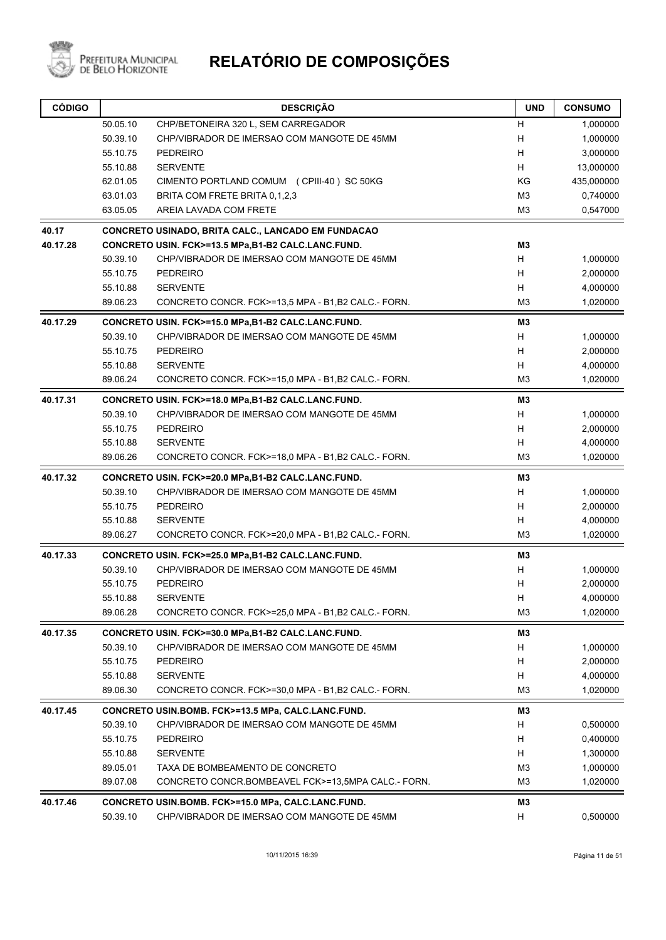

| <b>CÓDIGO</b> |          | <b>DESCRIÇÃO</b>                                          | <b>UND</b>     | <b>CONSUMO</b> |
|---------------|----------|-----------------------------------------------------------|----------------|----------------|
|               | 50.05.10 | CHP/BETONEIRA 320 L, SEM CARREGADOR                       | н              | 1,000000       |
|               | 50.39.10 | CHP/VIBRADOR DE IMERSAO COM MANGOTE DE 45MM               | H              | 1,000000       |
|               | 55.10.75 | <b>PEDREIRO</b>                                           | H              | 3,000000       |
|               | 55.10.88 | <b>SERVENTE</b>                                           | H              | 13,000000      |
|               | 62.01.05 | CIMENTO PORTLAND COMUM (CPIII-40) SC 50KG                 | KG             | 435,000000     |
|               | 63.01.03 | BRITA COM FRETE BRITA 0,1,2,3                             | M <sub>3</sub> | 0,740000       |
|               | 63.05.05 | AREIA LAVADA COM FRETE                                    | M3             | 0,547000       |
| 40.17         |          | <b>CONCRETO USINADO, BRITA CALC., LANCADO EM FUNDACAO</b> |                |                |
| 40.17.28      |          | CONCRETO USIN. FCK>=13.5 MPa,B1-B2 CALC.LANC.FUND.        | <b>M3</b>      |                |
|               | 50.39.10 | CHP/VIBRADOR DE IMERSAO COM MANGOTE DE 45MM               | H              | 1,000000       |
|               | 55.10.75 | <b>PEDREIRO</b>                                           | H              | 2,000000       |
|               | 55.10.88 | <b>SERVENTE</b>                                           | H              | 4,000000       |
|               | 89.06.23 | CONCRETO CONCR. FCK>=13,5 MPA - B1,B2 CALC - FORN.        | M3             | 1,020000       |
| 40.17.29      |          | CONCRETO USIN. FCK>=15.0 MPa,B1-B2 CALC.LANC.FUND.        | M <sub>3</sub> |                |
|               | 50.39.10 | CHP/VIBRADOR DE IMERSAO COM MANGOTE DE 45MM               | H              | 1,000000       |
|               | 55.10.75 | <b>PEDREIRO</b>                                           | H              | 2,000000       |
|               | 55.10.88 | <b>SERVENTE</b>                                           | H              | 4,000000       |
|               | 89.06.24 | CONCRETO CONCR. FCK>=15,0 MPA - B1,B2 CALC - FORN.        | M3             | 1,020000       |
| 40.17.31      |          | CONCRETO USIN. FCK>=18.0 MPa,B1-B2 CALC.LANC.FUND.        | M3             |                |
|               | 50.39.10 | CHP/VIBRADOR DE IMERSAO COM MANGOTE DE 45MM               | H              | 1,000000       |
|               | 55.10.75 | <b>PEDREIRO</b>                                           | H              | 2,000000       |
|               | 55.10.88 | <b>SERVENTE</b>                                           | H              | 4,000000       |
|               | 89.06.26 | CONCRETO CONCR. FCK>=18,0 MPA - B1,B2 CALC - FORN.        | M3             | 1,020000       |
| 40.17.32      |          | CONCRETO USIN. FCK>=20.0 MPa,B1-B2 CALC.LANC.FUND.        | M <sub>3</sub> |                |
|               | 50.39.10 | CHP/VIBRADOR DE IMERSAO COM MANGOTE DE 45MM               | H              | 1,000000       |
|               | 55.10.75 | <b>PEDREIRO</b>                                           | H              | 2,000000       |
|               | 55.10.88 | <b>SERVENTE</b>                                           | H              | 4,000000       |
|               | 89.06.27 | CONCRETO CONCR. FCK>=20,0 MPA - B1,B2 CALC - FORN.        | M3             | 1,020000       |
| 40.17.33      |          | CONCRETO USIN. FCK>=25.0 MPa,B1-B2 CALC.LANC.FUND.        | M3             |                |
|               | 50.39.10 | CHP/VIBRADOR DE IMERSAO COM MANGOTE DE 45MM               | H              | 1,000000       |
|               | 55.10.75 | <b>PEDREIRO</b>                                           | н              | 2,000000       |
|               | 55.10.88 | <b>SERVENTE</b>                                           | H              | 4,000000       |
|               | 89.06.28 | CONCRETO CONCR. FCK>=25.0 MPA - B1,B2 CALC - FORN.        | M3             | 1,020000       |
| 40.17.35      |          | CONCRETO USIN. FCK>=30.0 MPa,B1-B2 CALC.LANC.FUND.        | M3             |                |
|               | 50.39.10 | CHP/VIBRADOR DE IMERSAO COM MANGOTE DE 45MM               | H              | 1,000000       |
|               | 55.10.75 | PEDREIRO                                                  | H              | 2,000000       |
|               | 55.10.88 | <b>SERVENTE</b>                                           | H              | 4,000000       |
|               | 89.06.30 | CONCRETO CONCR. FCK>=30,0 MPA - B1,B2 CALC - FORN.        | M3             | 1,020000       |
| 40.17.45      |          | CONCRETO USIN.BOMB. FCK>=13.5 MPa, CALC.LANC.FUND.        | M3             |                |
|               | 50.39.10 | CHP/VIBRADOR DE IMERSAO COM MANGOTE DE 45MM               | H              | 0,500000       |
|               | 55.10.75 | <b>PEDREIRO</b>                                           | H              | 0,400000       |
|               | 55.10.88 | <b>SERVENTE</b>                                           | H              | 1,300000       |
|               | 89.05.01 | TAXA DE BOMBEAMENTO DE CONCRETO                           | M <sub>3</sub> | 1,000000       |
|               | 89.07.08 | CONCRETO CONCR.BOMBEAVEL FCK>=13,5MPA CALC.- FORN.        | M3             | 1,020000       |
| 40.17.46      |          | CONCRETO USIN.BOMB. FCK>=15.0 MPa, CALC.LANC.FUND.        | М3             |                |
|               | 50.39.10 | CHP/VIBRADOR DE IMERSAO COM MANGOTE DE 45MM               | H              | 0,500000       |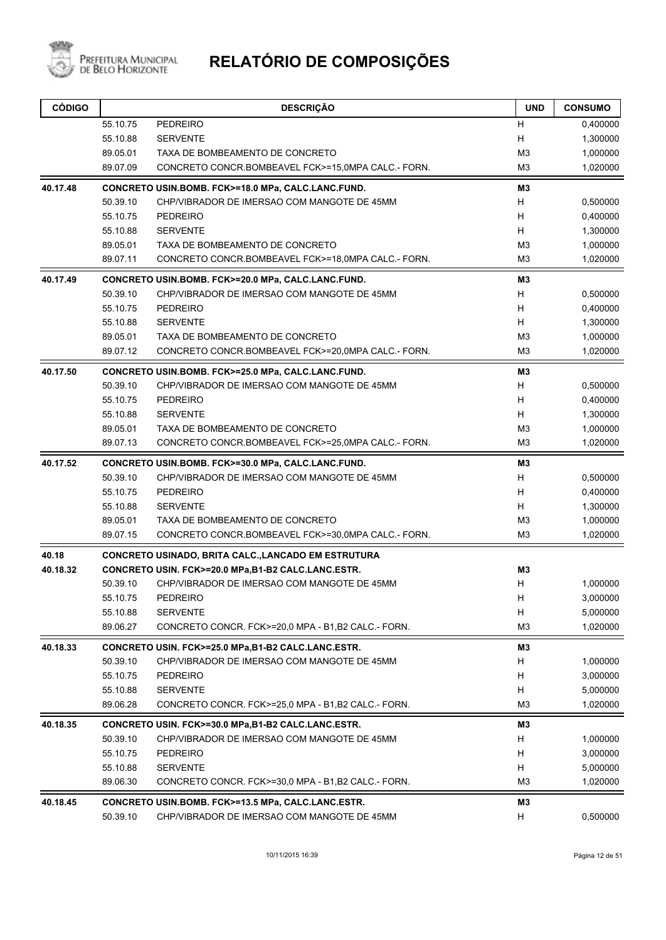

| <b>CÓDIGO</b> |                      | <b>DESCRIÇÃO</b>                                                       | <b>UND</b>          | <b>CONSUMO</b>       |
|---------------|----------------------|------------------------------------------------------------------------|---------------------|----------------------|
|               | 55.10.75             | <b>PEDREIRO</b>                                                        | н                   | 0,400000             |
|               | 55.10.88             | <b>SERVENTE</b>                                                        | н                   | 1,300000             |
|               | 89.05.01             | TAXA DE BOMBEAMENTO DE CONCRETO                                        | M <sub>3</sub>      | 1,000000             |
|               | 89.07.09             | CONCRETO CONCR.BOMBEAVEL FCK>=15,0MPA CALC.- FORN.                     | M <sub>3</sub>      | 1,020000             |
| 40.17.48      |                      | CONCRETO USIN.BOMB. FCK>=18.0 MPa, CALC.LANC.FUND.                     | MЗ                  |                      |
|               | 50.39.10             | CHP/VIBRADOR DE IMERSAO COM MANGOTE DE 45MM                            | H                   | 0,500000             |
|               | 55.10.75             | <b>PEDREIRO</b>                                                        | H                   | 0,400000             |
|               | 55.10.88             | <b>SERVENTE</b>                                                        | H                   | 1,300000             |
|               | 89.05.01             | TAXA DE BOMBEAMENTO DE CONCRETO                                        | M <sub>3</sub>      | 1,000000             |
|               | 89.07.11             | CONCRETO CONCR.BOMBEAVEL FCK>=18,0MPA CALC.- FORN.                     | M3                  | 1,020000             |
| 40.17.49      |                      | CONCRETO USIN.BOMB. FCK>=20.0 MPa, CALC.LANC.FUND.                     | MЗ                  |                      |
|               | 50.39.10             | CHP/VIBRADOR DE IMERSAO COM MANGOTE DE 45MM                            | H                   | 0,500000             |
|               | 55.10.75             | <b>PEDREIRO</b>                                                        | H                   | 0,400000             |
|               | 55.10.88             | <b>SERVENTE</b>                                                        | H                   | 1,300000             |
|               | 89.05.01             | TAXA DE BOMBEAMENTO DE CONCRETO                                        | M3                  | 1,000000             |
|               | 89.07.12             | CONCRETO CONCR.BOMBEAVEL FCK>=20,0MPA CALC.- FORN.                     | M <sub>3</sub>      | 1,020000             |
| 40.17.50      |                      | CONCRETO USIN.BOMB. FCK>=25.0 MPa, CALC.LANC.FUND.                     | MЗ                  |                      |
|               | 50.39.10             | CHP/VIBRADOR DE IMERSAO COM MANGOTE DE 45MM                            | H                   | 0,500000             |
|               | 55.10.75             | <b>PEDREIRO</b>                                                        | H                   | 0,400000             |
|               | 55.10.88             | <b>SERVENTE</b>                                                        | H                   | 1,300000             |
|               | 89.05.01             | TAXA DE BOMBEAMENTO DE CONCRETO                                        | M3                  | 1,000000             |
|               | 89.07.13             | CONCRETO CONCR.BOMBEAVEL FCK>=25,0MPA CALC.- FORN.                     | M <sub>3</sub>      | 1,020000             |
| 40.17.52      |                      | CONCRETO USIN.BOMB. FCK>=30.0 MPa, CALC.LANC.FUND.                     | MЗ                  |                      |
|               | 50.39.10             | CHP/VIBRADOR DE IMERSAO COM MANGOTE DE 45MM                            | H                   | 0,500000             |
|               | 55.10.75             | <b>PEDREIRO</b>                                                        | H                   | 0,400000             |
|               | 55.10.88             | <b>SERVENTE</b>                                                        | H                   | 1,300000             |
|               | 89.05.01             | TAXA DE BOMBEAMENTO DE CONCRETO                                        | M <sub>3</sub>      | 1,000000             |
|               | 89.07.15             | CONCRETO CONCR.BOMBEAVEL FCK>=30,0MPA CALC.- FORN.                     | MЗ                  | 1,020000             |
| 40.18         |                      | CONCRETO USINADO, BRITA CALC., LANCADO EM ESTRUTURA                    |                     |                      |
| 40.18.32      |                      | CONCRETO USIN. FCK>=20.0 MPa,B1-B2 CALC.LANC.ESTR.                     | M3                  |                      |
|               | 50.39.10             | CHP/VIBRADOR DE IMERSAO COM MANGOTE DE 45MM                            | н                   | 1,000000             |
|               | 55.10.75             | PEDREIRO                                                               | Н                   | 3,000000             |
|               | 55.10.88             | <b>SERVENTE</b>                                                        | Н<br>M <sub>3</sub> | 5,000000             |
|               | 89.06.27             | CONCRETO CONCR. FCK>=20,0 MPA - B1,B2 CALC - FORN.                     |                     | 1,020000             |
| 40.18.33      |                      | CONCRETO USIN. FCK>=25.0 MPa,B1-B2 CALC.LANC.ESTR.                     | MЗ                  |                      |
|               | 50.39.10             | CHP/VIBRADOR DE IMERSAO COM MANGOTE DE 45MM                            | H                   | 1,000000             |
|               | 55.10.75             | <b>PEDREIRO</b>                                                        | H                   | 3,000000             |
|               | 55.10.88<br>89.06.28 | <b>SERVENTE</b><br>CONCRETO CONCR. FCK>=25.0 MPA - B1, B2 CALC - FORN. | H<br>M <sub>3</sub> | 5,000000<br>1,020000 |
|               |                      |                                                                        |                     |                      |
| 40.18.35      |                      | CONCRETO USIN. FCK>=30.0 MPa,B1-B2 CALC.LANC.ESTR.                     | M3                  |                      |
|               | 50.39.10             | CHP/VIBRADOR DE IMERSAO COM MANGOTE DE 45MM                            | H                   | 1,000000             |
|               | 55.10.75             | <b>PEDREIRO</b>                                                        | H                   | 3,000000             |
|               | 55.10.88             | <b>SERVENTE</b>                                                        | H                   | 5,000000             |
|               | 89.06.30             | CONCRETO CONCR. FCK>=30,0 MPA - B1,B2 CALC - FORN.                     | M <sub>3</sub>      | 1,020000             |
| 40.18.45      |                      | CONCRETO USIN.BOMB. FCK>=13.5 MPa, CALC.LANC.ESTR.                     | MЗ                  |                      |
|               | 50.39.10             | CHP/VIBRADOR DE IMERSAO COM MANGOTE DE 45MM                            | H                   | 0,500000             |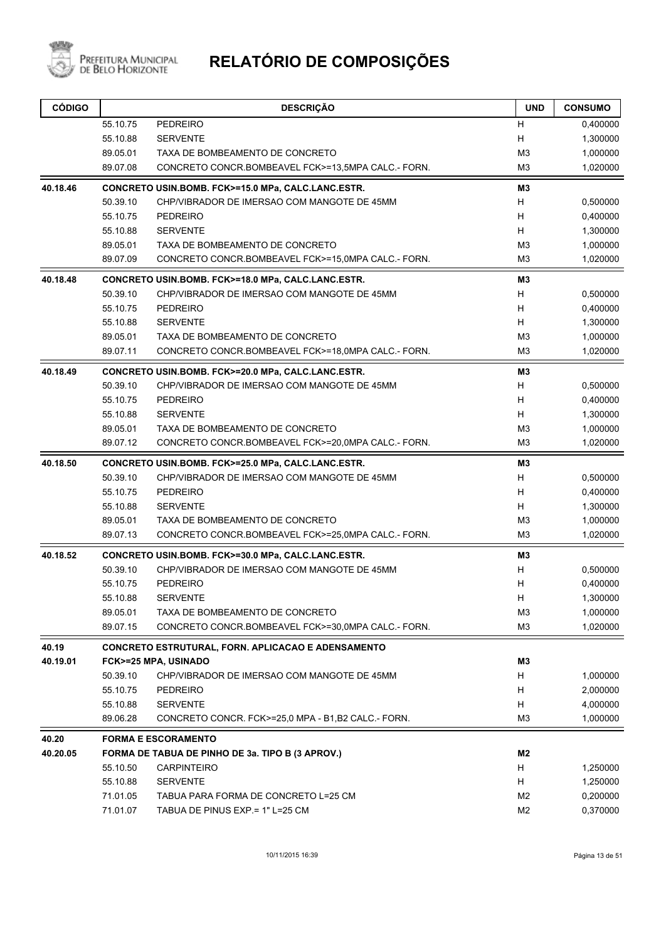

| <b>CÓDIGO</b> |          | <b>DESCRIÇÃO</b>                                   | <b>UND</b>     | <b>CONSUMO</b> |
|---------------|----------|----------------------------------------------------|----------------|----------------|
|               | 55.10.75 | <b>PEDREIRO</b>                                    | н              | 0,400000       |
|               | 55.10.88 | <b>SERVENTE</b>                                    | н              | 1,300000       |
|               | 89.05.01 | TAXA DE BOMBEAMENTO DE CONCRETO                    | M <sub>3</sub> | 1,000000       |
|               | 89.07.08 | CONCRETO CONCR.BOMBEAVEL FCK>=13,5MPA CALC.- FORN. | M <sub>3</sub> | 1,020000       |
| 40.18.46      |          | CONCRETO USIN.BOMB. FCK>=15.0 MPa, CALC.LANC.ESTR. | MЗ             |                |
|               | 50.39.10 | CHP/VIBRADOR DE IMERSAO COM MANGOTE DE 45MM        | н              | 0,500000       |
|               | 55.10.75 | <b>PEDREIRO</b>                                    | H              | 0,400000       |
|               | 55.10.88 | <b>SERVENTE</b>                                    | н              | 1,300000       |
|               | 89.05.01 | TAXA DE BOMBEAMENTO DE CONCRETO                    | M <sub>3</sub> | 1,000000       |
|               | 89.07.09 | CONCRETO CONCR.BOMBEAVEL FCK>=15,0MPA CALC.- FORN. | M3             | 1,020000       |
| 40.18.48      |          | CONCRETO USIN.BOMB. FCK>=18.0 MPa, CALC.LANC.ESTR. | M3             |                |
|               | 50.39.10 | CHP/VIBRADOR DE IMERSAO COM MANGOTE DE 45MM        | H              | 0,500000       |
|               | 55.10.75 | <b>PEDREIRO</b>                                    | H              | 0,400000       |
|               | 55.10.88 | <b>SERVENTE</b>                                    | H              | 1,300000       |
|               | 89.05.01 | TAXA DE BOMBEAMENTO DE CONCRETO                    | M <sub>3</sub> | 1,000000       |
|               | 89.07.11 | CONCRETO CONCR.BOMBEAVEL FCK>=18,0MPA CALC.- FORN. | M <sub>3</sub> | 1,020000       |
| 40.18.49      |          | CONCRETO USIN.BOMB. FCK>=20.0 MPa, CALC.LANC.ESTR. | M3             |                |
|               | 50.39.10 | CHP/VIBRADOR DE IMERSAO COM MANGOTE DE 45MM        | H              | 0,500000       |
|               | 55.10.75 | <b>PEDREIRO</b>                                    | H              | 0,400000       |
|               | 55.10.88 | <b>SERVENTE</b>                                    | н              | 1,300000       |
|               | 89.05.01 | TAXA DE BOMBEAMENTO DE CONCRETO                    | M <sub>3</sub> | 1,000000       |
|               | 89.07.12 | CONCRETO CONCR.BOMBEAVEL FCK>=20,0MPA CALC.- FORN. | M <sub>3</sub> | 1,020000       |
| 40.18.50      |          | CONCRETO USIN.BOMB. FCK>=25.0 MPa, CALC.LANC.ESTR. | MЗ             |                |
|               | 50.39.10 | CHP/VIBRADOR DE IMERSAO COM MANGOTE DE 45MM        | H              | 0,500000       |
|               | 55.10.75 | <b>PEDREIRO</b>                                    | Н              | 0,400000       |
|               | 55.10.88 | <b>SERVENTE</b>                                    | H              | 1,300000       |
|               | 89.05.01 | TAXA DE BOMBEAMENTO DE CONCRETO                    | M <sub>3</sub> | 1,000000       |
|               | 89.07.13 | CONCRETO CONCR.BOMBEAVEL FCK>=25,0MPA CALC.- FORN. | M <sub>3</sub> | 1,020000       |
| 40.18.52      |          | CONCRETO USIN.BOMB. FCK>=30.0 MPa, CALC.LANC.ESTR. | M3             |                |
|               | 50.39.10 | CHP/VIBRADOR DE IMERSAO COM MANGOTE DE 45MM        | н              | 0,500000       |
|               | 55.10.75 | <b>PEDREIRO</b>                                    | н              | 0,400000       |
|               | 55.10.88 | <b>SERVENTE</b>                                    | Н              | 1,300000       |
|               | 89.05.01 | TAXA DE BOMBEAMENTO DE CONCRETO                    | M3             | 1,000000       |
|               | 89.07.15 | CONCRETO CONCR.BOMBEAVEL FCK>=30,0MPA CALC.- FORN. | M <sub>3</sub> | 1,020000       |
| 40.19         |          | CONCRETO ESTRUTURAL, FORN. APLICACAO E ADENSAMENTO |                |                |
| 40.19.01      |          | FCK>=25 MPA, USINADO                               | M3             |                |
|               | 50.39.10 | CHP/VIBRADOR DE IMERSAO COM MANGOTE DE 45MM        | H.             | 1,000000       |
|               | 55.10.75 | PEDREIRO                                           | H              | 2,000000       |
|               | 55.10.88 | <b>SERVENTE</b>                                    | H              | 4,000000       |
|               | 89.06.28 | CONCRETO CONCR. FCK>=25,0 MPA - B1,B2 CALC - FORN. | M3             | 1,000000       |
| 40.20         |          | <b>FORMA E ESCORAMENTO</b>                         |                |                |
| 40.20.05      |          | FORMA DE TABUA DE PINHO DE 3a. TIPO B (3 APROV.)   | M2             |                |
|               | 55.10.50 | <b>CARPINTEIRO</b>                                 | H.             | 1,250000       |
|               | 55.10.88 | <b>SERVENTE</b>                                    | H.             | 1,250000       |
|               | 71.01.05 | TABUA PARA FORMA DE CONCRETO L=25 CM               | M2             | 0,200000       |
|               | 71.01.07 | TABUA DE PINUS EXP = 1" L=25 CM                    | M <sub>2</sub> | 0,370000       |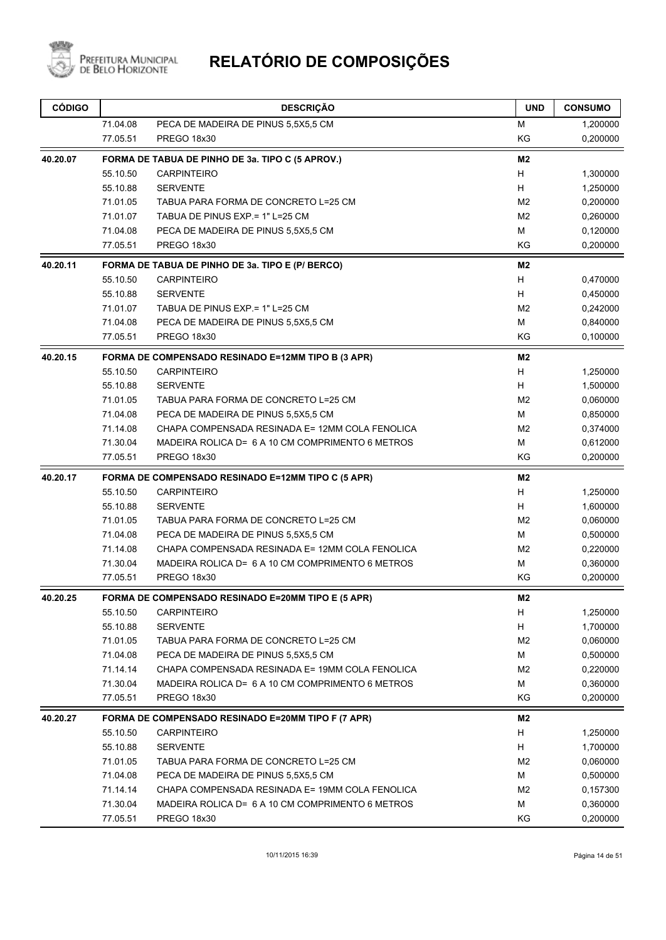

| <b>CÓDIGO</b> |          | <b>DESCRIÇÃO</b>                                   | <b>UND</b>     | <b>CONSUMO</b> |
|---------------|----------|----------------------------------------------------|----------------|----------------|
|               | 71.04.08 | PECA DE MADEIRA DE PINUS 5,5X5,5 CM                | М              | 1,200000       |
|               | 77.05.51 | PREGO 18x30                                        | KG             | 0,200000       |
| 40.20.07      |          | FORMA DE TABUA DE PINHO DE 3a. TIPO C (5 APROV.)   | M <sub>2</sub> |                |
|               | 55.10.50 | <b>CARPINTEIRO</b>                                 | H              | 1,300000       |
|               | 55.10.88 | <b>SERVENTE</b>                                    | H              | 1,250000       |
|               | 71.01.05 | TABUA PARA FORMA DE CONCRETO L=25 CM               | M <sub>2</sub> | 0,200000       |
|               | 71.01.07 | TABUA DE PINUS EXP = 1" L=25 CM                    | M <sub>2</sub> | 0,260000       |
|               | 71.04.08 | PECA DE MADEIRA DE PINUS 5,5X5,5 CM                | м              | 0,120000       |
|               | 77.05.51 | PREGO 18x30                                        | KG             | 0,200000       |
| 40.20.11      |          | FORMA DE TABUA DE PINHO DE 3a. TIPO E (P/ BERCO)   | M <sub>2</sub> |                |
|               | 55.10.50 | <b>CARPINTEIRO</b>                                 | H              | 0,470000       |
|               | 55.10.88 | <b>SERVENTE</b>                                    | H              | 0,450000       |
|               | 71.01.07 | TABUA DE PINUS EXP = 1" L=25 CM                    | M <sub>2</sub> | 0,242000       |
|               | 71.04.08 | PECA DE MADEIRA DE PINUS 5,5X5,5 CM                | М              | 0,840000       |
|               | 77.05.51 | PREGO 18x30                                        | KG             | 0,100000       |
| 40.20.15      |          | FORMA DE COMPENSADO RESINADO E=12MM TIPO B (3 APR) | M2             |                |
|               | 55.10.50 | <b>CARPINTEIRO</b>                                 | н              | 1,250000       |
|               | 55.10.88 | <b>SERVENTE</b>                                    | H              | 1,500000       |
|               | 71.01.05 | TABUA PARA FORMA DE CONCRETO L=25 CM               | M <sub>2</sub> | 0,060000       |
|               | 71.04.08 | PECA DE MADEIRA DE PINUS 5,5X5,5 CM                | м              | 0,850000       |
|               | 71.14.08 | CHAPA COMPENSADA RESINADA E= 12MM COLA FENOLICA    | M <sub>2</sub> | 0,374000       |
|               | 71.30.04 | MADEIRA ROLICA D= 6 A 10 CM COMPRIMENTO 6 METROS   | М              | 0,612000       |
|               | 77.05.51 | <b>PREGO 18x30</b>                                 | KG             | 0,200000       |
| 40.20.17      |          | FORMA DE COMPENSADO RESINADO E=12MM TIPO C (5 APR) | M <sub>2</sub> |                |
|               | 55.10.50 | <b>CARPINTEIRO</b>                                 | H              | 1,250000       |
|               | 55.10.88 | <b>SERVENTE</b>                                    | H              | 1,600000       |
|               | 71.01.05 | TABUA PARA FORMA DE CONCRETO L=25 CM               | M <sub>2</sub> | 0,060000       |
|               | 71.04.08 | PECA DE MADEIRA DE PINUS 5,5X5,5 CM                | M              | 0,500000       |
|               | 71.14.08 | CHAPA COMPENSADA RESINADA E= 12MM COLA FENOLICA    | M <sub>2</sub> | 0,220000       |
|               | 71.30.04 | MADEIRA ROLICA D= 6 A 10 CM COMPRIMENTO 6 METROS   | М              | 0,360000       |
|               | 77.05.51 | PREGO 18x30                                        | KG             | 0,200000       |
| 40.20.25      |          | FORMA DE COMPENSADO RESINADO E=20MM TIPO E (5 APR) | M <sub>2</sub> |                |
|               | 55.10.50 | <b>CARPINTEIRO</b>                                 | H.             | 1,250000       |
|               | 55.10.88 | <b>SERVENTE</b>                                    | Н              | 1,700000       |
|               | 71.01.05 | TABUA PARA FORMA DE CONCRETO L=25 CM               | M <sub>2</sub> | 0,060000       |
|               | 71.04.08 | PECA DE MADEIRA DE PINUS 5,5X5,5 CM                | M              | 0,500000       |
|               | 71.14.14 | CHAPA COMPENSADA RESINADA E= 19MM COLA FENOLICA    | M <sub>2</sub> | 0,220000       |
|               | 71.30.04 | MADEIRA ROLICA D= 6 A 10 CM COMPRIMENTO 6 METROS   | М              | 0,360000       |
|               | 77.05.51 | PREGO 18x30                                        | ΚG             | 0,200000       |
| 40.20.27      |          | FORMA DE COMPENSADO RESINADO E=20MM TIPO F (7 APR) | M2             |                |
|               | 55.10.50 | <b>CARPINTEIRO</b>                                 | H              | 1,250000       |
|               | 55.10.88 | <b>SERVENTE</b>                                    | H              | 1,700000       |
|               | 71.01.05 | TABUA PARA FORMA DE CONCRETO L=25 CM               | M <sub>2</sub> | 0,060000       |
|               | 71.04.08 | PECA DE MADEIRA DE PINUS 5,5X5,5 CM                | м              | 0,500000       |
|               | 71.14.14 | CHAPA COMPENSADA RESINADA E= 19MM COLA FENOLICA    | M <sub>2</sub> | 0,157300       |
|               | 71.30.04 | MADEIRA ROLICA D= 6 A 10 CM COMPRIMENTO 6 METROS   | М              | 0,360000       |
|               | 77.05.51 | PREGO 18x30                                        | KG             | 0,200000       |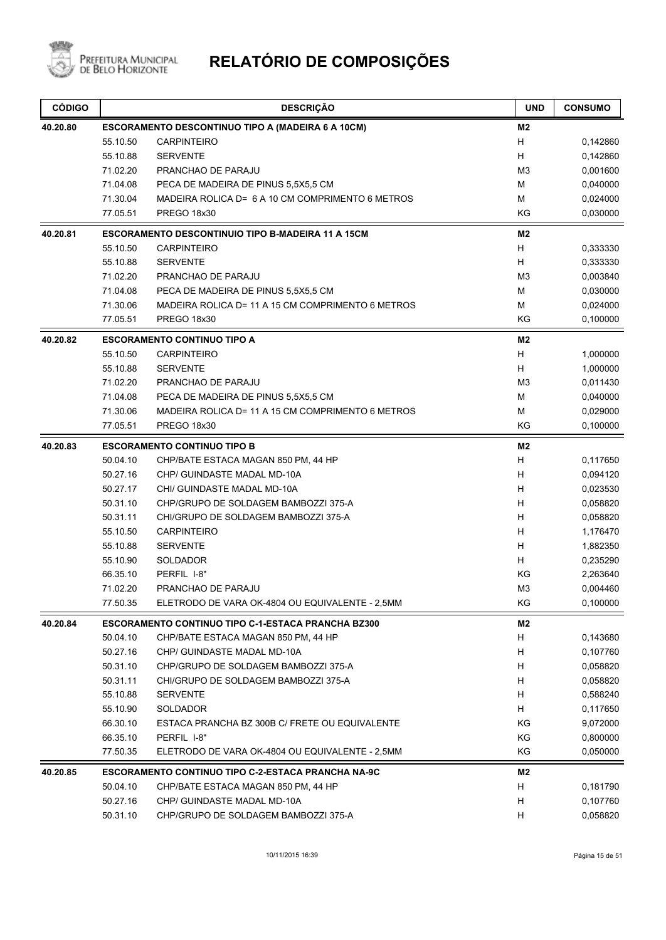

| <b>CÓDIGO</b> |          | <b>DESCRIÇÃO</b>                                          | <b>UND</b>     | <b>CONSUMO</b> |
|---------------|----------|-----------------------------------------------------------|----------------|----------------|
| 40.20.80      |          | <b>ESCORAMENTO DESCONTINUO TIPO A (MADEIRA 6 A 10CM)</b>  | M <sub>2</sub> |                |
|               | 55.10.50 | <b>CARPINTEIRO</b>                                        | H              | 0,142860       |
|               | 55.10.88 | <b>SERVENTE</b>                                           | H              | 0,142860       |
|               | 71.02.20 | PRANCHAO DE PARAJU                                        | M <sub>3</sub> | 0,001600       |
|               | 71.04.08 | PECA DE MADEIRA DE PINUS 5,5X5,5 CM                       | M              | 0,040000       |
|               | 71.30.04 | MADEIRA ROLICA D= 6 A 10 CM COMPRIMENTO 6 METROS          | М              | 0,024000       |
|               | 77.05.51 | <b>PREGO 18x30</b>                                        | KG             | 0,030000       |
| 40.20.81      |          | <b>ESCORAMENTO DESCONTINUIO TIPO B-MADEIRA 11 A 15CM</b>  | M <sub>2</sub> |                |
|               | 55.10.50 | <b>CARPINTEIRO</b>                                        | H              | 0,333330       |
|               | 55.10.88 | <b>SERVENTE</b>                                           | H              | 0,333330       |
|               | 71.02.20 | PRANCHAO DE PARAJU                                        | M <sub>3</sub> | 0,003840       |
|               | 71.04.08 | PECA DE MADEIRA DE PINUS 5,5X5,5 CM                       | M              | 0,030000       |
|               | 71.30.06 | MADEIRA ROLICA D= 11 A 15 CM COMPRIMENTO 6 METROS         | м              | 0,024000       |
|               | 77.05.51 | PREGO 18x30                                               | KG             | 0,100000       |
| 40.20.82      |          | <b>ESCORAMENTO CONTINUO TIPO A</b>                        | M <sub>2</sub> |                |
|               | 55.10.50 | <b>CARPINTEIRO</b>                                        | Н              | 1,000000       |
|               | 55.10.88 | <b>SERVENTE</b>                                           | H              | 1,000000       |
|               | 71.02.20 | PRANCHAO DE PARAJU                                        | M <sub>3</sub> | 0,011430       |
|               | 71.04.08 | PECA DE MADEIRA DE PINUS 5,5X5,5 CM                       | М              | 0,040000       |
|               | 71.30.06 | MADEIRA ROLICA D= 11 A 15 CM COMPRIMENTO 6 METROS         | M              | 0,029000       |
|               | 77.05.51 | PREGO 18x30                                               | KG             | 0,100000       |
| 40.20.83      |          | <b>ESCORAMENTO CONTINUO TIPO B</b>                        | M2             |                |
|               | 50.04.10 | CHP/BATE ESTACA MAGAN 850 PM, 44 HP                       | H              | 0,117650       |
|               | 50.27.16 | CHP/ GUINDASTE MADAL MD-10A                               | H              | 0,094120       |
|               | 50.27.17 | CHI/ GUINDASTE MADAL MD-10A                               | H              | 0,023530       |
|               | 50.31.10 | CHP/GRUPO DE SOLDAGEM BAMBOZZI 375-A                      | H              | 0,058820       |
|               | 50.31.11 | CHI/GRUPO DE SOLDAGEM BAMBOZZI 375-A                      | H              | 0,058820       |
|               | 55.10.50 | <b>CARPINTEIRO</b>                                        | H              | 1,176470       |
|               | 55.10.88 | <b>SERVENTE</b>                                           | H              | 1,882350       |
|               | 55.10.90 | SOLDADOR                                                  | H              | 0,235290       |
|               | 66.35.10 | PERFIL I-8"                                               | ΚG             | 2,263640       |
|               | 71.02.20 | PRANCHAO DE PARAJU                                        | M <sub>3</sub> | 0,004460       |
|               | 77.50.35 | ELETRODO DE VARA OK-4804 OU EQUIVALENTE - 2,5MM           | KG             | 0,100000       |
| 40.20.84      |          | <b>ESCORAMENTO CONTINUO TIPO C-1-ESTACA PRANCHA BZ300</b> | M2             |                |
|               | 50.04.10 | CHP/BATE ESTACA MAGAN 850 PM, 44 HP                       | H              | 0,143680       |
|               | 50.27.16 | CHP/ GUINDASTE MADAL MD-10A                               | H              | 0,107760       |
|               | 50.31.10 | CHP/GRUPO DE SOLDAGEM BAMBOZZI 375-A                      | H              | 0,058820       |
|               | 50.31.11 | CHI/GRUPO DE SOLDAGEM BAMBOZZI 375-A                      | H              | 0,058820       |
|               | 55.10.88 | <b>SERVENTE</b>                                           | H              | 0,588240       |
|               | 55.10.90 | <b>SOLDADOR</b>                                           | H              | 0,117650       |
|               | 66.30.10 | ESTACA PRANCHA BZ 300B C/ FRETE OU EQUIVALENTE            | KG             | 9,072000       |
|               | 66.35.10 | PERFIL I-8"                                               | KG             | 0,800000       |
|               | 77.50.35 | ELETRODO DE VARA OK-4804 OU EQUIVALENTE - 2,5MM           | KG             | 0,050000       |
| 40.20.85      |          | <b>ESCORAMENTO CONTINUO TIPO C-2-ESTACA PRANCHA NA-9C</b> | M2             |                |
|               | 50.04.10 | CHP/BATE ESTACA MAGAN 850 PM, 44 HP                       | H              | 0,181790       |
|               | 50.27.16 | CHP/ GUINDASTE MADAL MD-10A                               | H              | 0,107760       |
|               | 50.31.10 | CHP/GRUPO DE SOLDAGEM BAMBOZZI 375-A                      | H              | 0,058820       |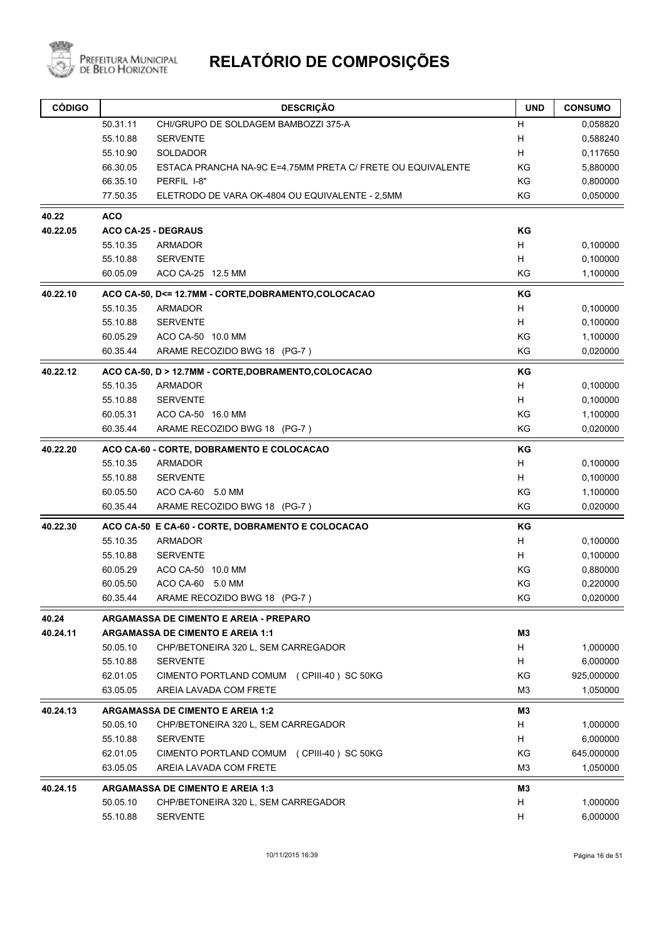

| <b>CÓDIGO</b> |            | <b>DESCRIÇÃO</b>                                            | <b>UND</b>     | <b>CONSUMO</b> |
|---------------|------------|-------------------------------------------------------------|----------------|----------------|
|               | 50.31.11   | CHI/GRUPO DE SOLDAGEM BAMBOZZI 375-A                        | н              | 0,058820       |
|               | 55.10.88   | <b>SERVENTE</b>                                             | Н              | 0,588240       |
|               | 55.10.90   | <b>SOLDADOR</b>                                             | н              | 0,117650       |
|               | 66.30.05   | ESTACA PRANCHA NA-9C E=4.75MM PRETA C/ FRETE OU EQUIVALENTE | KG             | 5,880000       |
|               | 66.35.10   | PERFIL I-8"                                                 | KG             | 0,800000       |
|               | 77.50.35   | ELETRODO DE VARA OK-4804 OU EQUIVALENTE - 2,5MM             | KG             | 0,050000       |
| 40.22         | <b>ACO</b> |                                                             |                |                |
| 40.22.05      |            | <b>ACO CA-25 - DEGRAUS</b>                                  | ΚG             |                |
|               | 55.10.35   | <b>ARMADOR</b>                                              | Н              | 0,100000       |
|               | 55.10.88   | <b>SERVENTE</b>                                             | H              | 0,100000       |
|               | 60.05.09   | ACO CA-25 12.5 MM                                           | KG             | 1,100000       |
| 40.22.10      |            | ACO CA-50, D<= 12.7MM - CORTE, DOBRAMENTO, COLOCACAO        | KG             |                |
|               | 55.10.35   | <b>ARMADOR</b>                                              | H              | 0,100000       |
|               | 55.10.88   | <b>SERVENTE</b>                                             | H              | 0,100000       |
|               | 60.05.29   | ACO CA-50 10.0 MM                                           | KG             | 1,100000       |
|               | 60.35.44   | ARAME RECOZIDO BWG 18 (PG-7)                                | KG             | 0,020000       |
| 40.22.12      |            | ACO CA-50, D > 12.7MM - CORTE, DOBRAMENTO, COLOCACAO        | KG             |                |
|               | 55.10.35   | <b>ARMADOR</b>                                              | H              | 0,100000       |
|               | 55.10.88   | <b>SERVENTE</b>                                             | H              | 0,100000       |
|               | 60.05.31   | ACO CA-50 16.0 MM                                           | KG             | 1,100000       |
|               | 60.35.44   | ARAME RECOZIDO BWG 18 (PG-7)                                | KG             | 0,020000       |
| 40.22.20      |            | ACO CA-60 - CORTE, DOBRAMENTO E COLOCACAO                   | KG             |                |
|               | 55.10.35   | <b>ARMADOR</b>                                              | H              | 0,100000       |
|               | 55.10.88   | <b>SERVENTE</b>                                             | н              | 0,100000       |
|               | 60.05.50   | ACO CA-60 5.0 MM                                            | KG             | 1,100000       |
|               | 60.35.44   | ARAME RECOZIDO BWG 18 (PG-7)                                | KG             | 0,020000       |
| 40.22.30      |            | ACO CA-50 E CA-60 - CORTE, DOBRAMENTO E COLOCACAO           | ΚG             |                |
|               | 55.10.35   | <b>ARMADOR</b>                                              | H              | 0,100000       |
|               | 55.10.88   | <b>SERVENTE</b>                                             | H              | 0,100000       |
|               | 60.05.29   | ACO CA-50 10.0 MM                                           | KG             | 0,880000       |
|               | 60.05.50   | ACO CA-60 5.0 MM                                            | ΚG             | 0,220000       |
|               | 60.35.44   | ARAME RECOZIDO BWG 18 (PG-7)                                | ΚG             | 0,020000       |
| 40.24         |            | ARGAMASSA DE CIMENTO E AREIA - PREPARO                      |                |                |
| 40.24.11      |            | <b>ARGAMASSA DE CIMENTO E AREIA 1:1</b>                     | M3             |                |
|               | 50.05.10   | CHP/BETONEIRA 320 L, SEM CARREGADOR                         | H              | 1,000000       |
|               | 55.10.88   | <b>SERVENTE</b>                                             | H.             | 6,000000       |
|               | 62.01.05   | CIMENTO PORTLAND COMUM (CPIII-40) SC 50KG                   | ΚG             | 925,000000     |
|               | 63.05.05   | AREIA LAVADA COM FRETE                                      | M <sub>3</sub> | 1,050000       |
| 40.24.13      |            | <b>ARGAMASSA DE CIMENTO E AREIA 1:2</b>                     | M3             |                |
|               | 50.05.10   | CHP/BETONEIRA 320 L, SEM CARREGADOR                         | H              | 1,000000       |
|               | 55.10.88   | <b>SERVENTE</b>                                             | Н              | 6,000000       |
|               | 62.01.05   | CIMENTO PORTLAND COMUM (CPIII-40) SC 50KG                   | ΚG             | 645,000000     |
|               | 63.05.05   | AREIA LAVADA COM FRETE                                      | M3             | 1,050000       |
| 40.24.15      |            | <b>ARGAMASSA DE CIMENTO E AREIA 1:3</b>                     | MЗ             |                |
|               | 50.05.10   | CHP/BETONEIRA 320 L, SEM CARREGADOR                         | н              | 1,000000       |
|               | 55.10.88   | <b>SERVENTE</b>                                             | H.             | 6,000000       |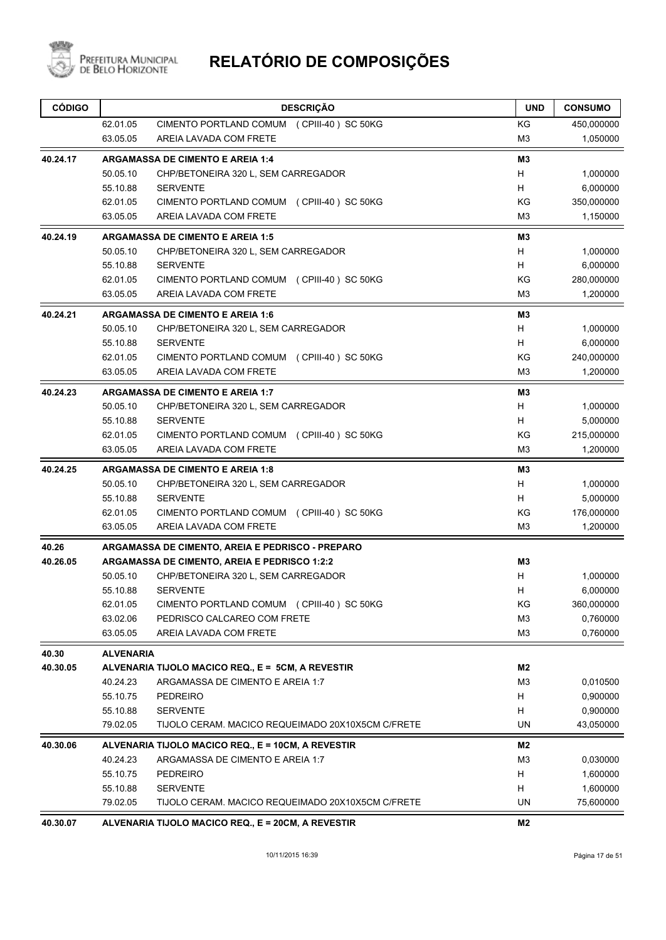

| <b>CÓDIGO</b> |                  | <b>DESCRIÇÃO</b>                                   | <b>UND</b>     | <b>CONSUMO</b> |
|---------------|------------------|----------------------------------------------------|----------------|----------------|
|               | 62.01.05         | CIMENTO PORTLAND COMUM (CPIII-40) SC 50KG          | KG             | 450,000000     |
|               | 63.05.05         | AREIA LAVADA COM FRETE                             | M <sub>3</sub> | 1,050000       |
| 40.24.17      |                  | <b>ARGAMASSA DE CIMENTO E AREIA 1:4</b>            | M3             |                |
|               | 50.05.10         | CHP/BETONEIRA 320 L, SEM CARREGADOR                | H              | 1,000000       |
|               | 55.10.88         | <b>SERVENTE</b>                                    | H              | 6,000000       |
|               | 62.01.05         | CIMENTO PORTLAND COMUM (CPIII-40) SC 50KG          | ΚG             | 350,000000     |
|               | 63.05.05         | AREIA LAVADA COM FRETE                             | M3             | 1,150000       |
| 40.24.19      |                  | <b>ARGAMASSA DE CIMENTO E AREIA 1:5</b>            | M <sub>3</sub> |                |
|               | 50.05.10         | CHP/BETONEIRA 320 L, SEM CARREGADOR                | H              | 1,000000       |
|               | 55.10.88         | <b>SERVENTE</b>                                    | H              | 6,000000       |
|               | 62.01.05         | CIMENTO PORTLAND COMUM (CPIII-40) SC 50KG          | ΚG             | 280,000000     |
|               | 63.05.05         | AREIA LAVADA COM FRETE                             | M <sub>3</sub> | 1,200000       |
| 40.24.21      |                  | <b>ARGAMASSA DE CIMENTO E AREIA 1:6</b>            | M3             |                |
|               | 50.05.10         | CHP/BETONEIRA 320 L, SEM CARREGADOR                | Н              | 1,000000       |
|               | 55.10.88         | <b>SERVENTE</b>                                    | H              | 6,000000       |
|               | 62.01.05         | CIMENTO PORTLAND COMUM (CPIII-40) SC 50KG          | KG             | 240,000000     |
|               | 63.05.05         | AREIA LAVADA COM FRETE                             | M <sub>3</sub> | 1,200000       |
| 40.24.23      |                  | <b>ARGAMASSA DE CIMENTO E AREIA 1:7</b>            | M <sub>3</sub> |                |
|               | 50.05.10         | CHP/BETONEIRA 320 L, SEM CARREGADOR                | H              | 1,000000       |
|               | 55.10.88         | <b>SERVENTE</b>                                    | H              | 5,000000       |
|               | 62.01.05         | CIMENTO PORTLAND COMUM (CPIII-40) SC 50KG          | KG             | 215,000000     |
|               | 63.05.05         | AREIA LAVADA COM FRETE                             | M <sub>3</sub> | 1,200000       |
| 40.24.25      |                  | <b>ARGAMASSA DE CIMENTO E AREIA 1:8</b>            | M3             |                |
|               | 50.05.10         | CHP/BETONEIRA 320 L, SEM CARREGADOR                | H              | 1,000000       |
|               | 55.10.88         | <b>SERVENTE</b>                                    | H              | 5,000000       |
|               | 62.01.05         | CIMENTO PORTLAND COMUM (CPIII-40) SC 50KG          | ΚG             | 176,000000     |
|               | 63.05.05         | AREIA LAVADA COM FRETE                             | M <sub>3</sub> | 1,200000       |
| 40.26         |                  | ARGAMASSA DE CIMENTO, AREIA E PEDRISCO - PREPARO   |                |                |
| 40.26.05      |                  | ARGAMASSA DE CIMENTO, AREIA E PEDRISCO 1:2:2       | M3             |                |
|               | 50.05.10         | CHP/BETONEIRA 320 L, SEM CARREGADOR                | н              | 1,000000       |
|               | 55.10.88         | <b>SERVENTE</b>                                    | н              | 6,000000       |
|               | 62.01.05         | CIMENTO PORTLAND COMUM (CPIII-40) SC 50KG          | ΚG             | 360,000000     |
|               | 63.02.06         | PEDRISCO CALCAREO COM FRETE                        | M3             | 0,760000       |
|               | 63.05.05         | AREIA LAVADA COM FRETE                             | M <sub>3</sub> | 0,760000       |
| 40.30         | <b>ALVENARIA</b> |                                                    |                |                |
| 40.30.05      |                  | ALVENARIA TIJOLO MACICO REQ., E = 5CM, A REVESTIR  | M2             |                |
|               | 40.24.23         | ARGAMASSA DE CIMENTO E AREIA 1:7                   | M <sub>3</sub> | 0,010500       |
|               | 55.10.75         | <b>PEDREIRO</b>                                    | H              | 0,900000       |
|               | 55.10.88         | <b>SERVENTE</b>                                    | н              | 0,900000       |
|               | 79.02.05         | TIJOLO CERAM. MACICO REQUEIMADO 20X10X5CM C/FRETE  | UN             | 43,050000      |
| 40.30.06      |                  | ALVENARIA TIJOLO MACICO REQ., E = 10CM, A REVESTIR | M2             |                |
|               | 40.24.23         | ARGAMASSA DE CIMENTO E AREIA 1:7                   | M <sub>3</sub> | 0,030000       |
|               | 55.10.75         | PEDREIRO                                           | H              | 1,600000       |
|               | 55.10.88         | <b>SERVENTE</b>                                    | Н              | 1,600000       |
|               | 79.02.05         | TIJOLO CERAM. MACICO REQUEIMADO 20X10X5CM C/FRETE  | UN             | 75,600000      |
| 40.30.07      |                  | ALVENARIA TIJOLO MACICO REQ., E = 20CM, A REVESTIR | M <sub>2</sub> |                |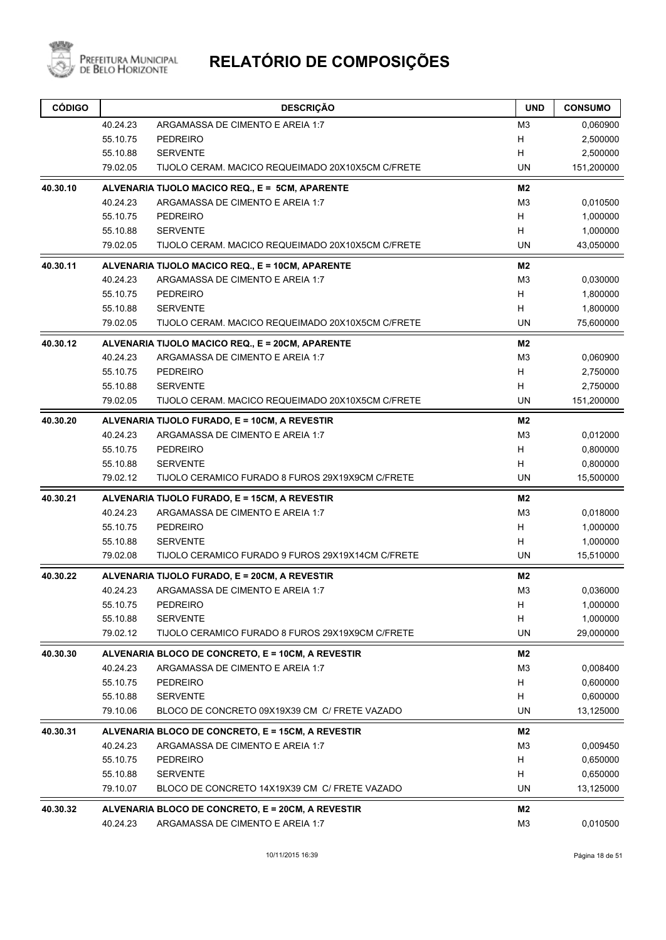

| <b>CÓDIGO</b> |                      | <b>DESCRIÇÃO</b>                                                                  | <b>UND</b>           | <b>CONSUMO</b>       |
|---------------|----------------------|-----------------------------------------------------------------------------------|----------------------|----------------------|
|               | 40.24.23             | ARGAMASSA DE CIMENTO E AREIA 1:7                                                  | M <sub>3</sub>       | 0,060900             |
|               | 55.10.75             | <b>PEDREIRO</b>                                                                   | Н                    | 2,500000             |
|               | 55.10.88             | <b>SERVENTE</b>                                                                   | H                    | 2,500000             |
|               | 79.02.05             | TIJOLO CERAM. MACICO REQUEIMADO 20X10X5CM C/FRETE                                 | <b>UN</b>            | 151,200000           |
| 40.30.10      |                      | ALVENARIA TIJOLO MACICO REQ., E = 5CM, APARENTE                                   | M2                   |                      |
|               | 40.24.23             | ARGAMASSA DE CIMENTO E AREIA 1:7                                                  | M <sub>3</sub>       | 0,010500             |
|               | 55.10.75             | <b>PEDREIRO</b>                                                                   | H                    | 1,000000             |
|               | 55.10.88             | <b>SERVENTE</b>                                                                   | H                    | 1,000000             |
|               | 79.02.05             | TIJOLO CERAM. MACICO REQUEIMADO 20X10X5CM C/FRETE                                 | UN                   | 43,050000            |
| 40.30.11      |                      | ALVENARIA TIJOLO MACICO REQ., E = 10CM, APARENTE                                  | M2                   |                      |
|               | 40.24.23             | ARGAMASSA DE CIMENTO E AREIA 1:7                                                  | M <sub>3</sub>       | 0,030000             |
|               | 55.10.75             | <b>PEDREIRO</b>                                                                   | H                    | 1,800000             |
|               | 55.10.88             | <b>SERVENTE</b>                                                                   | H                    | 1,800000             |
|               | 79.02.05             | TIJOLO CERAM. MACICO REQUEIMADO 20X10X5CM C/FRETE                                 | UN                   | 75,600000            |
| 40.30.12      |                      | ALVENARIA TIJOLO MACICO REQ., E = 20CM, APARENTE                                  | M <sub>2</sub>       |                      |
|               | 40.24.23             | ARGAMASSA DE CIMENTO E AREIA 1:7                                                  | M <sub>3</sub>       | 0,060900             |
|               | 55.10.75             | <b>PEDREIRO</b>                                                                   | H                    | 2,750000             |
|               | 55.10.88<br>79.02.05 | <b>SERVENTE</b><br>TIJOLO CERAM. MACICO REQUEIMADO 20X10X5CM C/FRETE              | H<br>UN              | 2,750000             |
|               |                      |                                                                                   |                      | 151,200000           |
| 40.30.20      | 40.24.23             | ALVENARIA TIJOLO FURADO, E = 10CM, A REVESTIR<br>ARGAMASSA DE CIMENTO E AREIA 1:7 | M2<br>M <sub>3</sub> |                      |
|               | 55.10.75             | <b>PEDREIRO</b>                                                                   | H                    | 0,012000<br>0,800000 |
|               | 55.10.88             | <b>SERVENTE</b>                                                                   | H.                   | 0,800000             |
|               | 79.02.12             | TIJOLO CERAMICO FURADO 8 FUROS 29X19X9CM C/FRETE                                  | UN                   | 15,500000            |
| 40.30.21      |                      | ALVENARIA TIJOLO FURADO, E = 15CM, A REVESTIR                                     | M <sub>2</sub>       |                      |
|               | 40.24.23             | ARGAMASSA DE CIMENTO E AREIA 1:7                                                  | M <sub>3</sub>       | 0,018000             |
|               | 55.10.75             | <b>PEDREIRO</b>                                                                   | H                    | 1,000000             |
|               | 55.10.88             | <b>SERVENTE</b>                                                                   | н                    | 1,000000             |
|               | 79.02.08             | TIJOLO CERAMICO FURADO 9 FUROS 29X19X14CM C/FRETE                                 | UN                   | 15,510000            |
| 40.30.22      |                      | ALVENARIA TIJOLO FURADO, E = 20CM, A REVESTIR                                     | M2                   |                      |
|               | 40.24.23             | ARGAMASSA DE CIMENTO E AREIA 1:7                                                  | M <sub>3</sub>       | 0,036000             |
|               | 55.10.75             | PEDREIRO                                                                          | H                    | 1,000000             |
|               | 55.10.88             | <b>SERVENTE</b>                                                                   | Н                    | 1,000000             |
|               | 79.02.12             | TIJOLO CERAMICO FURADO 8 FUROS 29X19X9CM C/FRETE                                  | UN                   | 29,000000            |
| 40.30.30      |                      | ALVENARIA BLOCO DE CONCRETO, E = 10CM, A REVESTIR                                 | M2                   |                      |
|               | 40.24.23             | ARGAMASSA DE CIMENTO E AREIA 1:7                                                  | M <sub>3</sub>       | 0,008400             |
|               | 55.10.75             | <b>PEDREIRO</b>                                                                   | H                    | 0,600000             |
|               | 55.10.88             | <b>SERVENTE</b>                                                                   | H                    | 0,600000             |
|               | 79.10.06             | BLOCO DE CONCRETO 09X19X39 CM C/ FRETE VAZADO                                     | <b>UN</b>            | 13,125000            |
| 40.30.31      |                      | ALVENARIA BLOCO DE CONCRETO, E = 15CM, A REVESTIR                                 | M2                   |                      |
|               | 40.24.23             | ARGAMASSA DE CIMENTO E AREIA 1:7                                                  | M <sub>3</sub>       | 0,009450             |
|               | 55.10.75             | <b>PEDREIRO</b>                                                                   | H                    | 0,650000             |
|               | 55.10.88             | <b>SERVENTE</b>                                                                   | Н                    | 0,650000             |
|               | 79.10.07             | BLOCO DE CONCRETO 14X19X39 CM C/ FRETE VAZADO                                     | UN                   | 13,125000            |
| 40.30.32      |                      | ALVENARIA BLOCO DE CONCRETO, E = 20CM, A REVESTIR                                 | M2                   |                      |
|               | 40.24.23             | ARGAMASSA DE CIMENTO E AREIA 1:7                                                  | M <sub>3</sub>       | 0,010500             |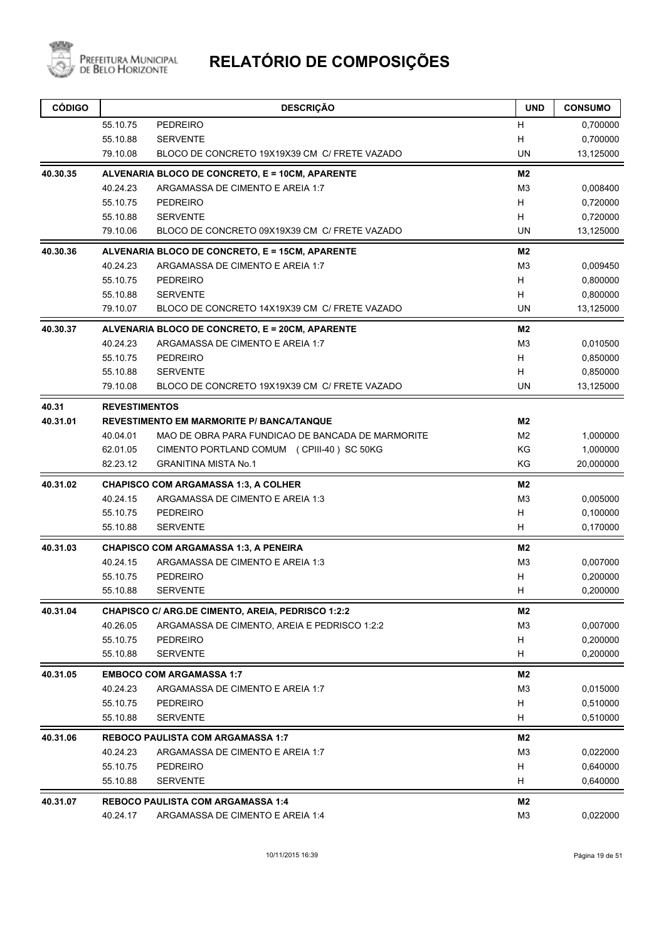

Prefeitura Municipal<br>de Belo Horizonte

| <b>CÓDIGO</b> |                      | <b>DESCRIÇÃO</b>                                         | <b>UND</b>     | <b>CONSUMO</b> |
|---------------|----------------------|----------------------------------------------------------|----------------|----------------|
|               | 55.10.75             | <b>PEDREIRO</b>                                          | н              | 0,700000       |
|               | 55.10.88             | <b>SERVENTE</b>                                          | н              | 0,700000       |
|               | 79.10.08             | BLOCO DE CONCRETO 19X19X39 CM C/ FRETE VAZADO            | UN             | 13,125000      |
| 40.30.35      |                      | ALVENARIA BLOCO DE CONCRETO, E = 10CM, APARENTE          | M <sub>2</sub> |                |
|               | 40.24.23             | ARGAMASSA DE CIMENTO E AREIA 1:7                         | M3             | 0,008400       |
|               | 55.10.75             | <b>PEDREIRO</b>                                          | H              | 0,720000       |
|               | 55.10.88             | <b>SERVENTE</b>                                          | H              | 0,720000       |
|               | 79.10.06             | BLOCO DE CONCRETO 09X19X39 CM C/ FRETE VAZADO            | <b>UN</b>      | 13,125000      |
| 40.30.36      |                      | ALVENARIA BLOCO DE CONCRETO, E = 15CM, APARENTE          | M2             |                |
|               | 40.24.23             | ARGAMASSA DE CIMENTO E AREIA 1:7                         | M <sub>3</sub> | 0,009450       |
|               | 55.10.75             | <b>PEDREIRO</b>                                          | H              | 0,800000       |
|               | 55.10.88             | <b>SERVENTE</b>                                          | н              | 0,800000       |
|               | 79.10.07             | BLOCO DE CONCRETO 14X19X39 CM C/ FRETE VAZADO            | <b>UN</b>      | 13,125000      |
| 40.30.37      |                      | ALVENARIA BLOCO DE CONCRETO, E = 20CM, APARENTE          | M2             |                |
|               | 40.24.23             | ARGAMASSA DE CIMENTO E AREIA 1:7                         | M <sub>3</sub> | 0,010500       |
|               | 55.10.75             | <b>PEDREIRO</b>                                          | H              | 0,850000       |
|               | 55.10.88             | <b>SERVENTE</b>                                          | H              | 0,850000       |
|               | 79.10.08             | BLOCO DE CONCRETO 19X19X39 CM C/ FRETE VAZADO            | UN             | 13,125000      |
| 40.31         | <b>REVESTIMENTOS</b> |                                                          |                |                |
| 40.31.01      |                      | <b>REVESTIMENTO EM MARMORITE P/ BANCA/TANQUE</b>         | M2             |                |
|               | 40.04.01             | MAO DE OBRA PARA FUNDICAO DE BANCADA DE MARMORITE        | M <sub>2</sub> | 1,000000       |
|               | 62.01.05             | CIMENTO PORTLAND COMUM (CPIII-40) SC 50KG                | ΚG             | 1,000000       |
|               | 82.23.12             | <b>GRANITINA MISTA No.1</b>                              | KG             | 20,000000      |
| 40.31.02      |                      | <b>CHAPISCO COM ARGAMASSA 1:3, A COLHER</b>              | M2             |                |
|               | 40.24.15             | ARGAMASSA DE CIMENTO E AREIA 1:3                         | M <sub>3</sub> | 0,005000       |
|               | 55.10.75             | <b>PEDREIRO</b>                                          | H              | 0,100000       |
|               | 55.10.88             | <b>SERVENTE</b>                                          | н              | 0,170000       |
| 40.31.03      |                      | <b>CHAPISCO COM ARGAMASSA 1:3, A PENEIRA</b>             | M2             |                |
|               | 40.24.15             | ARGAMASSA DE CIMENTO E AREIA 1:3                         | M <sub>3</sub> | 0,007000       |
|               | 55.10.75             | <b>PEDREIRO</b>                                          | н              | 0,200000       |
|               | 55.10.88             | <b>SERVENTE</b>                                          | н              | 0,200000       |
| 40.31.04      |                      | <b>CHAPISCO C/ ARG.DE CIMENTO, AREIA, PEDRISCO 1:2:2</b> | M2             |                |
|               | 40.26.05             | ARGAMASSA DE CIMENTO, AREIA E PEDRISCO 1:2:2             | M <sub>3</sub> | 0,007000       |
|               | 55.10.75             | <b>PEDREIRO</b>                                          | н              | 0,200000       |
|               | 55.10.88             | <b>SERVENTE</b>                                          | н              | 0,200000       |
| 40.31.05      |                      | <b>EMBOCO COM ARGAMASSA 1:7</b>                          | M <sub>2</sub> |                |
|               | 40.24.23             | ARGAMASSA DE CIMENTO E AREIA 1:7                         | M <sub>3</sub> | 0,015000       |
|               | 55.10.75             | <b>PEDREIRO</b>                                          | H              | 0,510000       |
|               | 55.10.88             | <b>SERVENTE</b>                                          | H              | 0,510000       |
| 40.31.06      |                      | <b>REBOCO PAULISTA COM ARGAMASSA 1:7</b>                 | M2             |                |
|               | 40.24.23             | ARGAMASSA DE CIMENTO E AREIA 1:7                         | M <sub>3</sub> | 0,022000       |
|               | 55.10.75             | <b>PEDREIRO</b>                                          | н              | 0,640000       |
|               | 55.10.88             | <b>SERVENTE</b>                                          | н              | 0,640000       |
| 40.31.07      |                      | <b>REBOCO PAULISTA COM ARGAMASSA 1:4</b>                 | M2             |                |
|               | 40.24.17             | ARGAMASSA DE CIMENTO E AREIA 1:4                         | M <sub>3</sub> | 0,022000       |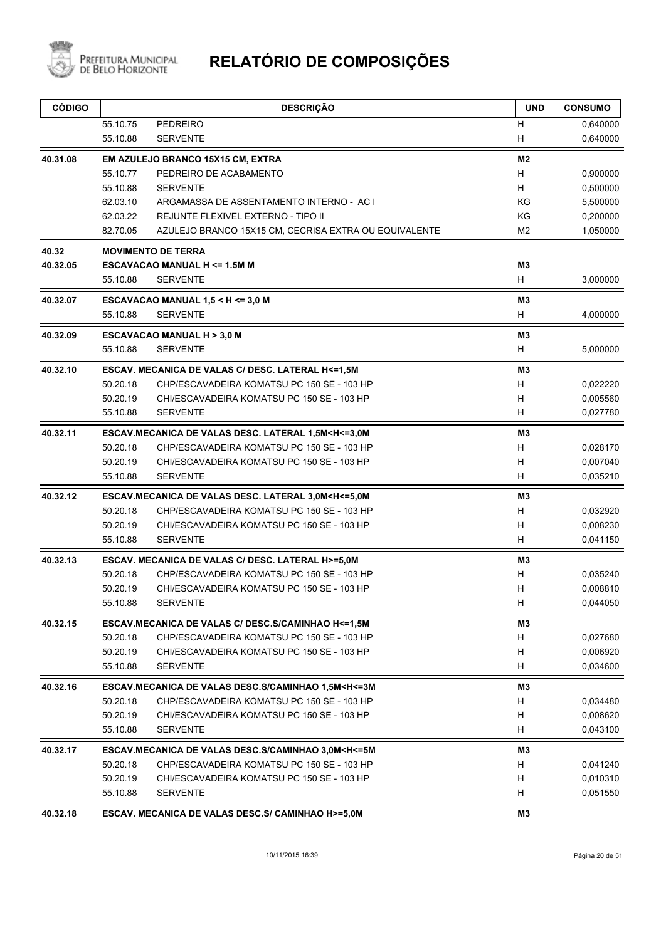

| <b>CÓDIGO</b> | <b>DESCRIÇÃO</b>                                                                           | <b>UND</b>     | <b>CONSUMO</b> |
|---------------|--------------------------------------------------------------------------------------------|----------------|----------------|
|               | 55.10.75<br>PEDREIRO                                                                       | н              | 0,640000       |
|               | 55.10.88<br><b>SERVENTE</b>                                                                | H              | 0,640000       |
| 40.31.08      | EM AZULEJO BRANCO 15X15 CM, EXTRA                                                          | M2             |                |
|               | 55.10.77<br>PEDREIRO DE ACABAMENTO                                                         | H              | 0,900000       |
|               | 55.10.88<br><b>SERVENTE</b>                                                                | H.             | 0,500000       |
|               | 62.03.10<br>ARGAMASSA DE ASSENTAMENTO INTERNO - AC I                                       | KG             | 5,500000       |
|               | 62.03.22<br>REJUNTE FLEXIVEL EXTERNO - TIPO II                                             | ΚG             | 0,200000       |
|               | 82.70.05<br>AZULEJO BRANCO 15X15 CM, CECRISA EXTRA OU EQUIVALENTE                          | M2             | 1,050000       |
| 40.32         | <b>MOVIMENTO DE TERRA</b>                                                                  |                |                |
| 40.32.05      | <b>ESCAVACAO MANUAL H &lt;= 1.5M M</b>                                                     | M <sub>3</sub> |                |
|               | 55.10.88<br><b>SERVENTE</b>                                                                | H              | 3,000000       |
| 40.32.07      | ESCAVACAO MANUAL 1,5 < H <= 3,0 M                                                          | M3             |                |
|               | <b>SERVENTE</b><br>55.10.88                                                                | H              | 4,000000       |
| 40.32.09      | <b>ESCAVACAO MANUAL H &gt; 3,0 M</b>                                                       | M <sub>3</sub> |                |
|               | 55.10.88<br><b>SERVENTE</b>                                                                | H              | 5,000000       |
| 40.32.10      | ESCAV. MECANICA DE VALAS C/ DESC. LATERAL H<=1,5M                                          | M3             |                |
|               | 50.20.18<br>CHP/ESCAVADEIRA KOMATSU PC 150 SE - 103 HP                                     | H              | 0,022220       |
|               | 50.20.19<br>CHI/ESCAVADEIRA KOMATSU PC 150 SE - 103 HP                                     | H              | 0,005560       |
|               | <b>SERVENTE</b><br>55.10.88                                                                | H              | 0,027780       |
| 40.32.11      | ESCAV.MECANICA DE VALAS DESC. LATERAL 1,5M <h<=3,0m< td=""><td>M3</td><td></td></h<=3,0m<> | M3             |                |
|               | 50.20.18<br>CHP/ESCAVADEIRA KOMATSU PC 150 SE - 103 HP                                     | H              | 0,028170       |
|               | 50.20.19<br>CHI/ESCAVADEIRA KOMATSU PC 150 SE - 103 HP                                     | н              | 0,007040       |
|               | <b>SERVENTE</b><br>55.10.88                                                                | H              | 0,035210       |
| 40.32.12      | ESCAV.MECANICA DE VALAS DESC. LATERAL 3,0M <h<=5,0m< td=""><td>M3</td><td></td></h<=5,0m<> | M3             |                |
|               | 50.20.18<br>CHP/ESCAVADEIRA KOMATSU PC 150 SE - 103 HP                                     | H              | 0,032920       |
|               | 50.20.19<br>CHI/ESCAVADEIRA KOMATSU PC 150 SE - 103 HP                                     | H              | 0,008230       |
|               | 55.10.88<br><b>SERVENTE</b>                                                                | H              | 0,041150       |
| 40.32.13      | ESCAV. MECANICA DE VALAS C/ DESC. LATERAL H>=5,0M                                          | M <sub>3</sub> |                |
|               | 50.20.18<br>CHP/ESCAVADEIRA KOMATSU PC 150 SE - 103 HP                                     | H              | 0,035240       |
|               | 50.20.19<br>CHI/ESCAVADEIRA KOMATSU PC 150 SE - 103 HP                                     | н              | 0,008810       |
|               | 55.10.88<br><b>SERVENTE</b>                                                                | H              | 0,044050       |
| 40.32.15      | ESCAV.MECANICA DE VALAS C/ DESC.S/CAMINHAO H<=1,5M                                         | M <sub>3</sub> |                |
|               | CHP/ESCAVADEIRA KOMATSU PC 150 SE - 103 HP<br>50.20.18                                     | H              | 0,027680       |
|               | 50.20.19<br>CHI/ESCAVADEIRA KOMATSU PC 150 SE - 103 HP                                     | H              | 0,006920       |
|               | 55.10.88<br><b>SERVENTE</b>                                                                | H              | 0,034600       |
| 40.32.16      | ESCAV.MECANICA DE VALAS DESC.S/CAMINHAO 1,5M <h<=3m< td=""><td>M3</td><td></td></h<=3m<>   | M3             |                |
|               | 50.20.18<br>CHP/ESCAVADEIRA KOMATSU PC 150 SE - 103 HP                                     | H              | 0,034480       |
|               | 50.20.19<br>CHI/ESCAVADEIRA KOMATSU PC 150 SE - 103 HP                                     | H              | 0,008620       |
|               | 55.10.88<br><b>SERVENTE</b>                                                                | H              | 0,043100       |
| 40.32.17      | ESCAV.MECANICA DE VALAS DESC.S/CAMINHAO 3,0M <h<=5m< td=""><td>M3</td><td></td></h<=5m<>   | M3             |                |
|               | 50.20.18<br>CHP/ESCAVADEIRA KOMATSU PC 150 SE - 103 HP                                     | H              | 0,041240       |
|               | 50.20.19<br>CHI/ESCAVADEIRA KOMATSU PC 150 SE - 103 HP                                     | H              | 0,010310       |
|               | <b>SERVENTE</b><br>55.10.88                                                                | H              | 0,051550       |
| 40.32.18      | ESCAV. MECANICA DE VALAS DESC.S/ CAMINHAO H>=5,0M                                          | M <sub>3</sub> |                |

10/11/2015 16:39 Página 20 de 51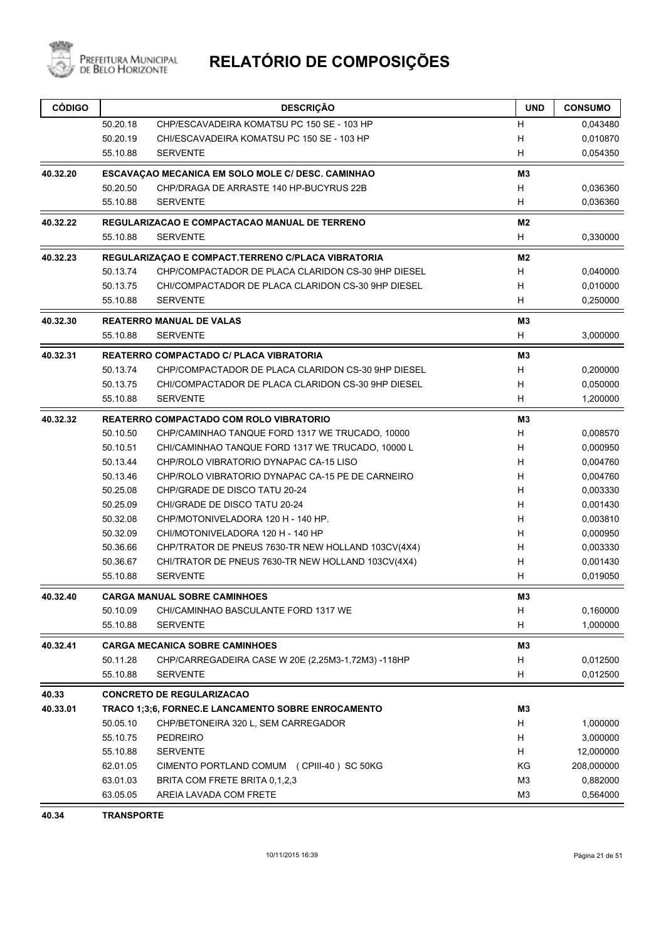

| <b>CÓDIGO</b> |          | <b>DESCRIÇÃO</b>                                   | <b>UND</b>     | <b>CONSUMO</b> |
|---------------|----------|----------------------------------------------------|----------------|----------------|
|               | 50.20.18 | CHP/ESCAVADEIRA KOMATSU PC 150 SE - 103 HP         | н              | 0,043480       |
|               | 50.20.19 | CHI/ESCAVADEIRA KOMATSU PC 150 SE - 103 HP         | н              | 0,010870       |
|               | 55.10.88 | <b>SERVENTE</b>                                    | H              | 0,054350       |
| 40.32.20      |          | ESCAVAÇÃO MECANICA EM SOLO MOLE C/ DESC. CAMINHÃO  | M <sub>3</sub> |                |
|               | 50.20.50 | CHP/DRAGA DE ARRASTE 140 HP-BUCYRUS 22B            | н              | 0,036360       |
|               | 55.10.88 | <b>SERVENTE</b>                                    | н              | 0,036360       |
| 40.32.22      |          | REGULARIZACAO E COMPACTACAO MANUAL DE TERRENO      | M2             |                |
|               | 55.10.88 | <b>SERVENTE</b>                                    | Н              | 0,330000       |
| 40.32.23      |          | REGULARIZAÇÃO E COMPACT.TERRENO C/PLACA VIBRATORIA | M <sub>2</sub> |                |
|               | 50.13.74 | CHP/COMPACTADOR DE PLACA CLARIDON CS-30 9HP DIESEL | н              | 0,040000       |
|               | 50.13.75 | CHI/COMPACTADOR DE PLACA CLARIDON CS-30 9HP DIESEL | н              | 0,010000       |
|               | 55.10.88 | <b>SERVENTE</b>                                    | н              | 0,250000       |
| 40.32.30      |          | <b>REATERRO MANUAL DE VALAS</b>                    | MЗ             |                |
|               | 55.10.88 | <b>SERVENTE</b>                                    | н              | 3,000000       |
| 40.32.31      |          | <b>REATERRO COMPACTADO C/ PLACA VIBRATORIA</b>     | M <sub>3</sub> |                |
|               | 50.13.74 | CHP/COMPACTADOR DE PLACA CLARIDON CS-30 9HP DIESEL | н              | 0,200000       |
|               | 50.13.75 | CHI/COMPACTADOR DE PLACA CLARIDON CS-30 9HP DIESEL | н              | 0,050000       |
|               | 55.10.88 | <b>SERVENTE</b>                                    | н              | 1,200000       |
| 40.32.32      |          | REATERRO COMPACTADO COM ROLO VIBRATORIO            | M3             |                |
|               | 50.10.50 | CHP/CAMINHAO TANQUE FORD 1317 WE TRUCADO, 10000    | H              | 0,008570       |
|               | 50.10.51 | CHI/CAMINHAO TANQUE FORD 1317 WE TRUCADO, 10000 L  | н              | 0,000950       |
|               | 50.13.44 | CHP/ROLO VIBRATORIO DYNAPAC CA-15 LISO             | н              | 0,004760       |
|               | 50.13.46 | CHP/ROLO VIBRATORIO DYNAPAC CA-15 PE DE CARNEIRO   | H              | 0,004760       |
|               | 50.25.08 | CHP/GRADE DE DISCO TATU 20-24                      | H              | 0,003330       |
|               | 50.25.09 | CHI/GRADE DE DISCO TATU 20-24                      | H              | 0,001430       |
|               | 50.32.08 | CHP/MOTONIVELADORA 120 H - 140 HP.                 | H              | 0,003810       |
|               | 50.32.09 | CHI/MOTONIVELADORA 120 H - 140 HP                  | н              | 0,000950       |
|               | 50.36.66 | CHP/TRATOR DE PNEUS 7630-TR NEW HOLLAND 103CV(4X4) | н              | 0,003330       |
|               | 50.36.67 | CHI/TRATOR DE PNEUS 7630-TR NEW HOLLAND 103CV(4X4) | н              | 0,001430       |
|               | 55.10.88 | <b>SERVENTE</b>                                    | H              | 0,019050       |
| 40.32.40      |          | <b>CARGA MANUAL SOBRE CAMINHOES</b>                | M <sub>3</sub> |                |
|               | 50.10.09 | CHI/CAMINHAO BASCULANTE FORD 1317 WE               | н              | 0,160000       |
|               | 55.10.88 | <b>SERVENTE</b>                                    | н              | 1,000000       |
| 40.32.41      |          | <b>CARGA MECANICA SOBRE CAMINHOES</b>              | MЗ             |                |
|               | 50.11.28 | CHP/CARREGADEIRA CASE W 20E (2,25M3-1,72M3) -118HP | н              | 0,012500       |
|               | 55.10.88 | <b>SERVENTE</b>                                    | H              | 0,012500       |
| 40.33         |          | <b>CONCRETO DE REGULARIZACAO</b>                   |                |                |
| 40.33.01      |          | TRACO 1;3;6, FORNEC.E LANCAMENTO SOBRE ENROCAMENTO | M3             |                |
|               | 50.05.10 | CHP/BETONEIRA 320 L, SEM CARREGADOR                | H              | 1,000000       |
|               | 55.10.75 | <b>PEDREIRO</b>                                    | н              | 3,000000       |
|               | 55.10.88 | <b>SERVENTE</b>                                    | H              | 12,000000      |
|               | 62.01.05 | CIMENTO PORTLAND COMUM (CPIII-40) SC 50KG          | ΚG             | 208,000000     |
|               | 63.01.03 | BRITA COM FRETE BRITA 0,1,2,3                      | M <sub>3</sub> | 0,882000       |
|               | 63.05.05 | AREIA LAVADA COM FRETE                             | M <sub>3</sub> | 0,564000       |

**40.34 TRANSPORTE**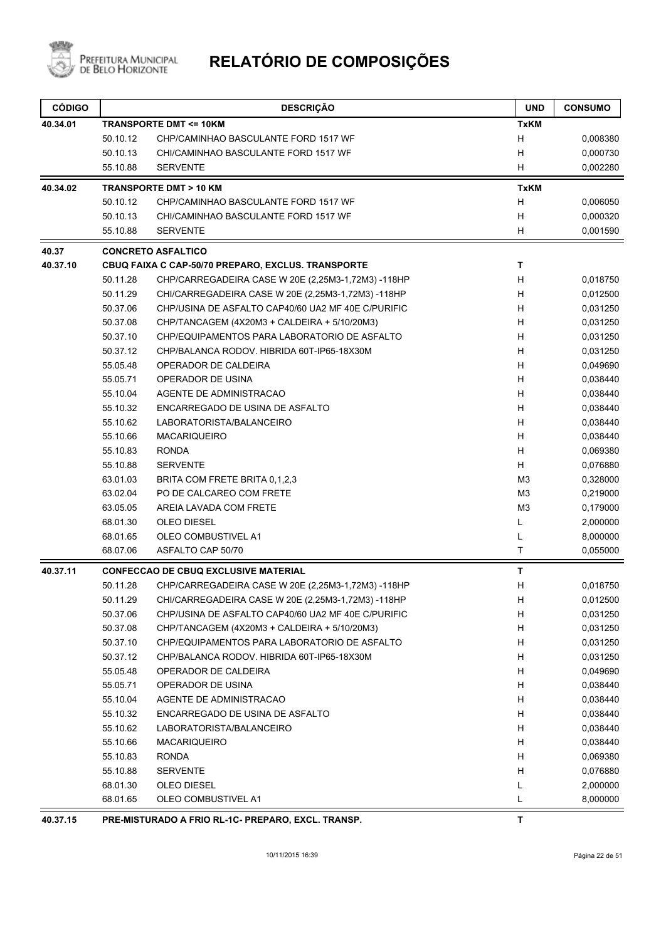

| <b>CÓDIGO</b> |          | <b>DESCRIÇÃO</b>                                   | <b>UND</b>     | <b>CONSUMO</b> |
|---------------|----------|----------------------------------------------------|----------------|----------------|
| 40.34.01      |          | <b>TRANSPORTE DMT &lt;= 10KM</b>                   | <b>TxKM</b>    |                |
|               | 50.10.12 | CHP/CAMINHAO BASCULANTE FORD 1517 WF               | H              | 0,008380       |
|               | 50.10.13 | CHI/CAMINHAO BASCULANTE FORD 1517 WF               | н              | 0,000730       |
|               | 55.10.88 | <b>SERVENTE</b>                                    | H              | 0,002280       |
| 40.34.02      |          | <b>TRANSPORTE DMT &gt; 10 KM</b>                   | <b>TxKM</b>    |                |
|               | 50.10.12 | CHP/CAMINHAO BASCULANTE FORD 1517 WF               | H              | 0,006050       |
|               | 50.10.13 | CHI/CAMINHAO BASCULANTE FORD 1517 WF               | H              | 0,000320       |
|               | 55.10.88 | <b>SERVENTE</b>                                    | H              | 0,001590       |
| 40.37         |          | <b>CONCRETO ASFALTICO</b>                          |                |                |
| 40.37.10      |          | CBUQ FAIXA C CAP-50/70 PREPARO, EXCLUS. TRANSPORTE | T              |                |
|               | 50.11.28 | CHP/CARREGADEIRA CASE W 20E (2,25M3-1,72M3) -118HP | H              | 0,018750       |
|               | 50.11.29 | CHI/CARREGADEIRA CASE W 20E (2,25M3-1,72M3) -118HP | н              | 0,012500       |
|               | 50.37.06 | CHP/USINA DE ASFALTO CAP40/60 UA2 MF 40E C/PURIFIC | н              | 0,031250       |
|               | 50.37.08 | CHP/TANCAGEM (4X20M3 + CALDEIRA + 5/10/20M3)       | H              | 0,031250       |
|               | 50.37.10 | CHP/EQUIPAMENTOS PARA LABORATORIO DE ASFALTO       | н              | 0,031250       |
|               | 50.37.12 | CHP/BALANCA RODOV. HIBRIDA 60T-IP65-18X30M         | н              | 0,031250       |
|               | 55.05.48 | OPERADOR DE CALDEIRA                               | H              | 0,049690       |
|               | 55.05.71 | OPERADOR DE USINA                                  | H              | 0,038440       |
|               | 55.10.04 | AGENTE DE ADMINISTRACAO                            | H              | 0,038440       |
|               | 55.10.32 | ENCARREGADO DE USINA DE ASFALTO                    | н              | 0,038440       |
|               | 55.10.62 | LABORATORISTA/BALANCEIRO                           | Н              | 0,038440       |
|               | 55.10.66 | <b>MACARIQUEIRO</b>                                | H              | 0,038440       |
|               | 55.10.83 | <b>RONDA</b>                                       | H              | 0,069380       |
|               | 55.10.88 | <b>SERVENTE</b>                                    | H              | 0,076880       |
|               | 63.01.03 | BRITA COM FRETE BRITA 0,1,2,3                      | M <sub>3</sub> | 0,328000       |
|               | 63.02.04 | PO DE CALCAREO COM FRETE                           | M <sub>3</sub> | 0,219000       |
|               | 63.05.05 | AREIA LAVADA COM FRETE                             | M <sub>3</sub> | 0,179000       |
|               | 68.01.30 | <b>OLEO DIESEL</b>                                 | Г              | 2,000000       |
|               | 68.01.65 | <b>OLEO COMBUSTIVEL A1</b>                         | L              | 8,000000       |
|               | 68.07.06 | ASFALTO CAP 50/70                                  | T              | 0,055000       |
| 40.37.11      |          | <b>CONFECCAO DE CBUQ EXCLUSIVE MATERIAL</b>        | T              |                |
|               | 50.11.28 | CHP/CARREGADEIRA CASE W 20E (2,25M3-1,72M3) -118HP | н              | 0,018750       |
|               | 50.11.29 | CHI/CARREGADEIRA CASE W 20E (2,25M3-1,72M3) -118HP | н              | 0,012500       |
|               | 50.37.06 | CHP/USINA DE ASFALTO CAP40/60 UA2 MF 40E C/PURIFIC | н              | 0,031250       |
|               | 50.37.08 | CHP/TANCAGEM (4X20M3 + CALDEIRA + 5/10/20M3)       | н              | 0,031250       |
|               | 50.37.10 | CHP/EQUIPAMENTOS PARA LABORATORIO DE ASFALTO       | н              | 0,031250       |
|               | 50.37.12 | CHP/BALANCA RODOV. HIBRIDA 60T-IP65-18X30M         | н              | 0,031250       |
|               | 55.05.48 | OPERADOR DE CALDEIRA                               | н              | 0,049690       |
|               | 55.05.71 | OPERADOR DE USINA                                  | H              | 0,038440       |
|               | 55.10.04 | AGENTE DE ADMINISTRACAO                            | н              | 0,038440       |
|               | 55.10.32 | ENCARREGADO DE USINA DE ASFALTO                    | н              | 0,038440       |
|               | 55.10.62 | LABORATORISTA/BALANCEIRO                           | н              | 0,038440       |
|               | 55.10.66 | <b>MACARIQUEIRO</b>                                | H              | 0,038440       |
|               | 55.10.83 | <b>RONDA</b>                                       | н              | 0,069380       |
|               | 55.10.88 | <b>SERVENTE</b>                                    | H              | 0,076880       |
|               | 68.01.30 | OLEO DIESEL                                        | L              | 2,000000       |
|               | 68.01.65 | OLEO COMBUSTIVEL A1                                | L              | 8,000000       |
|               |          | BBEBARO EVOL                                       |                |                |

**40.37.15 PRE-MISTURADO A FRIO RL-1C- PREPARO, EXCL. TRANSP. T**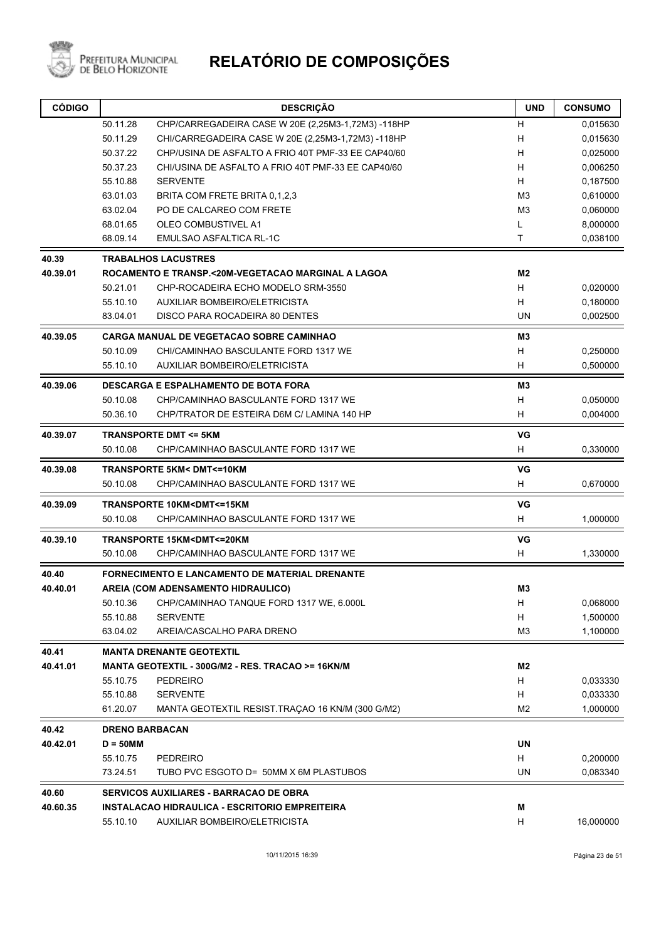

Prefeitura Municipal<br>de Belo Horizonte

| 50.11.28<br>CHP/CARREGADEIRA CASE W 20E (2,25M3-1,72M3) -118HP<br>н<br>0,015630<br>50.11.29<br>н<br>0,015630<br>CHI/CARREGADEIRA CASE W 20E (2,25M3-1,72M3) -118HP<br>50.37.22<br>CHP/USINA DE ASFALTO A FRIO 40T PMF-33 EE CAP40/60<br>н<br>0,025000<br>50.37.23<br>CHI/USINA DE ASFALTO A FRIO 40T PMF-33 EE CAP40/60<br>н<br>0,006250<br>H<br>55.10.88<br><b>SERVENTE</b><br>0,187500<br>M <sub>3</sub><br>0,610000<br>63.01.03<br>BRITA COM FRETE BRITA 0,1,2,3<br>63.02.04<br>PO DE CALCAREO COM FRETE<br>M <sub>3</sub><br>0,060000<br>68.01.65<br>OLEO COMBUSTIVEL A1<br>L<br>8,000000<br>T<br>68.09.14<br>EMULSAO ASFALTICA RL-1C<br>0,038100<br>40.39<br><b>TRABALHOS LACUSTRES</b><br>40.39.01<br>ROCAMENTO E TRANSP.<20M-VEGETACAO MARGINAL A LAGOA<br>M2<br>H<br>50.21.01<br>0,020000<br>CHP-ROCADEIRA ECHO MODELO SRM-3550<br>H<br>55.10.10<br>AUXILIAR BOMBEIRO/ELETRICISTA<br>0,180000<br>DISCO PARA ROCADEIRA 80 DENTES<br>UN<br>83.04.01<br>0,002500<br>M3<br>40.39.05<br><b>CARGA MANUAL DE VEGETACAO SOBRE CAMINHAO</b><br>50.10.09<br>CHI/CAMINHAO BASCULANTE FORD 1317 WE<br>H<br>0,250000<br>H<br>55.10.10<br><b>AUXILIAR BOMBEIRO/ELETRICISTA</b><br>0,500000<br>40.39.06<br><b>DESCARGA E ESPALHAMENTO DE BOTA FORA</b><br>M3<br>CHP/CAMINHAO BASCULANTE FORD 1317 WE<br>н<br>50.10.08<br>0,050000<br>0,004000<br>50.36.10<br>CHP/TRATOR DE ESTEIRA D6M C/ LAMINA 140 HP<br>н<br><b>TRANSPORTE DMT &lt;= 5KM</b><br>VG<br>40.39.07<br>H<br>50.10.08<br>CHP/CAMINHAO BASCULANTE FORD 1317 WE<br>0,330000<br>VG<br>40.39.08<br><b>TRANSPORTE 5KM&lt; DMT&lt;=10KM</b><br>H<br>CHP/CAMINHAO BASCULANTE FORD 1317 WE<br>50.10.08<br>0,670000<br>VG<br>40.39.09<br>TRANSPORTE 10KM <dmt<=15km<br>H<br/>50.10.08<br/>CHP/CAMINHAO BASCULANTE FORD 1317 WE<br/>1,000000<br/>VG<br/>40.39.10<br/>TRANSPORTE 15KM<dmt<=20km<br>50.10.08<br/>CHP/CAMINHAO BASCULANTE FORD 1317 WE<br/>н<br/>1,330000<br/>40.40<br/>FORNECIMENTO E LANCAMENTO DE MATERIAL DRENANTE<br/>40.40.01<br/>AREIA (COM ADENSAMENTO HIDRAULICO)<br/>M3<br/>0,068000<br/>50.10.36<br/>H<br/>CHP/CAMINHAO TANQUE FORD 1317 WE, 6.000L<br/>55.10.88<br/><b>SERVENTE</b><br/>H<br/>1,500000<br/>M<sub>3</sub><br/>63.04.02<br/>AREIA/CASCALHO PARA DRENO<br/>40.41<br/><b>MANTA DRENANTE GEOTEXTIL</b><br/>40.41.01<br/>MANTA GEOTEXTIL - 300G/M2 - RES. TRACAO &gt;= 16KN/M<br/>M2<br/>55.10.75<br/><b>PEDREIRO</b><br/>H<br/>0,033330<br/>55.10.88<br/><b>SERVENTE</b><br/>H<br/>61.20.07<br/>MANTA GEOTEXTIL RESIST.TRAÇÃO 16 KN/M (300 G/M2)<br/>M<sub>2</sub><br/>40.42<br/><b>DRENO BARBACAN</b><br/>40.42.01<br/><math>D = 50</math>MM<br/>UN<br/>55.10.75<br/>H<br/>0,200000<br/>PEDREIRO<br/><b>UN</b><br/>73.24.51<br/>TUBO PVC ESGOTO D= 50MM X 6M PLASTUBOS<br/>0,083340<br/>40.60<br/>SERVICOS AUXILIARES - BARRACAO DE OBRA<br/>40.60.35<br/>INSTALACAO HIDRAULICA - ESCRITORIO EMPREITEIRA<br/>М<br/>AUXILIAR BOMBEIRO/ELETRICISTA<br/>H<br/>16,000000<br/>55.10.10</dmt<=20km<br></dmt<=15km<br> | <b>CÓDIGO</b> | <b>DESCRIÇÃO</b> | <b>UND</b> | <b>CONSUMO</b> |
|--------------------------------------------------------------------------------------------------------------------------------------------------------------------------------------------------------------------------------------------------------------------------------------------------------------------------------------------------------------------------------------------------------------------------------------------------------------------------------------------------------------------------------------------------------------------------------------------------------------------------------------------------------------------------------------------------------------------------------------------------------------------------------------------------------------------------------------------------------------------------------------------------------------------------------------------------------------------------------------------------------------------------------------------------------------------------------------------------------------------------------------------------------------------------------------------------------------------------------------------------------------------------------------------------------------------------------------------------------------------------------------------------------------------------------------------------------------------------------------------------------------------------------------------------------------------------------------------------------------------------------------------------------------------------------------------------------------------------------------------------------------------------------------------------------------------------------------------------------------------------------------------------------------------------------------------------------------------------------------------------------------------------------------------------------------------------------------------------------------------------------------------------------------------------------------------------------------------------------------------------------------------------------------------------------------------------------------------------------------------------------------------------------------------------------------------------------------------------------------------------------------------------------------------------------------------------------------------------------------------------------------------------------------------------------------------------------------------------------------------------------------------------------------------------------------------------------------------------------------------------------------------------------------------------------------------------------------------------------------------------|---------------|------------------|------------|----------------|
|                                                                                                                                                                                                                                                                                                                                                                                                                                                                                                                                                                                                                                                                                                                                                                                                                                                                                                                                                                                                                                                                                                                                                                                                                                                                                                                                                                                                                                                                                                                                                                                                                                                                                                                                                                                                                                                                                                                                                                                                                                                                                                                                                                                                                                                                                                                                                                                                                                                                                                                                                                                                                                                                                                                                                                                                                                                                                                                                                                                                  |               |                  |            |                |
|                                                                                                                                                                                                                                                                                                                                                                                                                                                                                                                                                                                                                                                                                                                                                                                                                                                                                                                                                                                                                                                                                                                                                                                                                                                                                                                                                                                                                                                                                                                                                                                                                                                                                                                                                                                                                                                                                                                                                                                                                                                                                                                                                                                                                                                                                                                                                                                                                                                                                                                                                                                                                                                                                                                                                                                                                                                                                                                                                                                                  |               |                  |            |                |
|                                                                                                                                                                                                                                                                                                                                                                                                                                                                                                                                                                                                                                                                                                                                                                                                                                                                                                                                                                                                                                                                                                                                                                                                                                                                                                                                                                                                                                                                                                                                                                                                                                                                                                                                                                                                                                                                                                                                                                                                                                                                                                                                                                                                                                                                                                                                                                                                                                                                                                                                                                                                                                                                                                                                                                                                                                                                                                                                                                                                  |               |                  |            |                |
|                                                                                                                                                                                                                                                                                                                                                                                                                                                                                                                                                                                                                                                                                                                                                                                                                                                                                                                                                                                                                                                                                                                                                                                                                                                                                                                                                                                                                                                                                                                                                                                                                                                                                                                                                                                                                                                                                                                                                                                                                                                                                                                                                                                                                                                                                                                                                                                                                                                                                                                                                                                                                                                                                                                                                                                                                                                                                                                                                                                                  |               |                  |            |                |
|                                                                                                                                                                                                                                                                                                                                                                                                                                                                                                                                                                                                                                                                                                                                                                                                                                                                                                                                                                                                                                                                                                                                                                                                                                                                                                                                                                                                                                                                                                                                                                                                                                                                                                                                                                                                                                                                                                                                                                                                                                                                                                                                                                                                                                                                                                                                                                                                                                                                                                                                                                                                                                                                                                                                                                                                                                                                                                                                                                                                  |               |                  |            |                |
|                                                                                                                                                                                                                                                                                                                                                                                                                                                                                                                                                                                                                                                                                                                                                                                                                                                                                                                                                                                                                                                                                                                                                                                                                                                                                                                                                                                                                                                                                                                                                                                                                                                                                                                                                                                                                                                                                                                                                                                                                                                                                                                                                                                                                                                                                                                                                                                                                                                                                                                                                                                                                                                                                                                                                                                                                                                                                                                                                                                                  |               |                  |            |                |
|                                                                                                                                                                                                                                                                                                                                                                                                                                                                                                                                                                                                                                                                                                                                                                                                                                                                                                                                                                                                                                                                                                                                                                                                                                                                                                                                                                                                                                                                                                                                                                                                                                                                                                                                                                                                                                                                                                                                                                                                                                                                                                                                                                                                                                                                                                                                                                                                                                                                                                                                                                                                                                                                                                                                                                                                                                                                                                                                                                                                  |               |                  |            |                |
|                                                                                                                                                                                                                                                                                                                                                                                                                                                                                                                                                                                                                                                                                                                                                                                                                                                                                                                                                                                                                                                                                                                                                                                                                                                                                                                                                                                                                                                                                                                                                                                                                                                                                                                                                                                                                                                                                                                                                                                                                                                                                                                                                                                                                                                                                                                                                                                                                                                                                                                                                                                                                                                                                                                                                                                                                                                                                                                                                                                                  |               |                  |            |                |
|                                                                                                                                                                                                                                                                                                                                                                                                                                                                                                                                                                                                                                                                                                                                                                                                                                                                                                                                                                                                                                                                                                                                                                                                                                                                                                                                                                                                                                                                                                                                                                                                                                                                                                                                                                                                                                                                                                                                                                                                                                                                                                                                                                                                                                                                                                                                                                                                                                                                                                                                                                                                                                                                                                                                                                                                                                                                                                                                                                                                  |               |                  |            |                |
|                                                                                                                                                                                                                                                                                                                                                                                                                                                                                                                                                                                                                                                                                                                                                                                                                                                                                                                                                                                                                                                                                                                                                                                                                                                                                                                                                                                                                                                                                                                                                                                                                                                                                                                                                                                                                                                                                                                                                                                                                                                                                                                                                                                                                                                                                                                                                                                                                                                                                                                                                                                                                                                                                                                                                                                                                                                                                                                                                                                                  |               |                  |            |                |
|                                                                                                                                                                                                                                                                                                                                                                                                                                                                                                                                                                                                                                                                                                                                                                                                                                                                                                                                                                                                                                                                                                                                                                                                                                                                                                                                                                                                                                                                                                                                                                                                                                                                                                                                                                                                                                                                                                                                                                                                                                                                                                                                                                                                                                                                                                                                                                                                                                                                                                                                                                                                                                                                                                                                                                                                                                                                                                                                                                                                  |               |                  |            |                |
|                                                                                                                                                                                                                                                                                                                                                                                                                                                                                                                                                                                                                                                                                                                                                                                                                                                                                                                                                                                                                                                                                                                                                                                                                                                                                                                                                                                                                                                                                                                                                                                                                                                                                                                                                                                                                                                                                                                                                                                                                                                                                                                                                                                                                                                                                                                                                                                                                                                                                                                                                                                                                                                                                                                                                                                                                                                                                                                                                                                                  |               |                  |            |                |
|                                                                                                                                                                                                                                                                                                                                                                                                                                                                                                                                                                                                                                                                                                                                                                                                                                                                                                                                                                                                                                                                                                                                                                                                                                                                                                                                                                                                                                                                                                                                                                                                                                                                                                                                                                                                                                                                                                                                                                                                                                                                                                                                                                                                                                                                                                                                                                                                                                                                                                                                                                                                                                                                                                                                                                                                                                                                                                                                                                                                  |               |                  |            |                |
|                                                                                                                                                                                                                                                                                                                                                                                                                                                                                                                                                                                                                                                                                                                                                                                                                                                                                                                                                                                                                                                                                                                                                                                                                                                                                                                                                                                                                                                                                                                                                                                                                                                                                                                                                                                                                                                                                                                                                                                                                                                                                                                                                                                                                                                                                                                                                                                                                                                                                                                                                                                                                                                                                                                                                                                                                                                                                                                                                                                                  |               |                  |            |                |
|                                                                                                                                                                                                                                                                                                                                                                                                                                                                                                                                                                                                                                                                                                                                                                                                                                                                                                                                                                                                                                                                                                                                                                                                                                                                                                                                                                                                                                                                                                                                                                                                                                                                                                                                                                                                                                                                                                                                                                                                                                                                                                                                                                                                                                                                                                                                                                                                                                                                                                                                                                                                                                                                                                                                                                                                                                                                                                                                                                                                  |               |                  |            |                |
|                                                                                                                                                                                                                                                                                                                                                                                                                                                                                                                                                                                                                                                                                                                                                                                                                                                                                                                                                                                                                                                                                                                                                                                                                                                                                                                                                                                                                                                                                                                                                                                                                                                                                                                                                                                                                                                                                                                                                                                                                                                                                                                                                                                                                                                                                                                                                                                                                                                                                                                                                                                                                                                                                                                                                                                                                                                                                                                                                                                                  |               |                  |            |                |
|                                                                                                                                                                                                                                                                                                                                                                                                                                                                                                                                                                                                                                                                                                                                                                                                                                                                                                                                                                                                                                                                                                                                                                                                                                                                                                                                                                                                                                                                                                                                                                                                                                                                                                                                                                                                                                                                                                                                                                                                                                                                                                                                                                                                                                                                                                                                                                                                                                                                                                                                                                                                                                                                                                                                                                                                                                                                                                                                                                                                  |               |                  |            |                |
|                                                                                                                                                                                                                                                                                                                                                                                                                                                                                                                                                                                                                                                                                                                                                                                                                                                                                                                                                                                                                                                                                                                                                                                                                                                                                                                                                                                                                                                                                                                                                                                                                                                                                                                                                                                                                                                                                                                                                                                                                                                                                                                                                                                                                                                                                                                                                                                                                                                                                                                                                                                                                                                                                                                                                                                                                                                                                                                                                                                                  |               |                  |            |                |
|                                                                                                                                                                                                                                                                                                                                                                                                                                                                                                                                                                                                                                                                                                                                                                                                                                                                                                                                                                                                                                                                                                                                                                                                                                                                                                                                                                                                                                                                                                                                                                                                                                                                                                                                                                                                                                                                                                                                                                                                                                                                                                                                                                                                                                                                                                                                                                                                                                                                                                                                                                                                                                                                                                                                                                                                                                                                                                                                                                                                  |               |                  |            |                |
|                                                                                                                                                                                                                                                                                                                                                                                                                                                                                                                                                                                                                                                                                                                                                                                                                                                                                                                                                                                                                                                                                                                                                                                                                                                                                                                                                                                                                                                                                                                                                                                                                                                                                                                                                                                                                                                                                                                                                                                                                                                                                                                                                                                                                                                                                                                                                                                                                                                                                                                                                                                                                                                                                                                                                                                                                                                                                                                                                                                                  |               |                  |            |                |
|                                                                                                                                                                                                                                                                                                                                                                                                                                                                                                                                                                                                                                                                                                                                                                                                                                                                                                                                                                                                                                                                                                                                                                                                                                                                                                                                                                                                                                                                                                                                                                                                                                                                                                                                                                                                                                                                                                                                                                                                                                                                                                                                                                                                                                                                                                                                                                                                                                                                                                                                                                                                                                                                                                                                                                                                                                                                                                                                                                                                  |               |                  |            |                |
|                                                                                                                                                                                                                                                                                                                                                                                                                                                                                                                                                                                                                                                                                                                                                                                                                                                                                                                                                                                                                                                                                                                                                                                                                                                                                                                                                                                                                                                                                                                                                                                                                                                                                                                                                                                                                                                                                                                                                                                                                                                                                                                                                                                                                                                                                                                                                                                                                                                                                                                                                                                                                                                                                                                                                                                                                                                                                                                                                                                                  |               |                  |            |                |
|                                                                                                                                                                                                                                                                                                                                                                                                                                                                                                                                                                                                                                                                                                                                                                                                                                                                                                                                                                                                                                                                                                                                                                                                                                                                                                                                                                                                                                                                                                                                                                                                                                                                                                                                                                                                                                                                                                                                                                                                                                                                                                                                                                                                                                                                                                                                                                                                                                                                                                                                                                                                                                                                                                                                                                                                                                                                                                                                                                                                  |               |                  |            |                |
|                                                                                                                                                                                                                                                                                                                                                                                                                                                                                                                                                                                                                                                                                                                                                                                                                                                                                                                                                                                                                                                                                                                                                                                                                                                                                                                                                                                                                                                                                                                                                                                                                                                                                                                                                                                                                                                                                                                                                                                                                                                                                                                                                                                                                                                                                                                                                                                                                                                                                                                                                                                                                                                                                                                                                                                                                                                                                                                                                                                                  |               |                  |            |                |
|                                                                                                                                                                                                                                                                                                                                                                                                                                                                                                                                                                                                                                                                                                                                                                                                                                                                                                                                                                                                                                                                                                                                                                                                                                                                                                                                                                                                                                                                                                                                                                                                                                                                                                                                                                                                                                                                                                                                                                                                                                                                                                                                                                                                                                                                                                                                                                                                                                                                                                                                                                                                                                                                                                                                                                                                                                                                                                                                                                                                  |               |                  |            |                |
|                                                                                                                                                                                                                                                                                                                                                                                                                                                                                                                                                                                                                                                                                                                                                                                                                                                                                                                                                                                                                                                                                                                                                                                                                                                                                                                                                                                                                                                                                                                                                                                                                                                                                                                                                                                                                                                                                                                                                                                                                                                                                                                                                                                                                                                                                                                                                                                                                                                                                                                                                                                                                                                                                                                                                                                                                                                                                                                                                                                                  |               |                  |            |                |
|                                                                                                                                                                                                                                                                                                                                                                                                                                                                                                                                                                                                                                                                                                                                                                                                                                                                                                                                                                                                                                                                                                                                                                                                                                                                                                                                                                                                                                                                                                                                                                                                                                                                                                                                                                                                                                                                                                                                                                                                                                                                                                                                                                                                                                                                                                                                                                                                                                                                                                                                                                                                                                                                                                                                                                                                                                                                                                                                                                                                  |               |                  |            |                |
|                                                                                                                                                                                                                                                                                                                                                                                                                                                                                                                                                                                                                                                                                                                                                                                                                                                                                                                                                                                                                                                                                                                                                                                                                                                                                                                                                                                                                                                                                                                                                                                                                                                                                                                                                                                                                                                                                                                                                                                                                                                                                                                                                                                                                                                                                                                                                                                                                                                                                                                                                                                                                                                                                                                                                                                                                                                                                                                                                                                                  |               |                  |            |                |
|                                                                                                                                                                                                                                                                                                                                                                                                                                                                                                                                                                                                                                                                                                                                                                                                                                                                                                                                                                                                                                                                                                                                                                                                                                                                                                                                                                                                                                                                                                                                                                                                                                                                                                                                                                                                                                                                                                                                                                                                                                                                                                                                                                                                                                                                                                                                                                                                                                                                                                                                                                                                                                                                                                                                                                                                                                                                                                                                                                                                  |               |                  |            |                |
|                                                                                                                                                                                                                                                                                                                                                                                                                                                                                                                                                                                                                                                                                                                                                                                                                                                                                                                                                                                                                                                                                                                                                                                                                                                                                                                                                                                                                                                                                                                                                                                                                                                                                                                                                                                                                                                                                                                                                                                                                                                                                                                                                                                                                                                                                                                                                                                                                                                                                                                                                                                                                                                                                                                                                                                                                                                                                                                                                                                                  |               |                  |            |                |
|                                                                                                                                                                                                                                                                                                                                                                                                                                                                                                                                                                                                                                                                                                                                                                                                                                                                                                                                                                                                                                                                                                                                                                                                                                                                                                                                                                                                                                                                                                                                                                                                                                                                                                                                                                                                                                                                                                                                                                                                                                                                                                                                                                                                                                                                                                                                                                                                                                                                                                                                                                                                                                                                                                                                                                                                                                                                                                                                                                                                  |               |                  |            |                |
|                                                                                                                                                                                                                                                                                                                                                                                                                                                                                                                                                                                                                                                                                                                                                                                                                                                                                                                                                                                                                                                                                                                                                                                                                                                                                                                                                                                                                                                                                                                                                                                                                                                                                                                                                                                                                                                                                                                                                                                                                                                                                                                                                                                                                                                                                                                                                                                                                                                                                                                                                                                                                                                                                                                                                                                                                                                                                                                                                                                                  |               |                  |            |                |
|                                                                                                                                                                                                                                                                                                                                                                                                                                                                                                                                                                                                                                                                                                                                                                                                                                                                                                                                                                                                                                                                                                                                                                                                                                                                                                                                                                                                                                                                                                                                                                                                                                                                                                                                                                                                                                                                                                                                                                                                                                                                                                                                                                                                                                                                                                                                                                                                                                                                                                                                                                                                                                                                                                                                                                                                                                                                                                                                                                                                  |               |                  |            | 1,100000       |
|                                                                                                                                                                                                                                                                                                                                                                                                                                                                                                                                                                                                                                                                                                                                                                                                                                                                                                                                                                                                                                                                                                                                                                                                                                                                                                                                                                                                                                                                                                                                                                                                                                                                                                                                                                                                                                                                                                                                                                                                                                                                                                                                                                                                                                                                                                                                                                                                                                                                                                                                                                                                                                                                                                                                                                                                                                                                                                                                                                                                  |               |                  |            |                |
|                                                                                                                                                                                                                                                                                                                                                                                                                                                                                                                                                                                                                                                                                                                                                                                                                                                                                                                                                                                                                                                                                                                                                                                                                                                                                                                                                                                                                                                                                                                                                                                                                                                                                                                                                                                                                                                                                                                                                                                                                                                                                                                                                                                                                                                                                                                                                                                                                                                                                                                                                                                                                                                                                                                                                                                                                                                                                                                                                                                                  |               |                  |            |                |
|                                                                                                                                                                                                                                                                                                                                                                                                                                                                                                                                                                                                                                                                                                                                                                                                                                                                                                                                                                                                                                                                                                                                                                                                                                                                                                                                                                                                                                                                                                                                                                                                                                                                                                                                                                                                                                                                                                                                                                                                                                                                                                                                                                                                                                                                                                                                                                                                                                                                                                                                                                                                                                                                                                                                                                                                                                                                                                                                                                                                  |               |                  |            |                |
|                                                                                                                                                                                                                                                                                                                                                                                                                                                                                                                                                                                                                                                                                                                                                                                                                                                                                                                                                                                                                                                                                                                                                                                                                                                                                                                                                                                                                                                                                                                                                                                                                                                                                                                                                                                                                                                                                                                                                                                                                                                                                                                                                                                                                                                                                                                                                                                                                                                                                                                                                                                                                                                                                                                                                                                                                                                                                                                                                                                                  |               |                  |            | 0,033330       |
|                                                                                                                                                                                                                                                                                                                                                                                                                                                                                                                                                                                                                                                                                                                                                                                                                                                                                                                                                                                                                                                                                                                                                                                                                                                                                                                                                                                                                                                                                                                                                                                                                                                                                                                                                                                                                                                                                                                                                                                                                                                                                                                                                                                                                                                                                                                                                                                                                                                                                                                                                                                                                                                                                                                                                                                                                                                                                                                                                                                                  |               |                  |            | 1,000000       |
|                                                                                                                                                                                                                                                                                                                                                                                                                                                                                                                                                                                                                                                                                                                                                                                                                                                                                                                                                                                                                                                                                                                                                                                                                                                                                                                                                                                                                                                                                                                                                                                                                                                                                                                                                                                                                                                                                                                                                                                                                                                                                                                                                                                                                                                                                                                                                                                                                                                                                                                                                                                                                                                                                                                                                                                                                                                                                                                                                                                                  |               |                  |            |                |
|                                                                                                                                                                                                                                                                                                                                                                                                                                                                                                                                                                                                                                                                                                                                                                                                                                                                                                                                                                                                                                                                                                                                                                                                                                                                                                                                                                                                                                                                                                                                                                                                                                                                                                                                                                                                                                                                                                                                                                                                                                                                                                                                                                                                                                                                                                                                                                                                                                                                                                                                                                                                                                                                                                                                                                                                                                                                                                                                                                                                  |               |                  |            |                |
|                                                                                                                                                                                                                                                                                                                                                                                                                                                                                                                                                                                                                                                                                                                                                                                                                                                                                                                                                                                                                                                                                                                                                                                                                                                                                                                                                                                                                                                                                                                                                                                                                                                                                                                                                                                                                                                                                                                                                                                                                                                                                                                                                                                                                                                                                                                                                                                                                                                                                                                                                                                                                                                                                                                                                                                                                                                                                                                                                                                                  |               |                  |            |                |
|                                                                                                                                                                                                                                                                                                                                                                                                                                                                                                                                                                                                                                                                                                                                                                                                                                                                                                                                                                                                                                                                                                                                                                                                                                                                                                                                                                                                                                                                                                                                                                                                                                                                                                                                                                                                                                                                                                                                                                                                                                                                                                                                                                                                                                                                                                                                                                                                                                                                                                                                                                                                                                                                                                                                                                                                                                                                                                                                                                                                  |               |                  |            |                |
|                                                                                                                                                                                                                                                                                                                                                                                                                                                                                                                                                                                                                                                                                                                                                                                                                                                                                                                                                                                                                                                                                                                                                                                                                                                                                                                                                                                                                                                                                                                                                                                                                                                                                                                                                                                                                                                                                                                                                                                                                                                                                                                                                                                                                                                                                                                                                                                                                                                                                                                                                                                                                                                                                                                                                                                                                                                                                                                                                                                                  |               |                  |            |                |
|                                                                                                                                                                                                                                                                                                                                                                                                                                                                                                                                                                                                                                                                                                                                                                                                                                                                                                                                                                                                                                                                                                                                                                                                                                                                                                                                                                                                                                                                                                                                                                                                                                                                                                                                                                                                                                                                                                                                                                                                                                                                                                                                                                                                                                                                                                                                                                                                                                                                                                                                                                                                                                                                                                                                                                                                                                                                                                                                                                                                  |               |                  |            |                |
|                                                                                                                                                                                                                                                                                                                                                                                                                                                                                                                                                                                                                                                                                                                                                                                                                                                                                                                                                                                                                                                                                                                                                                                                                                                                                                                                                                                                                                                                                                                                                                                                                                                                                                                                                                                                                                                                                                                                                                                                                                                                                                                                                                                                                                                                                                                                                                                                                                                                                                                                                                                                                                                                                                                                                                                                                                                                                                                                                                                                  |               |                  |            |                |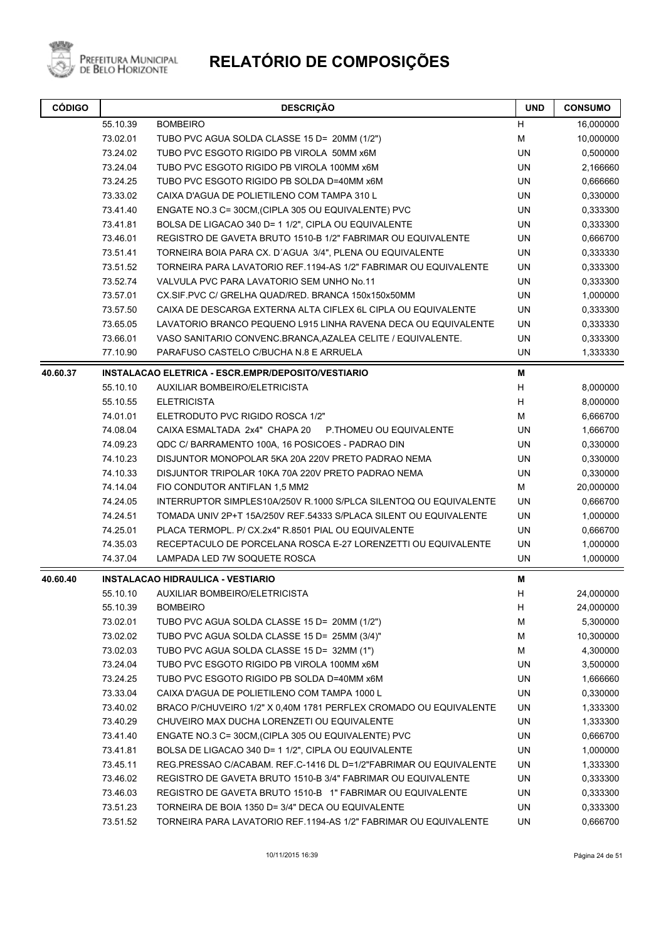

| <b>CÓDIGO</b> |          | <b>DESCRIÇÃO</b>                                                  | <b>UND</b> | <b>CONSUMO</b> |
|---------------|----------|-------------------------------------------------------------------|------------|----------------|
|               | 55.10.39 | <b>BOMBEIRO</b>                                                   | н          | 16,000000      |
|               | 73.02.01 | TUBO PVC AGUA SOLDA CLASSE 15 D= 20MM (1/2")                      | М          | 10,000000      |
|               | 73.24.02 | TUBO PVC ESGOTO RIGIDO PB VIROLA 50MM x6M                         | UN         | 0,500000       |
|               | 73.24.04 | TUBO PVC ESGOTO RIGIDO PB VIROLA 100MM x6M                        | <b>UN</b>  | 2,166660       |
|               | 73.24.25 | TUBO PVC ESGOTO RIGIDO PB SOLDA D=40MM x6M                        | UN         | 0,666660       |
|               | 73.33.02 | CAIXA D'AGUA DE POLIETILENO COM TAMPA 310 L                       | <b>UN</b>  | 0,330000       |
|               | 73.41.40 | ENGATE NO.3 C= 30CM, (CIPLA 305 OU EQUIVALENTE) PVC               | <b>UN</b>  | 0,333300       |
|               | 73.41.81 | BOLSA DE LIGACAO 340 D= 1 1/2", CIPLA OU EQUIVALENTE              | UN         | 0,333300       |
|               | 73.46.01 | REGISTRO DE GAVETA BRUTO 1510-B 1/2" FABRIMAR OU EQUIVALENTE      | UN         | 0,666700       |
|               | 73.51.41 | TORNEIRA BOIA PARA CX. D'AGUA 3/4", PLENA OU EQUIVALENTE          | <b>UN</b>  | 0,333330       |
|               | 73.51.52 | TORNEIRA PARA LAVATORIO REF.1194-AS 1/2" FABRIMAR OU EQUIVALENTE  | UN         | 0,333300       |
|               | 73.52.74 | VALVULA PVC PARA LAVATORIO SEM UNHO No.11                         | <b>UN</b>  | 0,333300       |
|               | 73.57.01 | CX.SIF.PVC C/ GRELHA QUAD/RED. BRANCA 150x150x50MM                | UN         | 1,000000       |
|               | 73.57.50 | CAIXA DE DESCARGA EXTERNA ALTA CIFLEX 6L CIPLA OU EQUIVALENTE     | UN         | 0,333300       |
|               | 73.65.05 | LAVATORIO BRANCO PEQUENO L915 LINHA RAVENA DECA OU EQUIVALENTE    | UN         | 0,333330       |
|               | 73.66.01 | VASO SANITARIO CONVENC.BRANCA, AZALEA CELITE / EQUIVALENTE.       | UN         | 0,333300       |
|               | 77.10.90 | PARAFUSO CASTELO C/BUCHA N.8 E ARRUELA                            | UN         | 1,333330       |
| 40.60.37      |          | INSTALACAO ELETRICA - ESCR.EMPR/DEPOSITO/VESTIARIO                | M          |                |
|               | 55.10.10 | AUXILIAR BOMBEIRO/ELETRICISTA                                     | н          | 8,000000       |
|               | 55.10.55 | <b>ELETRICISTA</b>                                                | H          | 8,000000       |
|               | 74.01.01 | ELETRODUTO PVC RIGIDO ROSCA 1/2"                                  | М          | 6,666700       |
|               | 74.08.04 | CAIXA ESMALTADA 2x4" CHAPA 20<br>P.THOMEU OU EQUIVALENTE          | UN         | 1,666700       |
|               | 74.09.23 | QDC C/ BARRAMENTO 100A, 16 POSICOES - PADRAO DIN                  | UN         | 0,330000       |
|               | 74.10.23 | DISJUNTOR MONOPOLAR 5KA 20A 220V PRETO PADRAO NEMA                | UN         | 0,330000       |
|               | 74.10.33 | DISJUNTOR TRIPOLAR 10KA 70A 220V PRETO PADRAO NEMA                | UN         | 0,330000       |
|               | 74.14.04 | FIO CONDUTOR ANTIFLAN 1,5 MM2                                     | M          | 20,000000      |
|               | 74.24.05 | INTERRUPTOR SIMPLES10A/250V R.1000 S/PLCA SILENTOQ OU EQUIVALENTE | UN         | 0,666700       |
|               | 74.24.51 | TOMADA UNIV 2P+T 15A/250V REF.54333 S/PLACA SILENT OU EQUIVALENTE | <b>UN</b>  | 1,000000       |
|               | 74.25.01 | PLACA TERMOPL. P/ CX.2x4" R.8501 PIAL OU EQUIVALENTE              | UN         | 0,666700       |
|               | 74.35.03 | RECEPTACULO DE PORCELANA ROSCA E-27 LORENZETTI OU EQUIVALENTE     | UN         | 1,000000       |
|               | 74.37.04 | LAMPADA LED 7W SOQUETE ROSCA                                      | UN         | 1,000000       |
| 40.60.40      |          | <b>INSTALACAO HIDRAULICA - VESTIARIO</b>                          | M          |                |
|               | 55.10.10 | AUXILIAR BOMBEIRO/ELETRICISTA                                     | н          | 24,000000      |
|               | 55.10.39 | <b>BOMBEIRO</b>                                                   | H          | 24,000000      |
|               | 73.02.01 | TUBO PVC AGUA SOLDA CLASSE 15 D= 20MM (1/2")                      | M          | 5,300000       |
|               | 73.02.02 | TUBO PVC AGUA SOLDA CLASSE 15 D= 25MM (3/4)"                      | M          | 10,300000      |
|               | 73.02.03 | TUBO PVC AGUA SOLDA CLASSE 15 D= 32MM (1")                        | М          | 4,300000       |
|               | 73.24.04 | TUBO PVC ESGOTO RIGIDO PB VIROLA 100MM x6M                        | UN         | 3,500000       |
|               | 73.24.25 | TUBO PVC ESGOTO RIGIDO PB SOLDA D=40MM x6M                        | UN         | 1,666660       |
|               | 73.33.04 | CAIXA D'AGUA DE POLIETILENO COM TAMPA 1000 L                      | UN         | 0,330000       |
|               | 73.40.02 | BRACO P/CHUVEIRO 1/2" X 0,40M 1781 PERFLEX CROMADO OU EQUIVALENTE | UN         | 1,333300       |
|               | 73.40.29 | CHUVEIRO MAX DUCHA LORENZETI OU EQUIVALENTE                       | UN         | 1,333300       |
|               | 73.41.40 | ENGATE NO.3 C= 30CM, (CIPLA 305 OU EQUIVALENTE) PVC               | UN         | 0,666700       |
|               | 73.41.81 | BOLSA DE LIGACAO 340 D= 1 1/2", CIPLA OU EQUIVALENTE              | UN         | 1,000000       |
|               | 73.45.11 | REG.PRESSAO C/ACABAM. REF.C-1416 DL D=1/2"FABRIMAR OU EQUIVALENTE | UN         | 1,333300       |
|               | 73.46.02 | REGISTRO DE GAVETA BRUTO 1510-B 3/4" FABRIMAR OU EQUIVALENTE      | UN         | 0,333300       |
|               | 73.46.03 | REGISTRO DE GAVETA BRUTO 1510-B 1" FABRIMAR OU EQUIVALENTE        | UN         | 0,333300       |
|               | 73.51.23 | TORNEIRA DE BOIA 1350 D= 3/4" DECA OU EQUIVALENTE                 | UN         | 0,333300       |
|               | 73.51.52 | TORNEIRA PARA LAVATORIO REF.1194-AS 1/2" FABRIMAR OU EQUIVALENTE  | UN         | 0,666700       |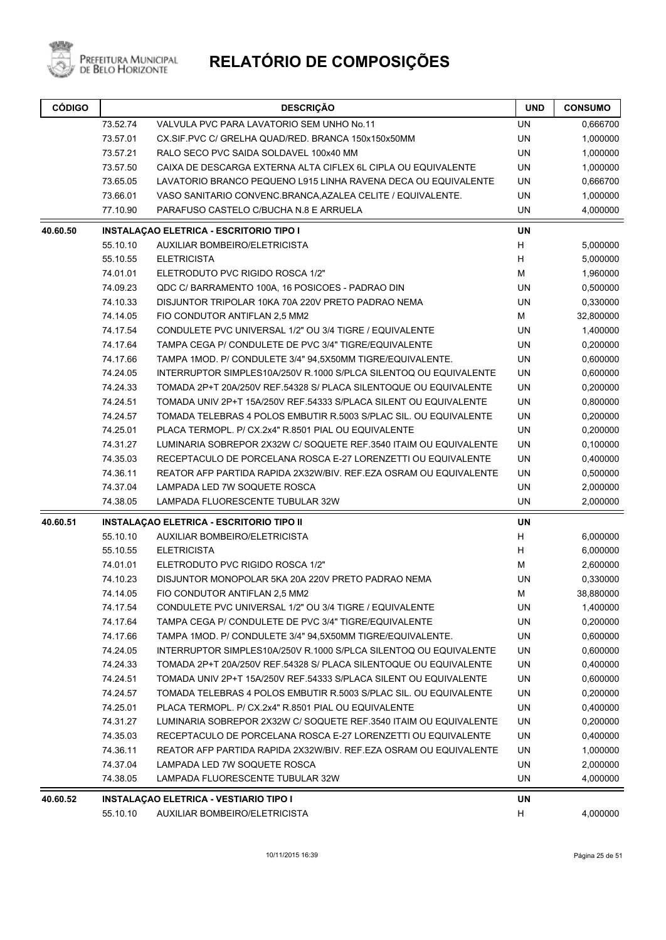

Prefeitura Municipal<br>de Belo Horizonte

| <b>CÓDIGO</b> |          | <b>DESCRIÇÃO</b>                                                  |           | <b>CONSUMO</b> |
|---------------|----------|-------------------------------------------------------------------|-----------|----------------|
|               | 73.52.74 | VALVULA PVC PARA LAVATORIO SEM UNHO No.11                         | <b>UN</b> | 0,666700       |
|               | 73.57.01 | CX.SIF.PVC C/ GRELHA QUAD/RED. BRANCA 150x150x50MM                | UN        | 1,000000       |
|               | 73.57.21 | RALO SECO PVC SAIDA SOLDAVEL 100x40 MM                            | UN        | 1,000000       |
|               | 73.57.50 | CAIXA DE DESCARGA EXTERNA ALTA CIFLEX 6L CIPLA OU EQUIVALENTE     | UN        | 1,000000       |
|               | 73.65.05 | LAVATORIO BRANCO PEQUENO L915 LINHA RAVENA DECA OU EQUIVALENTE    | UN        | 0,666700       |
|               | 73.66.01 | VASO SANITARIO CONVENC.BRANCA, AZALEA CELITE / EQUIVALENTE.       | UN        | 1,000000       |
|               | 77.10.90 | PARAFUSO CASTELO C/BUCHA N.8 E ARRUELA                            | UN        | 4,000000       |
| 40.60.50      |          | <b>INSTALAÇÃO ELETRICA - ESCRITORIO TIPO I</b>                    | <b>UN</b> |                |
|               | 55.10.10 | AUXILIAR BOMBEIRO/ELETRICISTA                                     | H         | 5,000000       |
|               | 55.10.55 | <b>ELETRICISTA</b>                                                | Н         | 5,000000       |
|               | 74.01.01 | ELETRODUTO PVC RIGIDO ROSCA 1/2"                                  | М         | 1,960000       |
|               | 74.09.23 | QDC C/ BARRAMENTO 100A, 16 POSICOES - PADRAO DIN                  | UN        | 0,500000       |
|               | 74.10.33 | DISJUNTOR TRIPOLAR 10KA 70A 220V PRETO PADRAO NEMA                | <b>UN</b> | 0,330000       |
|               | 74.14.05 | FIO CONDUTOR ANTIFLAN 2,5 MM2                                     | м         | 32,800000      |
|               | 74.17.54 | CONDULETE PVC UNIVERSAL 1/2" OU 3/4 TIGRE / EQUIVALENTE           | UN        | 1,400000       |
|               | 74.17.64 | TAMPA CEGA P/ CONDULETE DE PVC 3/4" TIGRE/EQUIVALENTE             | UN        | 0,200000       |
|               | 74.17.66 | TAMPA 1MOD. P/ CONDULETE 3/4" 94,5X50MM TIGRE/EQUIVALENTE.        | UN        | 0,600000       |
|               | 74.24.05 | INTERRUPTOR SIMPLES10A/250V R.1000 S/PLCA SILENTOQ OU EQUIVALENTE | <b>UN</b> | 0,600000       |
|               | 74.24.33 | TOMADA 2P+T 20A/250V REF.54328 S/ PLACA SILENTOQUE OU EQUIVALENTE | UN        | 0,200000       |
|               | 74.24.51 | TOMADA UNIV 2P+T 15A/250V REF.54333 S/PLACA SILENT OU EQUIVALENTE | UN        | 0,800000       |
|               | 74.24.57 | TOMADA TELEBRAS 4 POLOS EMBUTIR R.5003 S/PLAC SIL. OU EQUIVALENTE | UN        | 0,200000       |
|               | 74.25.01 | PLACA TERMOPL. P/ CX.2x4" R.8501 PIAL OU EQUIVALENTE              | UN        | 0,200000       |
|               | 74.31.27 | LUMINARIA SOBREPOR 2X32W C/ SOQUETE REF.3540 ITAIM OU EQUIVALENTE | UN        | 0,100000       |
|               | 74.35.03 | RECEPTACULO DE PORCELANA ROSCA E-27 LORENZETTI OU EQUIVALENTE     | <b>UN</b> | 0,400000       |
|               | 74.36.11 | REATOR AFP PARTIDA RAPIDA 2X32W/BIV. REF.EZA OSRAM OU EQUIVALENTE | UN        | 0,500000       |
|               | 74.37.04 | LAMPADA LED 7W SOQUETE ROSCA                                      | UN        | 2,000000       |
|               | 74.38.05 | LAMPADA FLUORESCENTE TUBULAR 32W                                  | <b>UN</b> | 2,000000       |
| 40.60.51      |          | <b>INSTALAÇAO ELETRICA - ESCRITORIO TIPO II</b>                   | UN        |                |
|               | 55.10.10 | <b>AUXILIAR BOMBEIRO/ELETRICISTA</b>                              | H         | 6,000000       |
|               | 55.10.55 | <b>ELETRICISTA</b>                                                | Н         | 6,000000       |
|               | 74.01.01 | ELETRODUTO PVC RIGIDO ROSCA 1/2"                                  | М         | 2,600000       |
|               | 74.10.23 | DISJUNTOR MONOPOLAR 5KA 20A 220V PRETO PADRAO NEMA                | UN        | 0,330000       |
|               | 74.14.05 | FIO CONDUTOR ANTIFLAN 2.5 MM2                                     | М         | 38,880000      |
|               | 74.17.54 | CONDULETE PVC UNIVERSAL 1/2" OU 3/4 TIGRE / EQUIVALENTE           | UN        | 1,400000       |
|               | 74.17.64 | TAMPA CEGA P/ CONDULETE DE PVC 3/4" TIGRE/EQUIVALENTE             | UN        | 0,200000       |
|               | 74.17.66 | TAMPA 1MOD. P/ CONDULETE 3/4" 94,5X50MM TIGRE/EQUIVALENTE.        | UN        | 0,600000       |
|               | 74.24.05 | INTERRUPTOR SIMPLES10A/250V R.1000 S/PLCA SILENTOQ OU EQUIVALENTE | UN        | 0,600000       |
|               | 74.24.33 | TOMADA 2P+T 20A/250V REF.54328 S/ PLACA SILENTOQUE OU EQUIVALENTE | UN        | 0,400000       |
|               | 74.24.51 | TOMADA UNIV 2P+T 15A/250V REF.54333 S/PLACA SILENT OU EQUIVALENTE | UN        | 0,600000       |
|               | 74.24.57 | TOMADA TELEBRAS 4 POLOS EMBUTIR R.5003 S/PLAC SIL. OU EQUIVALENTE | UN        | 0,200000       |
|               | 74.25.01 | PLACA TERMOPL. P/ CX.2x4" R.8501 PIAL OU EQUIVALENTE              | <b>UN</b> | 0,400000       |
|               | 74.31.27 | LUMINARIA SOBREPOR 2X32W C/ SOQUETE REF.3540 ITAIM OU EQUIVALENTE | <b>UN</b> | 0,200000       |
|               | 74.35.03 | RECEPTACULO DE PORCELANA ROSCA E-27 LORENZETTI OU EQUIVALENTE     | UN        | 0,400000       |
|               | 74.36.11 | REATOR AFP PARTIDA RAPIDA 2X32W/BIV. REF.EZA OSRAM OU EQUIVALENTE | UN        | 1,000000       |
|               | 74.37.04 | LAMPADA LED 7W SOQUETE ROSCA                                      | UN        | 2,000000       |
|               | 74.38.05 | LAMPADA FLUORESCENTE TUBULAR 32W                                  | UN        | 4,000000       |
| 40.60.52      |          | <b>INSTALAÇÃO ELETRICA - VESTIARIO TIPO I</b>                     | UN        |                |
|               | 55.10.10 | AUXILIAR BOMBEIRO/ELETRICISTA                                     | H         | 4,000000       |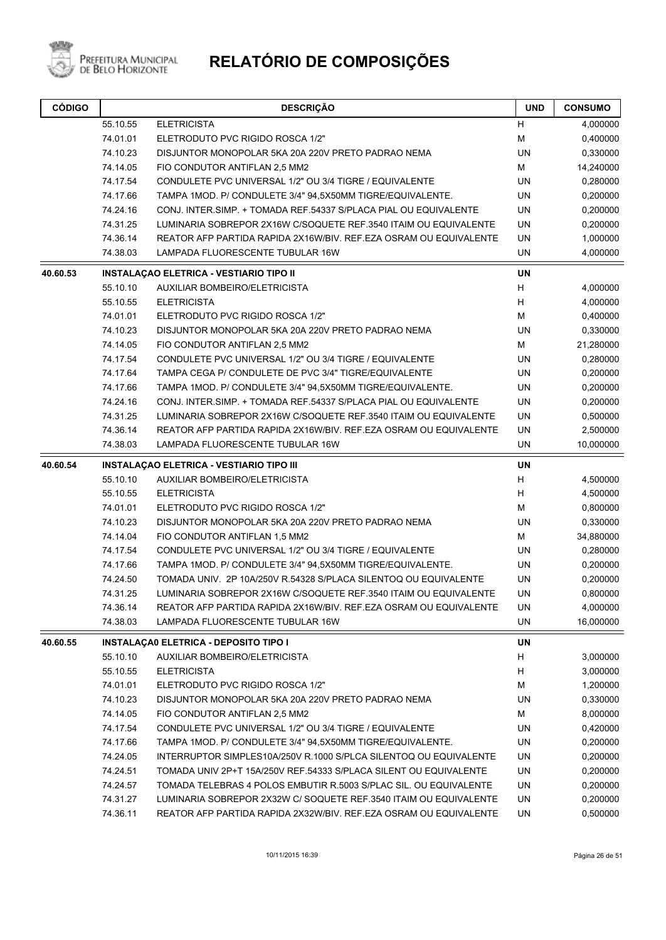

Prefeitura Municipal<br>de Belo Horizonte

| <b>CÓDIGO</b> |          | <b>DESCRIÇÃO</b>                                                  | <b>UND</b> | <b>CONSUMO</b> |
|---------------|----------|-------------------------------------------------------------------|------------|----------------|
|               | 55.10.55 | <b>ELETRICISTA</b>                                                | H          | 4,000000       |
|               | 74.01.01 | ELETRODUTO PVC RIGIDO ROSCA 1/2"                                  | M          | 0,400000       |
|               | 74.10.23 | DISJUNTOR MONOPOLAR 5KA 20A 220V PRETO PADRAO NEMA                | <b>UN</b>  | 0,330000       |
| 74.14.05      |          | FIO CONDUTOR ANTIFLAN 2,5 MM2                                     | M          | 14,240000      |
|               | 74.17.54 | CONDULETE PVC UNIVERSAL 1/2" OU 3/4 TIGRE / EQUIVALENTE           | <b>UN</b>  | 0,280000       |
|               | 74.17.66 | TAMPA 1MOD. P/ CONDULETE 3/4" 94,5X50MM TIGRE/EQUIVALENTE.        | UN         | 0,200000       |
|               | 74.24.16 | CONJ. INTER SIMP. + TOMADA REF.54337 S/PLACA PIAL OU EQUIVALENTE  | <b>UN</b>  | 0,200000       |
|               | 74.31.25 | LUMINARIA SOBREPOR 2X16W C/SOQUETE REF.3540 ITAIM OU EQUIVALENTE  | UN         | 0,200000       |
|               | 74.36.14 | REATOR AFP PARTIDA RAPIDA 2X16W/BIV. REF.EZA OSRAM OU EQUIVALENTE | UN         | 1,000000       |
|               | 74.38.03 | LAMPADA FLUORESCENTE TUBULAR 16W                                  | UN         | 4,000000       |
| 40.60.53      |          | <b>INSTALAÇAO ELETRICA - VESTIARIO TIPO II</b>                    | <b>UN</b>  |                |
|               | 55.10.10 | <b>AUXILIAR BOMBEIRO/ELETRICISTA</b>                              | н          | 4,000000       |
|               | 55.10.55 | <b>ELETRICISTA</b>                                                | Н          | 4,000000       |
|               | 74.01.01 | ELETRODUTO PVC RIGIDO ROSCA 1/2"                                  | M          | 0,400000       |
|               | 74.10.23 | DISJUNTOR MONOPOLAR 5KA 20A 220V PRETO PADRAO NEMA                | <b>UN</b>  | 0,330000       |
|               | 74.14.05 | FIO CONDUTOR ANTIFLAN 2,5 MM2                                     | M          | 21,280000      |
|               | 74.17.54 | CONDULETE PVC UNIVERSAL 1/2" OU 3/4 TIGRE / EQUIVALENTE           | <b>UN</b>  | 0,280000       |
|               | 74.17.64 | TAMPA CEGA P/ CONDULETE DE PVC 3/4" TIGRE/EQUIVALENTE             | UN         | 0,200000       |
|               | 74.17.66 | TAMPA 1MOD. P/ CONDULETE 3/4" 94,5X50MM TIGRE/EQUIVALENTE.        | <b>UN</b>  | 0,200000       |
|               | 74.24.16 | CONJ. INTER SIMP. + TOMADA REF.54337 S/PLACA PIAL OU EQUIVALENTE  | <b>UN</b>  | 0,200000       |
|               | 74.31.25 | LUMINARIA SOBREPOR 2X16W C/SOQUETE REF.3540 ITAIM OU EQUIVALENTE  | <b>UN</b>  | 0,500000       |
|               | 74.36.14 | REATOR AFP PARTIDA RAPIDA 2X16W/BIV. REF.EZA OSRAM OU EQUIVALENTE | UN         | 2,500000       |
|               | 74.38.03 | LAMPADA FLUORESCENTE TUBULAR 16W                                  | <b>UN</b>  | 10,000000      |
| 40.60.54      |          | <b>INSTALAÇÃO ELETRICA - VESTIARIO TIPO III</b>                   | <b>UN</b>  |                |
|               | 55.10.10 | <b>AUXILIAR BOMBEIRO/ELETRICISTA</b>                              | н          | 4,500000       |
|               | 55.10.55 | <b>ELETRICISTA</b>                                                | H          | 4,500000       |
|               | 74.01.01 | ELETRODUTO PVC RIGIDO ROSCA 1/2"                                  | М          | 0,800000       |
|               | 74.10.23 | DISJUNTOR MONOPOLAR 5KA 20A 220V PRETO PADRAO NEMA                | UN         | 0,330000       |
|               | 74.14.04 | FIO CONDUTOR ANTIFLAN 1,5 MM2                                     | M          | 34,880000      |
|               | 74.17.54 | CONDULETE PVC UNIVERSAL 1/2" OU 3/4 TIGRE / EQUIVALENTE           | UN         | 0,280000       |
|               | 74.17.66 | TAMPA 1MOD. P/ CONDULETE 3/4" 94,5X50MM TIGRE/EQUIVALENTE.        | UN         | 0,200000       |
|               | 74.24.50 | TOMADA UNIV. 2P 10A/250V R.54328 S/PLACA SILENTOQ OU EQUIVALENTE  | UN         | 0,200000       |
|               | 74.31.25 | LUMINARIA SOBREPOR 2X16W C/SOQUETE REF.3540 ITAIM OU EQUIVALENTE  | UN         | 0,800000       |
|               | 74.36.14 | REATOR AFP PARTIDA RAPIDA 2X16W/BIV. REF.EZA OSRAM OU EQUIVALENTE | UN         | 4,000000       |
|               | 74.38.03 | LAMPADA FLUORESCENTE TUBULAR 16W                                  | UN         | 16,000000      |
| 40.60.55      |          | <b>INSTALAÇA0 ELETRICA - DEPOSITO TIPO I</b>                      | UN         |                |
|               | 55.10.10 | <b>AUXILIAR BOMBEIRO/ELETRICISTA</b>                              | н          | 3,000000       |
|               | 55.10.55 | <b>ELETRICISTA</b>                                                | H          | 3,000000       |
|               | 74.01.01 | ELETRODUTO PVC RIGIDO ROSCA 1/2"                                  | M          | 1,200000       |
|               | 74.10.23 | DISJUNTOR MONOPOLAR 5KA 20A 220V PRETO PADRAO NEMA                | UN         | 0,330000       |
|               | 74.14.05 | FIO CONDUTOR ANTIFLAN 2,5 MM2                                     | М          | 8,000000       |
|               | 74.17.54 | CONDULETE PVC UNIVERSAL 1/2" OU 3/4 TIGRE / EQUIVALENTE           | UN         | 0,420000       |
|               | 74.17.66 | TAMPA 1MOD. P/ CONDULETE 3/4" 94,5X50MM TIGRE/EQUIVALENTE.        | UN         | 0,200000       |
|               | 74.24.05 | INTERRUPTOR SIMPLES10A/250V R.1000 S/PLCA SILENTOQ OU EQUIVALENTE | UN         | 0,200000       |
|               | 74.24.51 | TOMADA UNIV 2P+T 15A/250V REF.54333 S/PLACA SILENT OU EQUIVALENTE | UN         | 0,200000       |
|               | 74.24.57 | TOMADA TELEBRAS 4 POLOS EMBUTIR R.5003 S/PLAC SIL. OU EQUIVALENTE | UN         | 0,200000       |
|               | 74.31.27 | LUMINARIA SOBREPOR 2X32W C/ SOQUETE REF.3540 ITAIM OU EQUIVALENTE | UN         | 0,200000       |
|               | 74.36.11 | REATOR AFP PARTIDA RAPIDA 2X32W/BIV. REF.EZA OSRAM OU EQUIVALENTE | UN         | 0,500000       |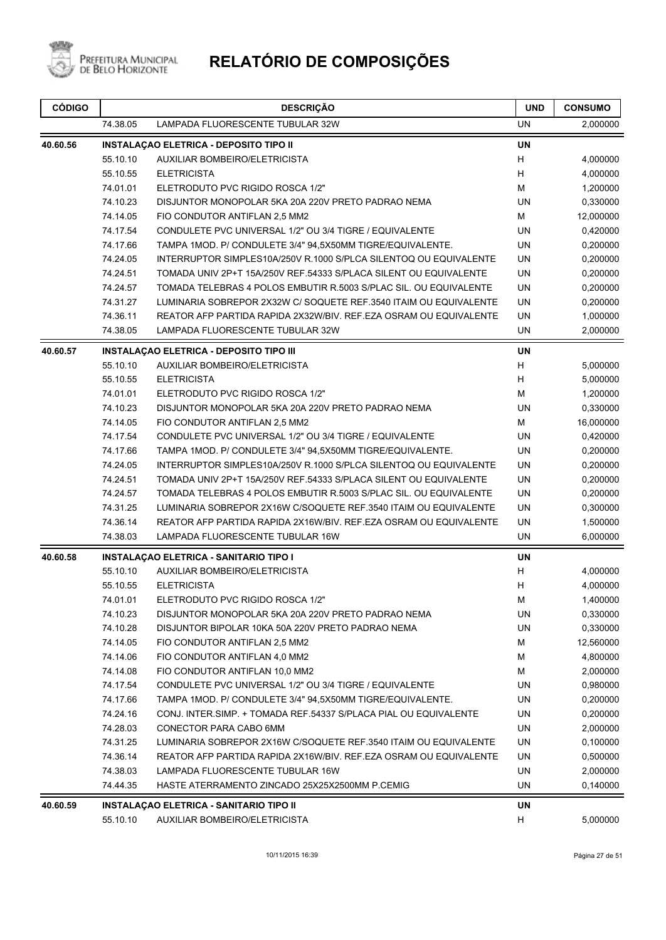

| <b>CÓDIGO</b> | <b>DESCRIÇÃO</b> |                                                                   | <b>UND</b> | <b>CONSUMO</b> |
|---------------|------------------|-------------------------------------------------------------------|------------|----------------|
|               | 74.38.05         | LAMPADA FLUORESCENTE TUBULAR 32W                                  | <b>UN</b>  | 2,000000       |
| 40.60.56      |                  | <b>INSTALAÇAO ELETRICA - DEPOSITO TIPO II</b>                     | UN         |                |
|               | 55.10.10         | AUXILIAR BOMBEIRO/ELETRICISTA                                     | H          | 4,000000       |
|               | 55.10.55         | <b>ELETRICISTA</b>                                                | н          | 4,000000       |
|               | 74.01.01         | ELETRODUTO PVC RIGIDO ROSCA 1/2"                                  | М          | 1,200000       |
|               | 74.10.23         | DISJUNTOR MONOPOLAR 5KA 20A 220V PRETO PADRAO NEMA                | UN         | 0,330000       |
|               | 74.14.05         | FIO CONDUTOR ANTIFLAN 2,5 MM2                                     | М          | 12,000000      |
|               | 74.17.54         | CONDULETE PVC UNIVERSAL 1/2" OU 3/4 TIGRE / EQUIVALENTE           | UN         | 0,420000       |
|               | 74.17.66         | TAMPA 1MOD. P/ CONDULETE 3/4" 94,5X50MM TIGRE/EQUIVALENTE.        | UN         | 0,200000       |
|               | 74.24.05         | INTERRUPTOR SIMPLES10A/250V R.1000 S/PLCA SILENTOQ OU EQUIVALENTE | UN         | 0,200000       |
|               | 74.24.51         | TOMADA UNIV 2P+T 15A/250V REF.54333 S/PLACA SILENT OU EQUIVALENTE | <b>UN</b>  | 0,200000       |
|               | 74.24.57         | TOMADA TELEBRAS 4 POLOS EMBUTIR R.5003 S/PLAC SIL. OU EQUIVALENTE | <b>UN</b>  | 0,200000       |
|               | 74.31.27         | LUMINARIA SOBREPOR 2X32W C/ SOQUETE REF.3540 ITAIM OU EQUIVALENTE | UN         | 0,200000       |
|               | 74.36.11         | REATOR AFP PARTIDA RAPIDA 2X32W/BIV. REF.EZA OSRAM OU EQUIVALENTE | UN         | 1,000000       |
|               | 74.38.05         | LAMPADA FLUORESCENTE TUBULAR 32W                                  | UN         | 2,000000       |
| 40.60.57      |                  | <b>INSTALAÇAO ELETRICA - DEPOSITO TIPO III</b>                    | <b>UN</b>  |                |
|               | 55.10.10         | AUXILIAR BOMBEIRO/ELETRICISTA                                     | Н          | 5,000000       |
|               | 55.10.55         | <b>ELETRICISTA</b>                                                | Н          | 5,000000       |
|               | 74.01.01         | ELETRODUTO PVC RIGIDO ROSCA 1/2"                                  | М          | 1,200000       |
|               | 74.10.23         | DISJUNTOR MONOPOLAR 5KA 20A 220V PRETO PADRAO NEMA                | UN         | 0,330000       |
|               | 74.14.05         | FIO CONDUTOR ANTIFLAN 2,5 MM2                                     | M          | 16,000000      |
|               | 74.17.54         | CONDULETE PVC UNIVERSAL 1/2" OU 3/4 TIGRE / EQUIVALENTE           | UN         | 0,420000       |
|               | 74.17.66         | TAMPA 1MOD. P/ CONDULETE 3/4" 94,5X50MM TIGRE/EQUIVALENTE.        | UN         | 0,200000       |
|               | 74.24.05         | INTERRUPTOR SIMPLES10A/250V R.1000 S/PLCA SILENTOQ OU EQUIVALENTE | UN         | 0,200000       |
|               | 74.24.51         | TOMADA UNIV 2P+T 15A/250V REF.54333 S/PLACA SILENT OU EQUIVALENTE | <b>UN</b>  | 0,200000       |
|               | 74.24.57         | TOMADA TELEBRAS 4 POLOS EMBUTIR R.5003 S/PLAC SIL. OU EQUIVALENTE | UN         | 0,200000       |
|               | 74.31.25         | LUMINARIA SOBREPOR 2X16W C/SOQUETE REF.3540 ITAIM OU EQUIVALENTE  | UN         | 0,300000       |
|               | 74.36.14         | REATOR AFP PARTIDA RAPIDA 2X16W/BIV. REF.EZA OSRAM OU EQUIVALENTE | UN         | 1,500000       |
|               | 74.38.03         | LAMPADA FLUORESCENTE TUBULAR 16W                                  | <b>UN</b>  | 6,000000       |
| 40.60.58      |                  | <b>INSTALAÇÃO ELETRICA - SANITARIO TIPO I</b>                     | UN         |                |
|               | 55.10.10         | AUXILIAR BOMBEIRO/ELETRICISTA                                     | Н          | 4,000000       |
|               | 55.10.55         | <b>ELETRICISTA</b>                                                | н          | 4,000000       |
|               | 74.01.01         | ELETRODUTO PVC RIGIDO ROSCA 1/2"                                  | М          | 1,400000       |
|               | 74.10.23         | DISJUNTOR MONOPOLAR 5KA 20A 220V PRETO PADRAO NEMA                | UN         | 0,330000       |
|               | 74.10.28         | DISJUNTOR BIPOLAR 10KA 50A 220V PRETO PADRAO NEMA                 | UN         | 0,330000       |
|               | 74.14.05         | FIO CONDUTOR ANTIFLAN 2,5 MM2                                     | M          | 12,560000      |
|               | 74.14.06         | FIO CONDUTOR ANTIFLAN 4,0 MM2                                     | M          | 4,800000       |
|               | 74.14.08         | FIO CONDUTOR ANTIFLAN 10,0 MM2                                    | M          | 2,000000       |
|               | 74.17.54         | CONDULETE PVC UNIVERSAL 1/2" OU 3/4 TIGRE / EQUIVALENTE           | UN         | 0,980000       |
|               | 74.17.66         | TAMPA 1MOD. P/ CONDULETE 3/4" 94,5X50MM TIGRE/EQUIVALENTE.        | UN         | 0,200000       |
|               | 74.24.16         | CONJ. INTER SIMP. + TOMADA REF 54337 S/PLACA PIAL OU EQUIVALENTE  | UN         | 0,200000       |
|               | 74.28.03         | CONECTOR PARA CABO 6MM                                            | UN         | 2,000000       |
|               | 74.31.25         | LUMINARIA SOBREPOR 2X16W C/SOQUETE REF.3540 ITAIM OU EQUIVALENTE  | UN         | 0,100000       |
|               | 74.36.14         | REATOR AFP PARTIDA RAPIDA 2X16W/BIV. REF.EZA OSRAM OU EQUIVALENTE | UN         | 0,500000       |
|               | 74.38.03         | LAMPADA FLUORESCENTE TUBULAR 16W                                  | UN         | 2,000000       |
|               | 74.44.35         | HASTE ATERRAMENTO ZINCADO 25X25X2500MM P.CEMIG                    | UN         | 0,140000       |
| 40.60.59      |                  | <b>INSTALAÇÃO ELETRICA - SANITARIO TIPO II</b>                    | UN         |                |
|               | 55.10.10         | AUXILIAR BOMBEIRO/ELETRICISTA                                     | H          | 5,000000       |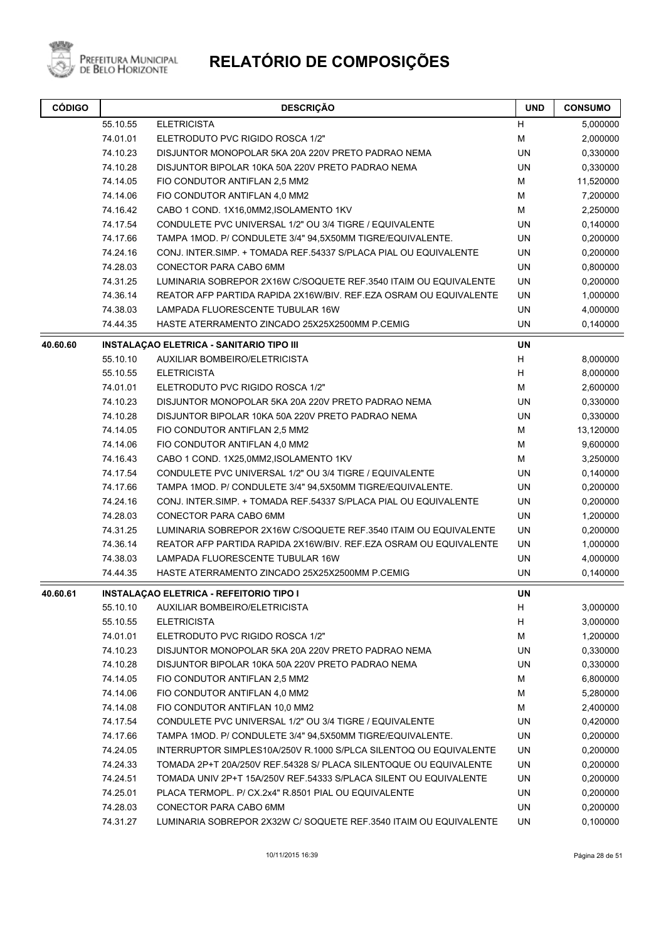

| <b>CÓDIGO</b> |                      | <b>DESCRIÇÃO</b>                                                                   | <b>UND</b> | <b>CONSUMO</b>       |
|---------------|----------------------|------------------------------------------------------------------------------------|------------|----------------------|
|               | 55.10.55             | <b>ELETRICISTA</b>                                                                 | H          | 5,000000             |
|               | 74.01.01             | ELETRODUTO PVC RIGIDO ROSCA 1/2"                                                   | M          | 2,000000             |
|               | 74.10.23             | DISJUNTOR MONOPOLAR 5KA 20A 220V PRETO PADRAO NEMA                                 | UN         | 0,330000             |
|               | 74.10.28             | DISJUNTOR BIPOLAR 10KA 50A 220V PRETO PADRAO NEMA                                  | <b>UN</b>  | 0,330000             |
|               | 74.14.05             | FIO CONDUTOR ANTIFLAN 2,5 MM2                                                      | м          | 11,520000            |
|               | 74.14.06             | FIO CONDUTOR ANTIFLAN 4,0 MM2                                                      | M          | 7,200000             |
|               | 74.16.42             | CABO 1 COND. 1X16,0MM2, ISOLAMENTO 1KV                                             | M          | 2,250000             |
|               | 74.17.54             | CONDULETE PVC UNIVERSAL 1/2" OU 3/4 TIGRE / EQUIVALENTE                            | <b>UN</b>  | 0,140000             |
|               | 74.17.66             | TAMPA 1MOD. P/ CONDULETE 3/4" 94,5X50MM TIGRE/EQUIVALENTE.                         | UN         | 0,200000             |
|               | 74.24.16             | CONJ. INTER SIMP. + TOMADA REF 54337 S/PLACA PIAL OU EQUIVALENTE                   | UN         | 0,200000             |
|               | 74.28.03             | CONECTOR PARA CABO 6MM                                                             | UN         | 0,800000             |
|               | 74.31.25             | LUMINARIA SOBREPOR 2X16W C/SOQUETE REF.3540 ITAIM OU EQUIVALENTE                   | <b>UN</b>  | 0,200000             |
|               | 74.36.14             | REATOR AFP PARTIDA RAPIDA 2X16W/BIV. REF.EZA OSRAM OU EQUIVALENTE                  | UN         | 1,000000             |
|               | 74.38.03             | LAMPADA FLUORESCENTE TUBULAR 16W                                                   | UN         | 4,000000             |
|               | 74.44.35             | HASTE ATERRAMENTO ZINCADO 25X25X2500MM P.CEMIG                                     | <b>UN</b>  | 0,140000             |
| 40.60.60      |                      | <b>INSTALAÇÃO ELETRICA - SANITARIO TIPO III</b>                                    | <b>UN</b>  |                      |
|               | 55.10.10             | AUXILIAR BOMBEIRO/ELETRICISTA                                                      | H          | 8,000000             |
|               | 55.10.55             | <b>ELETRICISTA</b>                                                                 | H          | 8,000000             |
|               | 74.01.01             | ELETRODUTO PVC RIGIDO ROSCA 1/2"                                                   | м          | 2,600000             |
|               | 74.10.23             | DISJUNTOR MONOPOLAR 5KA 20A 220V PRETO PADRAO NEMA                                 | UN         | 0,330000             |
|               | 74.10.28             | DISJUNTOR BIPOLAR 10KA 50A 220V PRETO PADRAO NEMA                                  | UN         | 0,330000             |
|               | 74.14.05             | FIO CONDUTOR ANTIFLAN 2,5 MM2                                                      | М          | 13,120000            |
|               | 74.14.06             | FIO CONDUTOR ANTIFLAN 4,0 MM2                                                      | M          | 9,600000             |
|               | 74.16.43             | CABO 1 COND. 1X25,0MM2, ISOLAMENTO 1KV                                             | М          | 3,250000             |
|               | 74.17.54             | CONDULETE PVC UNIVERSAL 1/2" OU 3/4 TIGRE / EQUIVALENTE                            | UN         | 0,140000             |
|               | 74.17.66             | TAMPA 1MOD. P/ CONDULETE 3/4" 94,5X50MM TIGRE/EQUIVALENTE.                         | UN         | 0,200000             |
|               | 74.24.16             | CONJ. INTER SIMP. + TOMADA REF 54337 S/PLACA PIAL OU EQUIVALENTE                   | UN         | 0,200000             |
|               | 74.28.03             | CONECTOR PARA CABO 6MM                                                             | <b>UN</b>  | 1,200000             |
|               | 74.31.25             | LUMINARIA SOBREPOR 2X16W C/SOQUETE REF.3540 ITAIM OU EQUIVALENTE                   | UN         | 0,200000             |
|               | 74.36.14             | REATOR AFP PARTIDA RAPIDA 2X16W/BIV. REF.EZA OSRAM OU EQUIVALENTE                  | UN         | 1,000000             |
|               | 74.38.03<br>74.44.35 | LAMPADA FLUORESCENTE TUBULAR 16W<br>HASTE ATERRAMENTO ZINCADO 25X25X2500MM P.CEMIG | UN<br>UN   | 4,000000<br>0,140000 |
| 40.60.61      |                      | <b>INSTALAÇÃO ELETRICA - REFEITORIO TIPO I</b>                                     | UN         |                      |
|               | 55.10.10             | AUXILIAR BOMBEIRO/ELETRICISTA                                                      | H          | 3,000000             |
|               | 55.10.55             | <b>ELETRICISTA</b>                                                                 | H          | 3,000000             |
|               | 74.01.01             | ELETRODUTO PVC RIGIDO ROSCA 1/2"                                                   | M          | 1,200000             |
|               | 74.10.23             | DISJUNTOR MONOPOLAR 5KA 20A 220V PRETO PADRAO NEMA                                 | UN         | 0,330000             |
|               | 74.10.28             | DISJUNTOR BIPOLAR 10KA 50A 220V PRETO PADRAO NEMA                                  | UN         | 0,330000             |
|               | 74.14.05             | FIO CONDUTOR ANTIFLAN 2,5 MM2                                                      | м          | 6,800000             |
|               | 74.14.06             | FIO CONDUTOR ANTIFLAN 4,0 MM2                                                      | M          | 5,280000             |
|               | 74.14.08             | FIO CONDUTOR ANTIFLAN 10,0 MM2                                                     | M          | 2,400000             |
|               | 74.17.54             | CONDULETE PVC UNIVERSAL 1/2" OU 3/4 TIGRE / EQUIVALENTE                            | UN         | 0,420000             |
|               | 74.17.66             | TAMPA 1MOD. P/ CONDULETE 3/4" 94,5X50MM TIGRE/EQUIVALENTE.                         | UN         | 0,200000             |
|               | 74.24.05             | INTERRUPTOR SIMPLES10A/250V R.1000 S/PLCA SILENTOQ OU EQUIVALENTE                  | UN         | 0,200000             |
|               | 74.24.33             | TOMADA 2P+T 20A/250V REF.54328 S/ PLACA SILENTOQUE OU EQUIVALENTE                  | UN         | 0,200000             |
|               | 74.24.51             | TOMADA UNIV 2P+T 15A/250V REF.54333 S/PLACA SILENT OU EQUIVALENTE                  | UN         | 0,200000             |
|               | 74.25.01             | PLACA TERMOPL. P/ CX.2x4" R.8501 PIAL OU EQUIVALENTE                               | UN         | 0,200000             |
|               | 74.28.03             | CONECTOR PARA CABO 6MM                                                             | UN         | 0,200000             |
|               | 74.31.27             | LUMINARIA SOBREPOR 2X32W C/ SOQUETE REF.3540 ITAIM OU EQUIVALENTE                  | UN         | 0,100000             |
|               |                      |                                                                                    |            |                      |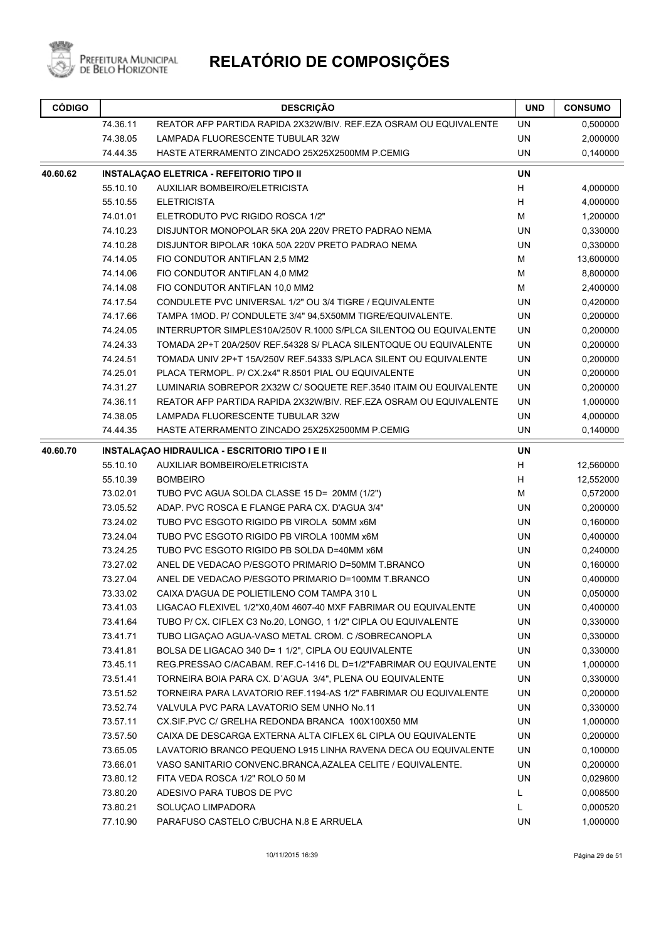

| <b>CÓDIGO</b> |                                                | <b>DESCRIÇÃO</b>                                                  | <b>UND</b> | <b>CONSUMO</b> |
|---------------|------------------------------------------------|-------------------------------------------------------------------|------------|----------------|
|               | 74.36.11                                       | REATOR AFP PARTIDA RAPIDA 2X32W/BIV. REF.EZA OSRAM OU EQUIVALENTE | UN         | 0,500000       |
|               | 74.38.05                                       | LAMPADA FLUORESCENTE TUBULAR 32W                                  | <b>UN</b>  | 2,000000       |
|               | 74.44.35                                       | HASTE ATERRAMENTO ZINCADO 25X25X2500MM P.CEMIG                    | UN         | 0,140000       |
| 40.60.62      |                                                | <b>INSTALAÇAO ELETRICA - REFEITORIO TIPO II</b>                   | <b>UN</b>  |                |
|               | 55.10.10                                       | AUXILIAR BOMBEIRO/ELETRICISTA                                     | H          | 4,000000       |
|               | 55.10.55                                       | <b>ELETRICISTA</b>                                                | H          | 4,000000       |
|               | 74.01.01                                       | ELETRODUTO PVC RIGIDO ROSCA 1/2"                                  | M          | 1,200000       |
|               | 74.10.23                                       | DISJUNTOR MONOPOLAR 5KA 20A 220V PRETO PADRAO NEMA                | UN         | 0,330000       |
|               | 74.10.28                                       | DISJUNTOR BIPOLAR 10KA 50A 220V PRETO PADRAO NEMA                 | UN         | 0,330000       |
|               | 74.14.05                                       | FIO CONDUTOR ANTIFLAN 2,5 MM2                                     | M          | 13,600000      |
|               | 74.14.06                                       | FIO CONDUTOR ANTIFLAN 4,0 MM2                                     | M          | 8,800000       |
|               | 74.14.08                                       | FIO CONDUTOR ANTIFLAN 10,0 MM2                                    | М          | 2,400000       |
|               | 74.17.54                                       | CONDULETE PVC UNIVERSAL 1/2" OU 3/4 TIGRE / EQUIVALENTE           | UN         | 0,420000       |
|               | 74.17.66                                       | TAMPA 1MOD. P/ CONDULETE 3/4" 94,5X50MM TIGRE/EQUIVALENTE.        | UN         | 0,200000       |
|               | 74.24.05                                       | INTERRUPTOR SIMPLES10A/250V R.1000 S/PLCA SILENTOQ OU EQUIVALENTE | UN         | 0,200000       |
|               | 74.24.33                                       | TOMADA 2P+T 20A/250V REF.54328 S/ PLACA SILENTOQUE OU EQUIVALENTE | UN         | 0,200000       |
|               | 74.24.51                                       | TOMADA UNIV 2P+T 15A/250V REF.54333 S/PLACA SILENT OU EQUIVALENTE | UN         | 0,200000       |
|               | 74.25.01                                       | PLACA TERMOPL. P/ CX.2x4" R.8501 PIAL OU EQUIVALENTE              | UN         | 0,200000       |
|               | 74.31.27                                       | LUMINARIA SOBREPOR 2X32W C/ SOQUETE REF.3540 ITAIM OU EQUIVALENTE | UN         | 0,200000       |
|               | 74.36.11                                       | REATOR AFP PARTIDA RAPIDA 2X32W/BIV. REF.EZA OSRAM OU EQUIVALENTE | UN         | 1,000000       |
|               | 74.38.05                                       | <b>LAMPADA FLUORESCENTE TUBULAR 32W</b>                           | UN         | 4,000000       |
|               | 74.44.35                                       | HASTE ATERRAMENTO ZINCADO 25X25X2500MM P.CEMIG                    | UN         | 0,140000       |
| 40.60.70      | INSTALAÇÃO HIDRAULICA - ESCRITORIO TIPO I E II |                                                                   | <b>UN</b>  |                |
|               | 55.10.10                                       | AUXILIAR BOMBEIRO/ELETRICISTA                                     | H          | 12,560000      |
|               | 55.10.39                                       | <b>BOMBEIRO</b>                                                   | Н          | 12,552000      |
|               | 73.02.01                                       | TUBO PVC AGUA SOLDA CLASSE 15 D= 20MM (1/2")                      | м          | 0,572000       |
|               | 73.05.52                                       | ADAP. PVC ROSCA E FLANGE PARA CX. D'AGUA 3/4"                     | UN         | 0,200000       |
|               | 73.24.02                                       | TUBO PVC ESGOTO RIGIDO PB VIROLA 50MM x6M                         | UN         | 0,160000       |
|               | 73.24.04                                       | TUBO PVC ESGOTO RIGIDO PB VIROLA 100MM x6M                        | UN         | 0,400000       |
|               | 73.24.25                                       | TUBO PVC ESGOTO RIGIDO PB SOLDA D=40MM x6M                        | UN         | 0,240000       |
|               | 73.27.02                                       | ANEL DE VEDACAO P/ESGOTO PRIMARIO D=50MM T.BRANCO                 | UN         | 0,160000       |
|               | 73.27.04                                       | ANEL DE VEDACAO P/ESGOTO PRIMARIO D=100MM T.BRANCO                | UN         | 0,400000       |
|               | 73.33.02                                       | CAIXA D'AGUA DE POLIETILENO COM TAMPA 310 L                       | <b>UN</b>  | 0,050000       |
|               | 73.41.03                                       | LIGACAO FLEXIVEL 1/2"X0,40M 4607-40 MXF FABRIMAR OU EQUIVALENTE   | UN         | 0,400000       |
|               | 73.41.64                                       | TUBO P/ CX. CIFLEX C3 No.20, LONGO, 1 1/2" CIPLA OU EQUIVALENTE   | UN         | 0,330000       |
|               | 73.41.71                                       | TUBO LIGAÇÃO AGUA-VASO METAL CROM. C /SOBRECANOPLA                | UN         | 0,330000       |
|               | 73.41.81                                       | BOLSA DE LIGACAO 340 D= 1 1/2", CIPLA OU EQUIVALENTE              | UN         | 0,330000       |
|               | 73.45.11                                       | REG.PRESSAO C/ACABAM. REF.C-1416 DL D=1/2"FABRIMAR OU EQUIVALENTE | UN         | 1,000000       |
|               | 73.51.41                                       | TORNEIRA BOIA PARA CX. D'AGUA 3/4", PLENA OU EQUIVALENTE          | UN         | 0,330000       |
|               | 73.51.52                                       | TORNEIRA PARA LAVATORIO REF.1194-AS 1/2" FABRIMAR OU EQUIVALENTE  | UN         | 0,200000       |
|               | 73.52.74                                       | VALVULA PVC PARA LAVATORIO SEM UNHO No.11                         | UN         | 0,330000       |
|               | 73.57.11                                       | CX.SIF.PVC C/ GRELHA REDONDA BRANCA 100X100X50 MM                 | UN         | 1,000000       |
|               | 73.57.50                                       | CAIXA DE DESCARGA EXTERNA ALTA CIFLEX 6L CIPLA OU EQUIVALENTE     | UN         | 0,200000       |
|               | 73.65.05                                       | LAVATORIO BRANCO PEQUENO L915 LINHA RAVENA DECA OU EQUIVALENTE    | UN         | 0,100000       |
|               | 73.66.01                                       | VASO SANITARIO CONVENC.BRANCA, AZALEA CELITE / EQUIVALENTE.       | UN         | 0,200000       |
|               | 73.80.12                                       | FITA VEDA ROSCA 1/2" ROLO 50 M                                    | UN         | 0,029800       |
|               | 73.80.20                                       | ADESIVO PARA TUBOS DE PVC                                         | L          | 0,008500       |
|               | 73.80.21                                       | SOLUÇAO LIMPADORA                                                 | L          | 0,000520       |
|               | 77.10.90                                       | PARAFUSO CASTELO C/BUCHA N.8 E ARRUELA                            | UN         | 1,000000       |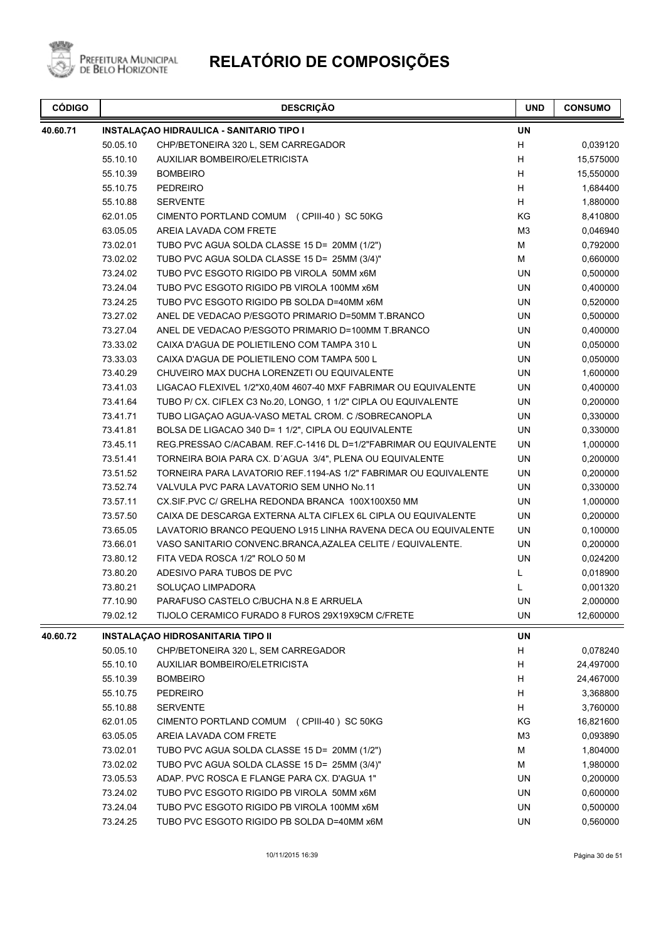

| <b>CÓDIGO</b> | <b>DESCRIÇÃO</b> |                                                                   | <b>UND</b>     | <b>CONSUMO</b> |
|---------------|------------------|-------------------------------------------------------------------|----------------|----------------|
| 40.60.71      |                  | INSTALAÇÃO HIDRAULICA - SANITARIO TIPO I                          | <b>UN</b>      |                |
|               | 50.05.10         | CHP/BETONEIRA 320 L, SEM CARREGADOR                               | Н              | 0,039120       |
|               | 55.10.10         | AUXILIAR BOMBEIRO/ELETRICISTA                                     | н              | 15,575000      |
|               | 55.10.39         | <b>BOMBEIRO</b>                                                   | н              | 15,550000      |
|               | 55.10.75         | <b>PEDREIRO</b>                                                   | H              | 1,684400       |
|               | 55.10.88         | <b>SERVENTE</b>                                                   | Н              | 1,880000       |
|               | 62.01.05         | CIMENTO PORTLAND COMUM (CPIII-40) SC 50KG                         | KG             | 8,410800       |
|               | 63.05.05         | AREIA LAVADA COM FRETE                                            | M <sub>3</sub> | 0,046940       |
|               | 73.02.01         | TUBO PVC AGUA SOLDA CLASSE 15 D= 20MM (1/2")                      | M              | 0,792000       |
|               | 73.02.02         | TUBO PVC AGUA SOLDA CLASSE 15 D= 25MM (3/4)"                      | M              | 0,660000       |
|               | 73.24.02         | TUBO PVC ESGOTO RIGIDO PB VIROLA 50MM x6M                         | <b>UN</b>      | 0,500000       |
|               | 73.24.04         | TUBO PVC ESGOTO RIGIDO PB VIROLA 100MM x6M                        | <b>UN</b>      | 0,400000       |
|               | 73.24.25         | TUBO PVC ESGOTO RIGIDO PB SOLDA D=40MM x6M                        | <b>UN</b>      | 0,520000       |
|               | 73.27.02         | ANEL DE VEDACAO P/ESGOTO PRIMARIO D=50MM T.BRANCO                 | <b>UN</b>      | 0,500000       |
|               | 73.27.04         | ANEL DE VEDACAO P/ESGOTO PRIMARIO D=100MM T.BRANCO                | <b>UN</b>      | 0,400000       |
|               | 73.33.02         | CAIXA D'AGUA DE POLIETILENO COM TAMPA 310 L                       | <b>UN</b>      | 0,050000       |
|               | 73.33.03         | CAIXA D'AGUA DE POLIETILENO COM TAMPA 500 L                       | <b>UN</b>      | 0,050000       |
|               | 73.40.29         | CHUVEIRO MAX DUCHA LORENZETI OU EQUIVALENTE                       | UN             | 1,600000       |
|               | 73.41.03         | LIGACAO FLEXIVEL 1/2"X0,40M 4607-40 MXF FABRIMAR OU EQUIVALENTE   | UN             | 0,400000       |
|               | 73.41.64         | TUBO P/ CX. CIFLEX C3 No.20, LONGO, 1 1/2" CIPLA OU EQUIVALENTE   | UN             | 0,200000       |
|               | 73.41.71         | TUBO LIGAÇÃO AGUA-VASO METAL CROM. C /SOBRECANOPLA                | <b>UN</b>      | 0,330000       |
|               | 73.41.81         | BOLSA DE LIGACAO 340 D= 1 1/2", CIPLA OU EQUIVALENTE              | <b>UN</b>      | 0,330000       |
|               | 73.45.11         | REG.PRESSAO C/ACABAM. REF.C-1416 DL D=1/2"FABRIMAR OU EQUIVALENTE | <b>UN</b>      | 1,000000       |
|               | 73.51.41         | TORNEIRA BOIA PARA CX. D'AGUA 3/4", PLENA OU EQUIVALENTE          | UN             | 0,200000       |
|               | 73.51.52         | TORNEIRA PARA LAVATORIO REF.1194-AS 1/2" FABRIMAR OU EQUIVALENTE  | UN             | 0,200000       |
|               | 73.52.74         | VALVULA PVC PARA LAVATORIO SEM UNHO No.11                         | UN             | 0,330000       |
|               | 73.57.11         | CX.SIF.PVC C/ GRELHA REDONDA BRANCA 100X100X50 MM                 | <b>UN</b>      | 1,000000       |
|               | 73.57.50         | CAIXA DE DESCARGA EXTERNA ALTA CIFLEX 6L CIPLA OU EQUIVALENTE     | UN             | 0,200000       |
|               | 73.65.05         | LAVATORIO BRANCO PEQUENO L915 LINHA RAVENA DECA OU EQUIVALENTE    | <b>UN</b>      | 0,100000       |
|               | 73.66.01         | VASO SANITARIO CONVENC.BRANCA, AZALEA CELITE / EQUIVALENTE.       | <b>UN</b>      | 0,200000       |
|               | 73.80.12         | FITA VEDA ROSCA 1/2" ROLO 50 M                                    | <b>UN</b>      | 0,024200       |
|               | 73.80.20         | ADESIVO PARA TUBOS DE PVC                                         | Г              | 0,018900       |
|               | 73.80.21         | SOLUÇAO LIMPADORA                                                 | L              | 0,001320       |
|               | 77.10.90         | PARAFUSO CASTELO C/BUCHA N.8 E ARRUELA                            | UN             | 2,000000       |
|               | 79.02.12         | TIJOLO CERAMICO FURADO 8 FUROS 29X19X9CM C/FRETE                  | UN             | 12,600000      |
| 40.60.72      |                  | INSTALAÇAO HIDROSANITARIA TIPO II                                 | UN             |                |
|               | 50.05.10         | CHP/BETONEIRA 320 L, SEM CARREGADOR                               | н              | 0,078240       |
|               | 55.10.10         | <b>AUXILIAR BOMBEIRO/ELETRICISTA</b>                              | н              | 24,497000      |
|               | 55.10.39         | <b>BOMBEIRO</b>                                                   | H              | 24,467000      |
|               | 55.10.75         | <b>PEDREIRO</b>                                                   | н              | 3,368800       |
|               | 55.10.88         | <b>SERVENTE</b>                                                   | н              | 3,760000       |
|               | 62.01.05         | CIMENTO PORTLAND COMUM (CPIII-40) SC 50KG                         | KG             | 16,821600      |
|               | 63.05.05         | AREIA LAVADA COM FRETE                                            | M <sub>3</sub> | 0,093890       |
|               | 73.02.01         | TUBO PVC AGUA SOLDA CLASSE 15 D= 20MM (1/2")                      | M              | 1,804000       |
|               | 73.02.02         | TUBO PVC AGUA SOLDA CLASSE 15 D= 25MM (3/4)"                      | М              | 1,980000       |
|               | 73.05.53         | ADAP. PVC ROSCA E FLANGE PARA CX. D'AGUA 1"                       | UN             | 0,200000       |
|               | 73.24.02         | TUBO PVC ESGOTO RIGIDO PB VIROLA 50MM x6M                         | UN             | 0,600000       |
|               | 73.24.04         | TUBO PVC ESGOTO RIGIDO PB VIROLA 100MM x6M                        | UN             | 0,500000       |
|               | 73.24.25         | TUBO PVC ESGOTO RIGIDO PB SOLDA D=40MM x6M                        | UN             | 0,560000       |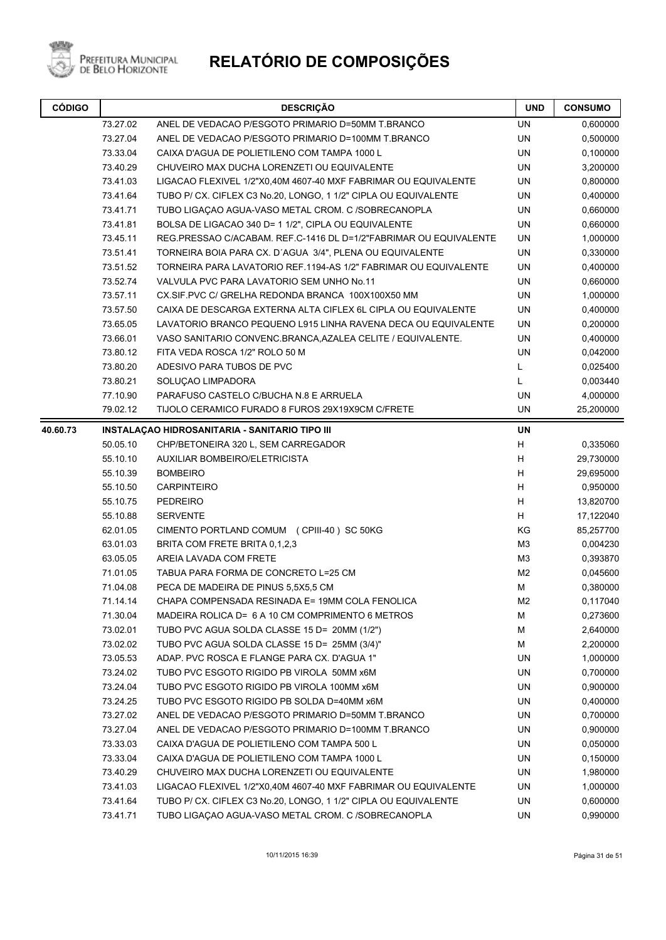

Prefeitura Municipal<br>de Belo Horizonte

| <b>CÓDIGO</b> | <b>DESCRIÇÃO</b> |                                                                   | <b>UND</b>     | <b>CONSUMO</b> |
|---------------|------------------|-------------------------------------------------------------------|----------------|----------------|
|               | 73.27.02         | ANEL DE VEDACAO P/ESGOTO PRIMARIO D=50MM T.BRANCO                 | <b>UN</b>      | 0,600000       |
|               | 73.27.04         | ANEL DE VEDACAO P/ESGOTO PRIMARIO D=100MM T.BRANCO                | <b>UN</b>      | 0,500000       |
|               | 73.33.04         | CAIXA D'AGUA DE POLIETILENO COM TAMPA 1000 L                      | UN             | 0,100000       |
|               | 73.40.29         | CHUVEIRO MAX DUCHA LORENZETI OU EQUIVALENTE                       | <b>UN</b>      | 3,200000       |
|               | 73.41.03         | LIGACAO FLEXIVEL 1/2"X0,40M 4607-40 MXF FABRIMAR OU EQUIVALENTE   | <b>UN</b>      | 0,800000       |
|               | 73.41.64         | TUBO P/ CX. CIFLEX C3 No.20, LONGO, 1 1/2" CIPLA OU EQUIVALENTE   | <b>UN</b>      | 0,400000       |
|               | 73.41.71         | TUBO LIGAÇÃO AGUA-VASO METAL CROM. C /SOBRECANOPLA                | UN             | 0,660000       |
|               | 73.41.81         | BOLSA DE LIGACAO 340 D= 1 1/2", CIPLA OU EQUIVALENTE              | <b>UN</b>      | 0,660000       |
|               | 73.45.11         | REG.PRESSAO C/ACABAM. REF.C-1416 DL D=1/2"FABRIMAR OU EQUIVALENTE | UN             | 1,000000       |
|               | 73.51.41         | TORNEIRA BOIA PARA CX. D'AGUA 3/4", PLENA OU EQUIVALENTE          | <b>UN</b>      | 0,330000       |
|               | 73.51.52         | TORNEIRA PARA LAVATORIO REF.1194-AS 1/2" FABRIMAR OU EQUIVALENTE  | UN             | 0,400000       |
|               | 73.52.74         | VALVULA PVC PARA LAVATORIO SEM UNHO No.11                         | <b>UN</b>      | 0,660000       |
|               | 73.57.11         | CX.SIF.PVC C/ GRELHA REDONDA BRANCA 100X100X50 MM                 | <b>UN</b>      | 1,000000       |
|               | 73.57.50         | CAIXA DE DESCARGA EXTERNA ALTA CIFLEX 6L CIPLA OU EQUIVALENTE     | <b>UN</b>      | 0,400000       |
|               | 73.65.05         | LAVATORIO BRANCO PEQUENO L915 LINHA RAVENA DECA OU EQUIVALENTE    | UN             | 0,200000       |
|               | 73.66.01         | VASO SANITARIO CONVENC.BRANCA, AZALEA CELITE / EQUIVALENTE.       | UN             | 0,400000       |
|               | 73.80.12         | FITA VEDA ROSCA 1/2" ROLO 50 M                                    | UN             | 0,042000       |
|               | 73.80.20         | ADESIVO PARA TUBOS DE PVC                                         | L              | 0,025400       |
|               | 73.80.21         | SOLUCAO LIMPADORA                                                 | L              | 0,003440       |
|               | 77.10.90         | PARAFUSO CASTELO C/BUCHA N.8 E ARRUELA                            | UN             | 4,000000       |
|               | 79.02.12         | TIJOLO CERAMICO FURADO 8 FUROS 29X19X9CM C/FRETE                  | UN             | 25,200000      |
| 40.60.73      |                  | INSTALAÇÃO HIDROSANITARIA - SANITARIO TIPO III                    | UN             |                |
|               | 50.05.10         | CHP/BETONEIRA 320 L, SEM CARREGADOR                               | H              | 0,335060       |
|               | 55.10.10         | AUXILIAR BOMBEIRO/ELETRICISTA                                     | H              | 29,730000      |
|               | 55.10.39         | <b>BOMBEIRO</b>                                                   | H              | 29,695000      |
|               | 55.10.50         | <b>CARPINTEIRO</b>                                                | H              | 0,950000       |
|               | 55.10.75         | <b>PEDREIRO</b>                                                   | H              | 13,820700      |
|               | 55.10.88         | <b>SERVENTE</b>                                                   | H              | 17,122040      |
|               | 62.01.05         | CIMENTO PORTLAND COMUM (CPIII-40) SC 50KG                         | ΚG             | 85,257700      |
|               | 63.01.03         | BRITA COM FRETE BRITA 0,1,2,3                                     | M <sub>3</sub> | 0,004230       |
|               | 63.05.05         | AREIA LAVADA COM FRETE                                            | M <sub>3</sub> | 0,393870       |
|               | 71.01.05         | TABUA PARA FORMA DE CONCRETO L=25 CM                              | M2             | 0,045600       |
|               | 71.04.08         | PECA DE MADEIRA DE PINUS 5,5X5,5 CM                               | М              | 0,380000       |
|               | 71.14.14         | CHAPA COMPENSADA RESINADA E= 19MM COLA FENOLICA                   | M2             | 0,117040       |
|               | 71.30.04         | MADEIRA ROLICA D= 6 A 10 CM COMPRIMENTO 6 METROS                  | M              | 0,273600       |
|               | 73.02.01         | TUBO PVC AGUA SOLDA CLASSE 15 D= 20MM (1/2")                      | M              | 2,640000       |
|               | 73.02.02         | TUBO PVC AGUA SOLDA CLASSE 15 D= 25MM (3/4)"                      | M              | 2,200000       |
|               | 73.05.53         | ADAP. PVC ROSCA E FLANGE PARA CX. D'AGUA 1"                       | UN             | 1,000000       |
|               | 73.24.02         | TUBO PVC ESGOTO RIGIDO PB VIROLA 50MM x6M                         | UN             | 0,700000       |
|               | 73.24.04         | TUBO PVC ESGOTO RIGIDO PB VIROLA 100MM x6M                        | UN             | 0,900000       |
|               | 73.24.25         | TUBO PVC ESGOTO RIGIDO PB SOLDA D=40MM x6M                        | UN             | 0,400000       |
|               | 73.27.02         | ANEL DE VEDACAO P/ESGOTO PRIMARIO D=50MM T.BRANCO                 | UN             | 0,700000       |
|               | 73.27.04         | ANEL DE VEDACAO P/ESGOTO PRIMARIO D=100MM T.BRANCO                | UN             | 0,900000       |
|               | 73.33.03         | CAIXA D'AGUA DE POLIETILENO COM TAMPA 500 L                       | UN             | 0,050000       |
|               | 73.33.04         | CAIXA D'AGUA DE POLIETILENO COM TAMPA 1000 L                      | UN             | 0,150000       |
|               | 73.40.29         | CHUVEIRO MAX DUCHA LORENZETI OU EQUIVALENTE                       | UN             | 1,980000       |
|               | 73.41.03         | LIGACAO FLEXIVEL 1/2"X0,40M 4607-40 MXF FABRIMAR OU EQUIVALENTE   | UN             | 1,000000       |
|               | 73.41.64         | TUBO P/ CX. CIFLEX C3 No.20, LONGO, 1 1/2" CIPLA OU EQUIVALENTE   | UN             | 0,600000       |
|               | 73.41.71         | TUBO LIGAÇÃO AGUA-VASO METAL CROM. C /SOBRECANOPLA                | UN             | 0,990000       |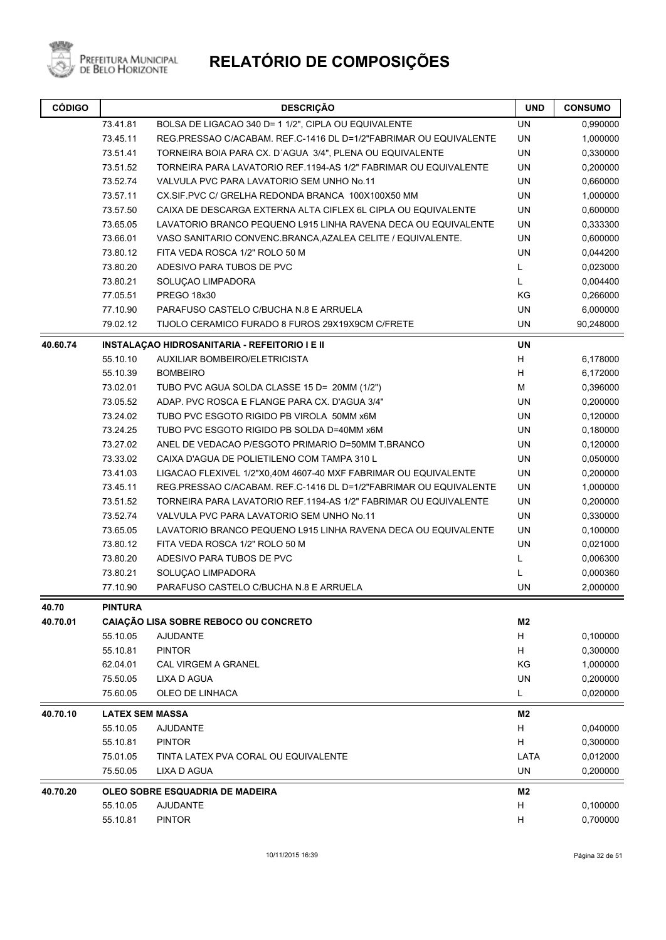

Prefeitura Municipal<br>de Belo Horizonte

| <b>CÓDIGO</b> |                                                              | <b>DESCRIÇÃO</b>                                                  |                | <b>CONSUMO</b> |
|---------------|--------------------------------------------------------------|-------------------------------------------------------------------|----------------|----------------|
|               | 73.41.81                                                     | BOLSA DE LIGACAO 340 D= 1 1/2", CIPLA OU EQUIVALENTE              | UN             | 0,990000       |
|               | 73.45.11                                                     | REG.PRESSAO C/ACABAM. REF.C-1416 DL D=1/2"FABRIMAR OU EQUIVALENTE | <b>UN</b>      | 1,000000       |
|               | 73.51.41                                                     | TORNEIRA BOIA PARA CX. D'AGUA 3/4", PLENA OU EQUIVALENTE          | <b>UN</b>      | 0,330000       |
|               | 73.51.52                                                     | TORNEIRA PARA LAVATORIO REF.1194-AS 1/2" FABRIMAR OU EQUIVALENTE  | <b>UN</b>      | 0,200000       |
|               | 73.52.74                                                     | VALVULA PVC PARA LAVATORIO SEM UNHO No.11                         | <b>UN</b>      | 0,660000       |
|               | 73.57.11                                                     | CX.SIF.PVC C/ GRELHA REDONDA BRANCA 100X100X50 MM                 | <b>UN</b>      | 1,000000       |
|               | 73.57.50                                                     | CAIXA DE DESCARGA EXTERNA ALTA CIFLEX 6L CIPLA OU EQUIVALENTE     | <b>UN</b>      | 0,600000       |
|               | 73.65.05                                                     | LAVATORIO BRANCO PEQUENO L915 LINHA RAVENA DECA OU EQUIVALENTE    | UN             | 0,333300       |
|               | 73.66.01                                                     | VASO SANITARIO CONVENC BRANCA, AZALEA CELITE / EQUIVALENTE.       | UN             | 0,600000       |
|               | <b>UN</b><br>73.80.12<br>FITA VEDA ROSCA 1/2" ROLO 50 M      |                                                                   |                |                |
|               | 73.80.20                                                     | ADESIVO PARA TUBOS DE PVC                                         | L.             | 0,023000       |
|               | 73.80.21                                                     | SOLUÇAO LIMPADORA                                                 | L              | 0,004400       |
|               | 77.05.51<br>PREGO 18x30                                      |                                                                   | ΚG             | 0,266000       |
|               | 77.10.90                                                     | PARAFUSO CASTELO C/BUCHA N.8 E ARRUELA                            | UN             | 6,000000       |
|               | 79.02.12<br>TIJOLO CERAMICO FURADO 8 FUROS 29X19X9CM C/FRETE |                                                                   | UN             | 90,248000      |
| 40.60.74      |                                                              | INSTALAÇÃO HIDROSANITARIA - REFEITORIO I E II                     | <b>UN</b>      |                |
|               | 55.10.10                                                     | AUXILIAR BOMBEIRO/ELETRICISTA                                     | H              | 6,178000       |
|               | 55.10.39                                                     | <b>BOMBEIRO</b>                                                   | H              | 6,172000       |
|               | 73.02.01                                                     | TUBO PVC AGUA SOLDA CLASSE 15 D= 20MM (1/2")                      | M              | 0,396000       |
|               | 73.05.52                                                     | ADAP. PVC ROSCA E FLANGE PARA CX. D'AGUA 3/4"                     | <b>UN</b>      | 0,200000       |
|               | 73.24.02                                                     | TUBO PVC ESGOTO RIGIDO PB VIROLA 50MM x6M                         | <b>UN</b>      | 0,120000       |
|               | 73.24.25                                                     | TUBO PVC ESGOTO RIGIDO PB SOLDA D=40MM x6M                        | UN             | 0,180000       |
|               | 73.27.02                                                     | ANEL DE VEDACAO P/ESGOTO PRIMARIO D=50MM T.BRANCO                 | UN             | 0,120000       |
|               | 73.33.02                                                     | CAIXA D'AGUA DE POLIETILENO COM TAMPA 310 L                       | UN             | 0,050000       |
|               | 73.41.03                                                     | LIGACAO FLEXIVEL 1/2"X0,40M 4607-40 MXF FABRIMAR OU EQUIVALENTE   | UN             | 0,200000       |
|               | 73.45.11                                                     | REG.PRESSAO C/ACABAM. REF.C-1416 DL D=1/2"FABRIMAR OU EQUIVALENTE | UN             | 1,000000       |
|               | 73.51.52                                                     | TORNEIRA PARA LAVATORIO REF.1194-AS 1/2" FABRIMAR OU EQUIVALENTE  | <b>UN</b>      | 0,200000       |
|               | 73.52.74                                                     | VALVULA PVC PARA LAVATORIO SEM UNHO No.11                         | <b>UN</b>      | 0,330000       |
|               | 73.65.05                                                     | LAVATORIO BRANCO PEQUENO L915 LINHA RAVENA DECA OU EQUIVALENTE    | <b>UN</b>      | 0,100000       |
|               | 73.80.12                                                     | FITA VEDA ROSCA 1/2" ROLO 50 M                                    | <b>UN</b>      | 0,021000       |
|               | 73.80.20                                                     | ADESIVO PARA TUBOS DE PVC                                         | L.             | 0,006300       |
|               | 73.80.21                                                     | SOLUÇAO LIMPADORA                                                 | L              | 0,000360       |
|               | 77.10.90                                                     | PARAFUSO CASTELO C/BUCHA N.8 E ARRUELA                            | UN             | 2,000000       |
| 40.70         | <b>PINTURA</b>                                               |                                                                   |                |                |
| 40.70.01      |                                                              | CAIAÇÃO LISA SOBRE REBOCO OU CONCRETO                             | M <sub>2</sub> |                |
|               | 55.10.05                                                     | <b>AJUDANTE</b>                                                   | H              | 0,100000       |
|               | 55.10.81                                                     | <b>PINTOR</b>                                                     | Н              | 0,300000       |
|               | 62.04.01                                                     | CAL VIRGEM A GRANEL                                               | ΚG             | 1,000000       |
|               | 75.50.05                                                     | LIXA D AGUA                                                       | UN             | 0,200000       |
|               | 75.60.05                                                     | OLEO DE LINHACA                                                   | L              | 0,020000       |
| 40.70.10      | <b>LATEX SEM MASSA</b>                                       |                                                                   | M2             |                |
|               | 55.10.05                                                     | <b>AJUDANTE</b>                                                   | H              | 0,040000       |
|               | 55.10.81                                                     | <b>PINTOR</b>                                                     | H              | 0,300000       |
|               | 75.01.05                                                     | TINTA LATEX PVA CORAL OU EQUIVALENTE                              | LATA           | 0,012000       |
|               | 75.50.05                                                     | LIXA D AGUA                                                       | UN             | 0,200000       |
| 40.70.20      |                                                              | OLEO SOBRE ESQUADRIA DE MADEIRA                                   | M2             |                |
|               | 55.10.05                                                     | <b>AJUDANTE</b>                                                   | H              | 0,100000       |
|               | 55.10.81                                                     | <b>PINTOR</b>                                                     | Н              | 0,700000       |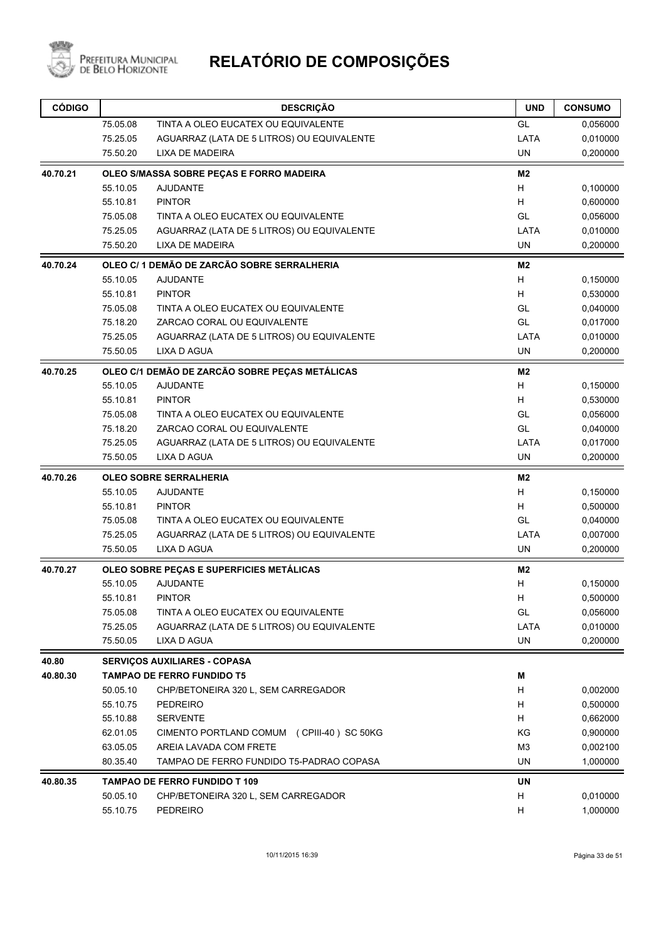

| <b>CÓDIGO</b>     |                      | <b>DESCRIÇÃO</b>                                                         | <b>UND</b>     | <b>CONSUMO</b>       |
|-------------------|----------------------|--------------------------------------------------------------------------|----------------|----------------------|
|                   | 75.05.08             | TINTA A OLEO EUCATEX OU EQUIVALENTE                                      | GL             | 0,056000             |
|                   | 75.25.05             | AGUARRAZ (LATA DE 5 LITROS) OU EQUIVALENTE                               | LATA           | 0,010000             |
|                   | 75.50.20             | LIXA DE MADEIRA                                                          | <b>UN</b>      | 0,200000             |
| 40.70.21          |                      | OLEO S/MASSA SOBRE PEÇAS E FORRO MADEIRA                                 | M <sub>2</sub> |                      |
|                   | 55.10.05             | <b>AJUDANTE</b>                                                          | H              | 0,100000             |
|                   | 55.10.81             | <b>PINTOR</b>                                                            | H              | 0,600000             |
|                   | 75.05.08             | TINTA A OLEO EUCATEX OU EQUIVALENTE                                      | GL             | 0,056000             |
|                   | 75.25.05             | AGUARRAZ (LATA DE 5 LITROS) OU EQUIVALENTE                               | LATA           | 0,010000             |
|                   | 75.50.20             | <b>LIXA DE MADEIRA</b>                                                   | <b>UN</b>      | 0,200000             |
| 40.70.24          |                      | OLEO C/ 1 DEMÃO DE ZARCÃO SOBRE SERRALHERIA                              | M2             |                      |
|                   | 55.10.05             | <b>AJUDANTE</b>                                                          | H              | 0,150000             |
|                   | 55.10.81             | <b>PINTOR</b>                                                            | H              | 0,530000             |
|                   | 75.05.08             | TINTA A OLEO EUCATEX OU EQUIVALENTE                                      | GL             | 0,040000             |
|                   | 75.18.20             | ZARCAO CORAL OU EQUIVALENTE                                              | GL             | 0,017000             |
|                   | 75.25.05             | AGUARRAZ (LATA DE 5 LITROS) OU EQUIVALENTE                               | LATA           | 0,010000             |
|                   | 75.50.05             | <b>LIXA D AGUA</b>                                                       | <b>UN</b>      | 0,200000             |
| 40.70.25          |                      | OLEO C/1 DEMÃO DE ZARCÃO SOBRE PEÇAS METÁLICAS                           | M <sub>2</sub> |                      |
|                   | 55.10.05             | <b>AJUDANTE</b>                                                          | H              | 0,150000             |
|                   | 55.10.81             | <b>PINTOR</b>                                                            | H              | 0,530000             |
|                   | 75.05.08             | TINTA A OLEO EUCATEX OU EQUIVALENTE                                      | GL             | 0,056000             |
|                   | 75.18.20             | ZARCAO CORAL OU EQUIVALENTE                                              | GL             | 0,040000             |
|                   | 75.25.05             | AGUARRAZ (LATA DE 5 LITROS) OU EQUIVALENTE                               | LATA           | 0,017000             |
|                   | 75.50.05             | LIXA D AGUA                                                              | <b>UN</b>      | 0,200000             |
| 40.70.26          |                      | <b>OLEO SOBRE SERRALHERIA</b>                                            | M <sub>2</sub> |                      |
|                   | 55.10.05             | <b>AJUDANTE</b>                                                          | н              | 0,150000             |
|                   | 55.10.81             | <b>PINTOR</b>                                                            | H              | 0,500000             |
|                   | 75.05.08             | TINTA A OLEO EUCATEX OU EQUIVALENTE                                      | GL             | 0,040000             |
|                   | 75.25.05             | AGUARRAZ (LATA DE 5 LITROS) OU EQUIVALENTE                               | LATA           | 0,007000             |
|                   | 75.50.05             | <b>LIXA D AGUA</b>                                                       | <b>UN</b>      | 0,200000             |
| 40.70.27          |                      | OLEO SOBRE PEÇAS E SUPERFICIES METÁLICAS                                 | M2             |                      |
|                   | 55.10.05             | <b>AJUDANTE</b>                                                          | н              | 0,150000             |
|                   | 55.10.81             | <b>PINTOR</b>                                                            | н              | 0,500000             |
|                   | 75.05.08             | TINTA A OLEO EUCATEX OU EQUIVALENTE                                      | GL             | 0,056000             |
|                   | 75.25.05<br>75.50.05 | AGUARRAZ (LATA DE 5 LITROS) OU EQUIVALENTE<br>LIXA D AGUA                | LATA<br>UN     | 0,010000<br>0,200000 |
|                   |                      |                                                                          |                |                      |
| 40.80<br>40.80.30 |                      | <b>SERVICOS AUXILIARES - COPASA</b><br><b>TAMPAO DE FERRO FUNDIDO T5</b> | M              |                      |
|                   | 50.05.10             | CHP/BETONEIRA 320 L, SEM CARREGADOR                                      | н              | 0,002000             |
|                   | 55.10.75             | <b>PEDREIRO</b>                                                          | H              | 0,500000             |
|                   | 55.10.88             | <b>SERVENTE</b>                                                          | н              | 0,662000             |
|                   | 62.01.05             | CIMENTO PORTLAND COMUM (CPIII-40) SC 50KG                                | KG             | 0,900000             |
|                   | 63.05.05             | AREIA LAVADA COM FRETE                                                   | M <sub>3</sub> |                      |
|                   | 80.35.40             | TAMPAO DE FERRO FUNDIDO T5-PADRAO COPASA                                 | UN             | 0,002100<br>1,000000 |
|                   |                      | <b>TAMPAO DE FERRO FUNDIDO T 109</b>                                     | UN             |                      |
| 40.80.35          | 50.05.10             | CHP/BETONEIRA 320 L, SEM CARREGADOR                                      | н              | 0,010000             |
|                   | 55.10.75             | <b>PEDREIRO</b>                                                          | н              | 1,000000             |
|                   |                      |                                                                          |                |                      |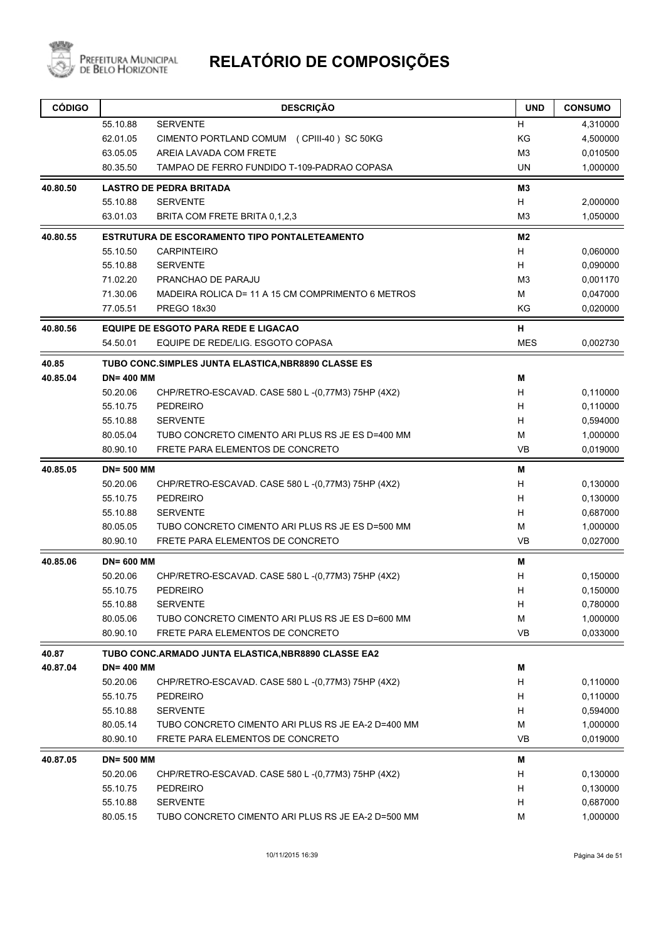

| <b>CÓDIGO</b> |                   | <b>DESCRIÇÃO</b>                                    | <b>UND</b>     | <b>CONSUMO</b> |
|---------------|-------------------|-----------------------------------------------------|----------------|----------------|
|               | 55.10.88          | <b>SERVENTE</b>                                     | н              | 4,310000       |
|               | 62.01.05          | CIMENTO PORTLAND COMUM (CPIII-40) SC 50KG           | KG             | 4,500000       |
|               | 63.05.05          | AREIA LAVADA COM FRETE                              | M <sub>3</sub> | 0,010500       |
|               | 80.35.50          | TAMPAO DE FERRO FUNDIDO T-109-PADRAO COPASA         | UN.            | 1,000000       |
| 40.80.50      |                   | <b>LASTRO DE PEDRA BRITADA</b>                      | M <sub>3</sub> |                |
|               | 55.10.88          | <b>SERVENTE</b>                                     | H              | 2,000000       |
|               | 63.01.03          | BRITA COM FRETE BRITA 0,1,2,3                       | M <sub>3</sub> | 1,050000       |
| 40.80.55      |                   | ESTRUTURA DE ESCORAMENTO TIPO PONTALETEAMENTO       | M2             |                |
|               | 55.10.50          | <b>CARPINTEIRO</b>                                  | H              | 0,060000       |
|               | 55.10.88          | <b>SERVENTE</b>                                     | H              | 0,090000       |
|               | 71.02.20          | PRANCHAO DE PARAJU                                  | M <sub>3</sub> | 0,001170       |
|               | 71.30.06          | MADEIRA ROLICA D= 11 A 15 CM COMPRIMENTO 6 METROS   | М              | 0,047000       |
|               | 77.05.51          | <b>PREGO 18x30</b>                                  | KG             | 0,020000       |
| 40.80.56      |                   | <b>EQUIPE DE ESGOTO PARA REDE E LIGACAO</b>         | н              |                |
|               | 54.50.01          | EQUIPE DE REDE/LIG. ESGOTO COPASA                   | <b>MES</b>     | 0,002730       |
| 40.85         |                   | TUBO CONC.SIMPLES JUNTA ELASTICA, NBR8890 CLASSE ES |                |                |
| 40.85.04      | <b>DN=400 MM</b>  |                                                     | Μ              |                |
|               | 50.20.06          | CHP/RETRO-ESCAVAD. CASE 580 L-(0,77M3) 75HP (4X2)   | н              | 0,110000       |
|               | 55.10.75          | <b>PEDREIRO</b>                                     | H              | 0,110000       |
|               | 55.10.88          | <b>SERVENTE</b>                                     | н              | 0,594000       |
|               | 80.05.04          | TUBO CONCRETO CIMENTO ARI PLUS RS JE ES D=400 MM    | М              | 1,000000       |
|               | 80.90.10          | FRETE PARA ELEMENTOS DE CONCRETO                    | <b>VB</b>      | 0,019000       |
| 40.85.05      | <b>DN=500 MM</b>  |                                                     | M              |                |
|               | 50.20.06          | CHP/RETRO-ESCAVAD. CASE 580 L-(0,77M3) 75HP (4X2)   | н              | 0,130000       |
|               | 55.10.75          | <b>PEDREIRO</b>                                     | н              | 0,130000       |
|               | 55.10.88          | <b>SERVENTE</b>                                     | н              | 0,687000       |
|               | 80.05.05          | TUBO CONCRETO CIMENTO ARI PLUS RS JE ES D=500 MM    | M              | 1,000000       |
|               | 80.90.10          | FRETE PARA ELEMENTOS DE CONCRETO                    | <b>VB</b>      | 0,027000       |
| 40.85.06      | <b>DN=600 MM</b>  |                                                     | Μ              |                |
|               | 50.20.06          | CHP/RETRO-ESCAVAD. CASE 580 L-(0,77M3) 75HP (4X2)   | н              | 0,150000       |
|               | 55.10.75          | <b>PEDREIRO</b>                                     | н              | 0,150000       |
|               | 55.10.88          | <b>SERVENTE</b>                                     | н              | 0,780000       |
|               | 80.05.06          | TUBO CONCRETO CIMENTO ARI PLUS RS JE ES D=600 MM    | M              | 1,000000       |
|               | 80.90.10          | FRETE PARA ELEMENTOS DE CONCRETO                    | VB             | 0,033000       |
| 40.87         |                   | TUBO CONC.ARMADO JUNTA ELASTICA, NBR8890 CLASSE EA2 |                |                |
| 40.87.04      | <b>DN=400 MM</b>  |                                                     | M              |                |
|               | 50.20.06          | CHP/RETRO-ESCAVAD. CASE 580 L-(0,77M3) 75HP (4X2)   | н              | 0,110000       |
|               | 55.10.75          | <b>PEDREIRO</b>                                     | н              | 0,110000       |
|               | 55.10.88          | <b>SERVENTE</b>                                     | н              | 0,594000       |
|               | 80.05.14          | TUBO CONCRETO CIMENTO ARI PLUS RS JE EA-2 D=400 MM  | М              | 1,000000       |
|               | 80.90.10          | FRETE PARA ELEMENTOS DE CONCRETO                    | VB             | 0,019000       |
| 40.87.05      | <b>DN= 500 MM</b> |                                                     | Μ              |                |
|               | 50.20.06          | CHP/RETRO-ESCAVAD. CASE 580 L -(0,77M3) 75HP (4X2)  | н              | 0,130000       |
|               | 55.10.75          | <b>PEDREIRO</b>                                     | н              | 0,130000       |
|               | 55.10.88          | <b>SERVENTE</b>                                     | н              | 0,687000       |
|               | 80.05.15          | TUBO CONCRETO CIMENTO ARI PLUS RS JE EA-2 D=500 MM  | М              | 1,000000       |
|               |                   |                                                     |                |                |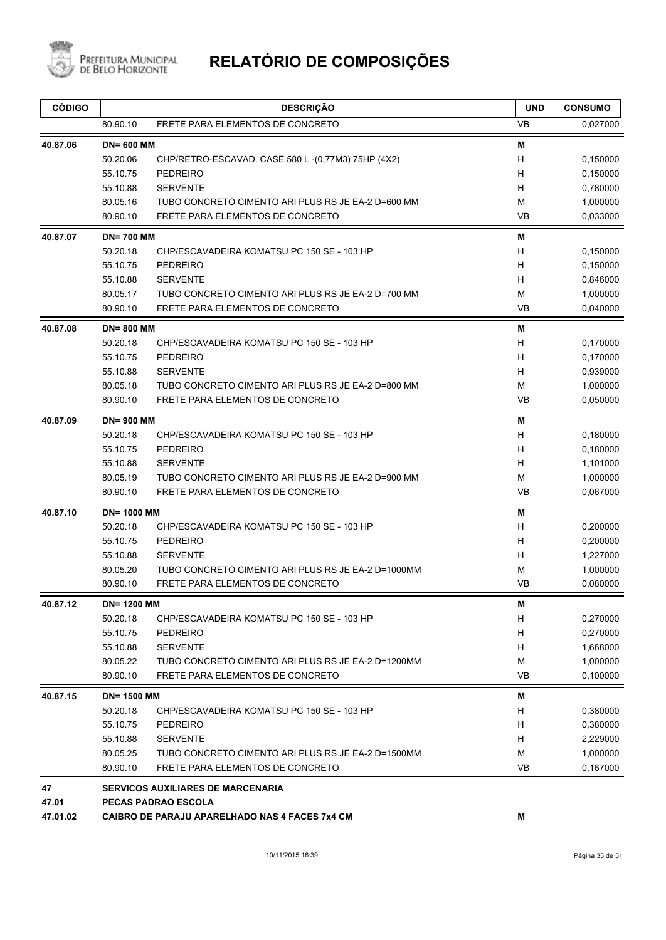

| <b>CÓDIGO</b> |                    | <b>DESCRIÇÃO</b>                                      | <b>UND</b> | <b>CONSUMO</b> |
|---------------|--------------------|-------------------------------------------------------|------------|----------------|
|               | 80.90.10           | FRETE PARA ELEMENTOS DE CONCRETO                      | <b>VB</b>  | 0,027000       |
| 40.87.06      | <b>DN=600 MM</b>   |                                                       | M          |                |
|               | 50.20.06           | CHP/RETRO-ESCAVAD. CASE 580 L -(0,77M3) 75HP (4X2)    | H          | 0.150000       |
|               | 55.10.75           | <b>PEDREIRO</b>                                       | н          | 0,150000       |
|               | 55.10.88           | <b>SERVENTE</b>                                       | н          | 0,780000       |
|               | 80.05.16           | TUBO CONCRETO CIMENTO ARI PLUS RS JE EA-2 D=600 MM    | М          | 1,000000       |
|               | 80.90.10           | FRETE PARA ELEMENTOS DE CONCRETO                      | <b>VB</b>  | 0,033000       |
| 40.87.07      | <b>DN=700 MM</b>   |                                                       | M          |                |
|               | 50.20.18           | CHP/ESCAVADEIRA KOMATSU PC 150 SE - 103 HP            | H          | 0,150000       |
|               | 55.10.75           | <b>PEDREIRO</b>                                       | H          | 0,150000       |
|               | 55.10.88           | <b>SERVENTE</b>                                       | H          | 0,846000       |
|               | 80.05.17           | TUBO CONCRETO CIMENTO ARI PLUS RS JE EA-2 D=700 MM    | м          | 1,000000       |
|               | 80.90.10           | FRETE PARA ELEMENTOS DE CONCRETO                      | <b>VB</b>  | 0,040000       |
| 40.87.08      | <b>DN=800 MM</b>   |                                                       | M          |                |
|               | 50.20.18           | CHP/ESCAVADEIRA KOMATSU PC 150 SE - 103 HP            | H          | 0,170000       |
|               | 55.10.75           | <b>PEDREIRO</b>                                       | H          | 0,170000       |
|               | 55.10.88           | <b>SERVENTE</b>                                       | H          | 0,939000       |
|               | 80.05.18           | TUBO CONCRETO CIMENTO ARI PLUS RS JE EA-2 D=800 MM    | M          | 1,000000       |
|               | 80.90.10           | FRETE PARA ELEMENTOS DE CONCRETO                      | VB         | 0,050000       |
| 40.87.09      | <b>DN=900 MM</b>   |                                                       | М          |                |
|               | 50.20.18           | CHP/ESCAVADEIRA KOMATSU PC 150 SE - 103 HP            | н          | 0,180000       |
|               | 55.10.75           | <b>PEDREIRO</b>                                       | н          | 0,180000       |
|               | 55.10.88           | <b>SERVENTE</b>                                       | H          | 1,101000       |
|               | 80.05.19           | TUBO CONCRETO CIMENTO ARI PLUS RS JE EA-2 D=900 MM    | M          | 1,000000       |
|               | 80.90.10           | FRETE PARA ELEMENTOS DE CONCRETO                      | <b>VB</b>  | 0,067000       |
| 40.87.10      | <b>DN= 1000 MM</b> |                                                       | M          |                |
|               | 50.20.18           | CHP/ESCAVADEIRA KOMATSU PC 150 SE - 103 HP            | H          | 0,200000       |
|               | 55.10.75           | <b>PEDREIRO</b>                                       | H          | 0,200000       |
|               | 55.10.88           | <b>SERVENTE</b>                                       | н          | 1,227000       |
|               | 80.05.20           | TUBO CONCRETO CIMENTO ARI PLUS RS JE EA-2 D=1000MM    | M          | 1,000000       |
|               | 80.90.10           | FRETE PARA ELEMENTOS DE CONCRETO                      | <b>VB</b>  | 0,080000       |
| 40.87.12      | <b>DN=1200 MM</b>  |                                                       | м          |                |
|               | 50.20.18           | CHP/ESCAVADEIRA KOMATSU PC 150 SE - 103 HP            | H          | 0,270000       |
|               | 55.10.75           | <b>PEDREIRO</b>                                       | H          | 0,270000       |
|               | 55.10.88           | <b>SERVENTE</b>                                       | H          | 1,668000       |
|               | 80.05.22           | TUBO CONCRETO CIMENTO ARI PLUS RS JE EA-2 D=1200MM    | м          | 1,000000       |
|               | 80.90.10           | FRETE PARA ELEMENTOS DE CONCRETO                      | VB         | 0,100000       |
| 40.87.15      | <b>DN=1500 MM</b>  |                                                       | Μ          |                |
|               | 50.20.18           | CHP/ESCAVADEIRA KOMATSU PC 150 SE - 103 HP            | H          | 0,380000       |
|               | 55.10.75           | <b>PEDREIRO</b>                                       | H          | 0,380000       |
|               | 55.10.88           | <b>SERVENTE</b>                                       | H          | 2,229000       |
|               | 80.05.25           | TUBO CONCRETO CIMENTO ARI PLUS RS JE EA-2 D=1500MM    | м          | 1,000000       |
|               | 80.90.10           | FRETE PARA ELEMENTOS DE CONCRETO                      | <b>VB</b>  | 0,167000       |
| 47            |                    | <b>SERVICOS AUXILIARES DE MARCENARIA</b>              |            |                |
| 47.01         |                    | <b>PECAS PADRAO ESCOLA</b>                            |            |                |
| 47.01.02      |                    | <b>CAIBRO DE PARAJU APARELHADO NAS 4 FACES 7x4 CM</b> | М          |                |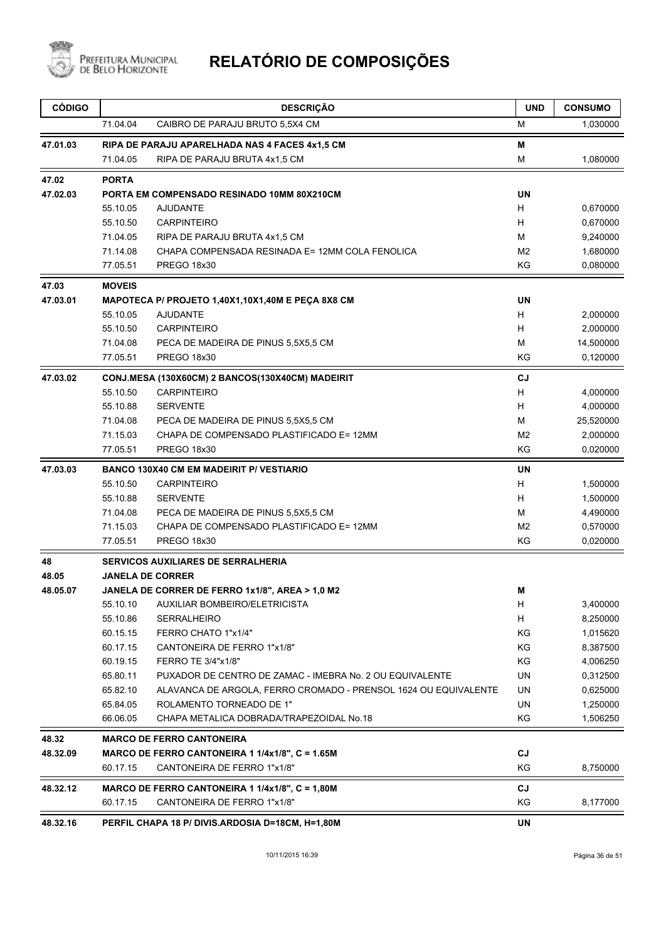

| <b>CÓDIGO</b> |               | <b>DESCRIÇÃO</b>                                                | <b>UND</b>     | <b>CONSUMO</b> |
|---------------|---------------|-----------------------------------------------------------------|----------------|----------------|
|               | 71.04.04      | CAIBRO DE PARAJU BRUTO 5,5X4 CM                                 | м              | 1,030000       |
| 47.01.03      |               | RIPA DE PARAJU APARELHADA NAS 4 FACES 4x1,5 CM                  | Μ              |                |
|               | 71.04.05      | RIPA DE PARAJU BRUTA 4x1,5 CM                                   | M              | 1,080000       |
| 47.02         | <b>PORTA</b>  |                                                                 |                |                |
| 47.02.03      |               | PORTA EM COMPENSADO RESINADO 10MM 80X210CM                      | <b>UN</b>      |                |
|               | 55.10.05      | <b>AJUDANTE</b>                                                 | H              | 0,670000       |
|               | 55.10.50      | <b>CARPINTEIRO</b>                                              | H              | 0,670000       |
|               | 71.04.05      | RIPA DE PARAJU BRUTA 4x1,5 CM                                   | м              | 9,240000       |
|               | 71.14.08      | CHAPA COMPENSADA RESINADA E= 12MM COLA FENOLICA                 | M <sub>2</sub> | 1,680000       |
|               | 77.05.51      | PREGO 18x30                                                     | KG             | 0,080000       |
| 47.03         | <b>MOVEIS</b> |                                                                 |                |                |
| 47.03.01      |               | MAPOTECA P/ PROJETO 1,40X1,10X1,40M E PEÇA 8X8 CM               | <b>UN</b>      |                |
|               | 55.10.05      | <b>AJUDANTE</b>                                                 | H              | 2,000000       |
|               | 55.10.50      | <b>CARPINTEIRO</b>                                              | H              | 2,000000       |
|               | 71.04.08      | PECA DE MADEIRA DE PINUS 5,5X5,5 CM                             | M              | 14,500000      |
|               | 77.05.51      | PREGO 18x30                                                     | ΚG             | 0,120000       |
| 47.03.02      |               | CONJ.MESA (130X60CM) 2 BANCOS(130X40CM) MADEIRIT                | CJ             |                |
|               | 55.10.50      | <b>CARPINTEIRO</b>                                              | H              | 4,000000       |
|               | 55.10.88      | <b>SERVENTE</b>                                                 | H              | 4,000000       |
|               | 71.04.08      | PECA DE MADEIRA DE PINUS 5,5X5,5 CM                             | М              | 25,520000      |
|               | 71.15.03      | CHAPA DE COMPENSADO PLASTIFICADO E= 12MM                        | M <sub>2</sub> | 2,000000       |
|               | 77.05.51      | PREGO 18x30                                                     | KG             | 0,020000       |
| 47.03.03      |               | <b>BANCO 130X40 CM EM MADEIRIT P/ VESTIARIO</b>                 | <b>UN</b>      |                |
|               | 55.10.50      | <b>CARPINTEIRO</b>                                              | H              | 1,500000       |
|               | 55.10.88      | <b>SERVENTE</b>                                                 | H              | 1,500000       |
|               | 71.04.08      | PECA DE MADEIRA DE PINUS 5,5X5,5 CM                             | M              | 4,490000       |
|               | 71.15.03      | CHAPA DE COMPENSADO PLASTIFICADO E= 12MM                        | M <sub>2</sub> | 0,570000       |
|               | 77.05.51      | PREGO 18x30                                                     | KG             | 0,020000       |
| 48            |               | <b>SERVICOS AUXILIARES DE SERRALHERIA</b>                       |                |                |
| 48.05         |               | <b>JANELA DE CORRER</b>                                         |                |                |
| 48.05.07      |               | JANELA DE CORRER DE FERRO 1x1/8", AREA > 1,0 M2                 | Μ              |                |
|               | 55.10.10      | AUXILIAR BOMBEIRO/ELETRICISTA                                   | H              | 3,400000       |
|               | 55.10.86      | SERRALHEIRO                                                     | H              | 8,250000       |
|               | 60.15.15      | FERRO CHATO 1"x1/4"                                             | KG             | 1,015620       |
|               | 60.17.15      | CANTONEIRA DE FERRO 1"x1/8"                                     | KG             | 8,387500       |
|               | 60.19.15      | FERRO TE 3/4"x1/8"                                              | ΚG             | 4,006250       |
|               | 65.80.11      | PUXADOR DE CENTRO DE ZAMAC - IMEBRA No. 2 OU EQUIVALENTE        | UN             | 0,312500       |
|               | 65.82.10      | ALAVANCA DE ARGOLA, FERRO CROMADO - PRENSOL 1624 OU EQUIVALENTE | UN             | 0,625000       |
|               | 65.84.05      | ROLAMENTO TORNEADO DE 1"                                        | UN             | 1,250000       |
|               | 66.06.05      | CHAPA METALICA DOBRADA/TRAPEZOIDAL No.18                        | KG             | 1,506250       |
| 48.32         |               | <b>MARCO DE FERRO CANTONEIRA</b>                                |                |                |
| 48.32.09      |               | MARCO DE FERRO CANTONEIRA 1 1/4x1/8", C = 1.65M                 | CJ             |                |
|               | 60.17.15      | CANTONEIRA DE FERRO 1"x1/8"                                     | KG             | 8,750000       |
| 48.32.12      |               | MARCO DE FERRO CANTONEIRA 1 1/4x1/8", C = 1,80M                 | CJ             |                |
|               | 60.17.15      | CANTONEIRA DE FERRO 1"x1/8"                                     | KG             | 8,177000       |
| 48.32.16      |               | PERFIL CHAPA 18 P/ DIVIS.ARDOSIA D=18CM, H=1,80M                | UN             |                |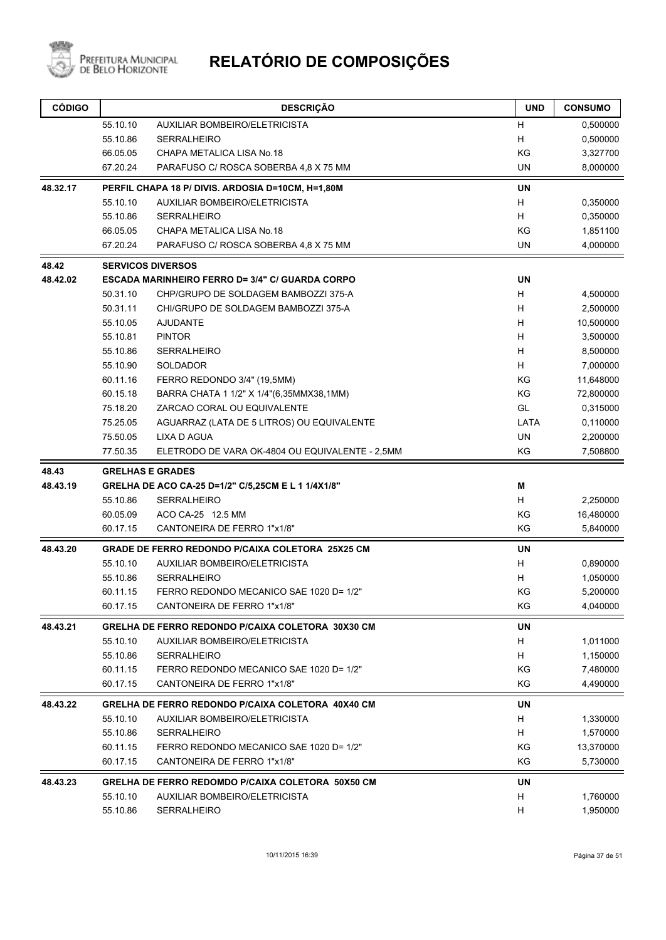

| <b>CÓDIGO</b> |          | <b>DESCRIÇÃO</b>                                         | <b>UND</b> | <b>CONSUMO</b> |
|---------------|----------|----------------------------------------------------------|------------|----------------|
|               | 55.10.10 | AUXILIAR BOMBEIRO/ELETRICISTA                            | н          | 0,500000       |
|               | 55.10.86 | <b>SERRALHEIRO</b>                                       | H          | 0,500000       |
|               | 66.05.05 | CHAPA METALICA LISA No.18                                | KG         | 3,327700       |
|               | 67.20.24 | PARAFUSO C/ ROSCA SOBERBA 4,8 X 75 MM                    | UN         | 8,000000       |
| 48.32.17      |          | PERFIL CHAPA 18 P/ DIVIS. ARDOSIA D=10CM, H=1,80M        | <b>UN</b>  |                |
|               | 55.10.10 | <b>AUXILIAR BOMBEIRO/ELETRICISTA</b>                     | H          | 0,350000       |
|               | 55.10.86 | <b>SERRALHEIRO</b>                                       | H          | 0,350000       |
|               | 66.05.05 | CHAPA METALICA LISA No.18                                | KG         | 1,851100       |
|               | 67.20.24 | PARAFUSO C/ ROSCA SOBERBA 4,8 X 75 MM                    | UN         | 4,000000       |
| 48.42         |          | <b>SERVICOS DIVERSOS</b>                                 |            |                |
| 48.42.02      |          | <b>ESCADA MARINHEIRO FERRO D= 3/4" C/ GUARDA CORPO</b>   | <b>UN</b>  |                |
|               | 50.31.10 | CHP/GRUPO DE SOLDAGEM BAMBOZZI 375-A                     | H          | 4,500000       |
|               | 50.31.11 | CHI/GRUPO DE SOLDAGEM BAMBOZZI 375-A                     | н          | 2,500000       |
|               | 55.10.05 | <b>AJUDANTE</b>                                          | H          | 10,500000      |
|               | 55.10.81 | <b>PINTOR</b>                                            | H          | 3,500000       |
|               | 55.10.86 | <b>SERRALHEIRO</b>                                       | H          | 8,500000       |
|               | 55.10.90 | SOLDADOR                                                 | H          | 7,000000       |
|               | 60.11.16 | FERRO REDONDO 3/4" (19,5MM)                              | ΚG         | 11,648000      |
|               | 60.15.18 | BARRA CHATA 1 1/2" X 1/4"(6,35MMX38,1MM)                 | KG         | 72,800000      |
|               | 75.18.20 | ZARCAO CORAL OU EQUIVALENTE                              | GL         | 0,315000       |
|               | 75.25.05 | AGUARRAZ (LATA DE 5 LITROS) OU EQUIVALENTE               | LATA       | 0,110000       |
|               | 75.50.05 | <b>LIXA D AGUA</b>                                       | <b>UN</b>  | 2,200000       |
|               | 77.50.35 | ELETRODO DE VARA OK-4804 OU EQUIVALENTE - 2,5MM          | KG         | 7,508800       |
| 48.43         |          | <b>GRELHAS E GRADES</b>                                  |            |                |
| 48.43.19      |          | GRELHA DE ACO CA-25 D=1/2" C/5,25CM E L 1 1/4X1/8"       | M          |                |
|               | 55.10.86 | <b>SERRALHEIRO</b>                                       | H          | 2,250000       |
|               | 60.05.09 | ACO CA-25 12.5 MM                                        | ΚG         | 16,480000      |
|               | 60.17.15 | CANTONEIRA DE FERRO 1"x1/8"                              | ΚG         | 5,840000       |
| 48.43.20      |          | <b>GRADE DE FERRO REDONDO P/CAIXA COLETORA 25X25 CM</b>  | <b>UN</b>  |                |
|               | 55.10.10 | <b>AUXILIAR BOMBEIRO/ELETRICISTA</b>                     | H          | 0,890000       |
|               | 55.10.86 | <b>SERRALHEIRO</b>                                       | H          | 1,050000       |
|               | 60.11.15 | FERRO REDONDO MECANICO SAE 1020 D= 1/2"                  | ΚG         | 5,200000       |
|               | 60.17.15 | CANTONEIRA DE FERRO 1"x1/8"                              | ΚG         | 4,040000       |
| 48.43.21      |          | <b>GRELHA DE FERRO REDONDO P/CAIXA COLETORA 30X30 CM</b> | <b>UN</b>  |                |
|               | 55.10.10 | <b>AUXILIAR BOMBEIRO/ELETRICISTA</b>                     | H          | 1,011000       |
|               | 55.10.86 | <b>SERRALHEIRO</b>                                       | H          | 1,150000       |
|               | 60.11.15 | FERRO REDONDO MECANICO SAE 1020 D= 1/2"                  | ΚG         | 7,480000       |
|               | 60.17.15 | CANTONEIRA DE FERRO 1"x1/8"                              | KG         | 4,490000       |
| 48.43.22      |          | <b>GRELHA DE FERRO REDONDO P/CAIXA COLETORA 40X40 CM</b> | UN         |                |
|               | 55.10.10 | <b>AUXILIAR BOMBEIRO/ELETRICISTA</b>                     | H          | 1,330000       |
|               | 55.10.86 | <b>SERRALHEIRO</b>                                       | H          | 1,570000       |
|               | 60.11.15 | FERRO REDONDO MECANICO SAE 1020 D= 1/2"                  | ΚG         | 13,370000      |
|               | 60.17.15 | CANTONEIRA DE FERRO 1"x1/8"                              | ΚG         | 5,730000       |
| 48.43.23      |          | <b>GRELHA DE FERRO REDOMDO P/CAIXA COLETORA 50X50 CM</b> | UN         |                |
|               | 55.10.10 | AUXILIAR BOMBEIRO/ELETRICISTA                            | H          | 1,760000       |
|               | 55.10.86 | <b>SERRALHEIRO</b>                                       | H          | 1,950000       |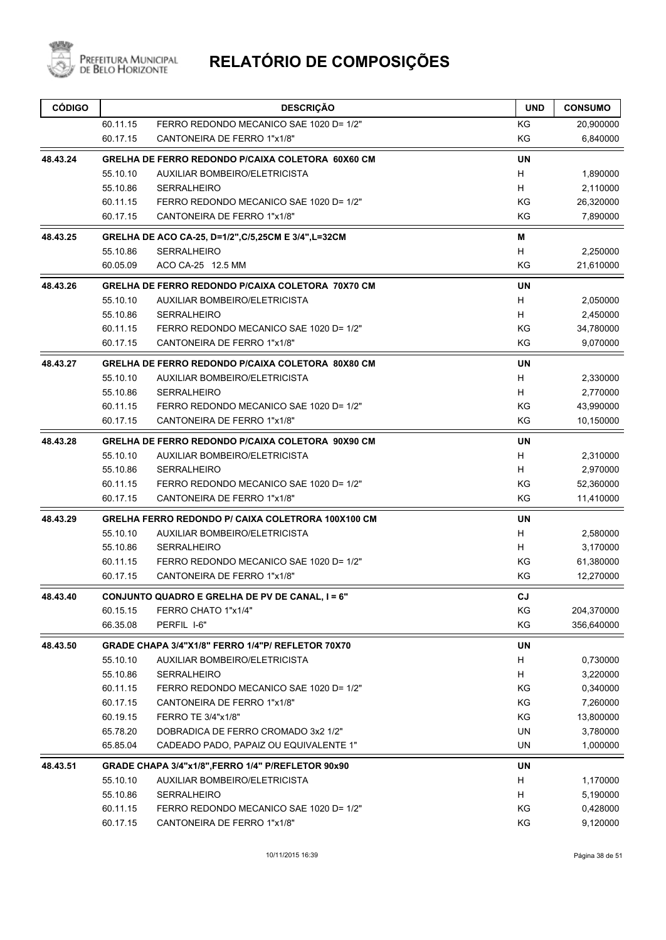

| <b>CÓDIGO</b> |          | <b>DESCRIÇÃO</b>                                          | <b>UND</b> | <b>CONSUMO</b> |
|---------------|----------|-----------------------------------------------------------|------------|----------------|
|               | 60.11.15 | FERRO REDONDO MECANICO SAE 1020 D= 1/2"                   | ΚG         | 20,900000      |
|               | 60.17.15 | CANTONEIRA DE FERRO 1"x1/8"                               | KG         | 6,840000       |
| 48.43.24      |          | <b>GRELHA DE FERRO REDONDO P/CAIXA COLETORA 60X60 CM</b>  | UN         |                |
|               | 55.10.10 | AUXILIAR BOMBEIRO/ELETRICISTA                             | H          | 1,890000       |
|               | 55.10.86 | <b>SERRALHEIRO</b>                                        | H          | 2,110000       |
|               | 60.11.15 | FERRO REDONDO MECANICO SAE 1020 D= 1/2"                   | ΚG         | 26,320000      |
|               | 60.17.15 | CANTONEIRA DE FERRO 1"x1/8"                               | KG         | 7,890000       |
| 48.43.25      |          | GRELHA DE ACO CA-25, D=1/2",C/5,25CM E 3/4",L=32CM        | M          |                |
|               | 55.10.86 | <b>SERRALHEIRO</b>                                        | H          | 2,250000       |
|               | 60.05.09 | ACO CA-25 12.5 MM                                         | ΚG         | 21,610000      |
| 48.43.26      |          | <b>GRELHA DE FERRO REDONDO P/CAIXA COLETORA 70X70 CM</b>  | UN         |                |
|               | 55.10.10 | AUXILIAR BOMBEIRO/ELETRICISTA                             | H          | 2,050000       |
|               | 55.10.86 | <b>SERRALHEIRO</b>                                        | H          | 2,450000       |
|               | 60.11.15 | FERRO REDONDO MECANICO SAE 1020 D= 1/2"                   | ΚG         | 34,780000      |
|               | 60.17.15 | CANTONEIRA DE FERRO 1"x1/8"                               | KG         | 9,070000       |
| 48.43.27      |          | <b>GRELHA DE FERRO REDONDO P/CAIXA COLETORA 80X80 CM</b>  | <b>UN</b>  |                |
|               | 55.10.10 | AUXILIAR BOMBEIRO/ELETRICISTA                             | H          | 2,330000       |
|               | 55.10.86 | <b>SERRALHEIRO</b>                                        | H          | 2,770000       |
|               | 60.11.15 | FERRO REDONDO MECANICO SAE 1020 D= 1/2"                   | ΚG         | 43,990000      |
|               | 60.17.15 | CANTONEIRA DE FERRO 1"x1/8"                               | KG         | 10,150000      |
| 48.43.28      |          | <b>GRELHA DE FERRO REDONDO P/CAIXA COLETORA 90X90 CM</b>  | UN         |                |
|               | 55.10.10 | AUXILIAR BOMBEIRO/ELETRICISTA                             | H          | 2,310000       |
|               | 55.10.86 | <b>SERRALHEIRO</b>                                        | H          | 2,970000       |
|               | 60.11.15 | FERRO REDONDO MECANICO SAE 1020 D= 1/2"                   | ΚG         | 52,360000      |
|               | 60.17.15 | CANTONEIRA DE FERRO 1"x1/8"                               | KG         | 11,410000      |
| 48.43.29      |          | <b>GRELHA FERRO REDONDO P/ CAIXA COLETRORA 100X100 CM</b> | <b>UN</b>  |                |
|               | 55.10.10 | <b>AUXILIAR BOMBEIRO/ELETRICISTA</b>                      | H          | 2,580000       |
|               | 55.10.86 | <b>SERRALHEIRO</b>                                        | H          | 3,170000       |
|               | 60.11.15 | FERRO REDONDO MECANICO SAE 1020 D= 1/2"                   | ΚG         | 61,380000      |
|               | 60.17.15 | CANTONEIRA DE FERRO 1"x1/8"                               | ΚG         | 12,270000      |
| 48.43.40      |          | CONJUNTO QUADRO E GRELHA DE PV DE CANAL, I = 6"           | CJ         |                |
|               | 60.15.15 | FERRO CHATO 1"x1/4"                                       | ΚG         | 204,370000     |
|               | 66.35.08 | PERFIL I-6"                                               | KG         | 356,640000     |
| 48.43.50      |          | GRADE CHAPA 3/4"X1/8" FERRO 1/4"P/ REFLETOR 70X70         | UN         |                |
|               | 55.10.10 | AUXILIAR BOMBEIRO/ELETRICISTA                             | H          | 0,730000       |
|               | 55.10.86 | <b>SERRALHEIRO</b>                                        | H          | 3,220000       |
|               | 60.11.15 | FERRO REDONDO MECANICO SAE 1020 D= 1/2"                   | KG         | 0,340000       |
|               | 60.17.15 | CANTONEIRA DE FERRO 1"x1/8"                               | KG         | 7,260000       |
|               | 60.19.15 | FERRO TE 3/4"x1/8"                                        | KG         | 13,800000      |
|               | 65.78.20 | DOBRADICA DE FERRO CROMADO 3x2 1/2"                       | <b>UN</b>  | 3,780000       |
|               | 65.85.04 | CADEADO PADO, PAPAIZ OU EQUIVALENTE 1"                    | UN         | 1,000000       |
| 48.43.51      |          | GRADE CHAPA 3/4"x1/8", FERRO 1/4" P/REFLETOR 90x90        | UN         |                |
|               | 55.10.10 | AUXILIAR BOMBEIRO/ELETRICISTA                             | H          | 1,170000       |
|               | 55.10.86 | <b>SERRALHEIRO</b>                                        | H          | 5,190000       |
|               | 60.11.15 | FERRO REDONDO MECANICO SAE 1020 D= 1/2"                   | KG         | 0,428000       |
|               | 60.17.15 | CANTONEIRA DE FERRO 1"x1/8"                               | KG         | 9,120000       |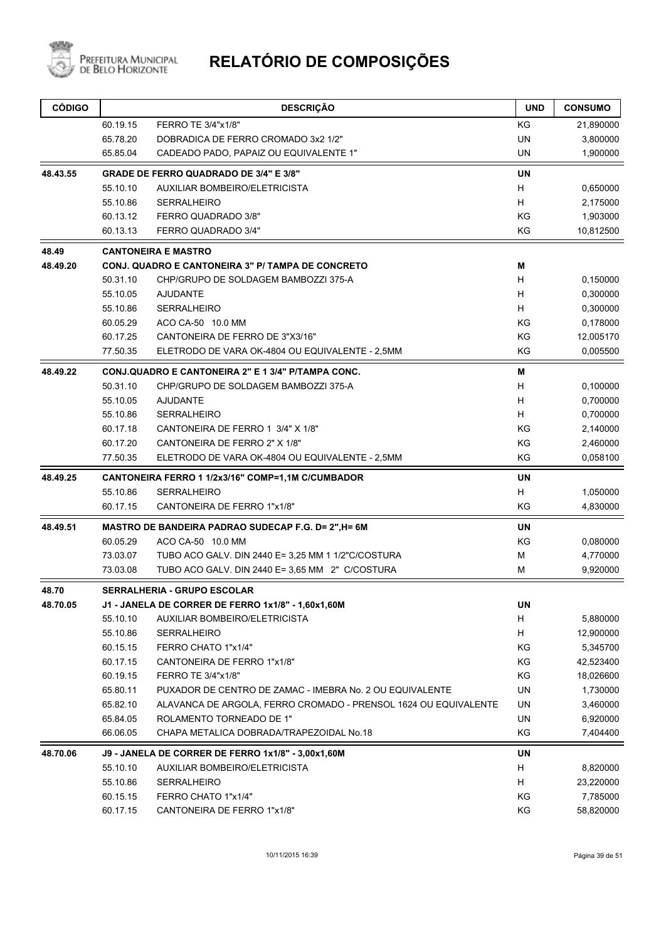

| <b>CÓDIGO</b> |          | <b>DESCRIÇÃO</b>                                                | <b>UND</b> | <b>CONSUMO</b> |
|---------------|----------|-----------------------------------------------------------------|------------|----------------|
|               | 60.19.15 | FERRO TE 3/4"x1/8"                                              | ΚG         | 21,890000      |
|               | 65.78.20 | DOBRADICA DE FERRO CROMADO 3x2 1/2"                             | <b>UN</b>  | 3,800000       |
|               | 65.85.04 | CADEADO PADO, PAPAIZ OU EQUIVALENTE 1"                          | <b>UN</b>  | 1,900000       |
| 48.43.55      |          | <b>GRADE DE FERRO QUADRADO DE 3/4" E 3/8"</b>                   | <b>UN</b>  |                |
|               | 55.10.10 | AUXILIAR BOMBEIRO/ELETRICISTA                                   | H          | 0,650000       |
|               | 55.10.86 | <b>SERRALHEIRO</b>                                              | H          | 2,175000       |
|               | 60.13.12 | FERRO QUADRADO 3/8"                                             | ΚG         | 1,903000       |
|               | 60.13.13 | FERRO QUADRADO 3/4"                                             | KG         | 10,812500      |
| 48.49         |          | <b>CANTONEIRA E MASTRO</b>                                      |            |                |
| 48.49.20      |          | <b>CONJ. QUADRO E CANTONEIRA 3" P/ TAMPA DE CONCRETO</b>        | м          |                |
|               | 50.31.10 | CHP/GRUPO DE SOLDAGEM BAMBOZZI 375-A                            | H          | 0,150000       |
|               | 55.10.05 | <b>AJUDANTE</b>                                                 | H          | 0,300000       |
|               | 55.10.86 | <b>SERRALHEIRO</b>                                              | H          | 0,300000       |
|               | 60.05.29 | ACO CA-50 10.0 MM                                               | ΚG         | 0,178000       |
|               | 60.17.25 | CANTONEIRA DE FERRO DE 3"X3/16"                                 | ΚG         | 12,005170      |
|               | 77.50.35 | ELETRODO DE VARA OK-4804 OU EQUIVALENTE - 2,5MM                 | KG         | 0,005500       |
| 48.49.22      |          | CONJ.QUADRO E CANTONEIRA 2" E 1 3/4" P/TAMPA CONC.              | M          |                |
|               | 50.31.10 | CHP/GRUPO DE SOLDAGEM BAMBOZZI 375-A                            | H          | 0,100000       |
|               | 55.10.05 | <b>AJUDANTE</b>                                                 | H          | 0,700000       |
|               | 55.10.86 | <b>SERRALHEIRO</b>                                              | H          | 0,700000       |
|               | 60.17.18 | CANTONEIRA DE FERRO 1 3/4" X 1/8"                               | KG         | 2,140000       |
|               | 60.17.20 | CANTONEIRA DE FERRO 2" X 1/8"                                   | KG         | 2,460000       |
|               | 77.50.35 | ELETRODO DE VARA OK-4804 OU EQUIVALENTE - 2,5MM                 | KG         | 0,058100       |
| 48.49.25      |          | CANTONEIRA FERRO 1 1/2x3/16" COMP=1,1M C/CUMBADOR               | <b>UN</b>  |                |
|               | 55.10.86 | <b>SERRALHEIRO</b>                                              | H          | 1,050000       |
|               | 60.17.15 | CANTONEIRA DE FERRO 1"x1/8"                                     | KG         | 4,830000       |
| 48.49.51      |          | MASTRO DE BANDEIRA PADRAO SUDECAP F.G. D= 2", H= 6M             | UN         |                |
|               | 60.05.29 | ACO CA-50 10.0 MM                                               | KG         | 0,080000       |
|               | 73.03.07 | TUBO ACO GALV. DIN 2440 E= 3,25 MM 1 1/2"C/COSTURA              | M          | 4,770000       |
|               | 73.03.08 | TUBO ACO GALV. DIN 2440 E= 3,65 MM 2" C/COSTURA                 | м          | 9,920000       |
| 48.70         |          | <b>SERRALHERIA - GRUPO ESCOLAR</b>                              |            |                |
| 48.70.05      |          | J1 - JANELA DE CORRER DE FERRO 1x1/8" - 1,60x1,60M              | UN         |                |
|               | 55.10.10 | AUXILIAR BOMBEIRO/ELETRICISTA                                   | H          | 5,880000       |
|               | 55.10.86 | SERRALHEIRO                                                     | H          | 12,900000      |
|               | 60.15.15 | FERRO CHATO 1"x1/4"                                             | ΚG         | 5,345700       |
|               | 60.17.15 | CANTONEIRA DE FERRO 1"x1/8"                                     | KG         | 42,523400      |
|               | 60.19.15 | FERRO TE 3/4"x1/8"                                              | ΚG         | 18,026600      |
|               | 65.80.11 | PUXADOR DE CENTRO DE ZAMAC - IMEBRA No. 2 OU EQUIVALENTE        | UN         | 1,730000       |
|               | 65.82.10 | ALAVANCA DE ARGOLA, FERRO CROMADO - PRENSOL 1624 OU EQUIVALENTE | UN         | 3,460000       |
|               | 65.84.05 | ROLAMENTO TORNEADO DE 1"                                        | UN         | 6,920000       |
|               | 66.06.05 | CHAPA METALICA DOBRADA/TRAPEZOIDAL No.18                        | KG         | 7,404400       |
| 48.70.06      |          | J9 - JANELA DE CORRER DE FERRO 1x1/8" - 3,00x1,60M              | UN         |                |
|               | 55.10.10 | AUXILIAR BOMBEIRO/ELETRICISTA                                   | H          | 8,820000       |
|               | 55.10.86 | SERRALHEIRO                                                     | H          | 23,220000      |
|               | 60.15.15 | FERRO CHATO 1"x1/4"                                             | KG         | 7,785000       |
|               | 60.17.15 | CANTONEIRA DE FERRO 1"x1/8"                                     | KG         | 58,820000      |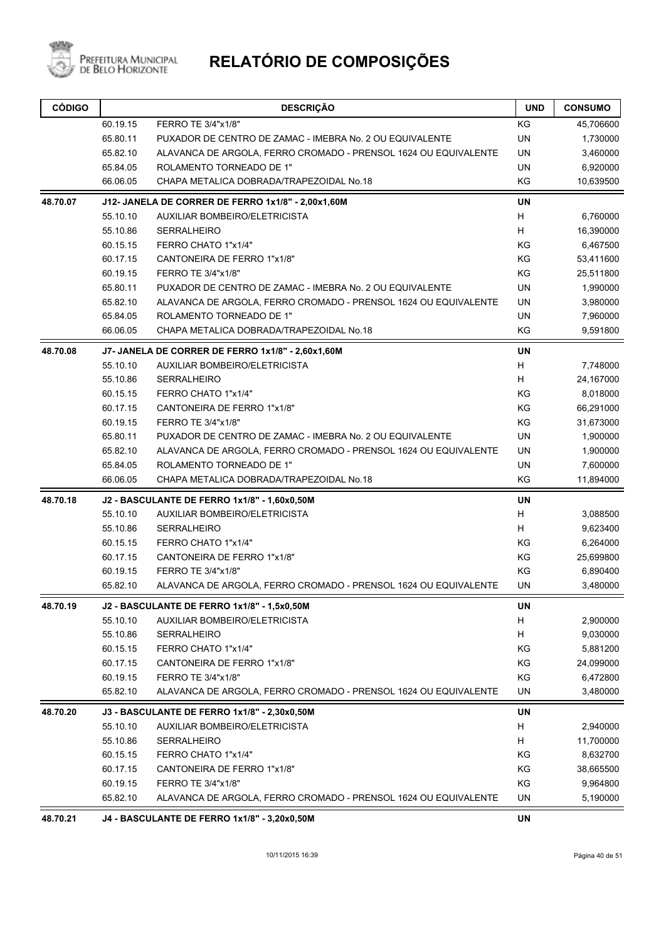

# PREFEITURA MUNICIPAL **RELATÓRIO DE COMPOSIÇÕES**

| <b>CÓDIGO</b> |          | <b>DESCRIÇÃO</b>                                                | <b>UND</b> | <b>CONSUMO</b> |
|---------------|----------|-----------------------------------------------------------------|------------|----------------|
|               | 60.19.15 | FERRO TE 3/4"x1/8"                                              | KG         | 45,706600      |
|               | 65.80.11 | PUXADOR DE CENTRO DE ZAMAC - IMEBRA No. 2 OU EQUIVALENTE        | UN         | 1,730000       |
|               | 65.82.10 | ALAVANCA DE ARGOLA, FERRO CROMADO - PRENSOL 1624 OU EQUIVALENTE | UN         | 3,460000       |
|               | 65.84.05 | ROLAMENTO TORNEADO DE 1"                                        | <b>UN</b>  | 6,920000       |
|               | 66.06.05 | CHAPA METALICA DOBRADA/TRAPEZOIDAL No.18                        | KG         | 10,639500      |
| 48.70.07      |          | J12- JANELA DE CORRER DE FERRO 1x1/8" - 2,00x1,60M              | <b>UN</b>  |                |
|               | 55.10.10 | AUXILIAR BOMBEIRO/ELETRICISTA                                   | H          | 6,760000       |
|               | 55.10.86 | <b>SERRALHEIRO</b>                                              | H          | 16,390000      |
|               | 60.15.15 | FERRO CHATO 1"x1/4"                                             | KG         | 6,467500       |
|               | 60.17.15 | CANTONEIRA DE FERRO 1"x1/8"                                     | KG         | 53,411600      |
|               | 60.19.15 | FERRO TE 3/4"x1/8"                                              | KG         | 25,511800      |
|               | 65.80.11 | PUXADOR DE CENTRO DE ZAMAC - IMEBRA No. 2 OU EQUIVALENTE        | UN         | 1,990000       |
|               | 65.82.10 | ALAVANCA DE ARGOLA, FERRO CROMADO - PRENSOL 1624 OU EQUIVALENTE | <b>UN</b>  | 3,980000       |
|               | 65.84.05 | ROLAMENTO TORNEADO DE 1"                                        | <b>UN</b>  | 7,960000       |
|               | 66.06.05 | CHAPA METALICA DOBRADA/TRAPEZOIDAL No.18                        | KG         | 9,591800       |
| 48.70.08      |          | J7- JANELA DE CORRER DE FERRO 1x1/8" - 2,60x1,60M               | <b>UN</b>  |                |
|               | 55.10.10 | AUXILIAR BOMBEIRO/ELETRICISTA                                   | H          | 7,748000       |
|               | 55.10.86 | <b>SERRALHEIRO</b>                                              | H          | 24,167000      |
|               | 60.15.15 | FERRO CHATO 1"x1/4"                                             | KG         | 8,018000       |
|               | 60.17.15 | CANTONEIRA DE FERRO 1"x1/8"                                     | KG         | 66,291000      |
|               | 60.19.15 | FERRO TE 3/4"x1/8"                                              | KG         | 31,673000      |
|               | 65.80.11 | PUXADOR DE CENTRO DE ZAMAC - IMEBRA No. 2 OU EQUIVALENTE        | <b>UN</b>  | 1,900000       |
|               | 65.82.10 | ALAVANCA DE ARGOLA, FERRO CROMADO - PRENSOL 1624 OU EQUIVALENTE | UN         | 1,900000       |
|               | 65.84.05 | ROLAMENTO TORNEADO DE 1"                                        | <b>UN</b>  | 7,600000       |
|               | 66.06.05 | CHAPA METALICA DOBRADA/TRAPEZOIDAL No.18                        | KG         | 11,894000      |
| 48.70.18      |          | J2 - BASCULANTE DE FERRO 1x1/8" - 1,60x0,50M                    | <b>UN</b>  |                |
|               | 55.10.10 | AUXILIAR BOMBEIRO/ELETRICISTA                                   | Н          | 3,088500       |
|               | 55.10.86 | <b>SERRALHEIRO</b>                                              | н          | 9,623400       |
|               | 60.15.15 | FERRO CHATO 1"x1/4"                                             | KG         | 6,264000       |
|               | 60.17.15 | CANTONEIRA DE FERRO 1"x1/8"                                     | KG         | 25,699800      |
|               | 60.19.15 | FERRO TE 3/4"x1/8"                                              | KG         | 6,890400       |
|               | 65.82.10 | ALAVANCA DE ARGOLA, FERRO CROMADO - PRENSOL 1624 OU EQUIVALENTE | UN         | 3,480000       |
| 48.70.19      |          | J2 - BASCULANTE DE FERRO 1x1/8" - 1,5x0,50M                     | UN         |                |
|               | 55.10.10 | AUXILIAR BOMBEIRO/ELETRICISTA                                   | Н          | 2,900000       |
|               | 55.10.86 | <b>SERRALHEIRO</b>                                              | Н          | 9,030000       |
|               | 60.15.15 | FERRO CHATO 1"x1/4"                                             | ΚG         | 5,881200       |
|               | 60.17.15 | CANTONEIRA DE FERRO 1"x1/8"                                     | KG         | 24,099000      |
|               | 60.19.15 | FERRO TE 3/4"x1/8"                                              | KG         | 6,472800       |
|               | 65.82.10 | ALAVANCA DE ARGOLA, FERRO CROMADO - PRENSOL 1624 OU EQUIVALENTE | UN         | 3,480000       |
| 48.70.20      |          | J3 - BASCULANTE DE FERRO 1x1/8" - 2,30x0,50M                    | UN         |                |
|               | 55.10.10 | AUXILIAR BOMBEIRO/ELETRICISTA                                   | Н          | 2,940000       |
|               | 55.10.86 | <b>SERRALHEIRO</b>                                              | Н          | 11,700000      |
|               | 60.15.15 | FERRO CHATO 1"x1/4"                                             | KG         | 8,632700       |
|               | 60.17.15 | CANTONEIRA DE FERRO 1"x1/8"                                     | KG         | 38,665500      |
|               | 60.19.15 | FERRO TE 3/4"x1/8"                                              | KG         | 9,964800       |
|               | 65.82.10 | ALAVANCA DE ARGOLA, FERRO CROMADO - PRENSOL 1624 OU EQUIVALENTE | UN         | 5,190000       |
| 48.70.21      |          | J4 - BASCULANTE DE FERRO 1x1/8" - 3,20x0,50M                    | UN         |                |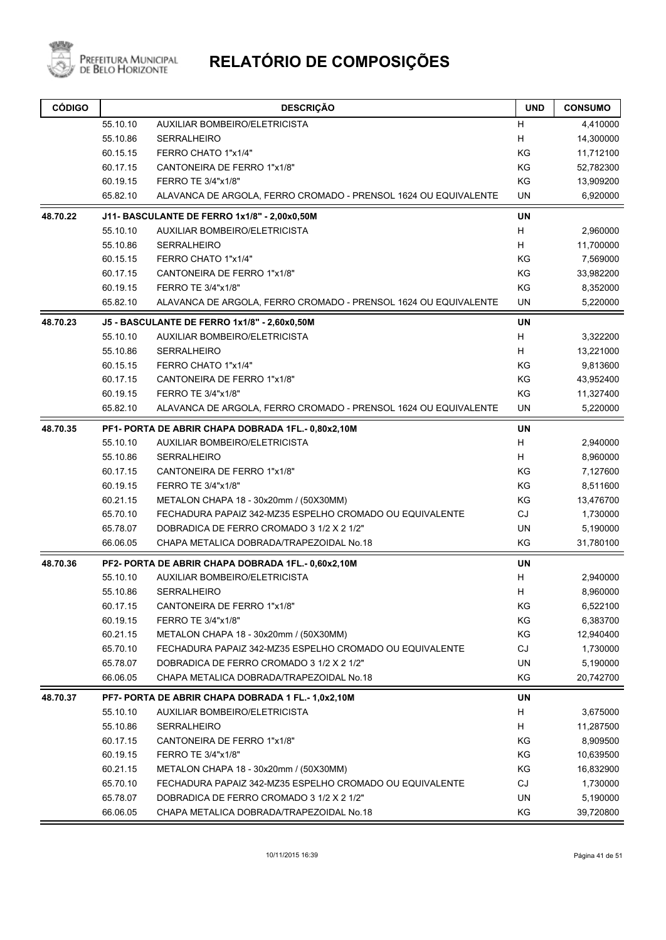

| <b>CÓDIGO</b> |          | <b>DESCRIÇÃO</b>                                                | <b>UND</b> | <b>CONSUMO</b> |
|---------------|----------|-----------------------------------------------------------------|------------|----------------|
|               | 55.10.10 | AUXILIAR BOMBEIRO/ELETRICISTA                                   | н          | 4,410000       |
|               | 55.10.86 | <b>SERRALHEIRO</b>                                              | H          | 14,300000      |
|               | 60.15.15 | FERRO CHATO 1"x1/4"                                             | KG         | 11,712100      |
|               | 60.17.15 | CANTONEIRA DE FERRO 1"x1/8"                                     | KG         | 52,782300      |
|               | 60.19.15 | FERRO TE 3/4"x1/8"                                              | KG         | 13,909200      |
|               | 65.82.10 | ALAVANCA DE ARGOLA, FERRO CROMADO - PRENSOL 1624 OU EQUIVALENTE | UN         | 6,920000       |
| 48.70.22      |          | J11- BASCULANTE DE FERRO 1x1/8" - 2,00x0,50M                    | <b>UN</b>  |                |
|               | 55.10.10 | AUXILIAR BOMBEIRO/ELETRICISTA                                   | H          | 2,960000       |
|               | 55.10.86 | <b>SERRALHEIRO</b>                                              | H          | 11,700000      |
|               | 60.15.15 | FERRO CHATO 1"x1/4"                                             | KG         | 7,569000       |
|               | 60.17.15 | CANTONEIRA DE FERRO 1"x1/8"                                     | KG         | 33,982200      |
|               | 60.19.15 | FERRO TE 3/4"x1/8"                                              | KG         | 8,352000       |
|               | 65.82.10 | ALAVANCA DE ARGOLA, FERRO CROMADO - PRENSOL 1624 OU EQUIVALENTE | <b>UN</b>  | 5,220000       |
| 48.70.23      |          | J5 - BASCULANTE DE FERRO 1x1/8" - 2,60x0,50M                    | <b>UN</b>  |                |
|               | 55.10.10 | AUXILIAR BOMBEIRO/ELETRICISTA                                   | H          | 3,322200       |
|               | 55.10.86 | <b>SERRALHEIRO</b>                                              | H          | 13,221000      |
|               | 60.15.15 | FERRO CHATO 1"x1/4"                                             | KG         | 9,813600       |
|               | 60.17.15 | CANTONEIRA DE FERRO 1"x1/8"                                     | KG         | 43,952400      |
|               | 60.19.15 | FERRO TE 3/4"x1/8"                                              | KG         | 11,327400      |
|               | 65.82.10 | ALAVANCA DE ARGOLA, FERRO CROMADO - PRENSOL 1624 OU EQUIVALENTE | UN         | 5,220000       |
| 48.70.35      |          | PF1- PORTA DE ABRIR CHAPA DOBRADA 1FL.- 0,80x2,10M              | <b>UN</b>  |                |
|               | 55.10.10 | AUXILIAR BOMBEIRO/ELETRICISTA                                   | H          | 2,940000       |
|               | 55.10.86 | <b>SERRALHEIRO</b>                                              | H          | 8,960000       |
|               | 60.17.15 | CANTONEIRA DE FERRO 1"x1/8"                                     | KG         | 7,127600       |
|               | 60.19.15 | FERRO TE 3/4"x1/8"                                              | KG         | 8,511600       |
|               | 60.21.15 | METALON CHAPA 18 - 30x20mm / (50X30MM)                          | KG         | 13,476700      |
|               | 65.70.10 | FECHADURA PAPAIZ 342-MZ35 ESPELHO CROMADO OU EQUIVALENTE        | <b>CJ</b>  | 1,730000       |
|               | 65.78.07 | DOBRADICA DE FERRO CROMADO 3 1/2 X 2 1/2"                       | <b>UN</b>  | 5,190000       |
|               | 66.06.05 | CHAPA METALICA DOBRADA/TRAPEZOIDAL No.18                        | KG         | 31,780100      |
| 48.70.36      |          | PF2- PORTA DE ABRIR CHAPA DOBRADA 1FL.- 0,60x2,10M              | UN         |                |
|               | 55.10.10 | <b>AUXILIAR BOMBEIRO/ELETRICISTA</b>                            | H          | 2,940000       |
|               | 55.10.86 | <b>SERRALHEIRO</b>                                              | H          | 8,960000       |
|               | 60.17.15 | CANTONEIRA DE FERRO 1"x1/8"                                     | KG         | 6,522100       |
|               | 60.19.15 | FERRO TE 3/4"x1/8"                                              | KG         | 6,383700       |
|               | 60.21.15 | METALON CHAPA 18 - 30x20mm / (50X30MM)                          | KG         | 12,940400      |
|               | 65.70.10 | FECHADURA PAPAIZ 342-MZ35 ESPELHO CROMADO OU EQUIVALENTE        | <b>CJ</b>  | 1,730000       |
|               | 65.78.07 | DOBRADICA DE FERRO CROMADO 3 1/2 X 2 1/2"                       | UN         | 5,190000       |
|               | 66.06.05 | CHAPA METALICA DOBRADA/TRAPEZOIDAL No.18                        | KG         | 20,742700      |
| 48.70.37      |          | PF7- PORTA DE ABRIR CHAPA DOBRADA 1 FL.- 1,0x2,10M              | UN         |                |
|               | 55.10.10 | AUXILIAR BOMBEIRO/ELETRICISTA                                   | H          | 3,675000       |
|               | 55.10.86 | <b>SERRALHEIRO</b>                                              | H          | 11,287500      |
|               | 60.17.15 | CANTONEIRA DE FERRO 1"x1/8"                                     | KG         | 8,909500       |
|               | 60.19.15 | FERRO TE 3/4"x1/8"                                              | KG         | 10,639500      |
|               | 60.21.15 | METALON CHAPA 18 - 30x20mm / (50X30MM)                          | KG         | 16,832900      |
|               | 65.70.10 | FECHADURA PAPAIZ 342-MZ35 ESPELHO CROMADO OU EQUIVALENTE        | CJ         | 1,730000       |
|               | 65.78.07 | DOBRADICA DE FERRO CROMADO 3 1/2 X 2 1/2"                       | UN         | 5,190000       |
|               | 66.06.05 | CHAPA METALICA DOBRADA/TRAPEZOIDAL No.18                        | KG         | 39,720800      |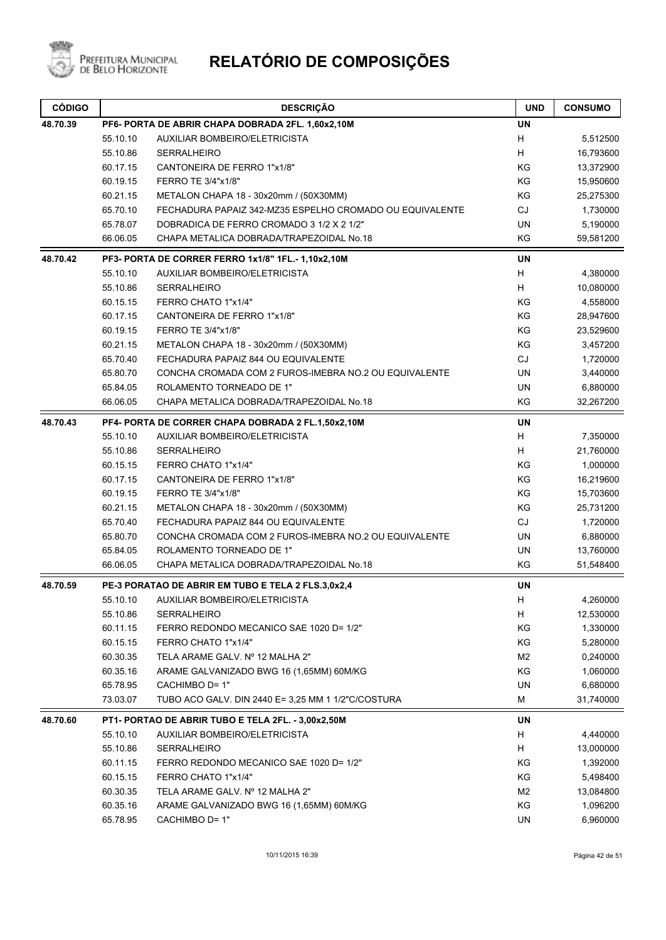

| <b>CÓDIGO</b> |          | <b>DESCRIÇÃO</b>                                         | <b>UND</b>                | <b>CONSUMO</b> |
|---------------|----------|----------------------------------------------------------|---------------------------|----------------|
| 48.70.39      |          | PF6- PORTA DE ABRIR CHAPA DOBRADA 2FL. 1,60x2,10M        | <b>UN</b>                 |                |
|               | 55.10.10 | <b>AUXILIAR BOMBEIRO/ELETRICISTA</b>                     | H                         | 5,512500       |
|               | 55.10.86 | <b>SERRALHEIRO</b>                                       | H                         | 16,793600      |
|               | 60.17.15 | CANTONEIRA DE FERRO 1"x1/8"                              | KG                        | 13,372900      |
|               | 60.19.15 | FERRO TE 3/4"x1/8"                                       | KG                        | 15,950600      |
|               | 60.21.15 | METALON CHAPA 18 - 30x20mm / (50X30MM)                   | KG                        | 25,275300      |
|               | 65.70.10 | FECHADURA PAPAIZ 342-MZ35 ESPELHO CROMADO OU EQUIVALENTE | CJ                        | 1,730000       |
|               | 65.78.07 | DOBRADICA DE FERRO CROMADO 3 1/2 X 2 1/2"                | <b>UN</b>                 | 5,190000       |
|               | 66.06.05 | CHAPA METALICA DOBRADA/TRAPEZOIDAL No.18                 | KG                        | 59,581200      |
| 48.70.42      |          | PF3- PORTA DE CORRER FERRO 1x1/8" 1FL.- 1,10x2,10M       | UN                        |                |
|               | 55.10.10 | <b>AUXILIAR BOMBEIRO/ELETRICISTA</b>                     | H                         | 4,380000       |
|               | 55.10.86 | <b>SERRALHEIRO</b>                                       | H                         | 10,080000      |
|               | 60.15.15 | FERRO CHATO 1"x1/4"                                      | KG                        | 4,558000       |
|               | 60.17.15 | CANTONEIRA DE FERRO 1"x1/8"                              | KG                        | 28,947600      |
|               | 60.19.15 | FERRO TE 3/4"x1/8"                                       | KG                        | 23,529600      |
|               | 60.21.15 | METALON CHAPA 18 - 30x20mm / (50X30MM)                   | KG                        | 3,457200       |
|               | 65.70.40 | FECHADURA PAPAIZ 844 OU EQUIVALENTE                      | <b>CJ</b>                 | 1,720000       |
|               | 65.80.70 | CONCHA CROMADA COM 2 FUROS-IMEBRA NO.2 OU EQUIVALENTE    | <b>UN</b>                 | 3,440000       |
|               | 65.84.05 | ROLAMENTO TORNEADO DE 1"                                 | <b>UN</b>                 | 6,880000       |
|               | 66.06.05 | CHAPA METALICA DOBRADA/TRAPEZOIDAL No.18                 | KG                        | 32,267200      |
| 48.70.43      |          | PF4- PORTA DE CORRER CHAPA DOBRADA 2 FL.1,50x2,10M       | <b>UN</b>                 |                |
|               | 55.10.10 | AUXILIAR BOMBEIRO/ELETRICISTA                            | $\boldsymbol{\mathsf{H}}$ | 7,350000       |
|               | 55.10.86 | <b>SERRALHEIRO</b>                                       | H                         | 21,760000      |
|               | 60.15.15 | FERRO CHATO 1"x1/4"                                      | KG                        | 1,000000       |
|               | 60.17.15 | CANTONEIRA DE FERRO 1"x1/8"                              | KG                        | 16,219600      |
|               | 60.19.15 | FERRO TE 3/4"x1/8"                                       | KG                        | 15,703600      |
|               | 60.21.15 | METALON CHAPA 18 - 30x20mm / (50X30MM)                   | KG                        | 25,731200      |
|               | 65.70.40 | FECHADURA PAPAIZ 844 OU EQUIVALENTE                      | CJ                        | 1,720000       |
|               | 65.80.70 | CONCHA CROMADA COM 2 FUROS-IMEBRA NO.2 OU EQUIVALENTE    | <b>UN</b>                 | 6,880000       |
|               | 65.84.05 | ROLAMENTO TORNEADO DE 1"                                 | UN                        | 13,760000      |
|               | 66.06.05 | CHAPA METALICA DOBRADA/TRAPEZOIDAL No.18                 | KG                        | 51,548400      |
| 48.70.59      |          | PE-3 PORATAO DE ABRIR EM TUBO E TELA 2 FLS.3,0x2,4       | <b>UN</b>                 |                |
|               | 55.10.10 | AUXILIAR BOMBEIRO/ELETRICISTA                            | H,                        | 4,260000       |
|               | 55.10.86 | <b>SERRALHEIRO</b>                                       | H                         | 12,530000      |
|               | 60.11.15 | FERRO REDONDO MECANICO SAE 1020 D= 1/2"                  | KG                        | 1,330000       |
|               | 60.15.15 | FERRO CHATO 1"x1/4"                                      | KG                        | 5,280000       |
|               | 60.30.35 | TELA ARAME GALV. Nº 12 MALHA 2"                          | M <sub>2</sub>            | 0,240000       |
|               | 60.35.16 | ARAME GALVANIZADO BWG 16 (1,65MM) 60M/KG                 | KG                        | 1,060000       |
|               | 65.78.95 | CACHIMBO D= 1"                                           | UN                        | 6,680000       |
|               | 73.03.07 | TUBO ACO GALV. DIN 2440 E= 3,25 MM 1 1/2"C/COSTURA       | M                         | 31,740000      |
| 48.70.60      |          | PT1- PORTAO DE ABRIR TUBO E TELA 2FL. - 3,00x2,50M       | <b>UN</b>                 |                |
|               | 55.10.10 | AUXILIAR BOMBEIRO/ELETRICISTA                            | H                         | 4,440000       |
|               | 55.10.86 | <b>SERRALHEIRO</b>                                       | H                         | 13,000000      |
|               | 60.11.15 | FERRO REDONDO MECANICO SAE 1020 D= 1/2"                  | KG                        | 1,392000       |
|               | 60.15.15 | FERRO CHATO 1"x1/4"                                      | KG                        | 5,498400       |
|               | 60.30.35 | TELA ARAME GALV. Nº 12 MALHA 2"                          | M <sub>2</sub>            | 13,084800      |
|               | 60.35.16 | ARAME GALVANIZADO BWG 16 (1,65MM) 60M/KG                 | KG                        | 1,096200       |
|               | 65.78.95 | CACHIMBO D= 1"                                           | UN                        | 6,960000       |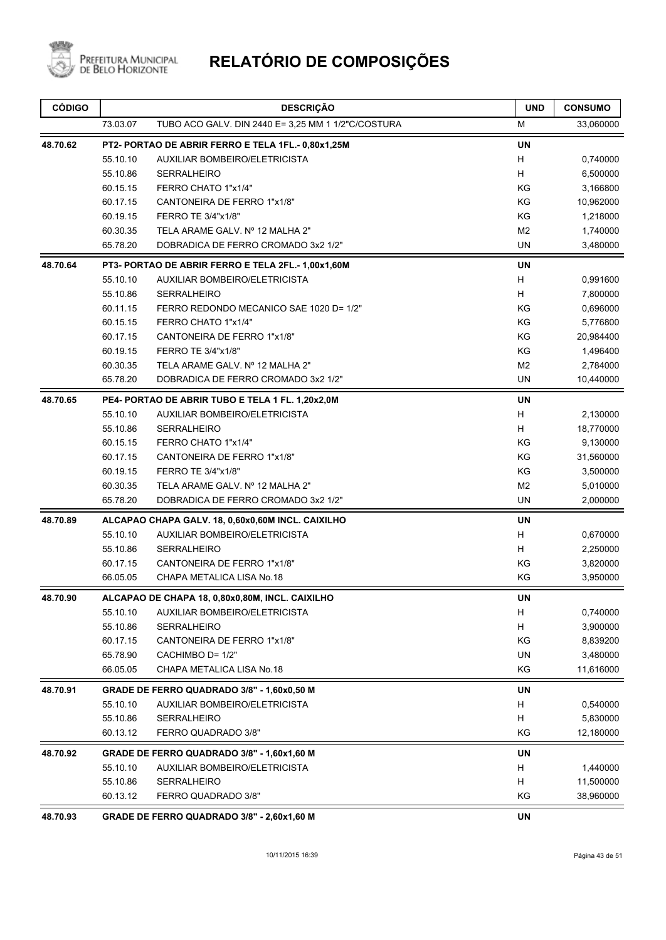

| <b>CÓDIGO</b> |                                                    | <b>DESCRIÇÃO</b>                                   | <b>UND</b>     | <b>CONSUMO</b> |
|---------------|----------------------------------------------------|----------------------------------------------------|----------------|----------------|
|               | 73.03.07                                           | TUBO ACO GALV. DIN 2440 E= 3,25 MM 1 1/2"C/COSTURA | М              | 33,060000      |
| 48.70.62      | PT2- PORTAO DE ABRIR FERRO E TELA 1FL.- 0,80x1,25M |                                                    |                |                |
|               | 55.10.10                                           | <b>AUXILIAR BOMBEIRO/ELETRICISTA</b>               | H              | 0,740000       |
|               | 55.10.86                                           | <b>SERRALHEIRO</b>                                 | H              | 6,500000       |
|               | 60.15.15                                           | FERRO CHATO 1"x1/4"                                | KG             | 3,166800       |
|               | 60.17.15                                           | CANTONEIRA DE FERRO 1"x1/8"                        | KG             | 10,962000      |
|               | 60.19.15                                           | FERRO TE 3/4"x1/8"                                 | KG             | 1,218000       |
|               | 60.30.35                                           | TELA ARAME GALV. Nº 12 MALHA 2"                    | M <sub>2</sub> | 1,740000       |
|               | 65.78.20                                           | DOBRADICA DE FERRO CROMADO 3x2 1/2"                | <b>UN</b>      | 3,480000       |
| 48.70.64      |                                                    | PT3- PORTAO DE ABRIR FERRO E TELA 2FL.- 1,00x1,60M | <b>UN</b>      |                |
|               | 55.10.10                                           | <b>AUXILIAR BOMBEIRO/ELETRICISTA</b>               | H              | 0,991600       |
|               | 55.10.86                                           | <b>SERRALHEIRO</b>                                 | H              | 7,800000       |
|               | 60.11.15                                           | FERRO REDONDO MECANICO SAE 1020 D= 1/2"            | KG             | 0,696000       |
|               | 60.15.15                                           | FERRO CHATO 1"x1/4"                                | KG             | 5,776800       |
|               | 60.17.15                                           | CANTONEIRA DE FERRO 1"x1/8"                        | KG             | 20,984400      |
|               | 60.19.15                                           | FERRO TE 3/4"x1/8"                                 | KG             | 1,496400       |
|               | 60.30.35                                           | TELA ARAME GALV. Nº 12 MALHA 2"                    | M <sub>2</sub> | 2,784000       |
|               | 65.78.20                                           | DOBRADICA DE FERRO CROMADO 3x2 1/2"                | UN             | 10,440000      |
| 48.70.65      |                                                    | PE4- PORTAO DE ABRIR TUBO E TELA 1 FL. 1,20x2,0M   | UN             |                |
|               | 55.10.10                                           | AUXILIAR BOMBEIRO/ELETRICISTA                      | H              | 2,130000       |
|               | 55.10.86                                           | <b>SERRALHEIRO</b>                                 | H              | 18,770000      |
|               | 60.15.15                                           | FERRO CHATO 1"x1/4"                                | KG             | 9,130000       |
|               | 60.17.15                                           | CANTONEIRA DE FERRO 1"x1/8"                        | KG             | 31,560000      |
|               | 60.19.15                                           | FERRO TE 3/4"x1/8"                                 | KG             | 3,500000       |
|               | 60.30.35                                           | TELA ARAME GALV. Nº 12 MALHA 2"                    | M <sub>2</sub> | 5,010000       |
|               | 65.78.20                                           | DOBRADICA DE FERRO CROMADO 3x2 1/2"                | <b>UN</b>      | 2,000000       |
| 48.70.89      |                                                    | ALCAPAO CHAPA GALV. 18, 0,60x0,60M INCL. CAIXILHO  | UN             |                |
|               | 55.10.10                                           | <b>AUXILIAR BOMBEIRO/ELETRICISTA</b>               | H              | 0,670000       |
|               | 55.10.86                                           | <b>SERRALHEIRO</b>                                 | H              | 2,250000       |
|               | 60.17.15                                           | CANTONEIRA DE FERRO 1"x1/8"                        | ΚG             | 3,820000       |
|               | 66.05.05                                           | CHAPA METALICA LISA No.18                          | ΚG             | 3,950000       |
| 48.70.90      |                                                    | ALCAPAO DE CHAPA 18, 0,80x0,80M, INCL. CAIXILHO    | UN             |                |
|               | 55.10.10                                           | AUXILIAR BOMBEIRO/ELETRICISTA                      | H              | 0,740000       |
|               | 55.10.86                                           | SERRALHEIRO                                        | H              | 3,900000       |
|               | 60.17.15                                           | CANTONEIRA DE FERRO 1"x1/8"                        | KG             | 8,839200       |
|               | 65.78.90                                           | CACHIMBO D= 1/2"                                   | UN             | 3,480000       |
|               | 66.05.05                                           | CHAPA METALICA LISA No.18                          | ΚG             | 11,616000      |
| 48.70.91      |                                                    | GRADE DE FERRO QUADRADO 3/8" - 1,60x0,50 M         | UN             |                |
|               | 55.10.10                                           | AUXILIAR BOMBEIRO/ELETRICISTA                      | H              | 0,540000       |
|               | 55.10.86                                           | SERRALHEIRO                                        | н              | 5,830000       |
|               | 60.13.12                                           | FERRO QUADRADO 3/8"                                | KG             | 12,180000      |
| 48.70.92      |                                                    | GRADE DE FERRO QUADRADO 3/8" - 1,60x1,60 M         | UN             |                |
|               | 55.10.10                                           | AUXILIAR BOMBEIRO/ELETRICISTA                      | н              | 1,440000       |
|               | 55.10.86                                           | <b>SERRALHEIRO</b>                                 | н              | 11,500000      |
|               | 60.13.12                                           | FERRO QUADRADO 3/8"                                | KG             | 38,960000      |
| 48.70.93      |                                                    | GRADE DE FERRO QUADRADO 3/8" - 2,60x1,60 M         | <b>UN</b>      |                |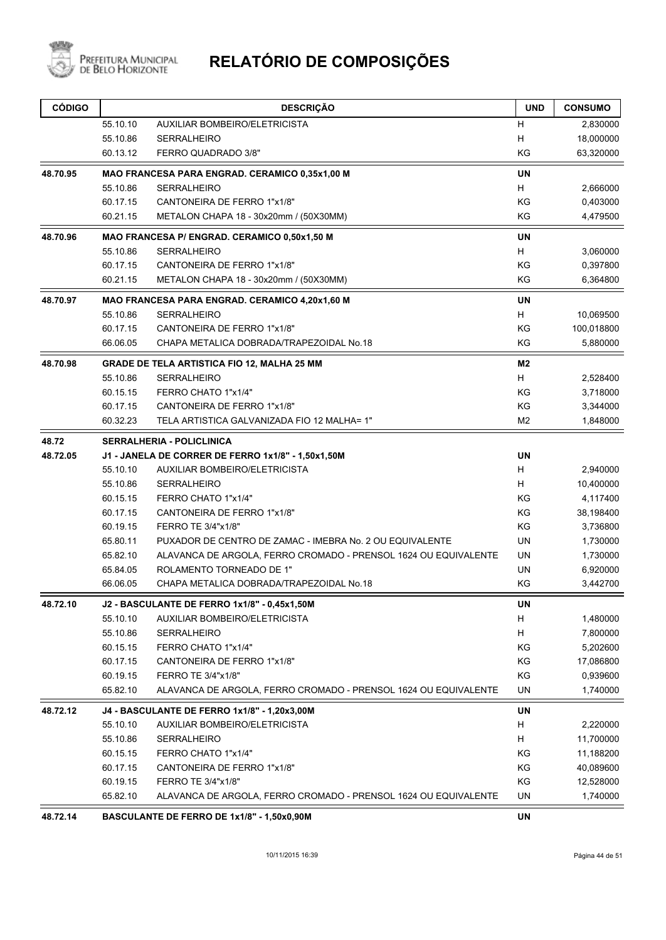

| <b>CÓDIGO</b> |          | <b>DESCRIÇÃO</b>                                                | <b>UND</b>     | <b>CONSUMO</b> |
|---------------|----------|-----------------------------------------------------------------|----------------|----------------|
|               | 55.10.10 | AUXILIAR BOMBEIRO/ELETRICISTA                                   | H              | 2,830000       |
|               | 55.10.86 | <b>SERRALHEIRO</b>                                              | H              | 18,000000      |
|               | 60.13.12 | FERRO QUADRADO 3/8"                                             | KG             | 63,320000      |
| 48.70.95      |          | MAO FRANCESA PARA ENGRAD. CERAMICO 0,35x1,00 M                  | <b>UN</b>      |                |
|               | 55.10.86 | <b>SERRALHEIRO</b>                                              | H              | 2,666000       |
|               | 60.17.15 | CANTONEIRA DE FERRO 1"x1/8"                                     | KG             | 0,403000       |
|               | 60.21.15 | METALON CHAPA 18 - 30x20mm / (50X30MM)                          | KG             | 4,479500       |
| 48.70.96      |          | MAO FRANCESA P/ ENGRAD. CERAMICO 0,50x1,50 M                    | <b>UN</b>      |                |
|               | 55.10.86 | <b>SERRALHEIRO</b>                                              | H              | 3,060000       |
|               | 60.17.15 | CANTONEIRA DE FERRO 1"x1/8"                                     | KG             | 0,397800       |
|               | 60.21.15 | METALON CHAPA 18 - 30x20mm / (50X30MM)                          | ΚG             | 6,364800       |
| 48.70.97      |          | MAO FRANCESA PARA ENGRAD. CERAMICO 4,20x1,60 M                  | <b>UN</b>      |                |
|               | 55.10.86 | <b>SERRALHEIRO</b>                                              | H              | 10,069500      |
|               | 60.17.15 | CANTONEIRA DE FERRO 1"x1/8"                                     | KG             | 100,018800     |
|               | 66.06.05 | CHAPA METALICA DOBRADA/TRAPEZOIDAL No.18                        | KG             | 5,880000       |
| 48.70.98      |          | GRADE DE TELA ARTISTICA FIO 12, MALHA 25 MM                     | M <sub>2</sub> |                |
|               | 55.10.86 | <b>SERRALHEIRO</b>                                              | H              | 2,528400       |
|               | 60.15.15 | FERRO CHATO 1"x1/4"                                             | KG             | 3,718000       |
|               | 60.17.15 | CANTONEIRA DE FERRO 1"x1/8"                                     | KG             | 3,344000       |
|               | 60.32.23 | TELA ARTISTICA GALVANIZADA FIO 12 MALHA= 1"                     | M2             | 1,848000       |
| 48.72         |          | <b>SERRALHERIA - POLICLINICA</b>                                |                |                |
| 48.72.05      |          | J1 - JANELA DE CORRER DE FERRO 1x1/8" - 1,50x1,50M              | <b>UN</b>      |                |
|               | 55.10.10 | AUXILIAR BOMBEIRO/ELETRICISTA                                   | H              | 2,940000       |
|               | 55.10.86 | <b>SERRALHEIRO</b>                                              | H              | 10,400000      |
|               | 60.15.15 | FERRO CHATO 1"x1/4"                                             | KG             | 4,117400       |
|               | 60.17.15 | CANTONEIRA DE FERRO 1"x1/8"                                     | KG             | 38,198400      |
|               | 60.19.15 | FERRO TE 3/4"x1/8"                                              | KG             | 3,736800       |
|               | 65.80.11 | PUXADOR DE CENTRO DE ZAMAC - IMEBRA No. 2 OU EQUIVALENTE        | <b>UN</b>      | 1,730000       |
|               | 65.82.10 | ALAVANCA DE ARGOLA, FERRO CROMADO - PRENSOL 1624 OU EQUIVALENTE | <b>UN</b>      | 1,730000       |
|               | 65.84.05 | ROLAMENTO TORNEADO DE 1"                                        | UN             | 6,920000       |
|               | 66.06.05 | CHAPA METALICA DOBRADA/TRAPEZOIDAL No.18                        | KG             | 3,442700       |
| 48.72.10      |          | <b>J2 - BASCULANTE DE FERRO 1x1/8" - 0,45x1,50M</b>             | UN             |                |
|               | 55.10.10 | AUXILIAR BOMBEIRO/ELETRICISTA                                   | H              | 1,480000       |
|               | 55.10.86 | SERRALHEIRO                                                     | H              | 7,800000       |
|               | 60.15.15 | FERRO CHATO 1"x1/4"                                             | ΚG             | 5,202600       |
|               | 60.17.15 | CANTONEIRA DE FERRO 1"x1/8"                                     | KG             | 17,086800      |
|               | 60.19.15 | FERRO TE 3/4"x1/8"                                              | KG             | 0,939600       |
|               | 65.82.10 | ALAVANCA DE ARGOLA, FERRO CROMADO - PRENSOL 1624 OU EQUIVALENTE | UN             | 1,740000       |
| 48.72.12      |          | J4 - BASCULANTE DE FERRO 1x1/8" - 1,20x3,00M                    | UN             |                |
|               | 55.10.10 | AUXILIAR BOMBEIRO/ELETRICISTA                                   | H              | 2,220000       |
|               | 55.10.86 | SERRALHEIRO                                                     | H              | 11,700000      |
|               | 60.15.15 | FERRO CHATO 1"x1/4"                                             | KG             | 11,188200      |
|               | 60.17.15 | CANTONEIRA DE FERRO 1"x1/8"                                     | ΚG             | 40,089600      |
|               | 60.19.15 | FERRO TE 3/4"x1/8"                                              | KG             | 12,528000      |
|               | 65.82.10 | ALAVANCA DE ARGOLA, FERRO CROMADO - PRENSOL 1624 OU EQUIVALENTE | UN             | 1,740000       |
| 48.72.14      |          | BASCULANTE DE FERRO DE 1x1/8" - 1,50x0,90M                      | UN             |                |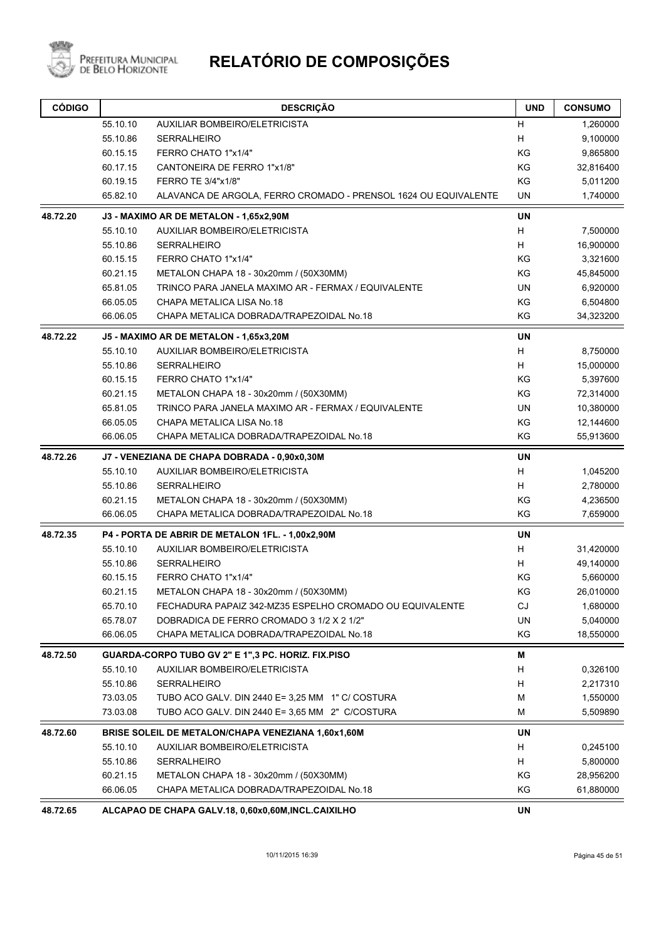

| <b>CÓDIGO</b> |          | <b>DESCRIÇÃO</b>                                                | <b>UND</b> | <b>CONSUMO</b> |
|---------------|----------|-----------------------------------------------------------------|------------|----------------|
|               | 55.10.10 | AUXILIAR BOMBEIRO/ELETRICISTA                                   | н          | 1,260000       |
|               | 55.10.86 | <b>SERRALHEIRO</b>                                              | H          | 9,100000       |
|               | 60.15.15 | FERRO CHATO 1"x1/4"                                             | KG         | 9,865800       |
|               | 60.17.15 | CANTONEIRA DE FERRO 1"x1/8"                                     | KG         | 32,816400      |
|               | 60.19.15 | FERRO TE 3/4"x1/8"                                              | KG         | 5,011200       |
|               | 65.82.10 | ALAVANCA DE ARGOLA, FERRO CROMADO - PRENSOL 1624 OU EQUIVALENTE | UN         | 1,740000       |
| 48.72.20      |          | J3 - MAXIMO AR DE METALON - 1,65x2,90M                          | <b>UN</b>  |                |
|               | 55.10.10 | AUXILIAR BOMBEIRO/ELETRICISTA                                   | H          | 7,500000       |
|               | 55.10.86 | SERRALHEIRO                                                     | Н          | 16,900000      |
|               | 60.15.15 | FERRO CHATO 1"x1/4"                                             | KG         | 3,321600       |
|               | 60.21.15 | METALON CHAPA 18 - 30x20mm / (50X30MM)                          | ΚG         | 45,845000      |
|               | 65.81.05 | TRINCO PARA JANELA MAXIMO AR - FERMAX / EQUIVALENTE             | UN         | 6,920000       |
|               | 66.05.05 | CHAPA METALICA LISA No.18                                       | KG         | 6,504800       |
|               | 66.06.05 | CHAPA METALICA DOBRADA/TRAPEZOIDAL No.18                        | ΚG         | 34,323200      |
| 48.72.22      |          | J5 - MAXIMO AR DE METALON - 1,65x3,20M                          | <b>UN</b>  |                |
|               | 55.10.10 | AUXILIAR BOMBEIRO/ELETRICISTA                                   | Н          | 8,750000       |
|               | 55.10.86 | <b>SERRALHEIRO</b>                                              | H          | 15,000000      |
|               | 60.15.15 | FERRO CHATO 1"x1/4"                                             | KG         | 5,397600       |
|               | 60.21.15 | METALON CHAPA 18 - 30x20mm / (50X30MM)                          | ΚG         | 72,314000      |
|               | 65.81.05 | TRINCO PARA JANELA MAXIMO AR - FERMAX / EQUIVALENTE             | UN         | 10,380000      |
|               | 66.05.05 | CHAPA METALICA LISA No.18                                       | KG         | 12,144600      |
|               | 66.06.05 | CHAPA METALICA DOBRADA/TRAPEZOIDAL No.18                        | KG         | 55,913600      |
| 48.72.26      |          | J7 - VENEZIANA DE CHAPA DOBRADA - 0,90x0,30M                    | <b>UN</b>  |                |
|               | 55.10.10 | AUXILIAR BOMBEIRO/ELETRICISTA                                   | Н          | 1,045200       |
|               | 55.10.86 | <b>SERRALHEIRO</b>                                              | H          | 2,780000       |
|               | 60.21.15 | METALON CHAPA 18 - 30x20mm / (50X30MM)                          | KG         | 4,236500       |
|               | 66.06.05 | CHAPA METALICA DOBRADA/TRAPEZOIDAL No.18                        | KG         | 7,659000       |
| 48.72.35      |          | P4 - PORTA DE ABRIR DE METALON 1FL. - 1,00x2,90M                | UN         |                |
|               | 55.10.10 | <b>AUXILIAR BOMBEIRO/ELETRICISTA</b>                            | H          | 31,420000      |
|               | 55.10.86 | <b>SERRALHEIRO</b>                                              | H          | 49,140000      |
|               | 60.15.15 | FERRO CHATO 1"x1/4"                                             | ΚG         | 5,660000       |
|               | 60.21.15 | METALON CHAPA 18 - 30x20mm / (50X30MM)                          | ΚG         | 26,010000      |
|               | 65.70.10 | FECHADURA PAPAIZ 342-MZ35 ESPELHO CROMADO OU EQUIVALENTE        | CJ         | 1,680000       |
|               | 65.78.07 | DOBRADICA DE FERRO CROMADO 3 1/2 X 2 1/2"                       | UN         | 5,040000       |
|               | 66.06.05 | CHAPA METALICA DOBRADA/TRAPEZOIDAL No.18                        | KG         | 18,550000      |
| 48.72.50      |          | GUARDA-CORPO TUBO GV 2" E 1",3 PC. HORIZ. FIX.PISO              | M          |                |
|               | 55.10.10 | <b>AUXILIAR BOMBEIRO/ELETRICISTA</b>                            | н          | 0,326100       |
|               | 55.10.86 | <b>SERRALHEIRO</b>                                              | н          | 2,217310       |
|               | 73.03.05 | TUBO ACO GALV. DIN 2440 E= 3,25 MM 1" C/ COSTURA                | M          | 1,550000       |
|               | 73.03.08 | TUBO ACO GALV. DIN 2440 E= 3,65 MM 2" C/COSTURA                 | М          | 5,509890       |
| 48.72.60      |          | BRISE SOLEIL DE METALON/CHAPA VENEZIANA 1,60x1,60M              | UN         |                |
|               | 55.10.10 | <b>AUXILIAR BOMBEIRO/ELETRICISTA</b>                            | н          | 0,245100       |
|               | 55.10.86 | <b>SERRALHEIRO</b>                                              | н          | 5,800000       |
|               | 60.21.15 | METALON CHAPA 18 - 30x20mm / (50X30MM)                          | ΚG         | 28,956200      |
|               | 66.06.05 | CHAPA METALICA DOBRADA/TRAPEZOIDAL No.18                        | KG         | 61,880000      |
| 48.72.65      |          | ALCAPAO DE CHAPA GALV.18, 0,60x0,60M, INCL.CAIXILHO             | UN         |                |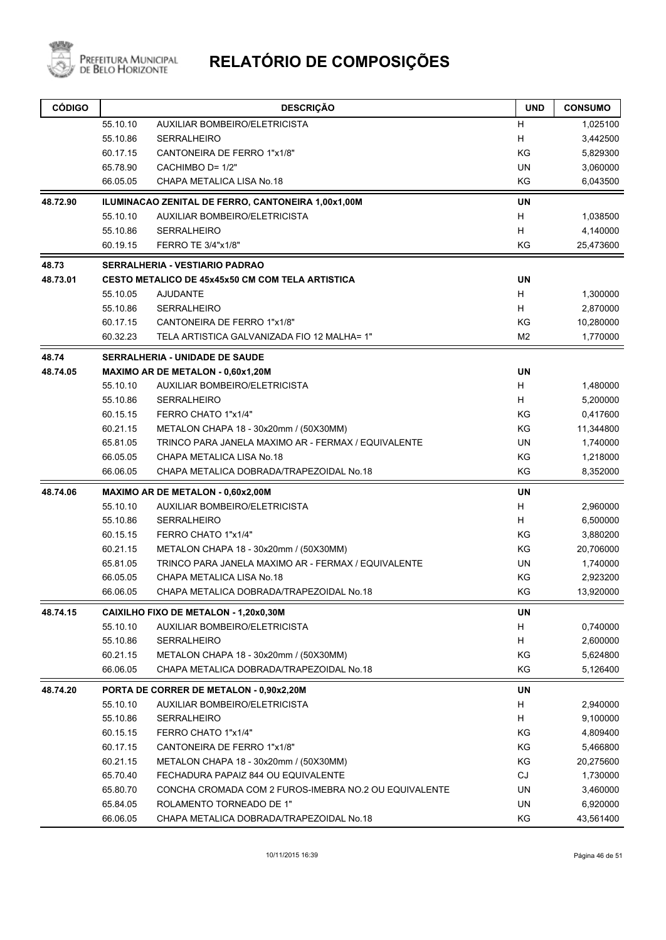

| <b>CÓDIGO</b> |          | <b>DESCRIÇÃO</b>                                        | <b>UND</b>     | <b>CONSUMO</b> |
|---------------|----------|---------------------------------------------------------|----------------|----------------|
|               | 55.10.10 | AUXILIAR BOMBEIRO/ELETRICISTA                           | н              | 1,025100       |
|               | 55.10.86 | <b>SERRALHEIRO</b>                                      | H              | 3,442500       |
|               | 60.17.15 | CANTONEIRA DE FERRO 1"x1/8"                             | KG             | 5,829300       |
|               | 65.78.90 | CACHIMBO D= 1/2"                                        | <b>UN</b>      | 3,060000       |
|               | 66.05.05 | CHAPA METALICA LISA No.18                               | KG             | 6,043500       |
| 48.72.90      |          | ILUMINACAO ZENITAL DE FERRO, CANTONEIRA 1,00x1,00M      | <b>UN</b>      |                |
|               | 55.10.10 | AUXILIAR BOMBEIRO/ELETRICISTA                           | H              | 1,038500       |
|               | 55.10.86 | <b>SERRALHEIRO</b>                                      | H              | 4,140000       |
|               | 60.19.15 | FERRO TE 3/4"x1/8"                                      | KG             | 25,473600      |
| 48.73         |          | <b>SERRALHERIA - VESTIARIO PADRAO</b>                   |                |                |
| 48.73.01      |          | <b>CESTO METALICO DE 45x45x50 CM COM TELA ARTISTICA</b> | <b>UN</b>      |                |
|               | 55.10.05 | <b>AJUDANTE</b>                                         | H              | 1,300000       |
|               | 55.10.86 | <b>SERRALHEIRO</b>                                      | H              | 2,870000       |
|               | 60.17.15 | CANTONEIRA DE FERRO 1"x1/8"                             | ΚG             | 10,280000      |
|               | 60.32.23 | TELA ARTISTICA GALVANIZADA FIO 12 MALHA= 1"             | M <sub>2</sub> | 1,770000       |
| 48.74         |          | <b>SERRALHERIA - UNIDADE DE SAUDE</b>                   |                |                |
| 48.74.05      |          | MAXIMO AR DE METALON - 0,60x1,20M                       | <b>UN</b>      |                |
|               | 55.10.10 | <b>AUXILIAR BOMBEIRO/ELETRICISTA</b>                    | H              | 1,480000       |
|               | 55.10.86 | <b>SERRALHEIRO</b>                                      | H              | 5,200000       |
|               | 60.15.15 | FERRO CHATO 1"x1/4"                                     | ΚG             | 0,417600       |
|               | 60.21.15 | METALON CHAPA 18 - 30x20mm / (50X30MM)                  | KG             | 11,344800      |
|               | 65.81.05 | TRINCO PARA JANELA MAXIMO AR - FERMAX / EQUIVALENTE     | UN             | 1,740000       |
|               | 66.05.05 | CHAPA METALICA LISA No.18                               | KG             | 1,218000       |
|               | 66.06.05 | CHAPA METALICA DOBRADA/TRAPEZOIDAL No.18                | KG             | 8,352000       |
| 48.74.06      |          | MAXIMO AR DE METALON - 0,60x2,00M                       | <b>UN</b>      |                |
|               | 55.10.10 | <b>AUXILIAR BOMBEIRO/ELETRICISTA</b>                    | H              | 2,960000       |
|               | 55.10.86 | <b>SERRALHEIRO</b>                                      | H              | 6,500000       |
|               | 60.15.15 | FERRO CHATO 1"x1/4"                                     | KG             | 3,880200       |
|               | 60.21.15 | METALON CHAPA 18 - 30x20mm / (50X30MM)                  | KG             | 20,706000      |
|               | 65.81.05 | TRINCO PARA JANELA MAXIMO AR - FERMAX / EQUIVALENTE     | UN             | 1,740000       |
|               | 66.05.05 | CHAPA METALICA LISA No.18                               | ΚG             | 2,923200       |
|               | 66.06.05 | CHAPA METALICA DOBRADA/TRAPEZOIDAL No.18                | ΚG             | 13,920000      |
| 48.74.15      |          | CAIXILHO FIXO DE METALON - 1,20x0,30M                   | UN             |                |
|               | 55.10.10 | AUXILIAR BOMBEIRO/ELETRICISTA                           | H              | 0,740000       |
|               | 55.10.86 | <b>SERRALHEIRO</b>                                      | H              | 2,600000       |
|               | 60.21.15 | METALON CHAPA 18 - 30x20mm / (50X30MM)                  | KG             | 5,624800       |
|               | 66.06.05 | CHAPA METALICA DOBRADA/TRAPEZOIDAL No.18                | KG             | 5,126400       |
| 48.74.20      |          | PORTA DE CORRER DE METALON - 0,90x2,20M                 | UN             |                |
|               | 55.10.10 | AUXILIAR BOMBEIRO/ELETRICISTA                           | H              | 2,940000       |
|               | 55.10.86 | SERRALHEIRO                                             | H              | 9,100000       |
|               | 60.15.15 | FERRO CHATO 1"x1/4"                                     | ΚG             | 4,809400       |
|               | 60.17.15 | CANTONEIRA DE FERRO 1"x1/8"                             | KG             | 5,466800       |
|               | 60.21.15 | METALON CHAPA 18 - 30x20mm / (50X30MM)                  | KG             | 20,275600      |
|               | 65.70.40 | FECHADURA PAPAIZ 844 OU EQUIVALENTE                     | CJ             | 1,730000       |
|               | 65.80.70 | CONCHA CROMADA COM 2 FUROS-IMEBRA NO.2 OU EQUIVALENTE   | UN             | 3,460000       |
|               | 65.84.05 | ROLAMENTO TORNEADO DE 1"                                | UN             | 6,920000       |
|               | 66.06.05 | CHAPA METALICA DOBRADA/TRAPEZOIDAL No.18                | KG             | 43,561400      |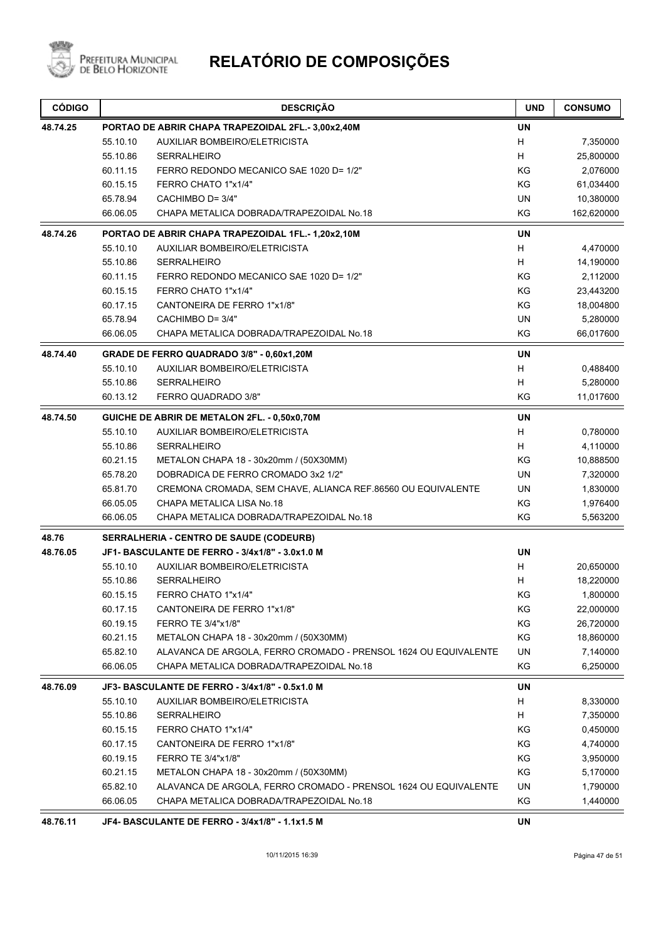

| <b>CÓDIGO</b> |                                                    | <b>DESCRIÇÃO</b>                                                | <b>UND</b> | <b>CONSUMO</b> |
|---------------|----------------------------------------------------|-----------------------------------------------------------------|------------|----------------|
| 48.74.25      | PORTAO DE ABRIR CHAPA TRAPEZOIDAL 2FL.- 3,00x2,40M |                                                                 |            |                |
|               | 55.10.10                                           | AUXILIAR BOMBEIRO/ELETRICISTA                                   | H          | 7,350000       |
|               | 55.10.86                                           | <b>SERRALHEIRO</b>                                              | H          | 25,800000      |
|               | 60.11.15                                           | FERRO REDONDO MECANICO SAE 1020 D= 1/2"                         | ΚG         | 2,076000       |
|               | 60.15.15                                           | FERRO CHATO 1"x1/4"                                             | KG         | 61,034400      |
|               | 65.78.94                                           | CACHIMBO D= 3/4"                                                | <b>UN</b>  | 10,380000      |
|               | 66.06.05                                           | CHAPA METALICA DOBRADA/TRAPEZOIDAL No.18                        | KG         | 162,620000     |
| 48.74.26      |                                                    | PORTAO DE ABRIR CHAPA TRAPEZOIDAL 1FL.-1,20x2,10M               | <b>UN</b>  |                |
|               | 55.10.10                                           | AUXILIAR BOMBEIRO/ELETRICISTA                                   | H          | 4,470000       |
|               | 55.10.86                                           | <b>SERRALHEIRO</b>                                              | H          | 14,190000      |
|               | 60.11.15                                           | FERRO REDONDO MECANICO SAE 1020 D= 1/2"                         | KG         | 2,112000       |
|               | 60.15.15                                           | FERRO CHATO 1"x1/4"                                             | KG         | 23,443200      |
|               | 60.17.15                                           | CANTONEIRA DE FERRO 1"x1/8"                                     | KG         | 18,004800      |
|               | 65.78.94                                           | CACHIMBO D= 3/4"                                                | <b>UN</b>  | 5,280000       |
|               | 66.06.05                                           | CHAPA METALICA DOBRADA/TRAPEZOIDAL No.18                        | KG         | 66,017600      |
| 48.74.40      |                                                    | GRADE DE FERRO QUADRADO 3/8" - 0,60x1,20M                       | <b>UN</b>  |                |
|               | 55.10.10                                           | AUXILIAR BOMBEIRO/ELETRICISTA                                   | H          | 0,488400       |
|               | 55.10.86                                           | <b>SERRALHEIRO</b>                                              | H          | 5,280000       |
|               | 60.13.12                                           | FERRO QUADRADO 3/8"                                             | KG         | 11,017600      |
| 48.74.50      |                                                    | GUICHE DE ABRIR DE METALON 2FL. - 0,50x0,70M                    | <b>UN</b>  |                |
|               | 55.10.10                                           | <b>AUXILIAR BOMBEIRO/ELETRICISTA</b>                            | H          | 0,780000       |
|               | 55.10.86                                           | <b>SERRALHEIRO</b>                                              | H          | 4,110000       |
|               | 60.21.15                                           | METALON CHAPA 18 - 30x20mm / (50X30MM)                          | ΚG         | 10,888500      |
|               | 65.78.20                                           | DOBRADICA DE FERRO CROMADO 3x2 1/2"                             | <b>UN</b>  | 7,320000       |
|               | 65.81.70                                           | CREMONA CROMADA, SEM CHAVE, ALIANCA REF.86560 OU EQUIVALENTE    | UN         | 1,830000       |
|               | 66.05.05                                           | CHAPA METALICA LISA No.18                                       | ΚG         | 1,976400       |
|               | 66.06.05                                           | CHAPA METALICA DOBRADA/TRAPEZOIDAL No.18                        | ΚG         | 5,563200       |
| 48.76         |                                                    | <b>SERRALHERIA - CENTRO DE SAUDE (CODEURB)</b>                  |            |                |
| 48.76.05      |                                                    | JF1-BASCULANTE DE FERRO - 3/4x1/8" - 3.0x1.0 M                  | <b>UN</b>  |                |
|               | 55.10.10                                           | AUXILIAR BOMBEIRO/ELETRICISTA                                   | H          | 20,650000      |
|               | 55.10.86                                           | <b>SERRALHEIRO</b>                                              | Н          | 18,220000      |
|               | 60.15.15                                           | FERRO CHATO 1"x1/4"                                             | KG         | 1,800000       |
|               | 60.17.15                                           | CANTONEIRA DE FERRO 1"x1/8"                                     | ΚG         | 22,000000      |
|               | 60.19.15                                           | FERRO TE 3/4"x1/8"                                              | KG         | 26,720000      |
|               | 60.21.15                                           | METALON CHAPA 18 - 30x20mm / (50X30MM)                          | KG         | 18,860000      |
|               | 65.82.10                                           | ALAVANCA DE ARGOLA, FERRO CROMADO - PRENSOL 1624 OU EQUIVALENTE | UN         | 7,140000       |
|               | 66.06.05                                           | CHAPA METALICA DOBRADA/TRAPEZOIDAL No.18                        | KG         | 6,250000       |
| 48.76.09      |                                                    | JF3- BASCULANTE DE FERRO - 3/4x1/8" - 0.5x1.0 M                 | UN         |                |
|               | 55.10.10                                           | AUXILIAR BOMBEIRO/ELETRICISTA                                   | H          | 8,330000       |
|               | 55.10.86                                           | <b>SERRALHEIRO</b>                                              | H          | 7,350000       |
|               | 60.15.15                                           | FERRO CHATO 1"x1/4"                                             | KG         | 0,450000       |
|               | 60.17.15                                           | CANTONEIRA DE FERRO 1"x1/8"                                     | KG         | 4,740000       |
|               | 60.19.15                                           | FERRO TE 3/4"x1/8"                                              | KG         | 3,950000       |
|               | 60.21.15                                           | METALON CHAPA 18 - 30x20mm / (50X30MM)                          | KG         | 5,170000       |
|               | 65.82.10                                           | ALAVANCA DE ARGOLA, FERRO CROMADO - PRENSOL 1624 OU EQUIVALENTE | UN         | 1,790000       |
|               | 66.06.05                                           | CHAPA METALICA DOBRADA/TRAPEZOIDAL No.18                        | KG         | 1,440000       |
|               |                                                    |                                                                 |            |                |

**48.76.11 JF4- BASCULANTE DE FERRO - 3/4x1/8" - 1.1x1.5 M UN**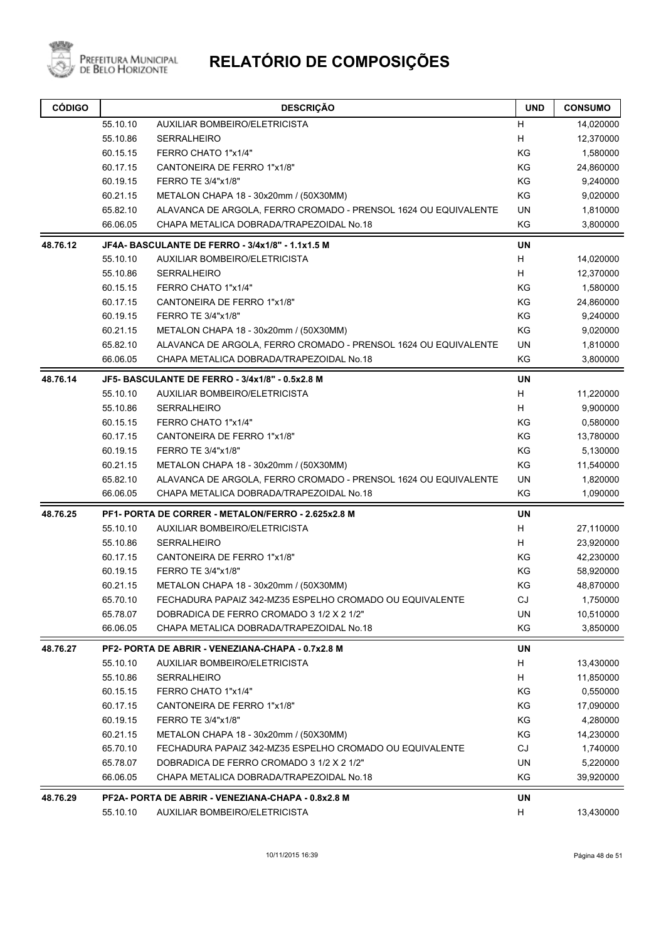

| H<br>55.10.10<br><b>AUXILIAR BOMBEIRO/ELETRICISTA</b><br>14,020000<br>н<br>55.10.86<br><b>SERRALHEIRO</b><br>12,370000<br>KG<br>60.15.15<br>FERRO CHATO 1"x1/4"<br>1,580000<br>60.17.15<br>CANTONEIRA DE FERRO 1"x1/8"<br>KG<br>24,860000<br>KG<br>60.19.15<br>FERRO TE 3/4"x1/8"<br>9,240000<br>KG<br>60.21.15<br>METALON CHAPA 18 - 30x20mm / (50X30MM)<br>9,020000<br>65.82.10<br>ALAVANCA DE ARGOLA, FERRO CROMADO - PRENSOL 1624 OU EQUIVALENTE<br>UN<br>1,810000<br>66.06.05<br>CHAPA METALICA DOBRADA/TRAPEZOIDAL No.18<br>ΚG<br>3,800000<br><b>UN</b><br>48.76.12<br>JF4A- BASCULANTE DE FERRO - 3/4x1/8" - 1.1x1.5 M<br>55.10.10<br><b>AUXILIAR BOMBEIRO/ELETRICISTA</b><br>н<br>14,020000<br>Н<br>55.10.86<br><b>SERRALHEIRO</b><br>12,370000<br>60.15.15<br>FERRO CHATO 1"x1/4"<br>ΚG<br>1,580000<br>KG<br>60.17.15<br>CANTONEIRA DE FERRO 1"x1/8"<br>24,860000<br>FERRO TE 3/4"x1/8"<br>KG<br>9,240000<br>60.19.15<br>KG<br>60.21.15<br>METALON CHAPA 18 - 30x20mm / (50X30MM)<br>9,020000<br>ALAVANCA DE ARGOLA, FERRO CROMADO - PRENSOL 1624 OU EQUIVALENTE<br>65.82.10<br>UN<br>1,810000<br>KG<br>CHAPA METALICA DOBRADA/TRAPEZOIDAL No.18<br>66.06.05<br>3,800000<br>48.76.14<br>JF5- BASCULANTE DE FERRO - 3/4x1/8" - 0.5x2.8 M<br><b>UN</b><br>55.10.10<br><b>AUXILIAR BOMBEIRO/ELETRICISTA</b><br>н<br>11,220000<br>55.10.86<br><b>SERRALHEIRO</b><br>H<br>9,900000<br>FERRO CHATO 1"x1/4"<br>KG<br>0,580000<br>60.15.15<br>KG<br>60.17.15<br>CANTONEIRA DE FERRO 1"x1/8"<br>13,780000<br>KG<br>60.19.15<br>FERRO TE 3/4"x1/8"<br>5,130000<br>KG<br>60.21.15<br>11,540000<br>METALON CHAPA 18 - 30x20mm / (50X30MM)<br>65.82.10<br>ALAVANCA DE ARGOLA, FERRO CROMADO - PRENSOL 1624 OU EQUIVALENTE<br>UN<br>1,820000<br>66.06.05<br>CHAPA METALICA DOBRADA/TRAPEZOIDAL No.18<br>KG<br>1,090000<br><b>UN</b><br>48.76.25<br>PF1- PORTA DE CORRER - METALON/FERRO - 2.625x2.8 M<br>н<br>55.10.10<br>AUXILIAR BOMBEIRO/ELETRICISTA<br>27,110000<br>55.10.86<br><b>SERRALHEIRO</b><br>н<br>23,920000<br>CANTONEIRA DE FERRO 1"x1/8"<br>ΚG<br>42,230000<br>60.17.15<br>60.19.15<br>FERRO TE 3/4"x1/8"<br>KG<br>58,920000<br>KG<br>48,870000<br>60.21.15<br>METALON CHAPA 18 - 30x20mm / (50X30MM)<br>FECHADURA PAPAIZ 342-MZ35 ESPELHO CROMADO OU EQUIVALENTE<br>CJ<br>65.70.10<br>1,750000<br>DOBRADICA DE FERRO CROMADO 3 1/2 X 2 1/2"<br>65.78.07<br>UN<br>10,510000<br>KG<br>66.06.05<br>CHAPA METALICA DOBRADA/TRAPEZOIDAL No.18<br>3,850000<br>48.76.27<br>PF2- PORTA DE ABRIR - VENEZIANA-CHAPA - 0.7x2.8 M<br>UN<br>55.10.10<br>AUXILIAR BOMBEIRO/ELETRICISTA<br>H<br>13,430000<br>н<br>55.10.86<br><b>SERRALHEIRO</b><br>11,850000<br>KG<br>60.15.15<br>FERRO CHATO 1"x1/4"<br>0,550000<br>KG<br>60.17.15<br>CANTONEIRA DE FERRO 1"x1/8"<br>17,090000<br>60.19.15<br>FERRO TE 3/4"x1/8"<br>ΚG<br>4,280000<br>KG<br>60.21.15<br>METALON CHAPA 18 - 30x20mm / (50X30MM)<br>14,230000<br>CJ<br>65.70.10<br>1,740000<br>FECHADURA PAPAIZ 342-MZ35 ESPELHO CROMADO OU EQUIVALENTE<br>UN<br>65.78.07<br>DOBRADICA DE FERRO CROMADO 3 1/2 X 2 1/2"<br>5,220000<br>66.06.05<br>CHAPA METALICA DOBRADA/TRAPEZOIDAL No.18<br>KG<br>39,920000<br>UN<br>48.76.29<br>PF2A- PORTA DE ABRIR - VENEZIANA-CHAPA - 0.8x2.8 M<br><b>AUXILIAR BOMBEIRO/ELETRICISTA</b><br>н<br>13,430000<br>55.10.10 | <b>CÓDIGO</b> | <b>DESCRIÇÃO</b> | <b>UND</b> | <b>CONSUMO</b> |
|---------------------------------------------------------------------------------------------------------------------------------------------------------------------------------------------------------------------------------------------------------------------------------------------------------------------------------------------------------------------------------------------------------------------------------------------------------------------------------------------------------------------------------------------------------------------------------------------------------------------------------------------------------------------------------------------------------------------------------------------------------------------------------------------------------------------------------------------------------------------------------------------------------------------------------------------------------------------------------------------------------------------------------------------------------------------------------------------------------------------------------------------------------------------------------------------------------------------------------------------------------------------------------------------------------------------------------------------------------------------------------------------------------------------------------------------------------------------------------------------------------------------------------------------------------------------------------------------------------------------------------------------------------------------------------------------------------------------------------------------------------------------------------------------------------------------------------------------------------------------------------------------------------------------------------------------------------------------------------------------------------------------------------------------------------------------------------------------------------------------------------------------------------------------------------------------------------------------------------------------------------------------------------------------------------------------------------------------------------------------------------------------------------------------------------------------------------------------------------------------------------------------------------------------------------------------------------------------------------------------------------------------------------------------------------------------------------------------------------------------------------------------------------------------------------------------------------------------------------------------------------------------------------------------------------------------------------------------------------------------------------------------------------------------------------------------------------------------------------------------------------------------------------------------------------------------------------------------------------------------------------------------------------------------------------|---------------|------------------|------------|----------------|
|                                                                                                                                                                                                                                                                                                                                                                                                                                                                                                                                                                                                                                                                                                                                                                                                                                                                                                                                                                                                                                                                                                                                                                                                                                                                                                                                                                                                                                                                                                                                                                                                                                                                                                                                                                                                                                                                                                                                                                                                                                                                                                                                                                                                                                                                                                                                                                                                                                                                                                                                                                                                                                                                                                                                                                                                                                                                                                                                                                                                                                                                                                                                                                                                                                                                                                         |               |                  |            |                |
|                                                                                                                                                                                                                                                                                                                                                                                                                                                                                                                                                                                                                                                                                                                                                                                                                                                                                                                                                                                                                                                                                                                                                                                                                                                                                                                                                                                                                                                                                                                                                                                                                                                                                                                                                                                                                                                                                                                                                                                                                                                                                                                                                                                                                                                                                                                                                                                                                                                                                                                                                                                                                                                                                                                                                                                                                                                                                                                                                                                                                                                                                                                                                                                                                                                                                                         |               |                  |            |                |
|                                                                                                                                                                                                                                                                                                                                                                                                                                                                                                                                                                                                                                                                                                                                                                                                                                                                                                                                                                                                                                                                                                                                                                                                                                                                                                                                                                                                                                                                                                                                                                                                                                                                                                                                                                                                                                                                                                                                                                                                                                                                                                                                                                                                                                                                                                                                                                                                                                                                                                                                                                                                                                                                                                                                                                                                                                                                                                                                                                                                                                                                                                                                                                                                                                                                                                         |               |                  |            |                |
|                                                                                                                                                                                                                                                                                                                                                                                                                                                                                                                                                                                                                                                                                                                                                                                                                                                                                                                                                                                                                                                                                                                                                                                                                                                                                                                                                                                                                                                                                                                                                                                                                                                                                                                                                                                                                                                                                                                                                                                                                                                                                                                                                                                                                                                                                                                                                                                                                                                                                                                                                                                                                                                                                                                                                                                                                                                                                                                                                                                                                                                                                                                                                                                                                                                                                                         |               |                  |            |                |
|                                                                                                                                                                                                                                                                                                                                                                                                                                                                                                                                                                                                                                                                                                                                                                                                                                                                                                                                                                                                                                                                                                                                                                                                                                                                                                                                                                                                                                                                                                                                                                                                                                                                                                                                                                                                                                                                                                                                                                                                                                                                                                                                                                                                                                                                                                                                                                                                                                                                                                                                                                                                                                                                                                                                                                                                                                                                                                                                                                                                                                                                                                                                                                                                                                                                                                         |               |                  |            |                |
|                                                                                                                                                                                                                                                                                                                                                                                                                                                                                                                                                                                                                                                                                                                                                                                                                                                                                                                                                                                                                                                                                                                                                                                                                                                                                                                                                                                                                                                                                                                                                                                                                                                                                                                                                                                                                                                                                                                                                                                                                                                                                                                                                                                                                                                                                                                                                                                                                                                                                                                                                                                                                                                                                                                                                                                                                                                                                                                                                                                                                                                                                                                                                                                                                                                                                                         |               |                  |            |                |
|                                                                                                                                                                                                                                                                                                                                                                                                                                                                                                                                                                                                                                                                                                                                                                                                                                                                                                                                                                                                                                                                                                                                                                                                                                                                                                                                                                                                                                                                                                                                                                                                                                                                                                                                                                                                                                                                                                                                                                                                                                                                                                                                                                                                                                                                                                                                                                                                                                                                                                                                                                                                                                                                                                                                                                                                                                                                                                                                                                                                                                                                                                                                                                                                                                                                                                         |               |                  |            |                |
|                                                                                                                                                                                                                                                                                                                                                                                                                                                                                                                                                                                                                                                                                                                                                                                                                                                                                                                                                                                                                                                                                                                                                                                                                                                                                                                                                                                                                                                                                                                                                                                                                                                                                                                                                                                                                                                                                                                                                                                                                                                                                                                                                                                                                                                                                                                                                                                                                                                                                                                                                                                                                                                                                                                                                                                                                                                                                                                                                                                                                                                                                                                                                                                                                                                                                                         |               |                  |            |                |
|                                                                                                                                                                                                                                                                                                                                                                                                                                                                                                                                                                                                                                                                                                                                                                                                                                                                                                                                                                                                                                                                                                                                                                                                                                                                                                                                                                                                                                                                                                                                                                                                                                                                                                                                                                                                                                                                                                                                                                                                                                                                                                                                                                                                                                                                                                                                                                                                                                                                                                                                                                                                                                                                                                                                                                                                                                                                                                                                                                                                                                                                                                                                                                                                                                                                                                         |               |                  |            |                |
|                                                                                                                                                                                                                                                                                                                                                                                                                                                                                                                                                                                                                                                                                                                                                                                                                                                                                                                                                                                                                                                                                                                                                                                                                                                                                                                                                                                                                                                                                                                                                                                                                                                                                                                                                                                                                                                                                                                                                                                                                                                                                                                                                                                                                                                                                                                                                                                                                                                                                                                                                                                                                                                                                                                                                                                                                                                                                                                                                                                                                                                                                                                                                                                                                                                                                                         |               |                  |            |                |
|                                                                                                                                                                                                                                                                                                                                                                                                                                                                                                                                                                                                                                                                                                                                                                                                                                                                                                                                                                                                                                                                                                                                                                                                                                                                                                                                                                                                                                                                                                                                                                                                                                                                                                                                                                                                                                                                                                                                                                                                                                                                                                                                                                                                                                                                                                                                                                                                                                                                                                                                                                                                                                                                                                                                                                                                                                                                                                                                                                                                                                                                                                                                                                                                                                                                                                         |               |                  |            |                |
|                                                                                                                                                                                                                                                                                                                                                                                                                                                                                                                                                                                                                                                                                                                                                                                                                                                                                                                                                                                                                                                                                                                                                                                                                                                                                                                                                                                                                                                                                                                                                                                                                                                                                                                                                                                                                                                                                                                                                                                                                                                                                                                                                                                                                                                                                                                                                                                                                                                                                                                                                                                                                                                                                                                                                                                                                                                                                                                                                                                                                                                                                                                                                                                                                                                                                                         |               |                  |            |                |
|                                                                                                                                                                                                                                                                                                                                                                                                                                                                                                                                                                                                                                                                                                                                                                                                                                                                                                                                                                                                                                                                                                                                                                                                                                                                                                                                                                                                                                                                                                                                                                                                                                                                                                                                                                                                                                                                                                                                                                                                                                                                                                                                                                                                                                                                                                                                                                                                                                                                                                                                                                                                                                                                                                                                                                                                                                                                                                                                                                                                                                                                                                                                                                                                                                                                                                         |               |                  |            |                |
|                                                                                                                                                                                                                                                                                                                                                                                                                                                                                                                                                                                                                                                                                                                                                                                                                                                                                                                                                                                                                                                                                                                                                                                                                                                                                                                                                                                                                                                                                                                                                                                                                                                                                                                                                                                                                                                                                                                                                                                                                                                                                                                                                                                                                                                                                                                                                                                                                                                                                                                                                                                                                                                                                                                                                                                                                                                                                                                                                                                                                                                                                                                                                                                                                                                                                                         |               |                  |            |                |
|                                                                                                                                                                                                                                                                                                                                                                                                                                                                                                                                                                                                                                                                                                                                                                                                                                                                                                                                                                                                                                                                                                                                                                                                                                                                                                                                                                                                                                                                                                                                                                                                                                                                                                                                                                                                                                                                                                                                                                                                                                                                                                                                                                                                                                                                                                                                                                                                                                                                                                                                                                                                                                                                                                                                                                                                                                                                                                                                                                                                                                                                                                                                                                                                                                                                                                         |               |                  |            |                |
|                                                                                                                                                                                                                                                                                                                                                                                                                                                                                                                                                                                                                                                                                                                                                                                                                                                                                                                                                                                                                                                                                                                                                                                                                                                                                                                                                                                                                                                                                                                                                                                                                                                                                                                                                                                                                                                                                                                                                                                                                                                                                                                                                                                                                                                                                                                                                                                                                                                                                                                                                                                                                                                                                                                                                                                                                                                                                                                                                                                                                                                                                                                                                                                                                                                                                                         |               |                  |            |                |
|                                                                                                                                                                                                                                                                                                                                                                                                                                                                                                                                                                                                                                                                                                                                                                                                                                                                                                                                                                                                                                                                                                                                                                                                                                                                                                                                                                                                                                                                                                                                                                                                                                                                                                                                                                                                                                                                                                                                                                                                                                                                                                                                                                                                                                                                                                                                                                                                                                                                                                                                                                                                                                                                                                                                                                                                                                                                                                                                                                                                                                                                                                                                                                                                                                                                                                         |               |                  |            |                |
|                                                                                                                                                                                                                                                                                                                                                                                                                                                                                                                                                                                                                                                                                                                                                                                                                                                                                                                                                                                                                                                                                                                                                                                                                                                                                                                                                                                                                                                                                                                                                                                                                                                                                                                                                                                                                                                                                                                                                                                                                                                                                                                                                                                                                                                                                                                                                                                                                                                                                                                                                                                                                                                                                                                                                                                                                                                                                                                                                                                                                                                                                                                                                                                                                                                                                                         |               |                  |            |                |
|                                                                                                                                                                                                                                                                                                                                                                                                                                                                                                                                                                                                                                                                                                                                                                                                                                                                                                                                                                                                                                                                                                                                                                                                                                                                                                                                                                                                                                                                                                                                                                                                                                                                                                                                                                                                                                                                                                                                                                                                                                                                                                                                                                                                                                                                                                                                                                                                                                                                                                                                                                                                                                                                                                                                                                                                                                                                                                                                                                                                                                                                                                                                                                                                                                                                                                         |               |                  |            |                |
|                                                                                                                                                                                                                                                                                                                                                                                                                                                                                                                                                                                                                                                                                                                                                                                                                                                                                                                                                                                                                                                                                                                                                                                                                                                                                                                                                                                                                                                                                                                                                                                                                                                                                                                                                                                                                                                                                                                                                                                                                                                                                                                                                                                                                                                                                                                                                                                                                                                                                                                                                                                                                                                                                                                                                                                                                                                                                                                                                                                                                                                                                                                                                                                                                                                                                                         |               |                  |            |                |
|                                                                                                                                                                                                                                                                                                                                                                                                                                                                                                                                                                                                                                                                                                                                                                                                                                                                                                                                                                                                                                                                                                                                                                                                                                                                                                                                                                                                                                                                                                                                                                                                                                                                                                                                                                                                                                                                                                                                                                                                                                                                                                                                                                                                                                                                                                                                                                                                                                                                                                                                                                                                                                                                                                                                                                                                                                                                                                                                                                                                                                                                                                                                                                                                                                                                                                         |               |                  |            |                |
|                                                                                                                                                                                                                                                                                                                                                                                                                                                                                                                                                                                                                                                                                                                                                                                                                                                                                                                                                                                                                                                                                                                                                                                                                                                                                                                                                                                                                                                                                                                                                                                                                                                                                                                                                                                                                                                                                                                                                                                                                                                                                                                                                                                                                                                                                                                                                                                                                                                                                                                                                                                                                                                                                                                                                                                                                                                                                                                                                                                                                                                                                                                                                                                                                                                                                                         |               |                  |            |                |
|                                                                                                                                                                                                                                                                                                                                                                                                                                                                                                                                                                                                                                                                                                                                                                                                                                                                                                                                                                                                                                                                                                                                                                                                                                                                                                                                                                                                                                                                                                                                                                                                                                                                                                                                                                                                                                                                                                                                                                                                                                                                                                                                                                                                                                                                                                                                                                                                                                                                                                                                                                                                                                                                                                                                                                                                                                                                                                                                                                                                                                                                                                                                                                                                                                                                                                         |               |                  |            |                |
|                                                                                                                                                                                                                                                                                                                                                                                                                                                                                                                                                                                                                                                                                                                                                                                                                                                                                                                                                                                                                                                                                                                                                                                                                                                                                                                                                                                                                                                                                                                                                                                                                                                                                                                                                                                                                                                                                                                                                                                                                                                                                                                                                                                                                                                                                                                                                                                                                                                                                                                                                                                                                                                                                                                                                                                                                                                                                                                                                                                                                                                                                                                                                                                                                                                                                                         |               |                  |            |                |
|                                                                                                                                                                                                                                                                                                                                                                                                                                                                                                                                                                                                                                                                                                                                                                                                                                                                                                                                                                                                                                                                                                                                                                                                                                                                                                                                                                                                                                                                                                                                                                                                                                                                                                                                                                                                                                                                                                                                                                                                                                                                                                                                                                                                                                                                                                                                                                                                                                                                                                                                                                                                                                                                                                                                                                                                                                                                                                                                                                                                                                                                                                                                                                                                                                                                                                         |               |                  |            |                |
|                                                                                                                                                                                                                                                                                                                                                                                                                                                                                                                                                                                                                                                                                                                                                                                                                                                                                                                                                                                                                                                                                                                                                                                                                                                                                                                                                                                                                                                                                                                                                                                                                                                                                                                                                                                                                                                                                                                                                                                                                                                                                                                                                                                                                                                                                                                                                                                                                                                                                                                                                                                                                                                                                                                                                                                                                                                                                                                                                                                                                                                                                                                                                                                                                                                                                                         |               |                  |            |                |
|                                                                                                                                                                                                                                                                                                                                                                                                                                                                                                                                                                                                                                                                                                                                                                                                                                                                                                                                                                                                                                                                                                                                                                                                                                                                                                                                                                                                                                                                                                                                                                                                                                                                                                                                                                                                                                                                                                                                                                                                                                                                                                                                                                                                                                                                                                                                                                                                                                                                                                                                                                                                                                                                                                                                                                                                                                                                                                                                                                                                                                                                                                                                                                                                                                                                                                         |               |                  |            |                |
|                                                                                                                                                                                                                                                                                                                                                                                                                                                                                                                                                                                                                                                                                                                                                                                                                                                                                                                                                                                                                                                                                                                                                                                                                                                                                                                                                                                                                                                                                                                                                                                                                                                                                                                                                                                                                                                                                                                                                                                                                                                                                                                                                                                                                                                                                                                                                                                                                                                                                                                                                                                                                                                                                                                                                                                                                                                                                                                                                                                                                                                                                                                                                                                                                                                                                                         |               |                  |            |                |
|                                                                                                                                                                                                                                                                                                                                                                                                                                                                                                                                                                                                                                                                                                                                                                                                                                                                                                                                                                                                                                                                                                                                                                                                                                                                                                                                                                                                                                                                                                                                                                                                                                                                                                                                                                                                                                                                                                                                                                                                                                                                                                                                                                                                                                                                                                                                                                                                                                                                                                                                                                                                                                                                                                                                                                                                                                                                                                                                                                                                                                                                                                                                                                                                                                                                                                         |               |                  |            |                |
|                                                                                                                                                                                                                                                                                                                                                                                                                                                                                                                                                                                                                                                                                                                                                                                                                                                                                                                                                                                                                                                                                                                                                                                                                                                                                                                                                                                                                                                                                                                                                                                                                                                                                                                                                                                                                                                                                                                                                                                                                                                                                                                                                                                                                                                                                                                                                                                                                                                                                                                                                                                                                                                                                                                                                                                                                                                                                                                                                                                                                                                                                                                                                                                                                                                                                                         |               |                  |            |                |
|                                                                                                                                                                                                                                                                                                                                                                                                                                                                                                                                                                                                                                                                                                                                                                                                                                                                                                                                                                                                                                                                                                                                                                                                                                                                                                                                                                                                                                                                                                                                                                                                                                                                                                                                                                                                                                                                                                                                                                                                                                                                                                                                                                                                                                                                                                                                                                                                                                                                                                                                                                                                                                                                                                                                                                                                                                                                                                                                                                                                                                                                                                                                                                                                                                                                                                         |               |                  |            |                |
|                                                                                                                                                                                                                                                                                                                                                                                                                                                                                                                                                                                                                                                                                                                                                                                                                                                                                                                                                                                                                                                                                                                                                                                                                                                                                                                                                                                                                                                                                                                                                                                                                                                                                                                                                                                                                                                                                                                                                                                                                                                                                                                                                                                                                                                                                                                                                                                                                                                                                                                                                                                                                                                                                                                                                                                                                                                                                                                                                                                                                                                                                                                                                                                                                                                                                                         |               |                  |            |                |
|                                                                                                                                                                                                                                                                                                                                                                                                                                                                                                                                                                                                                                                                                                                                                                                                                                                                                                                                                                                                                                                                                                                                                                                                                                                                                                                                                                                                                                                                                                                                                                                                                                                                                                                                                                                                                                                                                                                                                                                                                                                                                                                                                                                                                                                                                                                                                                                                                                                                                                                                                                                                                                                                                                                                                                                                                                                                                                                                                                                                                                                                                                                                                                                                                                                                                                         |               |                  |            |                |
|                                                                                                                                                                                                                                                                                                                                                                                                                                                                                                                                                                                                                                                                                                                                                                                                                                                                                                                                                                                                                                                                                                                                                                                                                                                                                                                                                                                                                                                                                                                                                                                                                                                                                                                                                                                                                                                                                                                                                                                                                                                                                                                                                                                                                                                                                                                                                                                                                                                                                                                                                                                                                                                                                                                                                                                                                                                                                                                                                                                                                                                                                                                                                                                                                                                                                                         |               |                  |            |                |
|                                                                                                                                                                                                                                                                                                                                                                                                                                                                                                                                                                                                                                                                                                                                                                                                                                                                                                                                                                                                                                                                                                                                                                                                                                                                                                                                                                                                                                                                                                                                                                                                                                                                                                                                                                                                                                                                                                                                                                                                                                                                                                                                                                                                                                                                                                                                                                                                                                                                                                                                                                                                                                                                                                                                                                                                                                                                                                                                                                                                                                                                                                                                                                                                                                                                                                         |               |                  |            |                |
|                                                                                                                                                                                                                                                                                                                                                                                                                                                                                                                                                                                                                                                                                                                                                                                                                                                                                                                                                                                                                                                                                                                                                                                                                                                                                                                                                                                                                                                                                                                                                                                                                                                                                                                                                                                                                                                                                                                                                                                                                                                                                                                                                                                                                                                                                                                                                                                                                                                                                                                                                                                                                                                                                                                                                                                                                                                                                                                                                                                                                                                                                                                                                                                                                                                                                                         |               |                  |            |                |
|                                                                                                                                                                                                                                                                                                                                                                                                                                                                                                                                                                                                                                                                                                                                                                                                                                                                                                                                                                                                                                                                                                                                                                                                                                                                                                                                                                                                                                                                                                                                                                                                                                                                                                                                                                                                                                                                                                                                                                                                                                                                                                                                                                                                                                                                                                                                                                                                                                                                                                                                                                                                                                                                                                                                                                                                                                                                                                                                                                                                                                                                                                                                                                                                                                                                                                         |               |                  |            |                |
|                                                                                                                                                                                                                                                                                                                                                                                                                                                                                                                                                                                                                                                                                                                                                                                                                                                                                                                                                                                                                                                                                                                                                                                                                                                                                                                                                                                                                                                                                                                                                                                                                                                                                                                                                                                                                                                                                                                                                                                                                                                                                                                                                                                                                                                                                                                                                                                                                                                                                                                                                                                                                                                                                                                                                                                                                                                                                                                                                                                                                                                                                                                                                                                                                                                                                                         |               |                  |            |                |
|                                                                                                                                                                                                                                                                                                                                                                                                                                                                                                                                                                                                                                                                                                                                                                                                                                                                                                                                                                                                                                                                                                                                                                                                                                                                                                                                                                                                                                                                                                                                                                                                                                                                                                                                                                                                                                                                                                                                                                                                                                                                                                                                                                                                                                                                                                                                                                                                                                                                                                                                                                                                                                                                                                                                                                                                                                                                                                                                                                                                                                                                                                                                                                                                                                                                                                         |               |                  |            |                |
|                                                                                                                                                                                                                                                                                                                                                                                                                                                                                                                                                                                                                                                                                                                                                                                                                                                                                                                                                                                                                                                                                                                                                                                                                                                                                                                                                                                                                                                                                                                                                                                                                                                                                                                                                                                                                                                                                                                                                                                                                                                                                                                                                                                                                                                                                                                                                                                                                                                                                                                                                                                                                                                                                                                                                                                                                                                                                                                                                                                                                                                                                                                                                                                                                                                                                                         |               |                  |            |                |
|                                                                                                                                                                                                                                                                                                                                                                                                                                                                                                                                                                                                                                                                                                                                                                                                                                                                                                                                                                                                                                                                                                                                                                                                                                                                                                                                                                                                                                                                                                                                                                                                                                                                                                                                                                                                                                                                                                                                                                                                                                                                                                                                                                                                                                                                                                                                                                                                                                                                                                                                                                                                                                                                                                                                                                                                                                                                                                                                                                                                                                                                                                                                                                                                                                                                                                         |               |                  |            |                |
|                                                                                                                                                                                                                                                                                                                                                                                                                                                                                                                                                                                                                                                                                                                                                                                                                                                                                                                                                                                                                                                                                                                                                                                                                                                                                                                                                                                                                                                                                                                                                                                                                                                                                                                                                                                                                                                                                                                                                                                                                                                                                                                                                                                                                                                                                                                                                                                                                                                                                                                                                                                                                                                                                                                                                                                                                                                                                                                                                                                                                                                                                                                                                                                                                                                                                                         |               |                  |            |                |
|                                                                                                                                                                                                                                                                                                                                                                                                                                                                                                                                                                                                                                                                                                                                                                                                                                                                                                                                                                                                                                                                                                                                                                                                                                                                                                                                                                                                                                                                                                                                                                                                                                                                                                                                                                                                                                                                                                                                                                                                                                                                                                                                                                                                                                                                                                                                                                                                                                                                                                                                                                                                                                                                                                                                                                                                                                                                                                                                                                                                                                                                                                                                                                                                                                                                                                         |               |                  |            |                |
|                                                                                                                                                                                                                                                                                                                                                                                                                                                                                                                                                                                                                                                                                                                                                                                                                                                                                                                                                                                                                                                                                                                                                                                                                                                                                                                                                                                                                                                                                                                                                                                                                                                                                                                                                                                                                                                                                                                                                                                                                                                                                                                                                                                                                                                                                                                                                                                                                                                                                                                                                                                                                                                                                                                                                                                                                                                                                                                                                                                                                                                                                                                                                                                                                                                                                                         |               |                  |            |                |
|                                                                                                                                                                                                                                                                                                                                                                                                                                                                                                                                                                                                                                                                                                                                                                                                                                                                                                                                                                                                                                                                                                                                                                                                                                                                                                                                                                                                                                                                                                                                                                                                                                                                                                                                                                                                                                                                                                                                                                                                                                                                                                                                                                                                                                                                                                                                                                                                                                                                                                                                                                                                                                                                                                                                                                                                                                                                                                                                                                                                                                                                                                                                                                                                                                                                                                         |               |                  |            |                |
|                                                                                                                                                                                                                                                                                                                                                                                                                                                                                                                                                                                                                                                                                                                                                                                                                                                                                                                                                                                                                                                                                                                                                                                                                                                                                                                                                                                                                                                                                                                                                                                                                                                                                                                                                                                                                                                                                                                                                                                                                                                                                                                                                                                                                                                                                                                                                                                                                                                                                                                                                                                                                                                                                                                                                                                                                                                                                                                                                                                                                                                                                                                                                                                                                                                                                                         |               |                  |            |                |
|                                                                                                                                                                                                                                                                                                                                                                                                                                                                                                                                                                                                                                                                                                                                                                                                                                                                                                                                                                                                                                                                                                                                                                                                                                                                                                                                                                                                                                                                                                                                                                                                                                                                                                                                                                                                                                                                                                                                                                                                                                                                                                                                                                                                                                                                                                                                                                                                                                                                                                                                                                                                                                                                                                                                                                                                                                                                                                                                                                                                                                                                                                                                                                                                                                                                                                         |               |                  |            |                |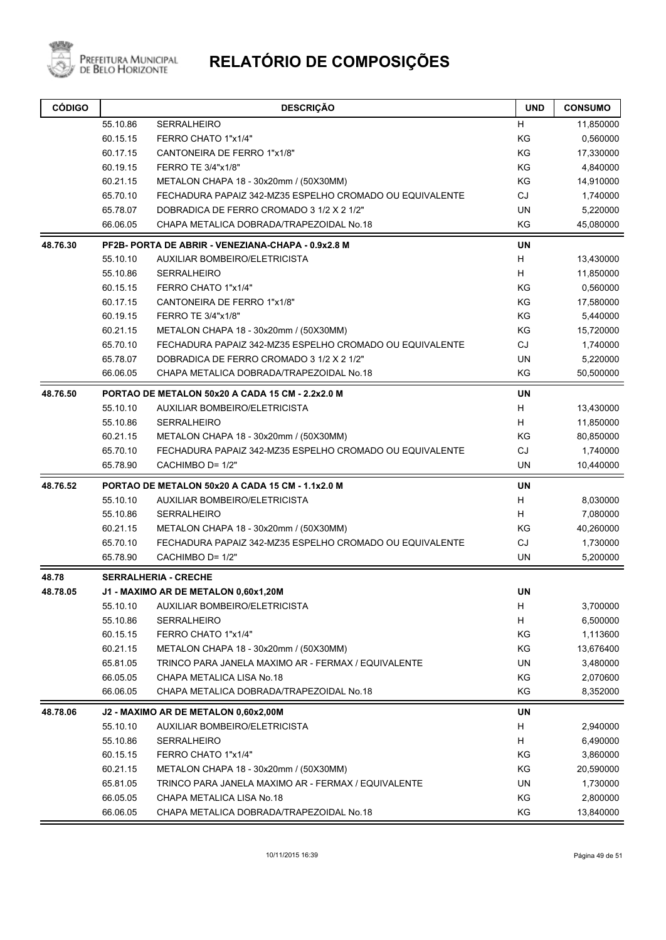

| <b>CÓDIGO</b> |                                                    | <b>DESCRIÇÃO</b>                                         | <b>UND</b> | <b>CONSUMO</b> |  |  |
|---------------|----------------------------------------------------|----------------------------------------------------------|------------|----------------|--|--|
|               | 55.10.86                                           | <b>SERRALHEIRO</b>                                       | H          | 11,850000      |  |  |
|               | 60.15.15                                           | FERRO CHATO 1"x1/4"                                      | KG         | 0,560000       |  |  |
|               | 60.17.15                                           | CANTONEIRA DE FERRO 1"x1/8"                              | KG         | 17,330000      |  |  |
|               | 60.19.15                                           | FERRO TE 3/4"x1/8"                                       | KG         | 4,840000       |  |  |
|               | 60.21.15                                           | METALON CHAPA 18 - 30x20mm / (50X30MM)                   | KG         | 14,910000      |  |  |
|               | 65.70.10                                           | FECHADURA PAPAIZ 342-MZ35 ESPELHO CROMADO OU EQUIVALENTE | CJ         | 1,740000       |  |  |
|               | 65.78.07                                           | DOBRADICA DE FERRO CROMADO 3 1/2 X 2 1/2"                | <b>UN</b>  | 5,220000       |  |  |
|               | 66.06.05                                           | CHAPA METALICA DOBRADA/TRAPEZOIDAL No.18                 | ΚG         | 45,080000      |  |  |
| 48.76.30      | PF2B- PORTA DE ABRIR - VENEZIANA-CHAPA - 0.9x2.8 M |                                                          |            |                |  |  |
|               | 55.10.10                                           | AUXILIAR BOMBEIRO/ELETRICISTA                            | H          | 13,430000      |  |  |
|               | 55.10.86                                           | <b>SERRALHEIRO</b>                                       | H          | 11,850000      |  |  |
|               | 60.15.15                                           | FERRO CHATO 1"x1/4"                                      | ΚG         | 0,560000       |  |  |
|               | 60.17.15                                           | CANTONEIRA DE FERRO 1"x1/8"                              | KG         | 17,580000      |  |  |
|               | 60.19.15                                           | FERRO TE 3/4"x1/8"                                       | KG         | 5,440000       |  |  |
|               | 60.21.15                                           | METALON CHAPA 18 - 30x20mm / (50X30MM)                   | KG         | 15,720000      |  |  |
|               | 65.70.10                                           | FECHADURA PAPAIZ 342-MZ35 ESPELHO CROMADO OU EQUIVALENTE | CJ         | 1,740000       |  |  |
|               | 65.78.07                                           | DOBRADICA DE FERRO CROMADO 3 1/2 X 2 1/2"                | <b>UN</b>  | 5,220000       |  |  |
|               | 66.06.05                                           | CHAPA METALICA DOBRADA/TRAPEZOIDAL No.18                 | KG         | 50,500000      |  |  |
| 48.76.50      |                                                    | PORTAO DE METALON 50x20 A CADA 15 CM - 2.2x2.0 M         | UN         |                |  |  |
|               | 55.10.10                                           | AUXILIAR BOMBEIRO/ELETRICISTA                            | н          | 13,430000      |  |  |
|               | 55.10.86                                           | <b>SERRALHEIRO</b>                                       | H          | 11,850000      |  |  |
|               | 60.21.15                                           | METALON CHAPA 18 - 30x20mm / (50X30MM)                   | ΚG         | 80,850000      |  |  |
|               | 65.70.10                                           | FECHADURA PAPAIZ 342-MZ35 ESPELHO CROMADO OU EQUIVALENTE | CJ         | 1,740000       |  |  |
|               | 65.78.90                                           | CACHIMBO D= 1/2"                                         | <b>UN</b>  | 10,440000      |  |  |
| 48.76.52      | PORTAO DE METALON 50x20 A CADA 15 CM - 1.1x2.0 M   |                                                          |            |                |  |  |
|               | 55.10.10                                           | AUXILIAR BOMBEIRO/ELETRICISTA                            | H          | 8,030000       |  |  |
|               | 55.10.86                                           | <b>SERRALHEIRO</b>                                       | H          | 7,080000       |  |  |
|               | 60.21.15                                           | METALON CHAPA 18 - 30x20mm / (50X30MM)                   | ΚG         | 40,260000      |  |  |
|               | 65.70.10                                           | FECHADURA PAPAIZ 342-MZ35 ESPELHO CROMADO OU EQUIVALENTE | CJ         | 1,730000       |  |  |
|               | 65.78.90                                           | CACHIMBO D= 1/2"                                         | <b>UN</b>  | 5,200000       |  |  |
| 48.78         |                                                    | <b>SERRALHERIA - CRECHE</b>                              |            |                |  |  |
| 48.78.05      |                                                    | J1 - MAXIMO AR DE METALON 0,60x1,20M                     | <b>UN</b>  |                |  |  |
|               | 55.10.10                                           | AUXILIAR BOMBEIRO/ELETRICISTA                            | H          | 3,700000       |  |  |
|               | 55.10.86                                           | <b>SERRALHEIRO</b>                                       | H          | 6,500000       |  |  |
|               | 60.15.15                                           | FERRO CHATO 1"x1/4"                                      | KG         | 1,113600       |  |  |
|               | 60.21.15                                           | METALON CHAPA 18 - 30x20mm / (50X30MM)                   | KG         | 13,676400      |  |  |
|               | 65.81.05                                           | TRINCO PARA JANELA MAXIMO AR - FERMAX / EQUIVALENTE      | UN         | 3,480000       |  |  |
|               | 66.05.05                                           | CHAPA METALICA LISA No.18                                | KG         | 2,070600       |  |  |
|               | 66.06.05                                           | CHAPA METALICA DOBRADA/TRAPEZOIDAL No.18                 | KG         | 8,352000       |  |  |
| 48.78.06      | J2 - MAXIMO AR DE METALON 0,60x2,00M               |                                                          |            |                |  |  |
|               | 55.10.10                                           | AUXILIAR BOMBEIRO/ELETRICISTA                            | H          | 2,940000       |  |  |
|               | 55.10.86                                           | SERRALHEIRO                                              | H          | 6,490000       |  |  |
|               | 60.15.15                                           | FERRO CHATO 1"x1/4"                                      | KG         | 3,860000       |  |  |
|               | 60.21.15                                           | METALON CHAPA 18 - 30x20mm / (50X30MM)                   | ΚG         | 20,590000      |  |  |
|               | 65.81.05                                           | TRINCO PARA JANELA MAXIMO AR - FERMAX / EQUIVALENTE      | UN         | 1,730000       |  |  |
|               | 66.05.05                                           | CHAPA METALICA LISA No.18                                | KG         | 2,800000       |  |  |
|               | 66.06.05                                           | CHAPA METALICA DOBRADA/TRAPEZOIDAL No.18                 | KG         | 13,840000      |  |  |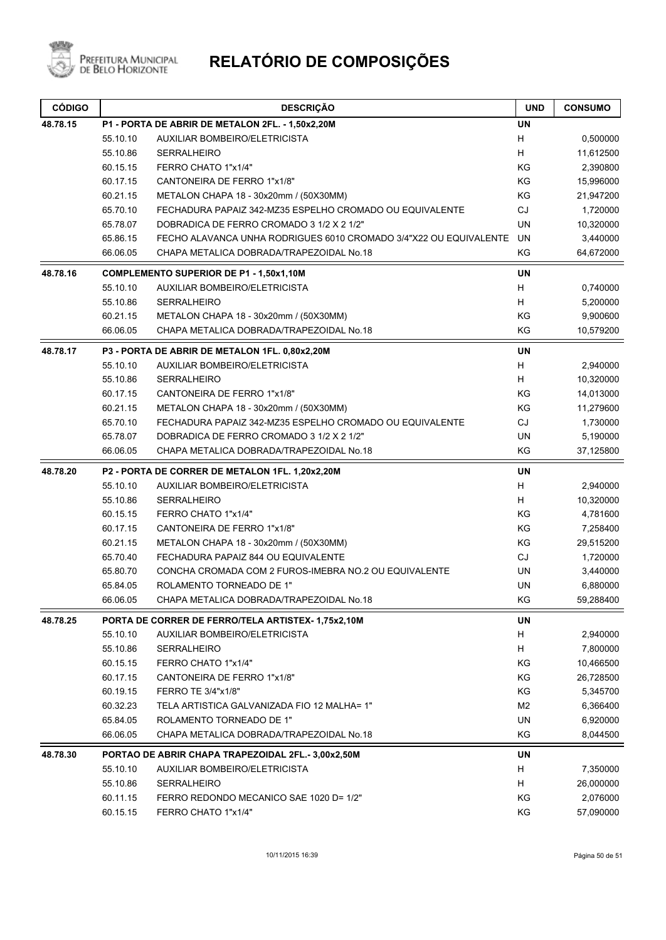

|          | 55.10.86                                       | <b>SERRALHEIRO</b>                                                | H              | 11,612500 |
|----------|------------------------------------------------|-------------------------------------------------------------------|----------------|-----------|
|          | 60.15.15                                       | FERRO CHATO 1"x1/4"                                               | KG             | 2,390800  |
|          | 60.17.15                                       | CANTONEIRA DE FERRO 1"x1/8"                                       | KG             | 15,996000 |
|          | 60.21.15                                       | METALON CHAPA 18 - 30x20mm / (50X30MM)                            | KG             | 21,947200 |
|          | 65.70.10                                       | FECHADURA PAPAIZ 342-MZ35 ESPELHO CROMADO OU EQUIVALENTE          | CJ             | 1,720000  |
|          | 65.78.07                                       | DOBRADICA DE FERRO CROMADO 3 1/2 X 2 1/2"                         | <b>UN</b>      | 10,320000 |
|          | 65.86.15                                       | FECHO ALAVANCA UNHA RODRIGUES 6010 CROMADO 3/4"X22 OU EQUIVALENTE | UN             | 3,440000  |
|          | 66.06.05                                       | CHAPA METALICA DOBRADA/TRAPEZOIDAL No.18                          | KG             | 64,672000 |
| 48.78.16 | <b>COMPLEMENTO SUPERIOR DE P1 - 1,50x1,10M</b> |                                                                   |                |           |
|          | 55.10.10                                       | AUXILIAR BOMBEIRO/ELETRICISTA                                     | <b>UN</b><br>Н | 0,740000  |
|          | 55.10.86                                       | <b>SERRALHEIRO</b>                                                | H              | 5,200000  |
|          | 60.21.15                                       | METALON CHAPA 18 - 30x20mm / (50X30MM)                            | KG             | 9,900600  |
|          | 66.06.05                                       | CHAPA METALICA DOBRADA/TRAPEZOIDAL No.18                          | KG             | 10,579200 |
| 48.78.17 |                                                | P3 - PORTA DE ABRIR DE METALON 1FL. 0,80x2,20M                    | <b>UN</b>      |           |
|          | 55.10.10                                       | AUXILIAR BOMBEIRO/ELETRICISTA                                     | H              | 2,940000  |
|          | 55.10.86                                       | <b>SERRALHEIRO</b>                                                | H              | 10,320000 |
|          | 60.17.15                                       | CANTONEIRA DE FERRO 1"x1/8"                                       | KG             | 14,013000 |
|          | 60.21.15                                       | METALON CHAPA 18 - 30x20mm / (50X30MM)                            | KG             | 11,279600 |
|          | 65.70.10                                       | FECHADURA PAPAIZ 342-MZ35 ESPELHO CROMADO OU EQUIVALENTE          | CJ             | 1,730000  |
|          | 65.78.07                                       | DOBRADICA DE FERRO CROMADO 3 1/2 X 2 1/2"                         | <b>UN</b>      | 5,190000  |
|          | 66.06.05                                       | CHAPA METALICA DOBRADA/TRAPEZOIDAL No.18                          | KG             | 37,125800 |
|          |                                                |                                                                   |                |           |
| 48.78.20 |                                                | P2 - PORTA DE CORRER DE METALON 1FL. 1,20x2,20M                   | <b>UN</b>      |           |
|          | 55.10.10                                       | AUXILIAR BOMBEIRO/ELETRICISTA                                     | H              | 2,940000  |
|          | 55.10.86                                       | <b>SERRALHEIRO</b>                                                | H              | 10,320000 |
|          | 60.15.15                                       | FERRO CHATO 1"x1/4"                                               | KG             | 4,781600  |
|          | 60.17.15                                       | CANTONEIRA DE FERRO 1"x1/8"                                       | KG             | 7,258400  |
|          | 60.21.15                                       | METALON CHAPA 18 - 30x20mm / (50X30MM)                            | KG             | 29,515200 |
|          | 65.70.40                                       | FECHADURA PAPAIZ 844 OU EQUIVALENTE                               | CJ             | 1,720000  |
|          | 65.80.70                                       | CONCHA CROMADA COM 2 FUROS-IMEBRA NO.2 OU EQUIVALENTE             | UN             | 3,440000  |
|          | 65.84.05                                       | ROLAMENTO TORNEADO DE 1"                                          | UN             | 6,880000  |
|          | 66.06.05                                       | CHAPA METALICA DOBRADA/TRAPEZOIDAL No.18                          | KG             | 59,288400 |
| 48.78.25 |                                                | PORTA DE CORRER DE FERRO/TELA ARTISTEX-1,75x2,10M                 | <b>UN</b>      |           |
|          | 55.10.10                                       | AUXILIAR BOMBEIRO/ELETRICISTA                                     | H              | 2,940000  |
|          | 55.10.86                                       | SERRALHEIRO                                                       | Н              | 7,800000  |
|          | 60.15.15                                       | FERRO CHATO 1"x1/4"                                               | ΚG             | 10,466500 |
|          | 60.17.15                                       | CANTONEIRA DE FERRO 1"x1/8"                                       | KG             | 26,728500 |
|          | 60.19.15                                       | FERRO TE 3/4"x1/8"                                                | KG             | 5,345700  |
|          | 60.32.23                                       | TELA ARTISTICA GALVANIZADA FIO 12 MALHA= 1"                       | M <sub>2</sub> | 6,366400  |
|          | 65.84.05                                       | ROLAMENTO TORNEADO DE 1"                                          | UN             | 6,920000  |
|          | 66.06.05                                       | CHAPA METALICA DOBRADA/TRAPEZOIDAL No.18                          | ΚG             | 8,044500  |
| 48.78.30 |                                                | PORTAO DE ABRIR CHAPA TRAPEZOIDAL 2FL.-3,00x2,50M                 | <b>UN</b>      |           |
|          | 55.10.10                                       | AUXILIAR BOMBEIRO/ELETRICISTA                                     | H              | 7,350000  |
|          | 55.10.86                                       | SERRALHEIRO                                                       | H              | 26,000000 |
|          | 60.11.15                                       | FERRO REDONDO MECANICO SAE 1020 D= 1/2"                           | KG             | 2,076000  |
|          | 60.15.15                                       | FERRO CHATO 1"x1/4"                                               | KG             | 57,090000 |
|          |                                                |                                                                   |                |           |

**CÓDIGO DESCRIÇÃO UND CONSUMO**

55.10.10 AUXILIAR BOMBEIRO/ELETRICISTA H 0,500000

**48.78.15 P1 - PORTA DE ABRIR DE METALON 2FL. - 1,50x2,20M UN**